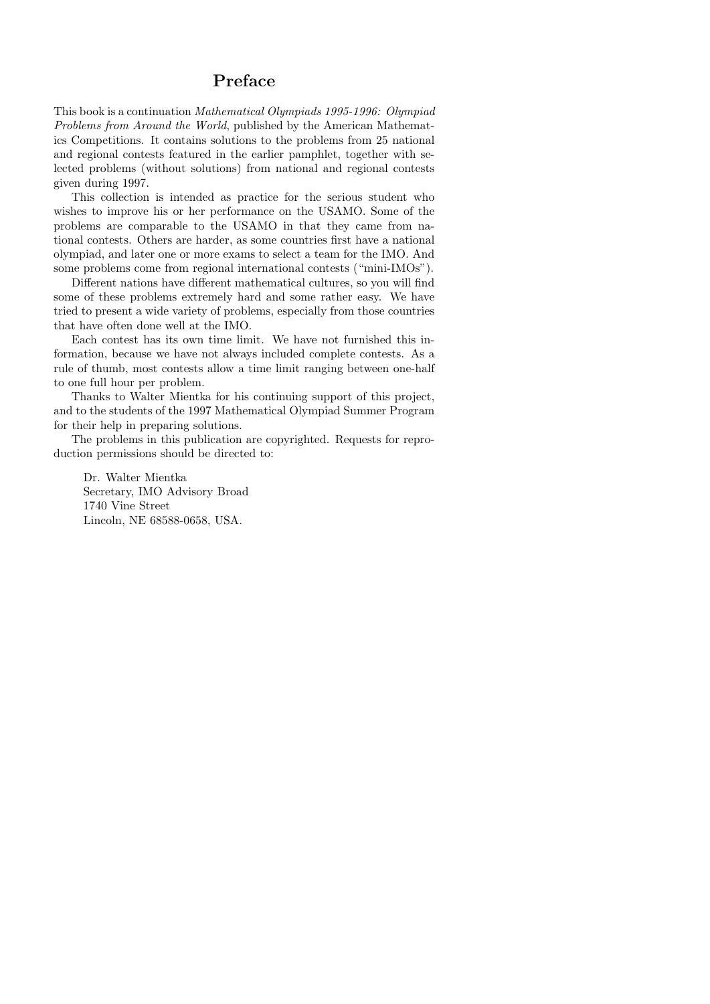## Preface

This book is a continuation Mathematical Olympiads 1995-1996: Olympiad Problems from Around the World, published by the American Mathematics Competitions. It contains solutions to the problems from 25 national and regional contests featured in the earlier pamphlet, together with selected problems (without solutions) from national and regional contests given during 1997.

This collection is intended as practice for the serious student who wishes to improve his or her performance on the USAMO. Some of the problems are comparable to the USAMO in that they came from national contests. Others are harder, as some countries first have a national olympiad, and later one or more exams to select a team for the IMO. And some problems come from regional international contests ("mini-IMOs").

Different nations have different mathematical cultures, so you will find some of these problems extremely hard and some rather easy. We have tried to present a wide variety of problems, especially from those countries that have often done well at the IMO.

Each contest has its own time limit. We have not furnished this information, because we have not always included complete contests. As a rule of thumb, most contests allow a time limit ranging between one-half to one full hour per problem.

Thanks to Walter Mientka for his continuing support of this project, and to the students of the 1997 Mathematical Olympiad Summer Program for their help in preparing solutions.

The problems in this publication are copyrighted. Requests for reproduction permissions should be directed to:

Dr. Walter Mientka Secretary, IMO Advisory Broad 1740 Vine Street Lincoln, NE 68588-0658, USA.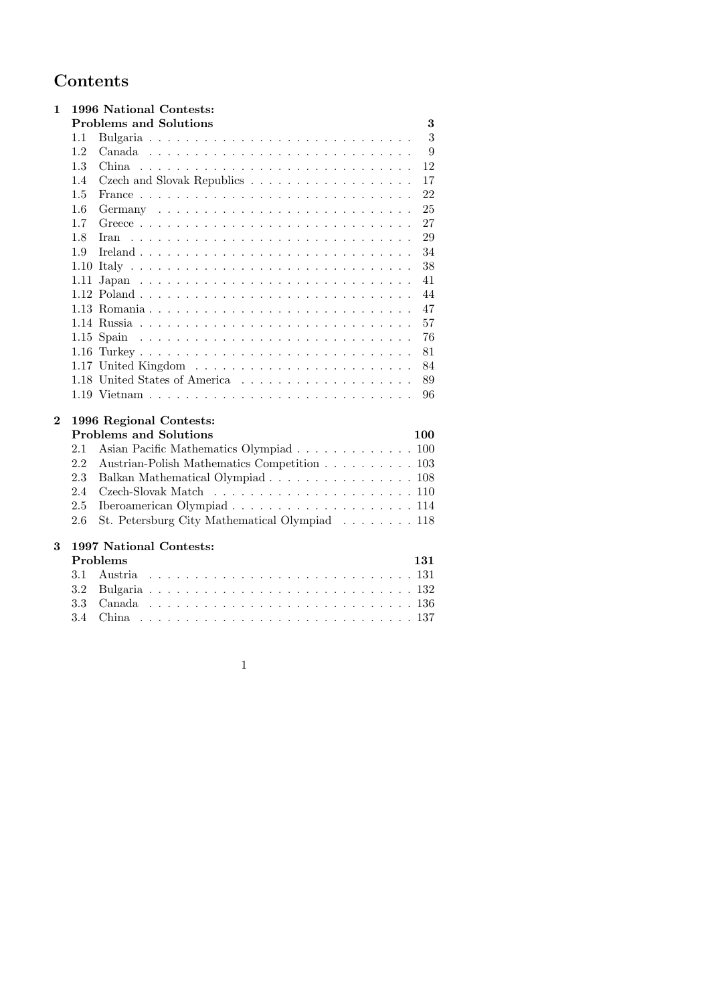# Contents

| 1        | 1996 National Contests:                                                                             |  |  |  |  |  |
|----------|-----------------------------------------------------------------------------------------------------|--|--|--|--|--|
|          | <b>Problems and Solutions</b><br>3                                                                  |  |  |  |  |  |
|          | 3<br>1.1                                                                                            |  |  |  |  |  |
|          | 1.2<br>9                                                                                            |  |  |  |  |  |
|          | 1.3<br>12                                                                                           |  |  |  |  |  |
|          | 17<br>1.4                                                                                           |  |  |  |  |  |
|          | 1.5<br>22                                                                                           |  |  |  |  |  |
|          | 25<br>1.6                                                                                           |  |  |  |  |  |
|          | 27<br>1.7                                                                                           |  |  |  |  |  |
|          | 29<br>1.8<br>Iran                                                                                   |  |  |  |  |  |
|          | 34<br>1.9                                                                                           |  |  |  |  |  |
|          | 38<br>1.10                                                                                          |  |  |  |  |  |
|          | 41<br>$Japan \dots \dots \dots \dots \dots \dots \dots \dots \dots \dots \dots \dots \dots$<br>1.11 |  |  |  |  |  |
|          | 44                                                                                                  |  |  |  |  |  |
|          | 47                                                                                                  |  |  |  |  |  |
|          | 57                                                                                                  |  |  |  |  |  |
|          | 76                                                                                                  |  |  |  |  |  |
|          | 81                                                                                                  |  |  |  |  |  |
|          | 84                                                                                                  |  |  |  |  |  |
|          | 89                                                                                                  |  |  |  |  |  |
|          | 96                                                                                                  |  |  |  |  |  |
| $\bf{2}$ | 1996 Regional Contests:                                                                             |  |  |  |  |  |
|          | <b>Problems and Solutions</b><br>100                                                                |  |  |  |  |  |
|          | Asian Pacific Mathematics Olympiad 100<br>2.1                                                       |  |  |  |  |  |
|          | 2.2<br>Austrian-Polish Mathematics Competition 103                                                  |  |  |  |  |  |
|          | Balkan Mathematical Olympiad 108<br>2.3                                                             |  |  |  |  |  |
|          | 2.4<br>Czech-Slovak Match $\ldots \ldots \ldots \ldots \ldots \ldots \ldots \ldots 110$             |  |  |  |  |  |
|          | 2.5                                                                                                 |  |  |  |  |  |
|          | $2.6\,$<br>St. Petersburg City Mathematical Olympiad 118                                            |  |  |  |  |  |
| 3        | 1997 National Contests:                                                                             |  |  |  |  |  |
|          | Problems<br>131                                                                                     |  |  |  |  |  |
|          | 3.1<br>Austria.                                                                                     |  |  |  |  |  |
|          | 3.2                                                                                                 |  |  |  |  |  |
|          | 3.3                                                                                                 |  |  |  |  |  |
|          | 3.4                                                                                                 |  |  |  |  |  |
|          |                                                                                                     |  |  |  |  |  |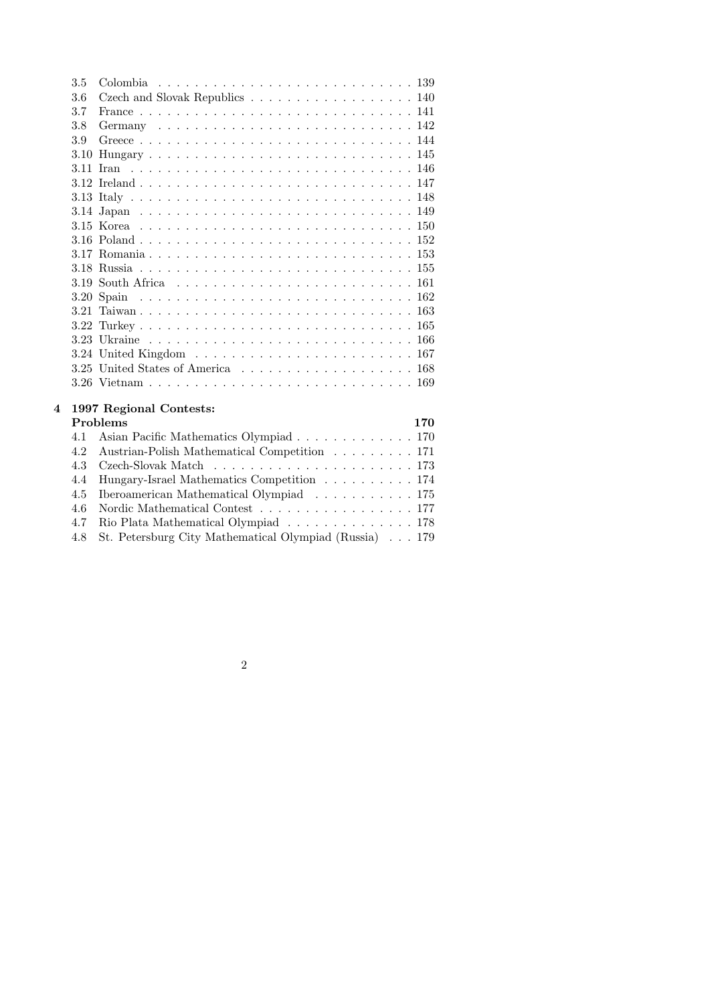|   | 3.5  |                                                                                      |
|---|------|--------------------------------------------------------------------------------------|
|   | 3.6  | Czech and Slovak Republics 140                                                       |
|   | 3.7  |                                                                                      |
|   | 3.8  |                                                                                      |
|   | 3.9  |                                                                                      |
|   | 3.10 |                                                                                      |
|   |      | 3.11 Iran  146                                                                       |
|   |      |                                                                                      |
|   |      |                                                                                      |
|   |      |                                                                                      |
|   |      |                                                                                      |
|   |      |                                                                                      |
|   |      |                                                                                      |
|   |      |                                                                                      |
|   |      |                                                                                      |
|   |      |                                                                                      |
|   |      |                                                                                      |
|   |      |                                                                                      |
|   |      |                                                                                      |
|   |      |                                                                                      |
|   |      | 3.25 United States of America $\ldots \ldots \ldots \ldots \ldots \ldots \ldots 168$ |
|   |      |                                                                                      |
|   |      |                                                                                      |
| 4 |      | 1997 Regional Contests:<br>Problems<br>170                                           |
|   | 4.1  | Asian Pacific Mathematics Olympiad 170                                               |
|   | 4.2  |                                                                                      |
|   | 4.3  | Austrian-Polish Mathematical Competition 171                                         |
|   | 4.4  | Hungary-Israel Mathematics Competition 174                                           |
|   | 4.5  |                                                                                      |
|   | 4.6  | Iberoamerican Mathematical Olympiad 175<br>Nordic Mathematical Contest 177           |
|   | 4.7  | Rio Plata Mathematical Olympiad 178                                                  |
|   | 4.8  | St. Petersburg City Mathematical Olympiad (Russia) $\ldots$ 179                      |
|   |      |                                                                                      |
|   |      |                                                                                      |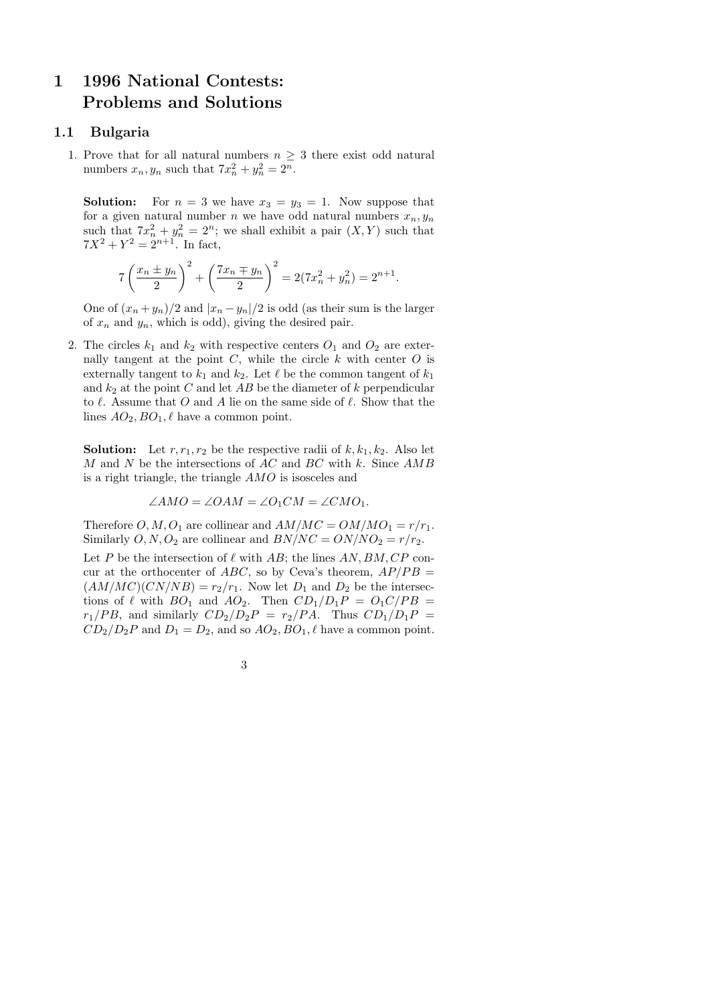## 1 1996 National Contests: Problems and Solutions

## 1.1 Bulgaria

1. Prove that for all natural numbers  $n \geq 3$  there exist odd natural numbers  $x_n, y_n$  such that  $7x_n^2 + y_n^2 = 2^n$ .

**Solution:** For  $n = 3$  we have  $x_3 = y_3 = 1$ . Now suppose that for a given natural number n we have odd natural numbers  $x_n, y_n$ such that  $7x_n^2 + y_n^2 = 2^n$ ; we shall exhibit a pair  $(X, Y)$  such that  $7X^2 + Y^2 = 2^{n+1}$ . In fact,

$$
7\left(\frac{x_n \pm y_n}{2}\right)^2 + \left(\frac{7x_n \mp y_n}{2}\right)^2 = 2(7x_n^2 + y_n^2) = 2^{n+1}.
$$

One of  $(x_n + y_n)/2$  and  $|x_n - y_n|/2$  is odd (as their sum is the larger of  $x_n$  and  $y_n$ , which is odd), giving the desired pair.

2. The circles  $k_1$  and  $k_2$  with respective centers  $O_1$  and  $O_2$  are externally tangent at the point  $C$ , while the circle  $k$  with center  $O$  is externally tangent to  $k_1$  and  $k_2$ . Let  $\ell$  be the common tangent of  $k_1$ and  $k_2$  at the point C and let AB be the diameter of k perpendicular to  $\ell$ . Assume that O and A lie on the same side of  $\ell$ . Show that the lines  $AO_2, BO_1, \ell$  have a common point.

**Solution:** Let  $r, r_1, r_2$  be the respective radii of  $k, k_1, k_2$ . Also let  $M$  and  $N$  be the intersections of  $AC$  and  $BC$  with  $k$ . Since  $AMB$ is a right triangle, the triangle AMO is isosceles and

$$
\angle AMO = \angle OAM = \angle O_1CM = \angle CMO_1.
$$

Therefore  $O, M, O_1$  are collinear and  $AM/MC = OM/MO_1 = r/r_1$ . Similarly  $O, N, O_2$  are collinear and  $BN/NC = ON/NO_2 = r/r_2$ .

Let P be the intersection of  $\ell$  with AB; the lines AN, BM, CP concur at the orthocenter of ABC, so by Ceva's theorem,  $AP/PB =$  $(AM/MC)(CN/NB) = r_2/r_1$ . Now let  $D_1$  and  $D_2$  be the intersections of  $\ell$  with  $BO_1$  and  $AO_2$ . Then  $CD_1/D_1P = O_1C/PB$  $r_1/PB$ , and similarly  $CD_2/D_2P = r_2/PA$ . Thus  $CD_1/D_1P =$  $CD_2/D_2P$  and  $D_1 = D_2$ , and so  $AO_2, BO_1, \ell$  have a common point.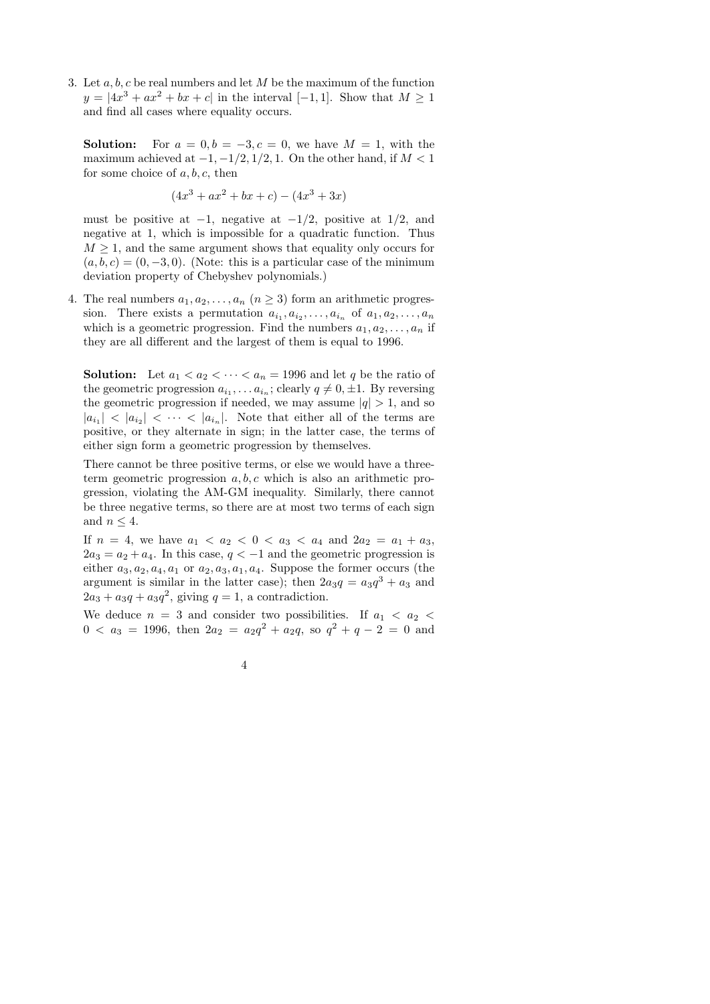3. Let  $a, b, c$  be real numbers and let  $M$  be the maximum of the function  $y = |4x^3 + ax^2 + bx + c|$  in the interval  $[-1, 1]$ . Show that  $M \ge 1$ and find all cases where equality occurs.

**Solution:** For  $a = 0, b = -3, c = 0$ , we have  $M = 1$ , with the maximum achieved at  $-1$ ,  $-1/2$ ,  $1/2$ , 1. On the other hand, if  $M < 1$ for some choice of  $a, b, c$ , then

$$
(4x^3 + ax^2 + bx + c) - (4x^3 + 3x)
$$

must be positive at  $-1$ , negative at  $-1/2$ , positive at  $1/2$ , and negative at 1, which is impossible for a quadratic function. Thus  $M \geq 1$ , and the same argument shows that equality only occurs for  $(a, b, c) = (0, -3, 0)$ . (Note: this is a particular case of the minimum deviation property of Chebyshev polynomials.)

4. The real numbers  $a_1, a_2, \ldots, a_n$   $(n \geq 3)$  form an arithmetic progression. There exists a permutation  $a_{i_1}, a_{i_2}, \ldots, a_{i_n}$  of  $a_1, a_2, \ldots, a_n$ which is a geometric progression. Find the numbers  $a_1, a_2, \ldots, a_n$  if they are all different and the largest of them is equal to 1996.

**Solution:** Let  $a_1 < a_2 < \cdots < a_n = 1996$  and let q be the ratio of the geometric progression  $a_{i_1}, \ldots a_{i_n}$ ; clearly  $q \neq 0, \pm 1$ . By reversing the geometric progression if needed, we may assume  $|q| > 1$ , and so  $|a_{i_1}| < |a_{i_2}| < \cdots < |a_{i_n}|$ . Note that either all of the terms are positive, or they alternate in sign; in the latter case, the terms of either sign form a geometric progression by themselves.

There cannot be three positive terms, or else we would have a threeterm geometric progression  $a, b, c$  which is also an arithmetic progression, violating the AM-GM inequality. Similarly, there cannot be three negative terms, so there are at most two terms of each sign and  $n \leq 4$ .

If  $n = 4$ , we have  $a_1 < a_2 < 0 < a_3 < a_4$  and  $2a_2 = a_1 + a_3$ ,  $2a_3 = a_2 + a_4$ . In this case,  $q < -1$  and the geometric progression is either  $a_3, a_2, a_4, a_1$  or  $a_2, a_3, a_1, a_4$ . Suppose the former occurs (the argument is similar in the latter case); then  $2a_3q = a_3q^3 + a_3$  and  $2a_3 + a_3q + a_3q^2$ , giving  $q = 1$ , a contradiction.

We deduce  $n = 3$  and consider two possibilities. If  $a_1 < a_2 <$  $0 < a_3 = 1996$ , then  $2a_2 = a_2q^2 + a_2q$ , so  $q^2 + q - 2 = 0$  and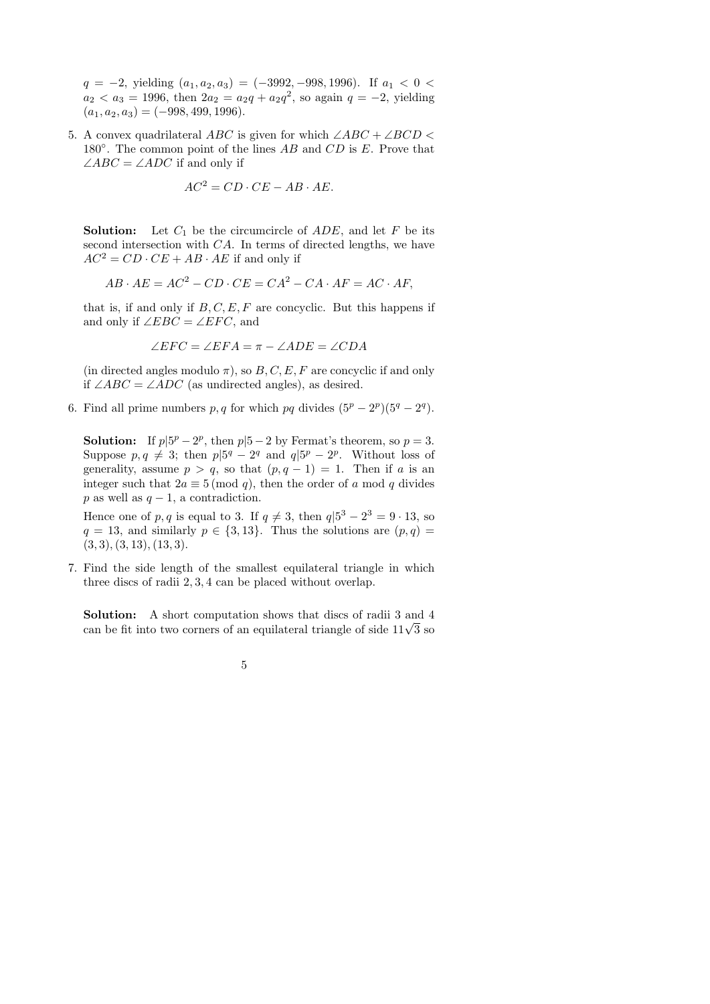$q = -2$ , yielding  $(a_1, a_2, a_3) = (-3992, -998, 1996)$ . If  $a_1 < 0 <$  $a_2 < a_3 = 1996$ , then  $2a_2 = a_2q + a_2q^2$ , so again  $q = -2$ , yielding  $(a_1, a_2, a_3) = (-998, 499, 1996).$ 

5. A convex quadrilateral ABC is given for which  $\angle ABC + \angle BCD$ 180 $^{\circ}$ . The common point of the lines AB and CD is E. Prove that  $\angle ABC = \angle ADC$  if and only if

$$
AC^2 = CD \cdot CE - AB \cdot AE.
$$

**Solution:** Let  $C_1$  be the circumcircle of  $ADE$ , and let F be its second intersection with CA. In terms of directed lengths, we have  $AC^2 = CD \cdot CE + AB \cdot AE$  if and only if

$$
AB \cdot AE = AC^2 - CD \cdot CE = CA^2 - CA \cdot AF = AC \cdot AF,
$$

that is, if and only if  $B, C, E, F$  are concyclic. But this happens if and only if  $\angle EBC = \angle EFC$ , and

$$
\angle EFC = \angle EFA = \pi - \angle ADE = \angle CDA
$$

(in directed angles modulo  $\pi$ ), so B, C, E, F are concyclic if and only if  $∠ABC = ∠ADC$  (as undirected angles), as desired.

6. Find all prime numbers p, q for which pq divides  $(5^p - 2^p)(5^q - 2^q)$ .

**Solution:** If  $p|5^p - 2^p$ , then  $p|5 - 2$  by Fermat's theorem, so  $p = 3$ . Suppose  $p, q \neq 3$ ; then  $p|5^q - 2^q$  and  $q|5^p - 2^p$ . Without loss of generality, assume  $p > q$ , so that  $(p, q - 1) = 1$ . Then if a is an integer such that  $2a \equiv 5 \pmod{q}$ , then the order of a mod q divides p as well as  $q-1$ , a contradiction.

Hence one of p, q is equal to 3. If  $q \neq 3$ , then  $q|5^3 - 2^3 = 9 \cdot 13$ , so  $q = 13$ , and similarly  $p \in \{3, 13\}$ . Thus the solutions are  $(p, q)$  $(3, 3), (3, 13), (13, 3).$ 

7. Find the side length of the smallest equilateral triangle in which three discs of radii 2, 3, 4 can be placed without overlap.

Solution: A short computation shows that discs of radii 3 and 4 **Solution:** A short computation shows that discs of radii 3 and 4 can be fit into two corners of an equilateral triangle of side  $11\sqrt{3}$  so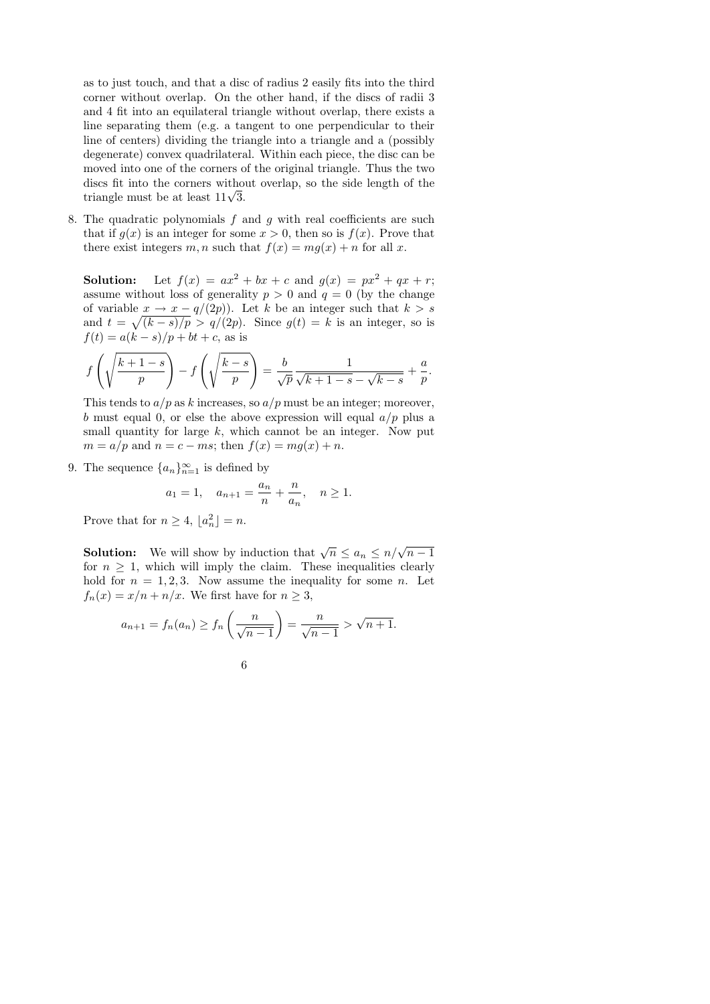as to just touch, and that a disc of radius 2 easily fits into the third corner without overlap. On the other hand, if the discs of radii 3 and 4 fit into an equilateral triangle without overlap, there exists a line separating them (e.g. a tangent to one perpendicular to their line of centers) dividing the triangle into a triangle and a (possibly degenerate) convex quadrilateral. Within each piece, the disc can be moved into one of the corners of the original triangle. Thus the two discs fit into the corners without overlap, so the side length of the discs fit into the corners witho triangle must be at least  $11\sqrt{3}$ .

8. The quadratic polynomials  $f$  and  $g$  with real coefficients are such that if  $g(x)$  is an integer for some  $x > 0$ , then so is  $f(x)$ . Prove that there exist integers m, n such that  $f(x) = mq(x) + n$  for all x.

**Solution:** Let  $f(x) = ax^2 + bx + c$  and  $g(x) = px^2 + qx + r$ ; assume without loss of generality  $p > 0$  and  $q = 0$  (by the change of variable  $x \to x - q/(2p)$ . Let k be an integer such that  $k > s$ and  $t = \sqrt{(k-s)/p} > q/(2p)$ . Since  $g(t) = k$  is an integer, so is  $f(t) = a(k - s)/p + bt + c$ , as is

$$
f\left(\sqrt{\frac{k+1-s}{p}}\right) - f\left(\sqrt{\frac{k-s}{p}}\right) = \frac{b}{\sqrt{p}} \frac{1}{\sqrt{k+1-s} - \sqrt{k-s}} + \frac{a}{p}.
$$

This tends to  $a/p$  as k increases, so  $a/p$  must be an integer; moreover, b must equal 0, or else the above expression will equal  $a/p$  plus a small quantity for large  $k$ , which cannot be an integer. Now put  $m = a/p$  and  $n = c - ms$ ; then  $f(x) = mg(x) + n$ .

9. The sequence  ${a_n}_{n=1}^{\infty}$  is defined by

$$
a_1 = 1
$$
,  $a_{n+1} = \frac{a_n}{n} + \frac{n}{a_n}$ ,  $n \ge 1$ .

Prove that for  $n \geq 4$ ,  $\lfloor a_n^2 \rfloor = n$ .

**Solution:** We will show by induction that  $\sqrt{n} \le a_n \le n/\sqrt{n-1}$ for  $n \geq 1$ , which will imply the claim. These inequalities clearly hold for  $n = 1, 2, 3$ . Now assume the inequality for some n. Let  $f_n(x) = x/n + n/x$ . We first have for  $n \geq 3$ ,

$$
a_{n+1} = f_n(a_n) \ge f_n\left(\frac{n}{\sqrt{n-1}}\right) = \frac{n}{\sqrt{n-1}} > \sqrt{n+1}.
$$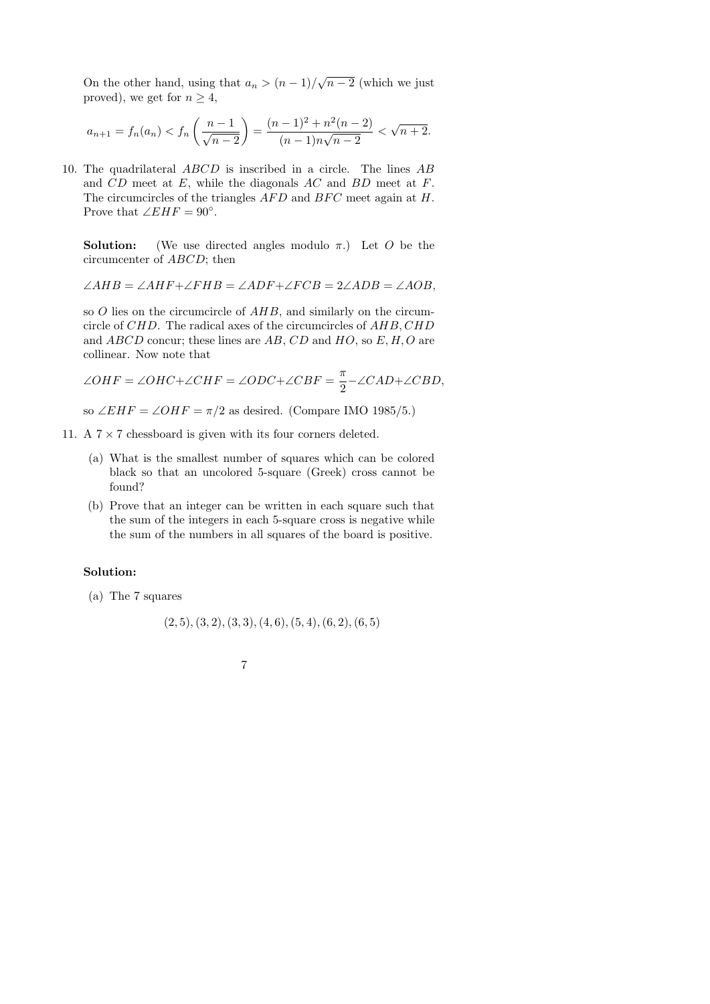On the other hand, using that  $a_n > (n-1)/\sqrt{n-2}$  (which we just proved), we get for  $n \geq 4$ ,

$$
a_{n+1} = f_n(a_n) < f_n\left(\frac{n-1}{\sqrt{n-2}}\right) = \frac{(n-1)^2 + n^2(n-2)}{(n-1)n\sqrt{n-2}} < \sqrt{n+2}.
$$

10. The quadrilateral ABCD is inscribed in a circle. The lines AB and CD meet at E, while the diagonals AC and BD meet at F. The circumcircles of the triangles AFD and BFC meet again at H. Prove that  $\angle EHF = 90^\circ$ .

**Solution:** (We use directed angles modulo  $\pi$ .) Let O be the circumcenter of ABCD; then

$$
\angle AHB = \angle AHF + \angle FHB = \angle ADF + \angle FCB = 2\angle ADB = \angle AOB,
$$

so  $O$  lies on the circumcircle of  $AHB$ , and similarly on the circumcircle of CHD. The radical axes of the circumcircles of AHB, CHD and  $ABCD$  concur; these lines are  $AB$ ,  $CD$  and  $HO$ , so  $E$ ,  $H$ ,  $O$  are collinear. Now note that

$$
\angle OHF = \angle OHC + \angle CHF = \angle ODC + \angle CBF = \frac{\pi}{2} - \angle CAD + \angle CBD,
$$

so ∠EHF = ∠OHF =  $\pi/2$  as desired. (Compare IMO 1985/5.)

- 11. A  $7 \times 7$  chessboard is given with its four corners deleted.
	- (a) What is the smallest number of squares which can be colored black so that an uncolored 5-square (Greek) cross cannot be found?
	- (b) Prove that an integer can be written in each square such that the sum of the integers in each 5-square cross is negative while the sum of the numbers in all squares of the board is positive.

#### Solution:

(a) The 7 squares

$$
(2,5), (3,2), (3,3), (4,6), (5,4), (6,2), (6,5)
$$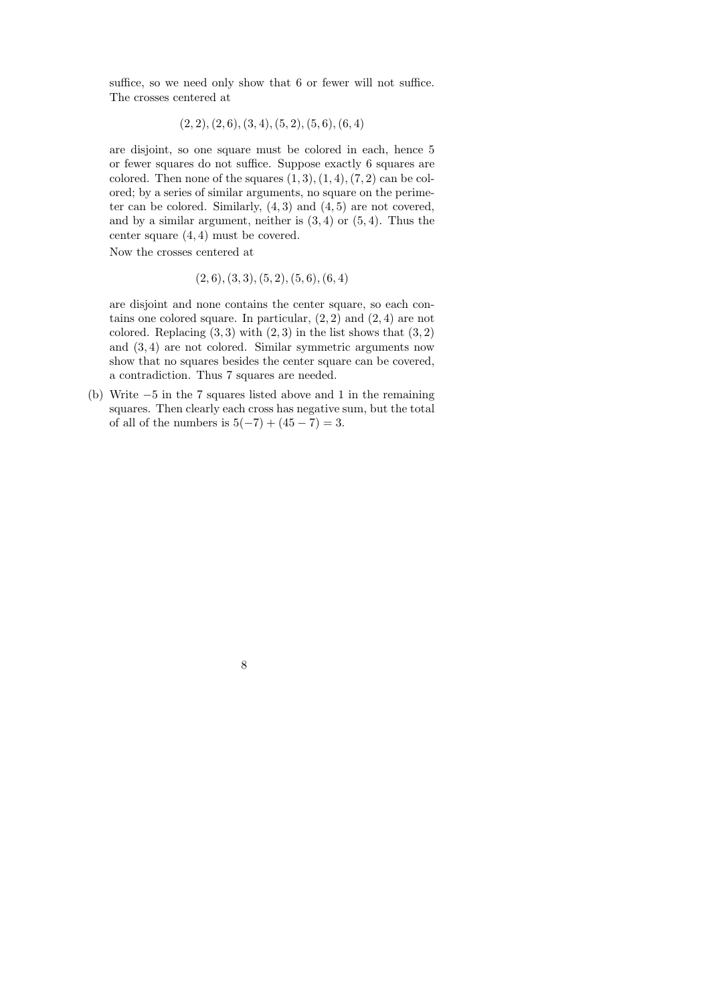suffice, so we need only show that 6 or fewer will not suffice. The crosses centered at

$$
(2, 2), (2, 6), (3, 4), (5, 2), (5, 6), (6, 4)
$$

are disjoint, so one square must be colored in each, hence 5 or fewer squares do not suffice. Suppose exactly 6 squares are colored. Then none of the squares  $(1, 3), (1, 4), (7, 2)$  can be colored; by a series of similar arguments, no square on the perimeter can be colored. Similarly,  $(4,3)$  and  $(4,5)$  are not covered, and by a similar argument, neither is  $(3, 4)$  or  $(5, 4)$ . Thus the center square (4, 4) must be covered.

Now the crosses centered at

$$
(2,6), (3,3), (5,2), (5,6), (6,4)
$$

are disjoint and none contains the center square, so each contains one colored square. In particular,  $(2, 2)$  and  $(2, 4)$  are not colored. Replacing  $(3,3)$  with  $(2,3)$  in the list shows that  $(3,2)$ and (3, 4) are not colored. Similar symmetric arguments now show that no squares besides the center square can be covered. a contradiction. Thus 7 squares are needed.

(b) Write −5 in the 7 squares listed above and 1 in the remaining squares. Then clearly each cross has negative sum, but the total of all of the numbers is  $5(-7) + (45 - 7) = 3$ .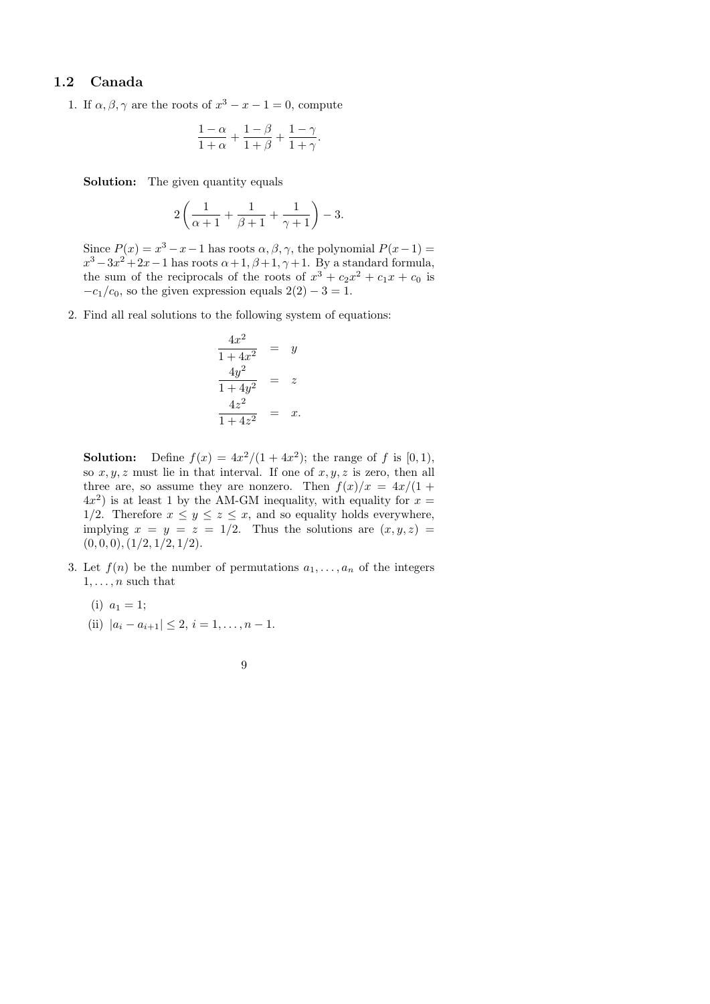## 1.2 Canada

1. If  $\alpha, \beta, \gamma$  are the roots of  $x^3 - x - 1 = 0$ , compute

$$
\frac{1-\alpha}{1+\alpha}+\frac{1-\beta}{1+\beta}+\frac{1-\gamma}{1+\gamma}.
$$

Solution: The given quantity equals

$$
2\left(\frac{1}{\alpha+1}+\frac{1}{\beta+1}+\frac{1}{\gamma+1}\right)-3.
$$

Since  $P(x) = x^3 - x - 1$  has roots  $\alpha, \beta, \gamma$ , the polynomial  $P(x-1) =$  $x^3 - 3x^2 + 2x - 1$  has roots  $\alpha + 1, \beta + 1, \gamma + 1$ . By a standard formula, the sum of the reciprocals of the roots of  $x^3 + c_2x^2 + c_1x + c_0$  is  $-c_1/c_0$ , so the given expression equals  $2(2) - 3 = 1$ .

2. Find all real solutions to the following system of equations:

$$
\frac{4x^2}{1+4x^2} = y
$$

$$
\frac{4y^2}{1+4y^2} = z
$$

$$
\frac{4z^2}{1+4z^2} = x.
$$

**Solution:** Define  $f(x) = 4x^2/(1+4x^2)$ ; the range of f is [0, 1], so  $x, y, z$  must lie in that interval. If one of  $x, y, z$  is zero, then all three are, so assume they are nonzero. Then  $f(x)/x = 4x/(1 +$  $(4x^2)$  is at least 1 by the AM-GM inequality, with equality for  $x =$ 1/2. Therefore  $x \leq y \leq z \leq x$ , and so equality holds everywhere, implying  $x = y = z = 1/2$ . Thus the solutions are  $(x, y, z) =$  $(0, 0, 0), (1/2, 1/2, 1/2).$ 

- 3. Let  $f(n)$  be the number of permutations  $a_1, \ldots, a_n$  of the integers  $1, \ldots, n$  such that
	- (i)  $a_1 = 1$ ;
	- (ii)  $|a_i a_{i+1}| \leq 2, i = 1, \ldots, n-1.$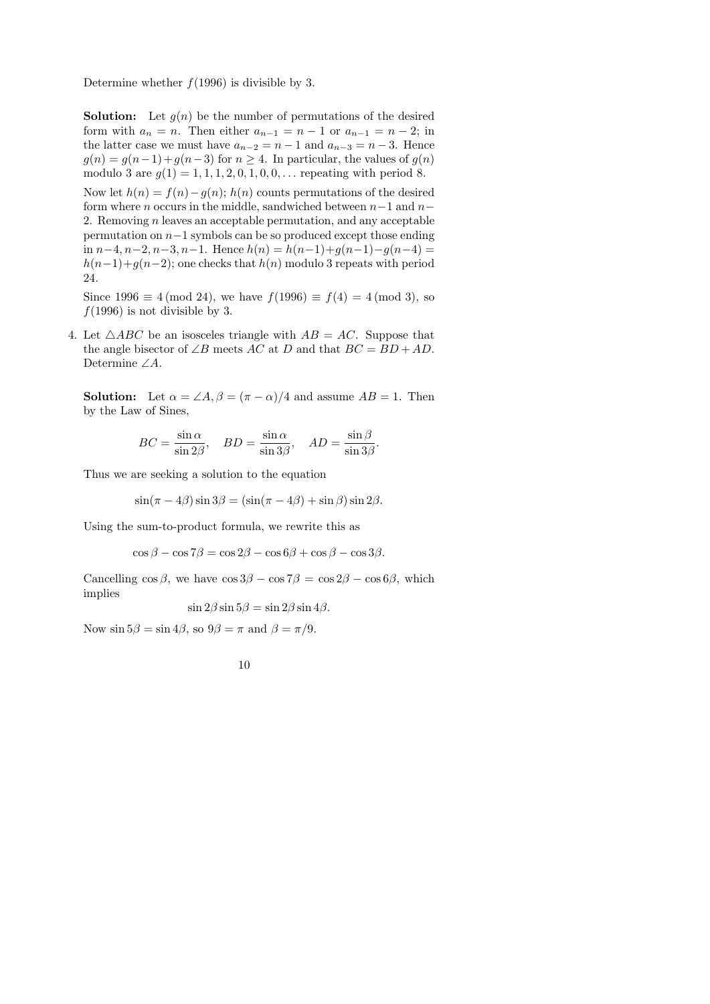Determine whether  $f(1996)$  is divisible by 3.

**Solution:** Let  $g(n)$  be the number of permutations of the desired form with  $a_n = n$ . Then either  $a_{n-1} = n-1$  or  $a_{n-1} = n-2$ ; in the latter case we must have  $a_{n-2} = n-1$  and  $a_{n-3} = n-3$ . Hence  $g(n) = g(n-1) + g(n-3)$  for  $n \geq 4$ . In particular, the values of  $g(n)$ modulo 3 are  $q(1) = 1, 1, 1, 2, 0, 1, 0, 0, \ldots$  repeating with period 8.

Now let  $h(n) = f(n) - g(n)$ ;  $h(n)$  counts permutations of the desired form where *n* occurs in the middle, sandwiched between  $n-1$  and  $n-$ 2. Removing n leaves an acceptable permutation, and any acceptable permutation on n−1 symbols can be so produced except those ending in  $n-4$ ,  $n-2$ ,  $n-3$ ,  $n-1$ . Hence  $h(n) = h(n-1)+g(n-1)-g(n-4) =$  $h(n-1)+q(n-2)$ ; one checks that  $h(n)$  modulo 3 repeats with period 24.

Since  $1996 \equiv 4 \pmod{24}$ , we have  $f(1996) \equiv f(4) = 4 \pmod{3}$ , so  $f(1996)$  is not divisible by 3.

4. Let  $\triangle ABC$  be an isosceles triangle with  $AB = AC$ . Suppose that the angle bisector of ∠B meets AC at D and that  $BC = BD + AD$ . Determine ∠A.

**Solution:** Let  $\alpha = \angle A$ ,  $\beta = (\pi - \alpha)/4$  and assume  $AB = 1$ . Then by the Law of Sines,

$$
BC = \frac{\sin \alpha}{\sin 2\beta}, \quad BD = \frac{\sin \alpha}{\sin 3\beta}, \quad AD = \frac{\sin \beta}{\sin 3\beta}.
$$

Thus we are seeking a solution to the equation

$$
\sin(\pi - 4\beta)\sin 3\beta = (\sin(\pi - 4\beta) + \sin \beta)\sin 2\beta.
$$

Using the sum-to-product formula, we rewrite this as

$$
\cos \beta - \cos 7\beta = \cos 2\beta - \cos 6\beta + \cos \beta - \cos 3\beta.
$$

Cancelling  $\cos \beta$ , we have  $\cos 3\beta - \cos 7\beta = \cos 2\beta - \cos 6\beta$ , which implies

$$
\sin 2\beta \sin 5\beta = \sin 2\beta \sin 4\beta.
$$

Now  $\sin 5\beta = \sin 4\beta$ , so  $9\beta = \pi$  and  $\beta = \pi/9$ .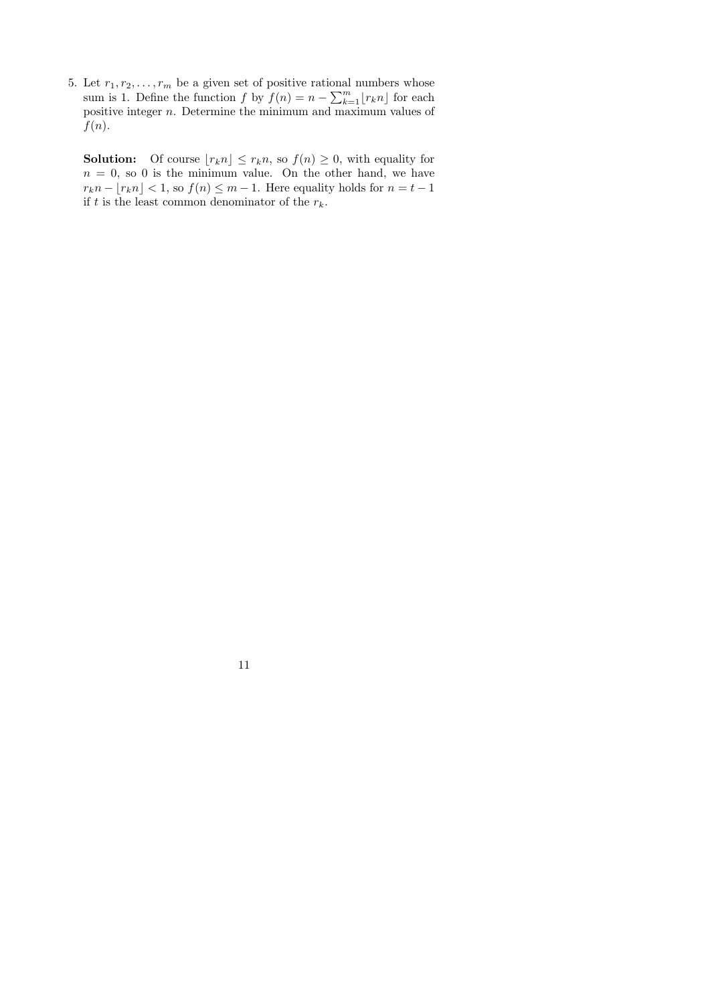5. Let  $r_1, r_2, \ldots, r_m$  be a given set of positive rational numbers whose sum is 1. Define the function f by  $f(n) = n - \sum_{k=1}^{m} [r_k n]$  for each positive integer  $n$ . Determine the minimum and maximum values of  $f(n)$ .

**Solution:** Of course  $[r_k n] \leq r_k n$ , so  $f(n) \geq 0$ , with equality for  $n = 0$ , so 0 is the minimum value. On the other hand, we have  $r_k n - \lfloor r_k n \rfloor < 1$ , so  $f(n) \leq m - 1$ . Here equality holds for  $n = t - 1$ if t is the least common denominator of the  $r_k$ .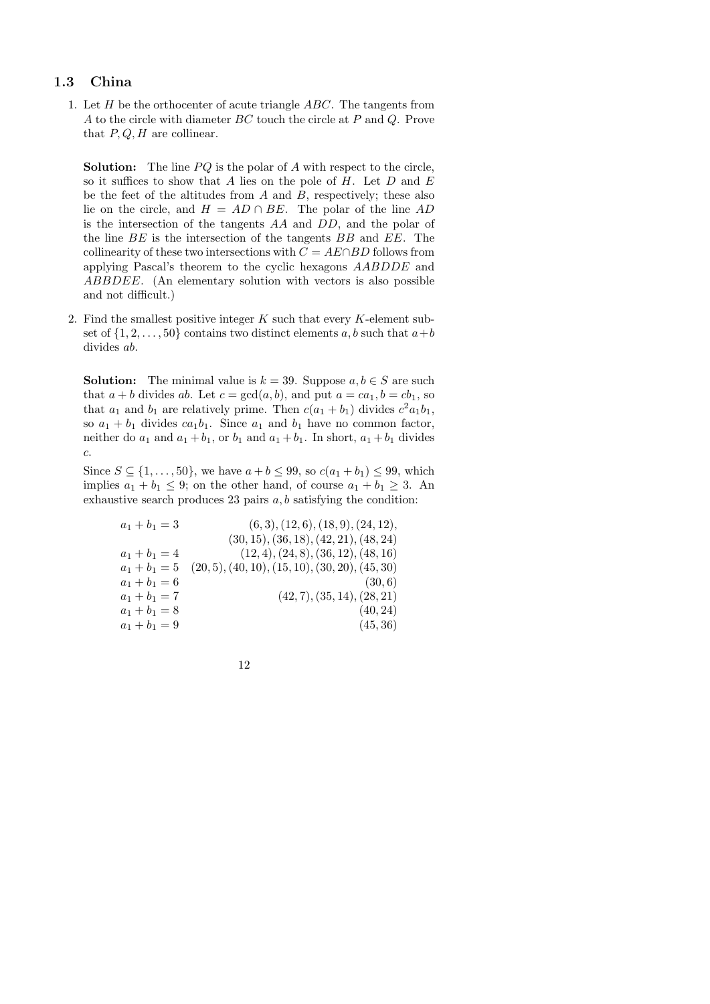## 1.3 China

1. Let  $H$  be the orthocenter of acute triangle  $ABC$ . The tangents from A to the circle with diameter BC touch the circle at P and Q. Prove that  $P, Q, H$  are collinear.

**Solution:** The line  $PQ$  is the polar of  $A$  with respect to the circle, so it suffices to show that A lies on the pole of  $H$ . Let  $D$  and  $E$ be the feet of the altitudes from  $A$  and  $B$ , respectively; these also lie on the circle, and  $H = AD \cap BE$ . The polar of the line AD is the intersection of the tangents AA and DD, and the polar of the line BE is the intersection of the tangents BB and EE. The collinearity of these two intersections with  $C = A E \cap BD$  follows from applying Pascal's theorem to the cyclic hexagons AABDDE and ABBDEE. (An elementary solution with vectors is also possible and not difficult.)

2. Find the smallest positive integer  $K$  such that every  $K$ -element subset of  $\{1, 2, \ldots, 50\}$  contains two distinct elements a, b such that  $a+b$ divides ab.

**Solution:** The minimal value is  $k = 39$ . Suppose  $a, b \in S$  are such that  $a + b$  divides ab. Let  $c = \gcd(a, b)$ , and put  $a = ca_1, b = cb_1$ , so that  $a_1$  and  $b_1$  are relatively prime. Then  $c(a_1 + b_1)$  divides  $c^2 a_1 b_1$ , so  $a_1 + b_1$  divides  $ca_1b_1$ . Since  $a_1$  and  $b_1$  have no common factor, neither do  $a_1$  and  $a_1 + b_1$ , or  $b_1$  and  $a_1 + b_1$ . In short,  $a_1 + b_1$  divides c.

Since  $S \subseteq \{1, ..., 50\}$ , we have  $a + b \le 99$ , so  $c(a_1 + b_1) \le 99$ , which implies  $a_1 + b_1 \leq 9$ ; on the other hand, of course  $a_1 + b_1 \geq 3$ . An exhaustive search produces 23 pairs  $a, b$  satisfying the condition:

| $a_1 + b_1 = 3$ | (6,3), (12,6), (18,9), (24,12),                   |
|-----------------|---------------------------------------------------|
|                 | $(30, 15), (36, 18), (42, 21), (48, 24)$          |
| $a_1 + b_1 = 4$ | (12, 4), (24, 8), (36, 12), (48, 16)              |
| $a_1 + b_1 = 5$ | $(20, 5), (40, 10), (15, 10), (30, 20), (45, 30)$ |
| $a_1 + b_1 = 6$ | (30, 6)                                           |
| $a_1 + b_1 = 7$ | (42, 7), (35, 14), (28, 21)                       |
| $a_1 + b_1 = 8$ | (40, 24)                                          |
| $a_1 + b_1 = 9$ | (45, 36)                                          |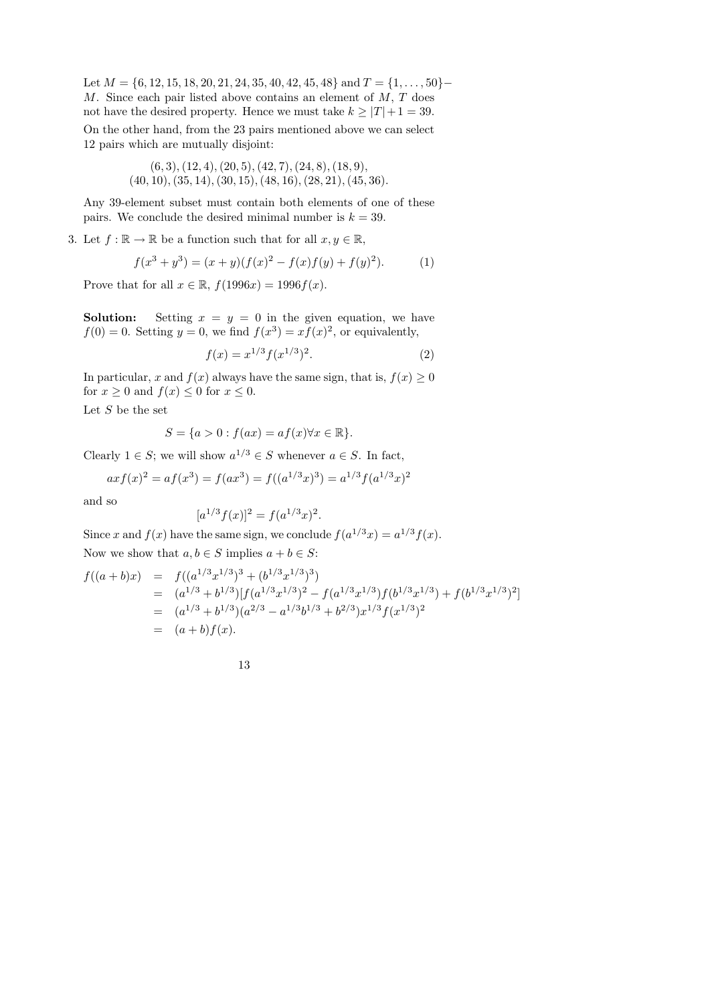Let  $M = \{6, 12, 15, 18, 20, 21, 24, 35, 40, 42, 45, 48\}$  and  $T = \{1, \ldots, 50\}$  $M$ . Since each pair listed above contains an element of  $M$ ,  $T$  does not have the desired property. Hence we must take  $k \geq |T| + 1 = 39$ .

On the other hand, from the 23 pairs mentioned above we can select 12 pairs which are mutually disjoint:

$$
(6,3), (12,4), (20,5), (42,7), (24,8), (18,9),(40,10), (35,14), (30,15), (48,16), (28,21), (45,36).
$$

Any 39-element subset must contain both elements of one of these pairs. We conclude the desired minimal number is  $k = 39$ .

3. Let  $f : \mathbb{R} \to \mathbb{R}$  be a function such that for all  $x, y \in \mathbb{R}$ ,

$$
f(x3 + y3) = (x + y)(f(x)2 - f(x)f(y) + f(y)2).
$$
 (1)

Prove that for all  $x \in \mathbb{R}$ ,  $f(1996x) = 1996f(x)$ .

**Solution:** Setting  $x = y = 0$  in the given equation, we have  $f(0) = 0$ . Setting  $y = 0$ , we find  $f(x^3) = xf(x)^2$ , or equivalently,

$$
f(x) = x^{1/3} f(x^{1/3})^2.
$$
 (2)

In particular, x and  $f(x)$  always have the same sign, that is,  $f(x) \geq 0$ for  $x \geq 0$  and  $f(x) \leq 0$  for  $x \leq 0$ .

Let  $S$  be the set  $% \left( \mathcal{A},\mathcal{A}\right)$ 

$$
S = \{a > 0 : f(ax) = af(x) \forall x \in \mathbb{R}\}.
$$

Clearly  $1 \in S$ ; we will show  $a^{1/3} \in S$  whenever  $a \in S$ . In fact,

$$
axf(x)^2 = af(x^3) = f(ax^3) = f((a^{1/3}x)^3) = a^{1/3}f(a^{1/3}x)^2
$$

and so

$$
[a^{1/3}f(x)]^2 = f(a^{1/3}x)^2.
$$

Since x and  $f(x)$  have the same sign, we conclude  $f(a^{1/3}x) = a^{1/3}f(x)$ . Now we show that  $a, b \in S$  implies  $a + b \in S$ :

$$
f((a+b)x) = f((a^{1/3}x^{1/3})^3 + (b^{1/3}x^{1/3})^3)
$$
  
\n
$$
= (a^{1/3} + b^{1/3})[f(a^{1/3}x^{1/3})^2 - f(a^{1/3}x^{1/3})f(b^{1/3}x^{1/3}) + f(b^{1/3}x^{1/3})^2]
$$
  
\n
$$
= (a^{1/3} + b^{1/3})(a^{2/3} - a^{1/3}b^{1/3} + b^{2/3})x^{1/3}f(x^{1/3})^2
$$
  
\n
$$
= (a+b)f(x).
$$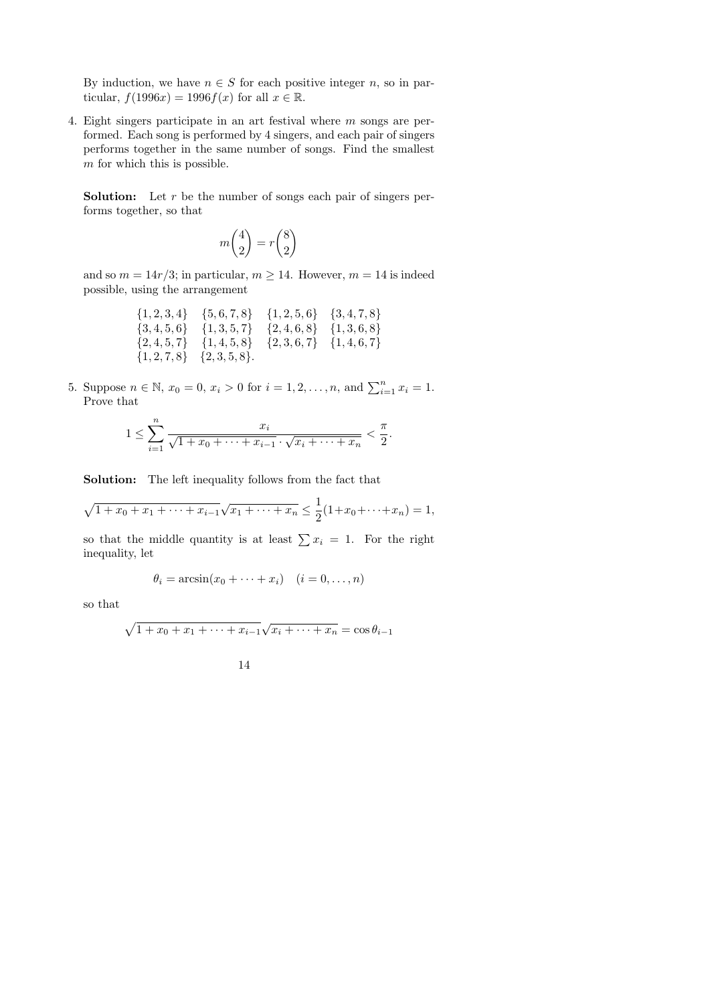By induction, we have  $n \in S$  for each positive integer n, so in particular,  $f(1996x) = 1996f(x)$  for all  $x \in \mathbb{R}$ .

4. Eight singers participate in an art festival where m songs are performed. Each song is performed by 4 singers, and each pair of singers performs together in the same number of songs. Find the smallest m for which this is possible.

**Solution:** Let  $r$  be the number of songs each pair of singers performs together, so that

$$
m\binom{4}{2} = r\binom{8}{2}
$$

and so  $m = 14r/3$ ; in particular,  $m \ge 14$ . However,  $m = 14$  is indeed possible, using the arrangement

$$
\begin{array}{cccccc}\n\{1,2,3,4\} & \{5,6,7,8\} & \{1,2,5,6\} & \{3,4,7,8\} \\
\{3,4,5,6\} & \{1,3,5,7\} & \{2,4,6,8\} & \{1,3,6,8\} \\
\{2,4,5,7\} & \{1,4,5,8\} & \{2,3,6,7\} & \{1,4,6,7\} \\
\{1,2,7,8\} & \{2,3,5,8\}.\n\end{array}
$$

5. Suppose  $n \in \mathbb{N}$ ,  $x_0 = 0$ ,  $x_i > 0$  for  $i = 1, 2, ..., n$ , and  $\sum_{i=1}^{n} x_i = 1$ . Prove that

$$
1 \leq \sum_{i=1}^{n} \frac{x_i}{\sqrt{1 + x_0 + \dots + x_{i-1}} \cdot \sqrt{x_i + \dots + x_n}} < \frac{\pi}{2}.
$$

Solution: The left inequality follows from the fact that

$$
\sqrt{1+x_0+x_1+\cdots+x_{i-1}}\sqrt{x_1+\cdots+x_n} \leq \frac{1}{2}(1+x_0+\cdots+x_n) = 1,
$$

so that the middle quantity is at least  $\sum x_i = 1$ . For the right inequality, let

$$
\theta_i = \arcsin(x_0 + \dots + x_i) \quad (i = 0, \dots, n)
$$

so that

$$
\sqrt{1 + x_0 + x_1 + \dots + x_{i-1}} \sqrt{x_i + \dots + x_n} = \cos \theta_{i-1}
$$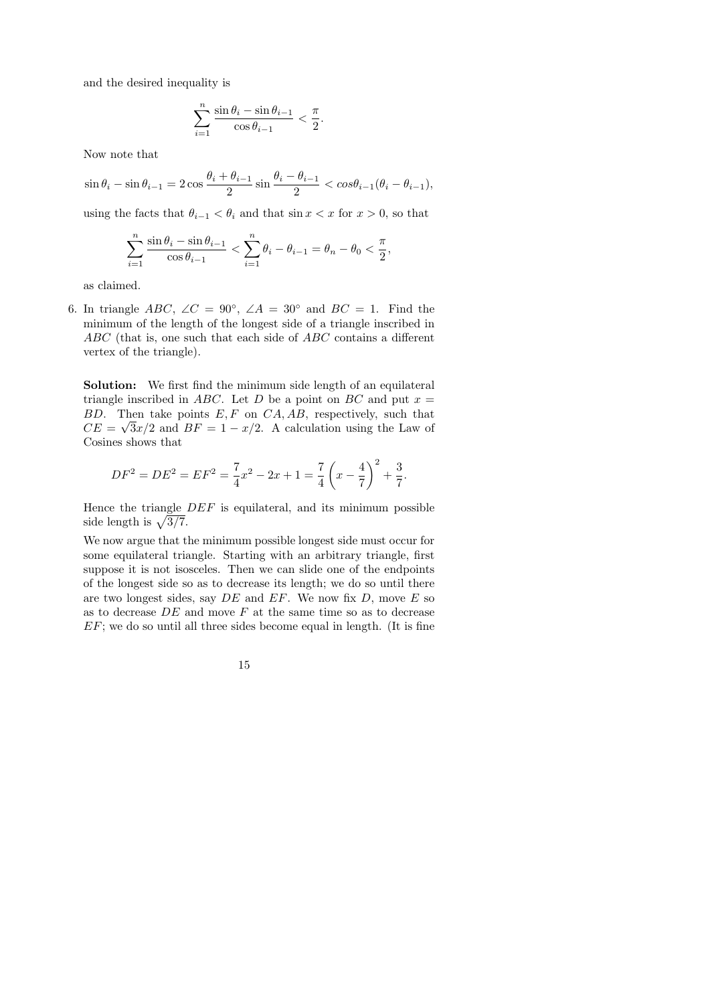and the desired inequality is

$$
\sum_{i=1}^{n} \frac{\sin \theta_i - \sin \theta_{i-1}}{\cos \theta_{i-1}} < \frac{\pi}{2}.
$$

Now note that

$$
\sin \theta_i - \sin \theta_{i-1} = 2 \cos \frac{\theta_i + \theta_{i-1}}{2} \sin \frac{\theta_i - \theta_{i-1}}{2} < \cos \theta_{i-1} (\theta_i - \theta_{i-1}),
$$

using the facts that  $\theta_{i-1} < \theta_i$  and that sin  $x < x$  for  $x > 0$ , so that

$$
\sum_{i=1}^{n} \frac{\sin \theta_i - \sin \theta_{i-1}}{\cos \theta_{i-1}} < \sum_{i=1}^{n} \theta_i - \theta_{i-1} = \theta_n - \theta_0 < \frac{\pi}{2},
$$

as claimed.

6. In triangle ABC,  $\angle C = 90^\circ$ ,  $\angle A = 30^\circ$  and  $BC = 1$ . Find the minimum of the length of the longest side of a triangle inscribed in ABC (that is, one such that each side of ABC contains a different vertex of the triangle).

Solution: We first find the minimum side length of an equilateral triangle inscribed in ABC. Let D be a point on BC and put  $x =$ BD. Then take points  $E, F$  on  $CA, AB$ , respectively, such that  $CE = \sqrt{3x/2}$  and  $BF = 1 - x/2$ . A calculation using the Law of Cosines shows that

$$
DF^{2} = DE^{2} = EF^{2} = \frac{7}{4}x^{2} - 2x + 1 = \frac{7}{4}\left(x - \frac{4}{7}\right)^{2} + \frac{3}{7}.
$$

Hence the triangle  $DEF$  is equilateral, and its minimum possible side length is  $\sqrt{3/7}$ .

We now argue that the minimum possible longest side must occur for some equilateral triangle. Starting with an arbitrary triangle, first suppose it is not isosceles. Then we can slide one of the endpoints of the longest side so as to decrease its length; we do so until there are two longest sides, say  $DE$  and  $EF$ . We now fix  $D$ , move  $E$  so as to decrease  $DE$  and move  $F$  at the same time so as to decrease  $EF$ ; we do so until all three sides become equal in length. (It is fine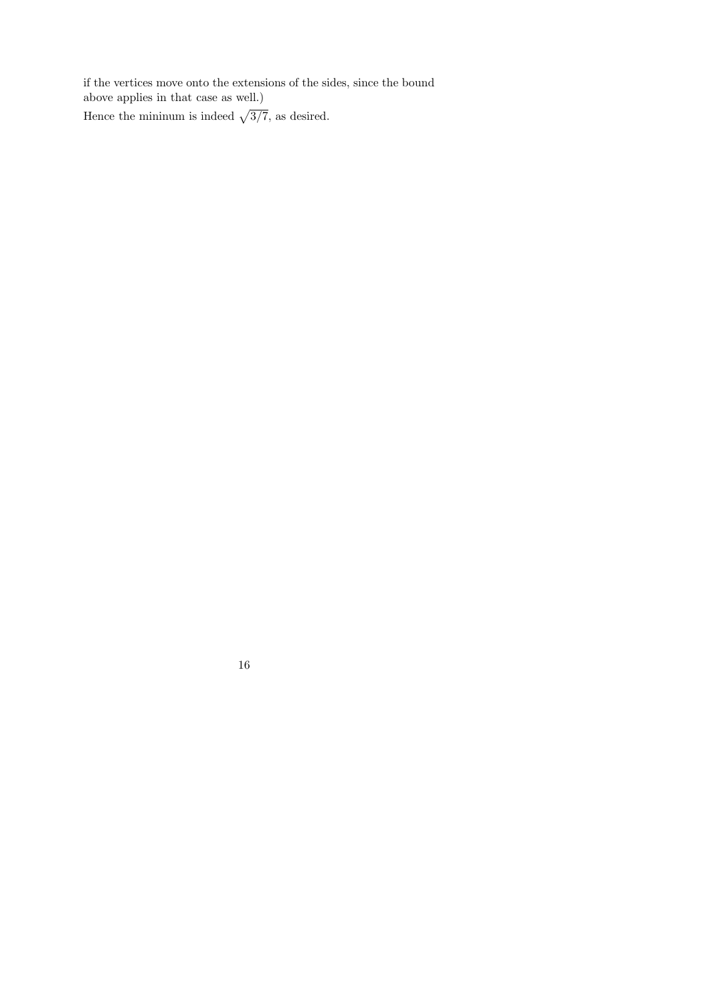if the vertices move onto the extensions of the sides, since the bound above applies in that case as well.)

Hence the mininum is indeed  $\sqrt{3/7}$ , as desired.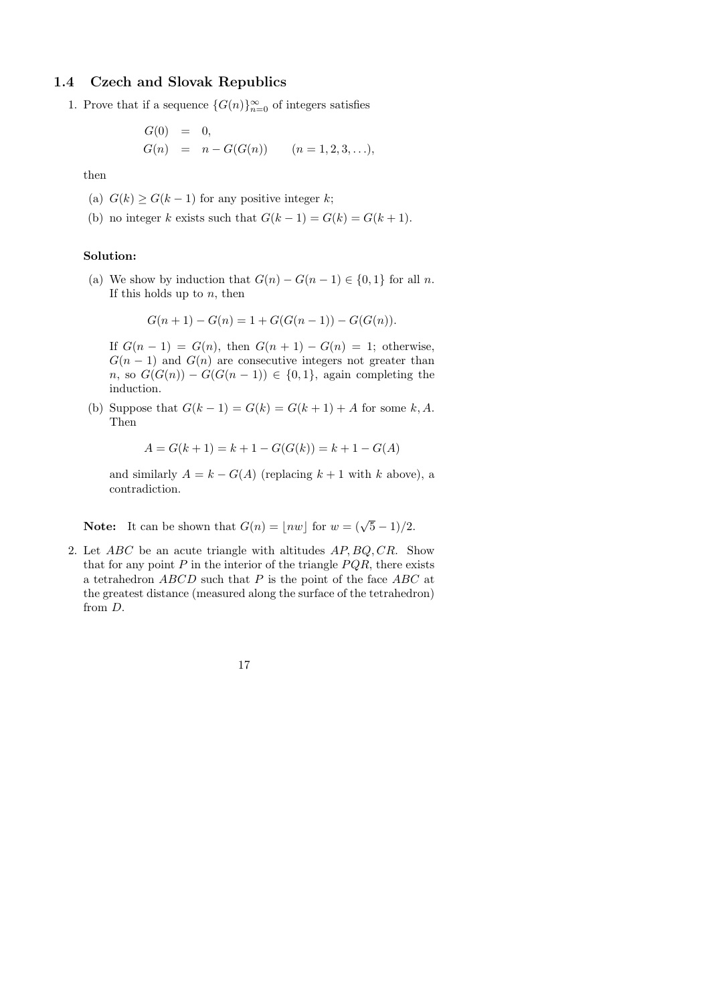## 1.4 Czech and Slovak Republics

1. Prove that if a sequence  $\{G(n)\}_{n=0}^{\infty}$  of integers satisfies

$$
G(0) = 0,
$$
  
\n
$$
G(n) = n - G(G(n)) \qquad (n = 1, 2, 3, ...),
$$

then

- (a)  $G(k) \geq G(k-1)$  for any positive integer k;
- (b) no integer k exists such that  $G(k-1) = G(k) = G(k+1)$ .

## Solution:

(a) We show by induction that  $G(n) - G(n-1) \in \{0,1\}$  for all n. If this holds up to  $n$ , then

$$
G(n + 1) - G(n) = 1 + G(G(n - 1)) - G(G(n)).
$$

If  $G(n-1) = G(n)$ , then  $G(n+1) - G(n) = 1$ ; otherwise,  $G(n-1)$  and  $G(n)$  are consecutive integers not greater than n, so  $G(G(n)) - G(G(n-1)) \in \{0,1\}$ , again completing the induction.

(b) Suppose that  $G(k - 1) = G(k) = G(k + 1) + A$  for some k, A. Then

$$
A = G(k + 1) = k + 1 - G(G(k)) = k + 1 - G(A)
$$

and similarly  $A = k - G(A)$  (replacing  $k + 1$  with k above), a contradiction.

**Note:** It can be shown that  $G(n) = \lfloor nw \rfloor$  for  $w = (\sqrt{5} - 1)/2$ .

2. Let  $ABC$  be an acute triangle with altitudes  $AP, BQ, CR$ . Show that for any point  $P$  in the interior of the triangle  $PQR$ , there exists a tetrahedron ABCD such that P is the point of the face ABC at the greatest distance (measured along the surface of the tetrahedron) from D.

$$
17\quad
$$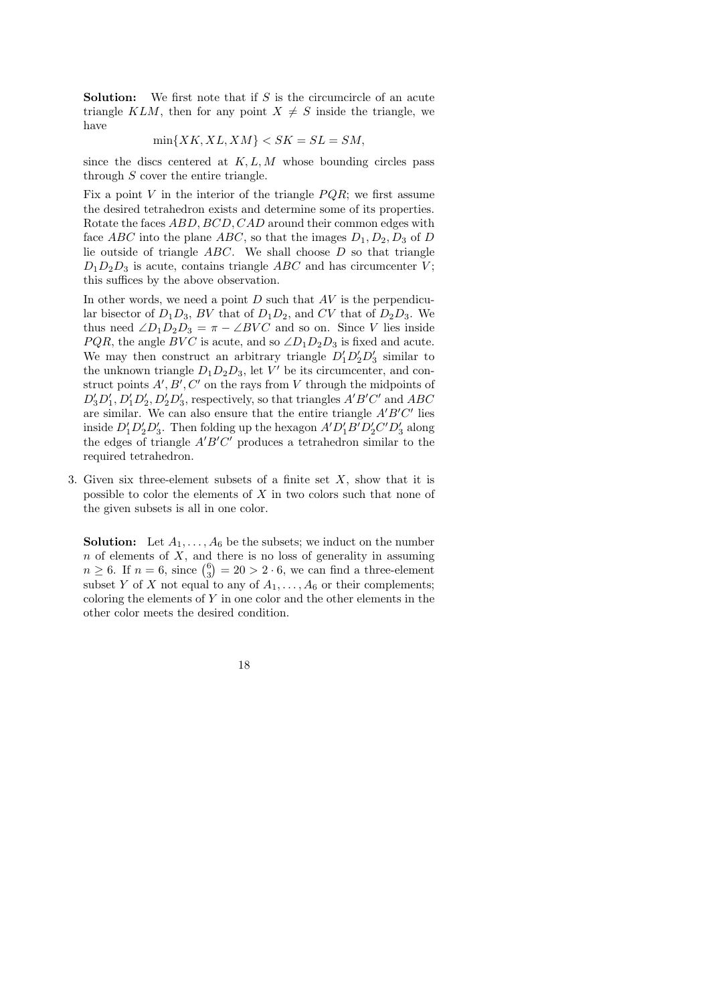**Solution:** We first note that if  $S$  is the circumcircle of an acute triangle KLM, then for any point  $X \neq S$  inside the triangle, we have

$$
\min\{XK, XL, XM\} < SK = SL = SM,
$$

since the discs centered at  $K, L, M$  whose bounding circles pass through  $S$  cover the entire triangle.

Fix a point V in the interior of the triangle  $PQR$ ; we first assume the desired tetrahedron exists and determine some of its properties. Rotate the faces ABD, BCD, CAD around their common edges with face ABC into the plane ABC, so that the images  $D_1, D_2, D_3$  of D lie outside of triangle  $ABC$ . We shall choose  $D$  so that triangle  $D_1D_2D_3$  is acute, contains triangle ABC and has circumcenter V; this suffices by the above observation.

In other words, we need a point  $D$  such that  $AV$  is the perpendicular bisector of  $D_1D_3$ , BV that of  $D_1D_2$ , and CV that of  $D_2D_3$ . We thus need  $\angle D_1D_2D_3 = \pi - \angle BVC$  and so on. Since V lies inside  $PQR$ , the angle BVC is acute, and so  $\angle D_1D_2D_3$  is fixed and acute. We may then construct an arbitrary triangle  $D_1 D_2 D_3$  similar to the unknown triangle  $D_1D_2D_3$ , let V' be its circumcenter, and construct points  $A', B', C'$  on the rays from V through the midpoints of  $D_3' D_1', D_1' D_2', D_2' D_3',$  respectively, so that triangles  $A'B'C'$  and  $ABC$ are similar. We can also ensure that the entire triangle  $A'B'C'$  lies inside  $D_1'D_2'D_3'$ . Then folding up the hexagon  $A'D_1'B'D_2'C'D_3'$  along the edges of triangle  $A'B'C'$  produces a tetrahedron similar to the required tetrahedron.

3. Given six three-element subsets of a finite set  $X$ , show that it is possible to color the elements of X in two colors such that none of the given subsets is all in one color.

**Solution:** Let  $A_1, \ldots, A_6$  be the subsets; we induct on the number  $n$  of elements of  $X$ , and there is no loss of generality in assuming  $n \geq 6$ . If  $n = 6$ , since  $\binom{6}{3} = 20 > 2 \cdot 6$ , we can find a three-element subset Y of X not equal to any of  $A_1, \ldots, A_6$  or their complements; coloring the elements of Y in one color and the other elements in the other color meets the desired condition.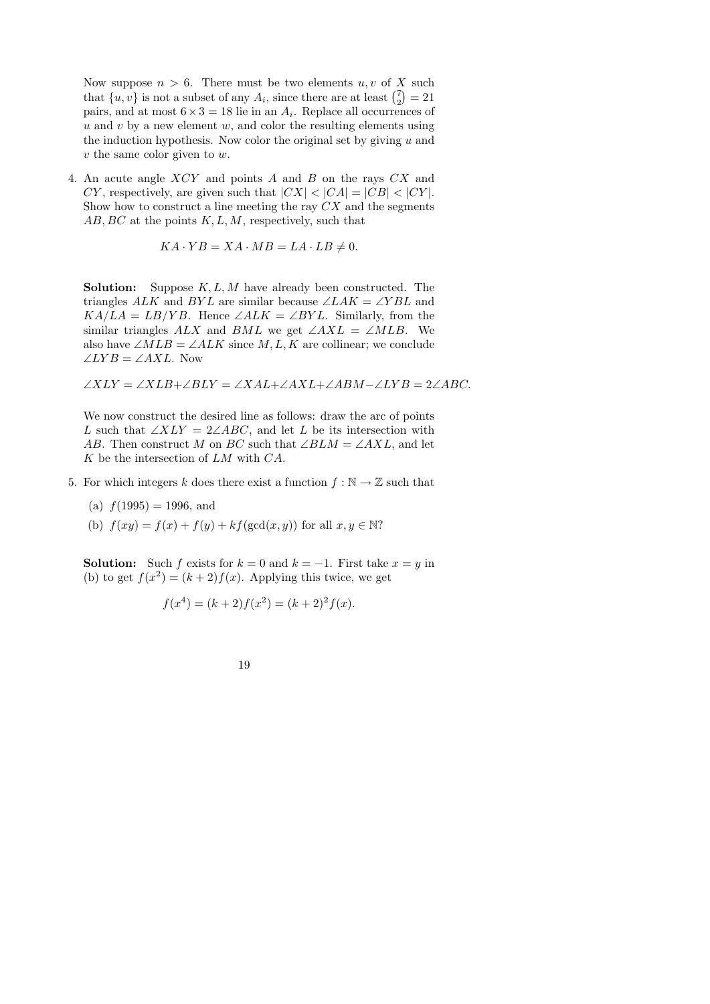Now suppose  $n > 6$ . There must be two elements u, v of X such that  $\{u, v\}$  is not a subset of any  $A_i$ , since there are at least  $\binom{7}{2} = 21$ pairs, and at most  $6 \times 3 = 18$  lie in an  $A_i$ . Replace all occurrences of  $u$  and  $v$  by a new element  $w$ , and color the resulting elements using the induction hypothesis. Now color the original set by giving  $u$  and v the same color given to w.

4. An acute angle XCY and points A and B on the rays CX and CY, respectively, are given such that  $|CX| < |CA| = |CB| < |CY|$ . Show how to construct a line meeting the ray  $CX$  and the segments  $AB, BC$  at the points  $K, L, M$ , respectively, such that

$$
KA \cdot YB = XA \cdot MB = LA \cdot LB \neq 0.
$$

**Solution:** Suppose  $K, L, M$  have already been constructed. The triangles ALK and BYL are similar because  $\angle LAK = \angle YBL$  and  $KA/LA = LB/YB$ . Hence ∠ $ALK = \angle BYL$ . Similarly, from the similar triangles ALX and BML we get  $\angle AXL = \angle MLB$ . We also have  $\angle MLB = \angle ALK$  since  $M, L, K$  are collinear; we conclude  $\angle LYB = \angle AXL$ . Now

$$
\angle XLY = \angle XLB + \angle BLY = \angle XAL + \angle AXL + \angle ABM - \angle LYB = 2\angle ABC.
$$

We now construct the desired line as follows: draw the arc of points L such that  $\angle XLY = 2\angle ABC$ , and let L be its intersection with AB. Then construct M on BC such that  $\angle BLM = \angle AXL$ , and let K be the intersection of LM with CA.

- 5. For which integers k does there exist a function  $f : \mathbb{N} \to \mathbb{Z}$  such that
	- (a)  $f(1995) = 1996$ , and
	- (b)  $f(xy) = f(x) + f(y) + kf(\text{gcd}(x, y))$  for all  $x, y \in \mathbb{N}$ ?

**Solution:** Such f exists for  $k = 0$  and  $k = -1$ . First take  $x = y$  in (b) to get  $f(x^2) = (k+2)f(x)$ . Applying this twice, we get

$$
f(x4) = (k+2)f(x2) = (k+2)2f(x).
$$

| ٦<br>٦            |
|-------------------|
|                   |
| I<br>I<br>×<br>۰, |
|                   |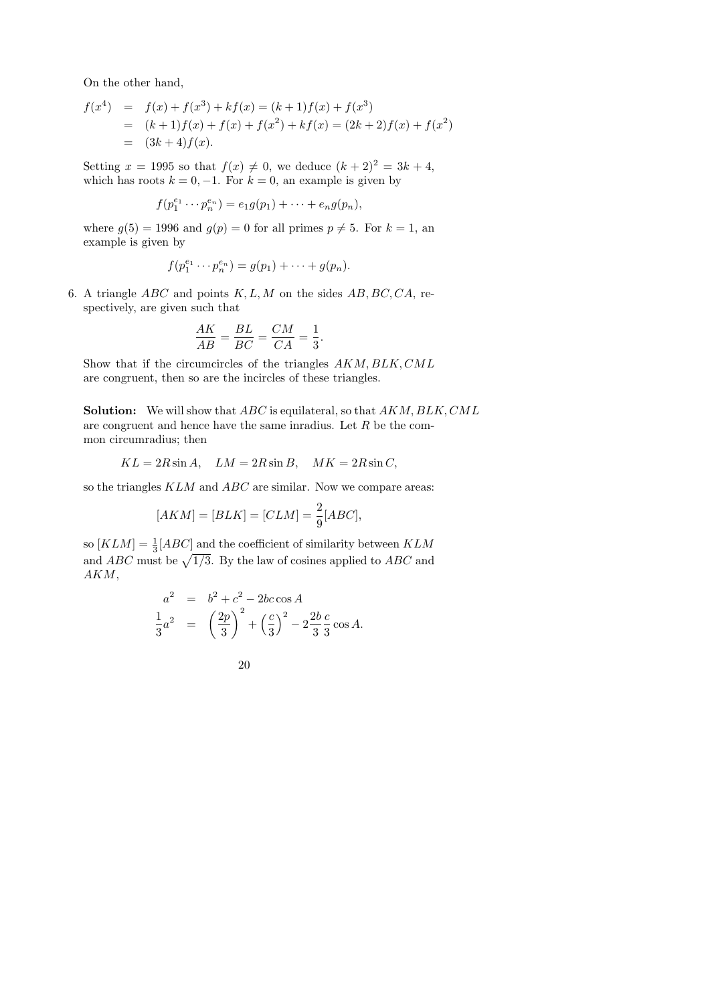On the other hand,

$$
f(x4) = f(x) + f(x3) + kf(x) = (k+1)f(x) + f(x3)
$$
  
= (k+1)f(x) + f(x) + f(x<sup>2</sup>) + kf(x) = (2k+2)f(x) + f(x<sup>2</sup>)  
= (3k+4)f(x).

Setting  $x = 1995$  so that  $f(x) \neq 0$ , we deduce  $(k + 2)^2 = 3k + 4$ , which has roots  $k = 0, -1$ . For  $k = 0$ , an example is given by

$$
f(p_1^{e_1} \cdots p_n^{e_n}) = e_1 g(p_1) + \cdots + e_n g(p_n),
$$

where  $g(5) = 1996$  and  $g(p) = 0$  for all primes  $p \neq 5$ . For  $k = 1$ , and example is given by

$$
f(p_1^{e_1} \cdots p_n^{e_n}) = g(p_1) + \cdots + g(p_n).
$$

6. A triangle  $ABC$  and points  $K, L, M$  on the sides  $AB, BC, CA$ , respectively, are given such that

$$
\frac{AK}{AB}=\frac{BL}{BC}=\frac{CM}{CA}=\frac{1}{3}.
$$

Show that if the circumcircles of the triangles AKM, BLK, CML are congruent, then so are the incircles of these triangles.

**Solution:** We will show that  $ABC$  is equilateral, so that  $AKM, BLK, CML$ are congruent and hence have the same inradius. Let  $R$  be the common circumradius; then

$$
KL = 2R\sin A, \quad LM = 2R\sin B, \quad MK = 2R\sin C,
$$

so the triangles KLM and ABC are similar. Now we compare areas:

$$
[AKM] = [BLK] = [CLM] = \frac{2}{9}[ABC],
$$

so  $[KLM] = \frac{1}{3}[ABC]$  and the coefficient of similarity between  $KLM$ and ABC must be  $\sqrt{1/3}$ . By the law of cosines applied to ABC and AKM,

$$
a^{2} = b^{2} + c^{2} - 2bc \cos A
$$
  

$$
\frac{1}{3}a^{2} = \left(\frac{2p}{3}\right)^{2} + \left(\frac{c}{3}\right)^{2} - 2\frac{2b}{3}\frac{c}{3}\cos A.
$$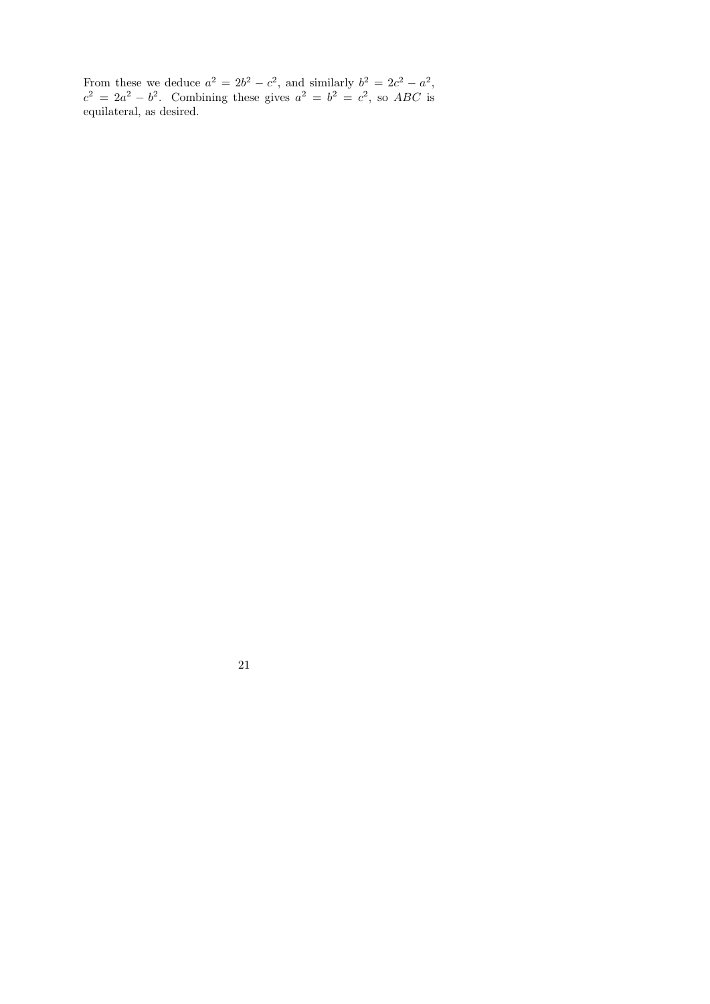From these we deduce  $a^2 = 2b^2 - c^2$ , and similarly  $b^2 = 2c^2 - a^2$ ,  $c^2 = 2a^2 - b^2$ . Combining these gives  $a^2 = b^2 = c^2$ , so *ABC* is equilateral, as desired.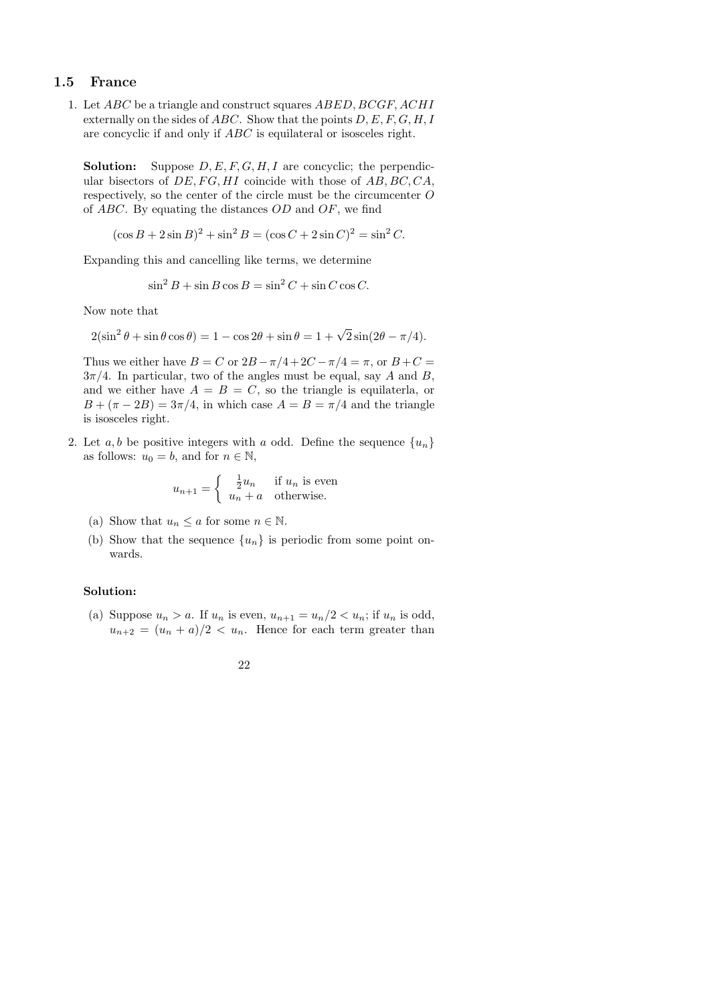## 1.5 France

1. Let ABC be a triangle and construct squares ABED, BCGF, ACHI externally on the sides of  $ABC$ . Show that the points  $D, E, F, G, H, I$ are concyclic if and only if ABC is equilateral or isosceles right.

**Solution:** Suppose  $D, E, F, G, H, I$  are concyclic; the perpendicular bisectors of  $DE, FG, HI$  coincide with those of  $AB, BC, CA$ , respectively, so the center of the circle must be the circumcenter  $O$ of  $ABC$ . By equating the distances  $OD$  and  $OF$ , we find

 $(\cos B + 2\sin B)^2 + \sin^2 B = (\cos C + 2\sin C)^2 = \sin^2 C.$ 

Expanding this and cancelling like terms, we determine

$$
\sin^2 B + \sin B \cos B = \sin^2 C + \sin C \cos C.
$$

Now note that

$$
2(\sin^2 \theta + \sin \theta \cos \theta) = 1 - \cos 2\theta + \sin \theta = 1 + \sqrt{2}\sin(2\theta - \pi/4).
$$

Thus we either have  $B = C$  or  $2B - \pi/4 + 2C - \pi/4 = \pi$ , or  $B + C =$  $3\pi/4$ . In particular, two of the angles must be equal, say A and B, and we either have  $A = B = C$ , so the triangle is equilaterla, or  $B + (\pi - 2B) = 3\pi/4$ , in which case  $A = B = \pi/4$  and the triangle is isosceles right.

2. Let  $a, b$  be positive integers with a odd. Define the sequence  $\{u_n\}$ as follows:  $u_0 = b$ , and for  $n \in \mathbb{N}$ ,

$$
u_{n+1} = \begin{cases} \frac{1}{2}u_n & \text{if } u_n \text{ is even} \\ u_n + a & \text{otherwise.} \end{cases}
$$

- (a) Show that  $u_n \leq a$  for some  $n \in \mathbb{N}$ .
- (b) Show that the sequence  $\{u_n\}$  is periodic from some point onwards.

#### Solution:

(a) Suppose  $u_n > a$ . If  $u_n$  is even,  $u_{n+1} = u_n/2 < u_n$ ; if  $u_n$  is odd,  $u_{n+2} = (u_n + a)/2 < u_n$ . Hence for each term greater than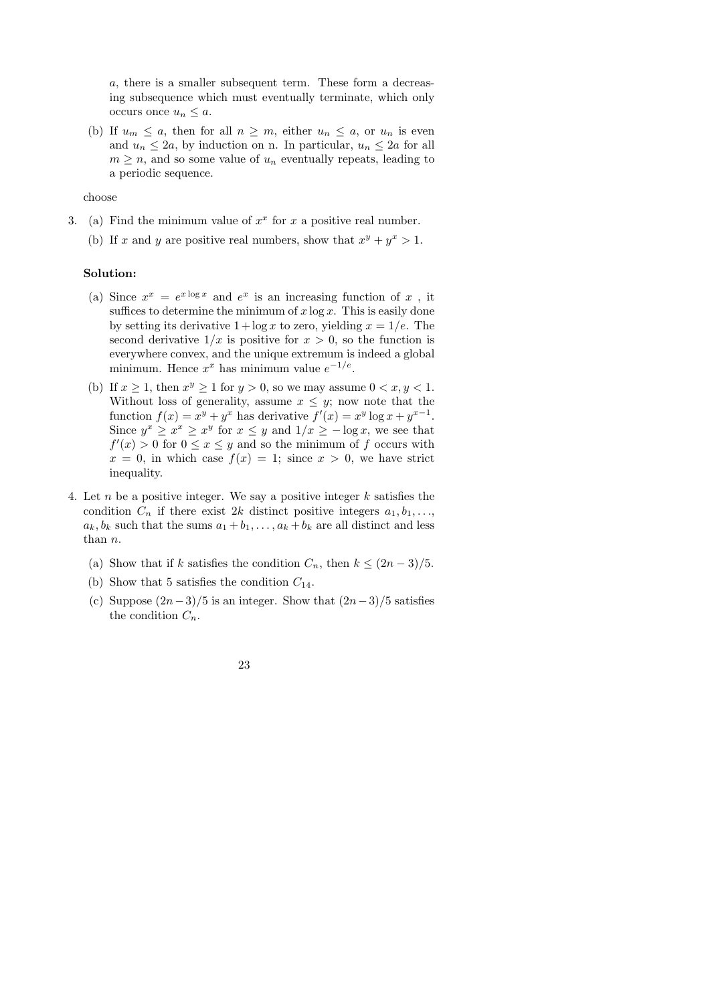a, there is a smaller subsequent term. These form a decreasing subsequence which must eventually terminate, which only occurs once  $u_n \leq a$ .

(b) If  $u_m \leq a$ , then for all  $n \geq m$ , either  $u_n \leq a$ , or  $u_n$  is even and  $u_n \leq 2a$ , by induction on n. In particular,  $u_n \leq 2a$  for all  $m \geq n$ , and so some value of  $u_n$  eventually repeats, leading to a periodic sequence.

choose

- 3. (a) Find the minimum value of  $x^x$  for x a positive real number.
	- (b) If x and y are positive real numbers, show that  $x^y + y^x > 1$ .

#### Solution:

- (a) Since  $x^x = e^{x \log x}$  and  $e^x$  is an increasing function of x, it suffices to determine the minimum of  $x \log x$ . This is easily done by setting its derivative  $1 + \log x$  to zero, yielding  $x = 1/e$ . The second derivative  $1/x$  is positive for  $x > 0$ , so the function is everywhere convex, and the unique extremum is indeed a global minimum. Hence  $x^x$  has minimum value  $e^{-1/e}$ .
- (b) If  $x \geq 1$ , then  $x^y \geq 1$  for  $y > 0$ , so we may assume  $0 < x, y < 1$ . Without loss of generality, assume  $x \leq y$ ; now note that the function  $f(x) = x^y + y^x$  has derivative  $f'(x) = x^y \log x + y^{x-1}$ . Since  $y^x \ge x^x \ge x^y$  for  $x \le y$  and  $1/x \ge -\log x$ , we see that  $f'(x) > 0$  for  $0 \le x \le y$  and so the minimum of f occurs with  $x = 0$ , in which case  $f(x) = 1$ ; since  $x > 0$ , we have strict inequality.
- 4. Let n be a positive integer. We say a positive integer  $k$  satisfies the condition  $C_n$  if there exist 2k distinct positive integers  $a_1, b_1, \ldots$ ,  $a_k, b_k$  such that the sums  $a_1 + b_1, \ldots, a_k + b_k$  are all distinct and less than n.
	- (a) Show that if k satisfies the condition  $C_n$ , then  $k \leq (2n-3)/5$ .
	- (b) Show that 5 satisfies the condition  $C_{14}$ .
	- (c) Suppose  $(2n-3)/5$  is an integer. Show that  $(2n-3)/5$  satisfies the condition  $C_n$ .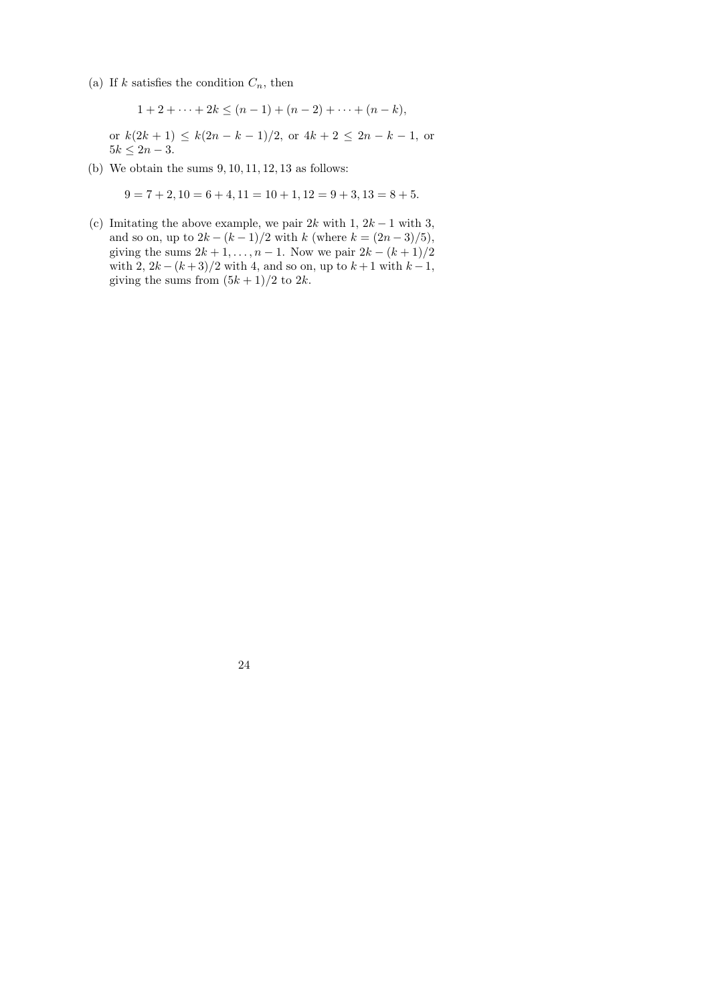(a) If k satisfies the condition  $C_n$ , then

 $1 + 2 + \cdots + 2k \leq (n - 1) + (n - 2) + \cdots + (n - k),$ 

or  $k(2k + 1) \leq k(2n - k - 1)/2$ , or  $4k + 2 \leq 2n - k - 1$ , or  $5k \leq 2n-3$ .

(b) We obtain the sums  $9, 10, 11, 12, 13$  as follows:

 $9 = 7 + 2$ ,  $10 = 6 + 4$ ,  $11 = 10 + 1$ ,  $12 = 9 + 3$ ,  $13 = 8 + 5$ .

(c) Imitating the above example, we pair  $2k$  with 1,  $2k - 1$  with 3, and so on, up to  $2k - (k-1)/2$  with k (where  $k = (2n-3)/5$ ), giving the sums  $2k + 1, ..., n - 1$ . Now we pair  $2k - (k + 1)/2$ with 2,  $2k - (k+3)/2$  with 4, and so on, up to  $k+1$  with  $k-1$ , giving the sums from  $(5k+1)/2$  to  $2k$ .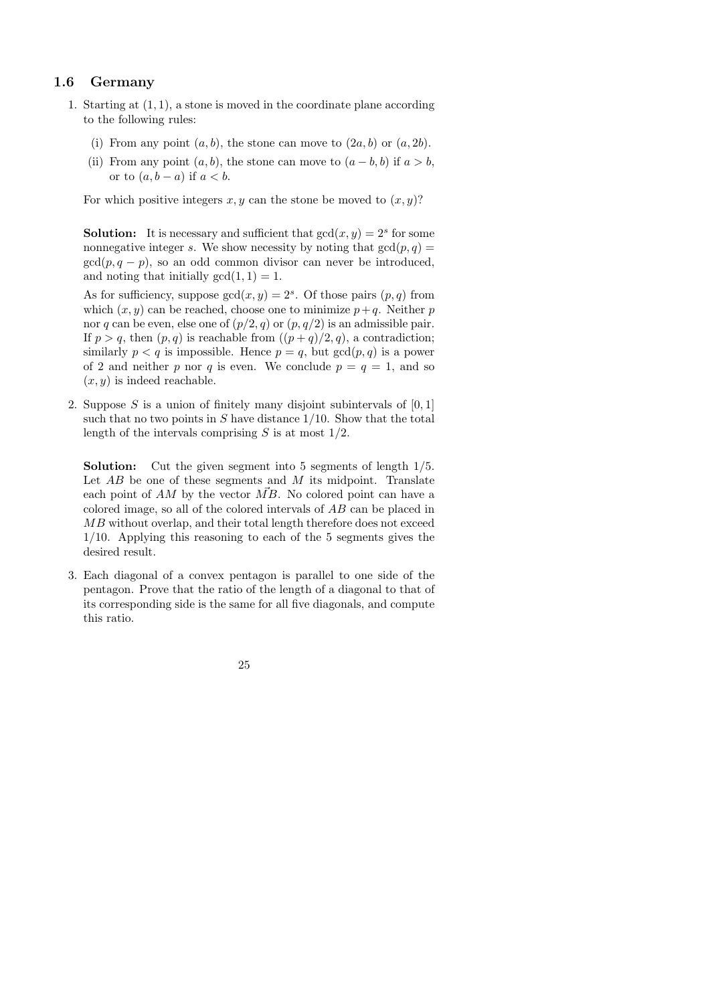## 1.6 Germany

- 1. Starting at (1, 1), a stone is moved in the coordinate plane according to the following rules:
	- (i) From any point  $(a, b)$ , the stone can move to  $(2a, b)$  or  $(a, 2b)$ .
	- (ii) From any point  $(a, b)$ , the stone can move to  $(a b, b)$  if  $a > b$ , or to  $(a, b - a)$  if  $a < b$ .

For which positive integers  $x, y$  can the stone be moved to  $(x, y)$ ?

**Solution:** It is necessary and sufficient that  $gcd(x, y) = 2^s$  for some nonnegative integer s. We show necessity by noting that  $gcd(p, q) =$  $gcd(p, q - p)$ , so an odd common divisor can never be introduced, and noting that initially  $gcd(1, 1) = 1$ .

As for sufficiency, suppose  $gcd(x, y) = 2<sup>s</sup>$ . Of those pairs  $(p, q)$  from which  $(x, y)$  can be reached, choose one to minimize  $p+q$ . Neither p nor q can be even, else one of  $(p/2, q)$  or  $(p, q/2)$  is an admissible pair. If  $p > q$ , then  $(p, q)$  is reachable from  $((p + q)/2, q)$ , a contradiction; similarly  $p < q$  is impossible. Hence  $p = q$ , but  $gcd(p, q)$  is a power of 2 and neither p nor q is even. We conclude  $p = q = 1$ , and so  $(x, y)$  is indeed reachable.

2. Suppose S is a union of finitely many disjoint subintervals of  $[0, 1]$ such that no two points in  $S$  have distance  $1/10$ . Show that the total length of the intervals comprising  $S$  is at most  $1/2$ .

Solution: Cut the given segment into 5 segments of length  $1/5$ . Let  $AB$  be one of these segments and  $M$  its midpoint. Translate each point of  $AM$  by the vector  $MB$ . No colored point can have a colored image, so all of the colored intervals of AB can be placed in MB without overlap, and their total length therefore does not exceed 1/10. Applying this reasoning to each of the 5 segments gives the desired result.

3. Each diagonal of a convex pentagon is parallel to one side of the pentagon. Prove that the ratio of the length of a diagonal to that of its corresponding side is the same for all five diagonals, and compute this ratio.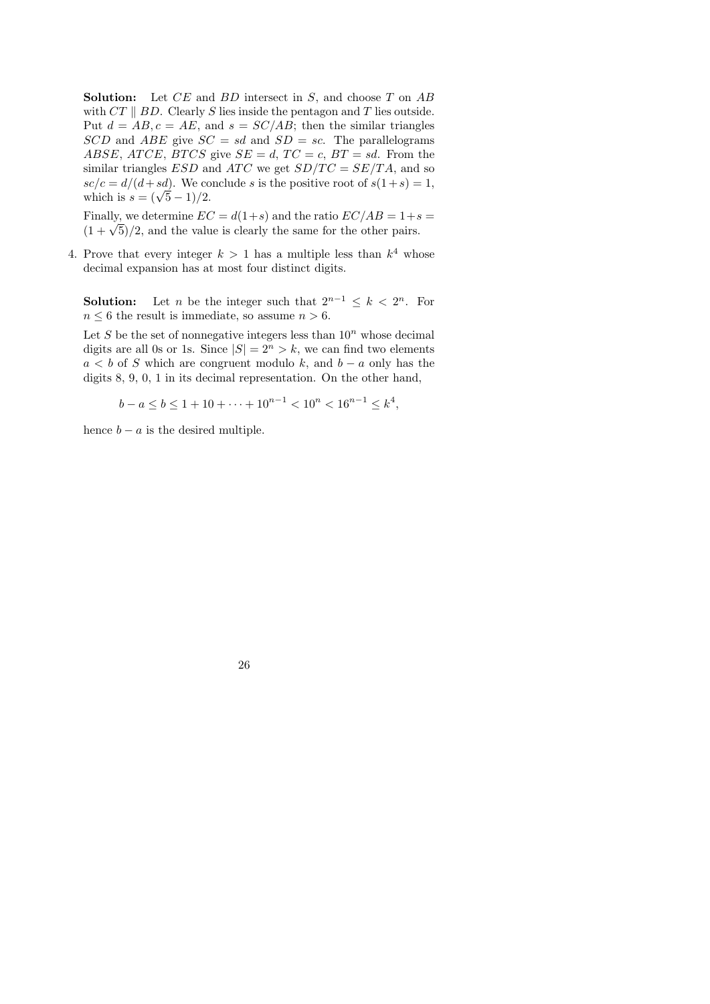**Solution:** Let  $CE$  and  $BD$  intersect in  $S$ , and choose  $T$  on  $AB$ with  $CT \parallel BD$ . Clearly S lies inside the pentagon and T lies outside. Put  $d = AB$ ,  $c = AE$ , and  $s = SC/AB$ ; then the similar triangles  $SCD$  and  $ABE$  give  $SC = sd$  and  $SD = sc$ . The parallelograms ABSE, ATCE, BTCS give  $SE = d$ ,  $TC = c$ ,  $BT = sd$ . From the similar triangles ESD and ATC we get  $SD/TC = SE/TA$ , and so  $\frac{sc}{c} = \frac{d}{d + sd}$ . We conclude s is the positive root of  $s(1 + s) = 1$ ,  $\frac{sc}{c} = \frac{d}{d+sd}$ . We co<br>which is  $s = (\sqrt{5}-1)/2$ .

Finally, we determine  $EC = d(1+s)$  and the ratio  $EC/AB = 1+s$ Finally, we determine  $EC = d(1+s)$  and the ratio  $EC/AB = 1+s$ <br> $(1+\sqrt{5})/2$ , and the value is clearly the same for the other pairs.

4. Prove that every integer  $k > 1$  has a multiple less than  $k^4$  whose decimal expansion has at most four distinct digits.

**Solution:** Let *n* be the integer such that  $2^{n-1} \leq k < 2^n$ . For  $n \leq 6$  the result is immediate, so assume  $n > 6$ .

Let S be the set of nonnegative integers less than  $10^n$  whose decimal digits are all 0s or 1s. Since  $|S| = 2<sup>n</sup> > k$ , we can find two elements  $a < b$  of S which are congruent modulo k, and  $b - a$  only has the digits 8, 9, 0, 1 in its decimal representation. On the other hand,

$$
b - a \le b \le 1 + 10 + \dots + 10^{n-1} < 10^n < 16^{n-1} \le k^4
$$

hence  $b - a$  is the desired multiple.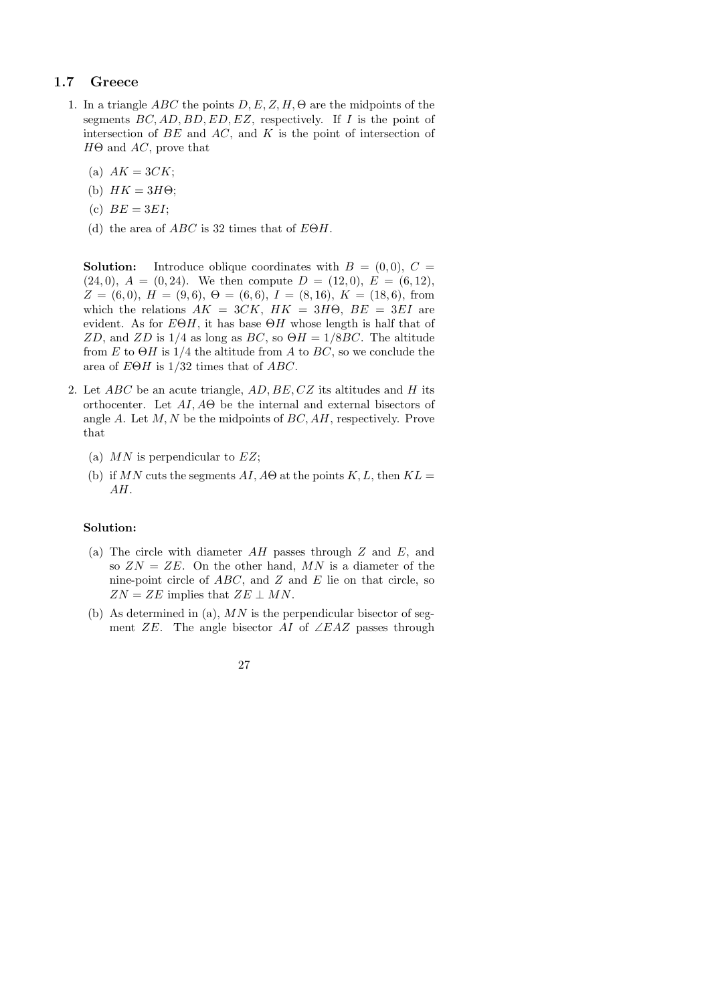## 1.7 Greece

- 1. In a triangle ABC the points  $D, E, Z, H, \Theta$  are the midpoints of the segments  $BC, AD, BD, ED, EZ$ , respectively. If I is the point of intersection of  $BE$  and  $AC$ , and  $K$  is the point of intersection of  $H\Theta$  and  $AC$ , prove that
	- (a)  $AK = 3CK$ ;
	- (b)  $HK = 3H\Theta;$
	- (c)  $BE = 3EI$ ;
	- (d) the area of  $ABC$  is 32 times that of  $E\Theta H$ .

**Solution:** Introduce oblique coordinates with  $B = (0,0), C =$  $(24, 0), A = (0, 24).$  We then compute  $D = (12, 0), E = (6, 12),$  $Z = (6, 0), H = (9, 6), \Theta = (6, 6), I = (8, 16), K = (18, 6),$  from which the relations  $AK = 3CK$ ,  $HK = 3H\Theta$ ,  $BE = 3EI$  are evident. As for  $E\Theta H$ , it has base  $\Theta H$  whose length is half that of ZD, and ZD is  $1/4$  as long as BC, so  $\Theta H = 1/8BC$ . The altitude from E to  $\Theta H$  is 1/4 the altitude from A to BC, so we conclude the area of EΘH is 1/32 times that of ABC.

- 2. Let  $ABC$  be an acute triangle,  $AD, BE, CZ$  its altitudes and H its orthocenter. Let AI, AΘ be the internal and external bisectors of angle A. Let  $M, N$  be the midpoints of  $BC, AH$ , respectively. Prove that
	- (a)  $MN$  is perpendicular to  $EZ;$
	- (b) if MN cuts the segments AI,  $A\Theta$  at the points K, L, then  $KL =$ AH.

#### Solution:

- (a) The circle with diameter  $AH$  passes through  $Z$  and  $E$ , and so  $ZN = ZE$ . On the other hand, MN is a diameter of the nine-point circle of  $ABC$ , and  $Z$  and  $E$  lie on that circle, so  $ZN = ZE$  implies that  $ZE \perp MN$ .
- (b) As determined in (a),  $MN$  is the perpendicular bisector of segment ZE. The angle bisector AI of  $\angle EAZ$  passes through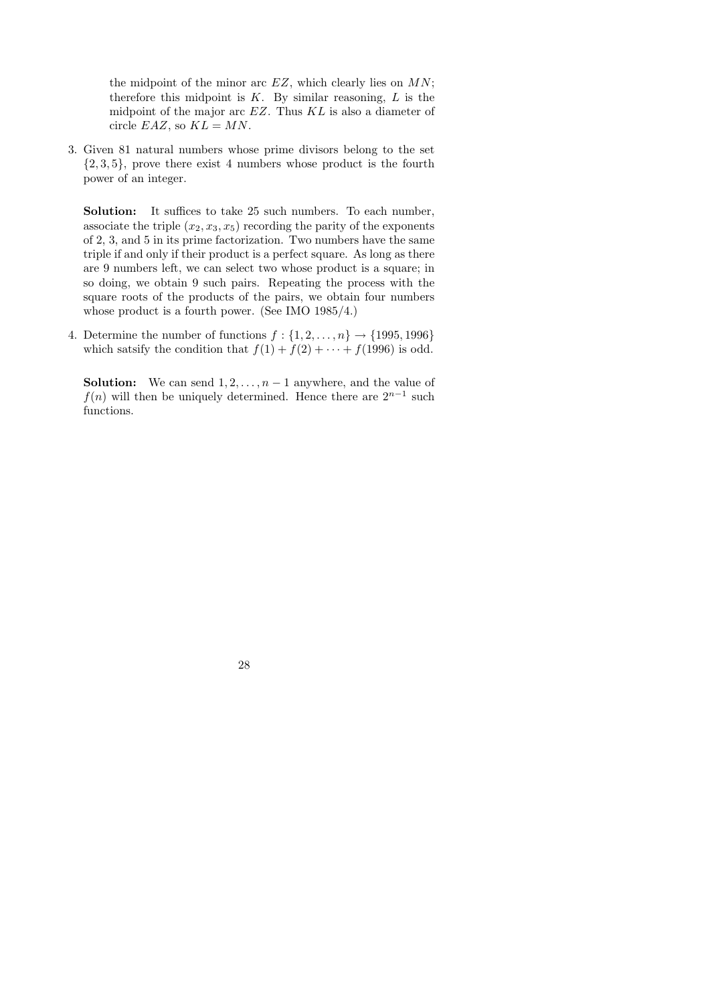the midpoint of the minor arc  $EZ$ , which clearly lies on  $MN$ ; therefore this midpoint is  $K$ . By similar reasoning,  $L$  is the midpoint of the major arc  $EZ$ . Thus  $KL$  is also a diameter of circle  $EAZ$ , so  $KL = MN$ .

3. Given 81 natural numbers whose prime divisors belong to the set  $\{2, 3, 5\}$ , prove there exist 4 numbers whose product is the fourth power of an integer.

Solution: It suffices to take 25 such numbers. To each number, associate the triple  $(x_2, x_3, x_5)$  recording the parity of the exponents of 2, 3, and 5 in its prime factorization. Two numbers have the same triple if and only if their product is a perfect square. As long as there are 9 numbers left, we can select two whose product is a square; in so doing, we obtain 9 such pairs. Repeating the process with the square roots of the products of the pairs, we obtain four numbers whose product is a fourth power. (See IMO 1985/4.)

4. Determine the number of functions  $f: \{1, 2, \ldots, n\} \rightarrow \{1995, 1996\}$ which satsify the condition that  $f(1) + f(2) + \cdots + f(1996)$  is odd.

**Solution:** We can send  $1, 2, \ldots, n-1$  anywhere, and the value of  $f(n)$  will then be uniquely determined. Hence there are  $2^{n-1}$  such functions.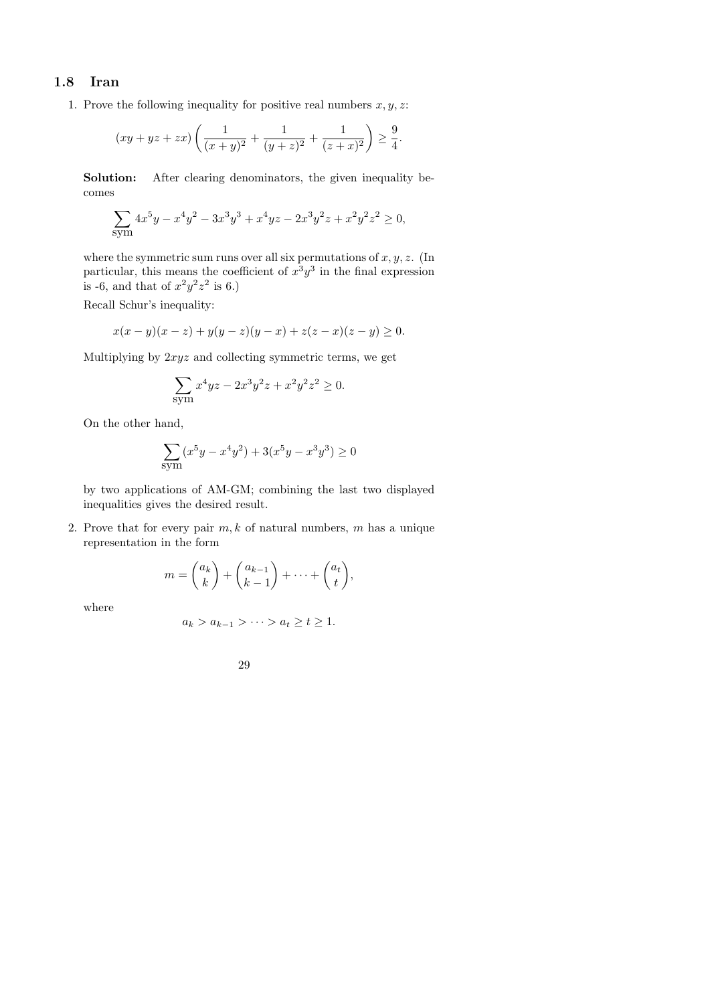## 1.8 Iran

1. Prove the following inequality for positive real numbers  $x, y, z$ :

$$
(xy+yz+zx)\left(\frac{1}{(x+y)^2}+\frac{1}{(y+z)^2}+\frac{1}{(z+x)^2}\right)\geq \frac{9}{4}.
$$

Solution: After clearing denominators, the given inequality becomes

$$
\sum_{\text{sym}} 4x^5y - x^4y^2 - 3x^3y^3 + x^4yz - 2x^3y^2z + x^2y^2z^2 \ge 0,
$$

where the symmetric sum runs over all six permutations of  $x, y, z$ . (In particular, this means the coefficient of  $x^3y^3$  in the final expression is -6, and that of  $x^2y^2z^2$  is 6.)

Recall Schur's inequality:

$$
x(x - y)(x - z) + y(y - z)(y - x) + z(z - x)(z - y) \ge 0.
$$

Multiplying by  $2xyz$  and collecting symmetric terms, we get

$$
\sum_{\text{sym}} x^4 yz - 2x^3 y^2 z + x^2 y^2 z^2 \ge 0.
$$

On the other hand,

$$
\sum_{\text{sym}} (x^5y - x^4y^2) + 3(x^5y - x^3y^3) \ge 0
$$

by two applications of AM-GM; combining the last two displayed inequalities gives the desired result.

2. Prove that for every pair  $m, k$  of natural numbers,  $m$  has a unique representation in the form

$$
m = \binom{a_k}{k} + \binom{a_{k-1}}{k-1} + \dots + \binom{a_t}{t},
$$

where

$$
a_k > a_{k-1} > \cdots > a_t \ge t \ge 1.
$$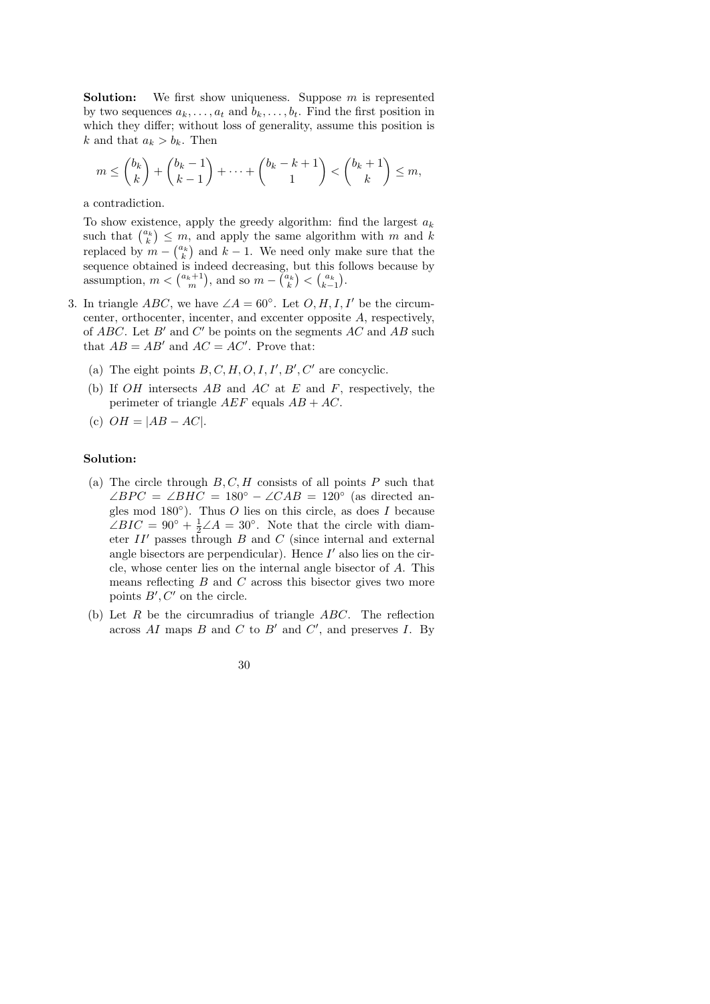**Solution:** We first show uniqueness. Suppose  $m$  is represented by two sequences  $a_k, \ldots, a_t$  and  $b_k, \ldots, b_t$ . Find the first position in which they differ; without loss of generality, assume this position is k and that  $a_k > b_k$ . Then

$$
m \leq {b_k \choose k} + {b_k - 1 \choose k - 1} + \dots + {b_k - k + 1 \choose 1} < {b_k + 1 \choose k} \leq m,
$$

a contradiction.

To show existence, apply the greedy algorithm: find the largest  $a_k$ such that  $\binom{a_k}{k} \leq m$ , and apply the same algorithm with m and k replaced by  $m - \binom{a_k}{k}$  and  $k - 1$ . We need only make sure that the sequence obtained is indeed decreasing, but this follows because by assumption,  $m < \binom{a_k+1}{m}$ , and so  $m - \binom{a_k}{k} < \binom{a_k}{k-1}$ .

- 3. In triangle ABC, we have  $\angle A = 60^\circ$ . Let  $O, H, I, I'$  be the circumcenter, orthocenter, incenter, and excenter opposite A, respectively, of  $ABC$ . Let B' and C' be points on the segments AC and AB such that  $AB = AB'$  and  $AC = AC'$ . Prove that:
	- (a) The eight points  $B, C, H, O, I, I', B', C'$  are concyclic.
	- (b) If  $OH$  intersects  $AB$  and  $AC$  at  $E$  and  $F$ , respectively, the perimeter of triangle  $AEF$  equals  $AB + AC$ .
	- (c)  $OH = |AB AC|$ .

#### Solution:

- (a) The circle through  $B, C, H$  consists of all points P such that  $\angle BPC = \angle BHC = 180^{\circ} - \angle CAB = 120^{\circ}$  (as directed angles mod 180 $^{\circ}$ ). Thus O lies on this circle, as does I because  $\angle BIC = 90^{\circ} + \frac{1}{2}\angle A = 30^{\circ}$ . Note that the circle with diameter  $II'$  passes through B and C (since internal and external angle bisectors are perpendicular). Hence  $I'$  also lies on the circle, whose center lies on the internal angle bisector of A. This means reflecting  $B$  and  $C$  across this bisector gives two more points  $B', C'$  on the circle.
- (b) Let  $R$  be the circumradius of triangle  $ABC$ . The reflection across AI maps B and C to B' and C', and preserves I. By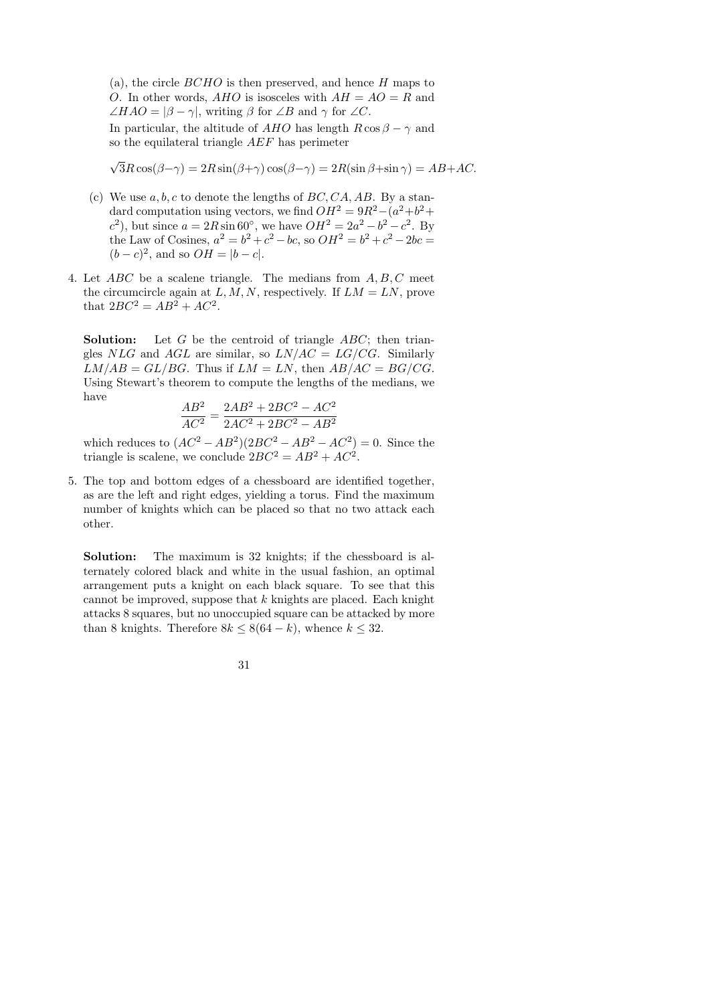(a), the circle  $BCHO$  is then preserved, and hence H maps to O. In other words, AHO is isosceles with  $AH = AO = R$  and  $\angle HAO = |\beta - \gamma|$ , writing  $\beta$  for  $\angle B$  and  $\gamma$  for  $\angle C$ .

In particular, the altitude of AHO has length  $R \cos \beta - \gamma$  and so the equilateral triangle AEF has perimeter

$$
\sqrt{3}R\cos(\beta-\gamma) = 2R\sin(\beta+\gamma)\cos(\beta-\gamma) = 2R(\sin\beta+\sin\gamma) = AB + AC.
$$

- (c) We use a, b, c to denote the lengths of  $BC, CA, AB$ . By a standard computation using vectors, we find  $OH^2 = 9R^2 - (a^2 + b^2 +$  $c^2$ ), but since  $a = 2R \sin 60^\circ$ , we have  $OH^2 = 2a^2 - b^2 - c^2$ . By the Law of Cosines,  $a^2 = b^2 + c^2 - bc$ , so  $OH^2 = b^2 + c^2 - 2bc =$  $(b-c)^2$ , and so  $OH = |b-c|$ .
- 4. Let  $ABC$  be a scalene triangle. The medians from  $A, B, C$  meet the circumcircle again at  $L, M, N$ , respectively. If  $LM = LN$ , prove that  $2BC^2 = AB^2 + AC^2$ .

**Solution:** Let  $G$  be the centroid of triangle  $ABC$ ; then triangles NLG and AGL are similar, so  $LN/AC = LG/CG$ . Similarly  $LM/AB = GL/BG$ . Thus if  $LM = LN$ , then  $AB/AC = BG/CG$ . Using Stewart's theorem to compute the lengths of the medians, we have

$$
\frac{AB^2}{AC^2} = \frac{2AB^2 + 2BC^2 - AC^2}{2AC^2 + 2BC^2 - AB^2}
$$

which reduces to  $(AC^2 - AB^2)(2BC^2 - AB^2 - AC^2) = 0$ . Since the triangle is scalene, we conclude  $2BC^2 = AB^2 + AC^2$ .

5. The top and bottom edges of a chessboard are identified together, as are the left and right edges, yielding a torus. Find the maximum number of knights which can be placed so that no two attack each other.

Solution: The maximum is 32 knights; if the chessboard is alternately colored black and white in the usual fashion, an optimal arrangement puts a knight on each black square. To see that this cannot be improved, suppose that  $k$  knights are placed. Each knight attacks 8 squares, but no unoccupied square can be attacked by more than 8 knights. Therefore  $8k \leq 8(64-k)$ , whence  $k \leq 32$ .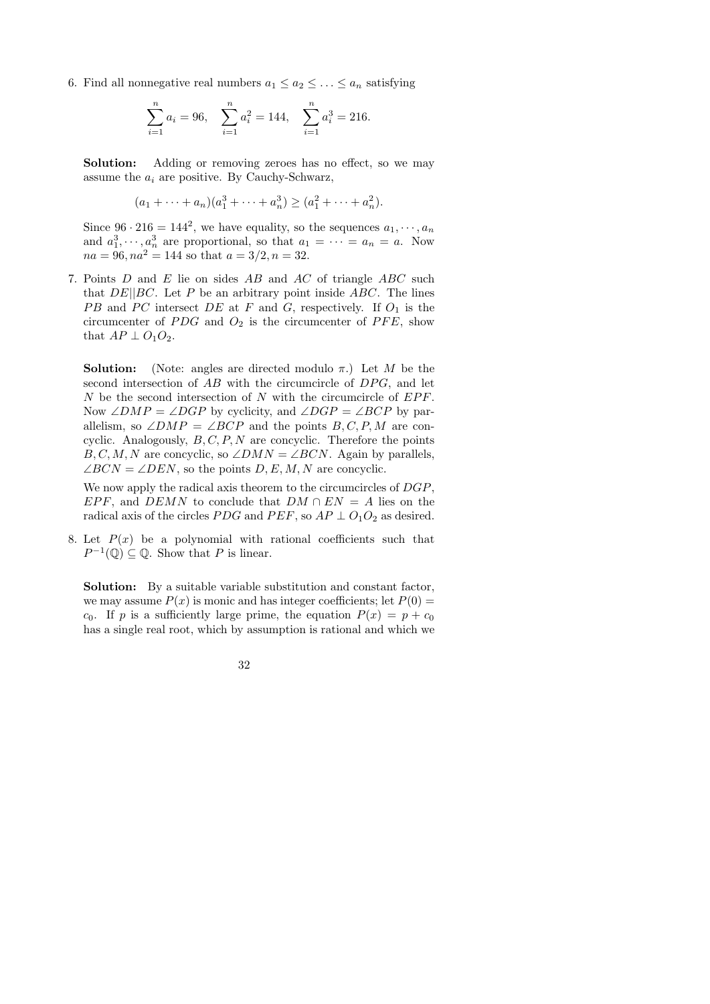6. Find all nonnegative real numbers  $a_1 \le a_2 \le \ldots \le a_n$  satisfying

$$
\sum_{i=1}^{n} a_i = 96, \quad \sum_{i=1}^{n} a_i^2 = 144, \quad \sum_{i=1}^{n} a_i^3 = 216.
$$

Solution: Adding or removing zeroes has no effect, so we may assume the  $a_i$  are positive. By Cauchy-Schwarz,

$$
(a_1 + \dots + a_n)(a_1^3 + \dots + a_n^3) \ge (a_1^2 + \dots + a_n^2).
$$

Since  $96 \cdot 216 = 144^2$ , we have equality, so the sequences  $a_1, \dots, a_n$ and  $a_1^3, \dots, a_n^3$  are proportional, so that  $a_1 = \dots = a_n = a$ . Now  $na = 96, na^2 = 144$  so that  $a = 3/2, n = 32$ .

7. Points D and E lie on sides AB and AC of triangle ABC such that  $DE||BC$ . Let P be an arbitrary point inside ABC. The lines  $PB$  and  $PC$  intersect  $DE$  at F and G, respectively. If  $O<sub>1</sub>$  is the circumcenter of  $PDG$  and  $O_2$  is the circumcenter of  $PFE$ , show that  $AP \perp O_1O_2$ .

**Solution:** (Note: angles are directed modulo  $\pi$ .) Let M be the second intersection of  $AB$  with the circumcircle of  $DPG$ , and let  $N$  be the second intersection of  $N$  with the circumcircle of  $EPF$ . Now ∠DMP = ∠DGP by cyclicity, and ∠DGP = ∠BCP by parallelism, so  $\angle DMP = \angle BCP$  and the points B, C, P, M are concyclic. Analogously,  $B, C, P, N$  are concyclic. Therefore the points  $B, C, M, N$  are concyclic, so  $\angle DMN = \angle BCN$ . Again by parallels,  $\angle BCN = \angle DEN$ , so the points D, E, M, N are concyclic.

We now apply the radical axis theorem to the circumcircles of  $DGP$ , EPF, and DEMN to conclude that  $DM \cap EN = A$  lies on the radical axis of the circles *PDG* and *PEF*, so  $AP \perp O_1O_2$  as desired.

8. Let  $P(x)$  be a polynomial with rational coefficients such that  $P^{-1}(\mathbb{Q}) \subseteq \mathbb{Q}$ . Show that P is linear.

Solution: By a suitable variable substitution and constant factor, we may assume  $P(x)$  is monic and has integer coefficients; let  $P(0) =$  $c_0$ . If p is a sufficiently large prime, the equation  $P(x) = p + c_0$ has a single real root, which by assumption is rational and which we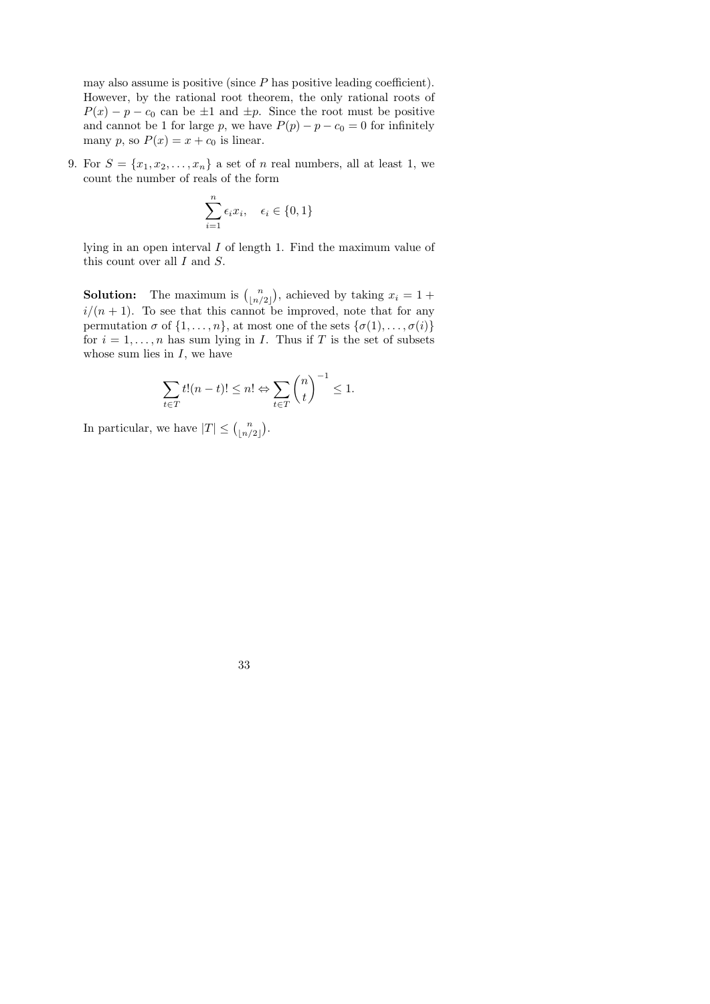may also assume is positive (since  $P$  has positive leading coefficient). However, by the rational root theorem, the only rational roots of  $P(x) - p - c_0$  can be  $\pm 1$  and  $\pm p$ . Since the root must be positive and cannot be 1 for large p, we have  $P(p) - p - c_0 = 0$  for infinitely many p, so  $P(x) = x + c_0$  is linear.

9. For  $S = \{x_1, x_2, \ldots, x_n\}$  a set of n real numbers, all at least 1, we count the number of reals of the form

$$
\sum_{i=1}^{n} \epsilon_i x_i, \quad \epsilon_i \in \{0, 1\}
$$

lying in an open interval I of length 1. Find the maximum value of this count over all  $I$  and  $S$ .

**Solution:** The maximum is  $\binom{n}{\lfloor n/2 \rfloor}$ , achieved by taking  $x_i = 1 + \binom{n}{\lfloor n/2 \rfloor}$  $i/(n+1)$ . To see that this cannot be improved, note that for any permutation  $\sigma$  of  $\{1, \ldots, n\}$ , at most one of the sets  $\{\sigma(1), \ldots, \sigma(i)\}$ for  $i = 1, \ldots, n$  has sum lying in I. Thus if T is the set of subsets whose sum lies in  $I$ , we have

$$
\sum_{t \in T} t!(n-t)! \le n! \Leftrightarrow \sum_{t \in T} \binom{n}{t}^{-1} \le 1.
$$

In particular, we have  $|T| \leq {n \choose \lfloor n/2 \rfloor}$ .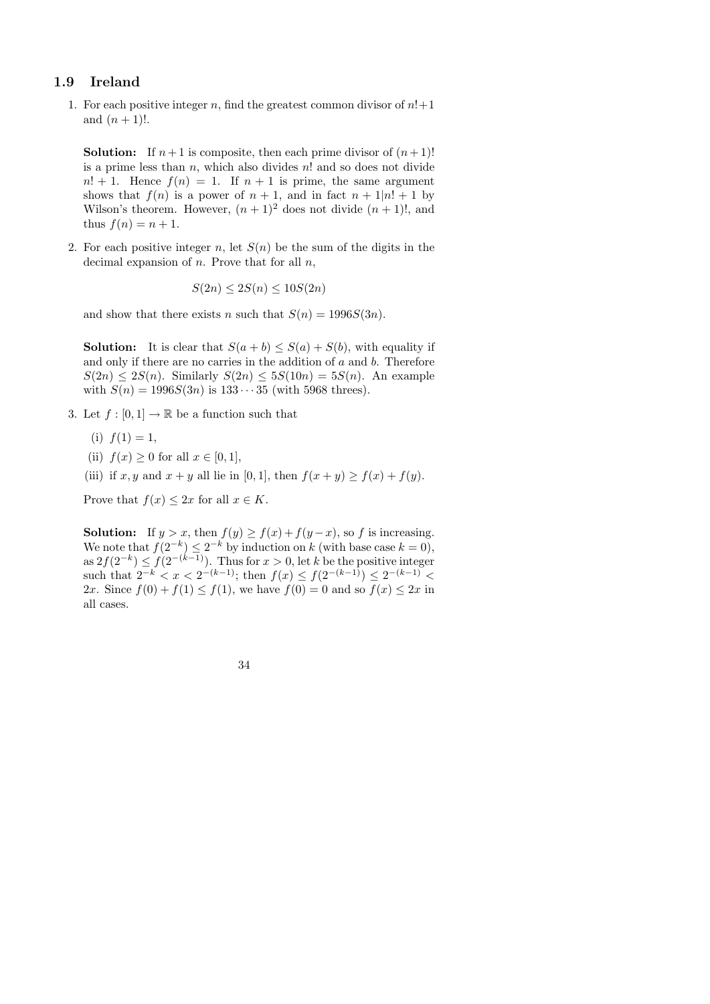## 1.9 Ireland

1. For each positive integer n, find the greatest common divisor of  $n!+1$ and  $(n + 1)!$ .

**Solution:** If  $n+1$  is composite, then each prime divisor of  $(n+1)!$ is a prime less than  $n$ , which also divides  $n!$  and so does not divide  $n! + 1$ . Hence  $f(n) = 1$ . If  $n + 1$  is prime, the same argument shows that  $f(n)$  is a power of  $n + 1$ , and in fact  $n + 1|n! + 1$  by Wilson's theorem. However,  $(n+1)^2$  does not divide  $(n+1)!$ , and thus  $f(n) = n + 1$ .

2. For each positive integer n, let  $S(n)$  be the sum of the digits in the decimal expansion of  $n$ . Prove that for all  $n$ ,

$$
S(2n) \le 2S(n) \le 10S(2n)
$$

and show that there exists n such that  $S(n) = 1996S(3n)$ .

**Solution:** It is clear that  $S(a + b) \leq S(a) + S(b)$ , with equality if and only if there are no carries in the addition of a and b. Therefore  $S(2n) \leq 2S(n)$ . Similarly  $S(2n) \leq 5S(10n) = 5S(n)$ . An example with  $S(n) = 1996S(3n)$  is  $133 \cdots 35$  (with 5968 threes).

- 3. Let  $f : [0, 1] \to \mathbb{R}$  be a function such that
	- (i)  $f(1) = 1$ ,
	- (ii)  $f(x) \geq 0$  for all  $x \in [0, 1]$ ,
	- (iii) if x, y and  $x + y$  all lie in [0, 1], then  $f(x + y) \ge f(x) + f(y)$ .

Prove that  $f(x) \leq 2x$  for all  $x \in K$ .

**Solution:** If  $y > x$ , then  $f(y) \ge f(x) + f(y - x)$ , so f is increasing. We note that  $f(2^{-k}) \leq 2^{-k}$  by induction on k (with base case  $k = 0$ ), as  $2f(2^{-k}) \leq f(2^{-(k-1)})$ . Thus for  $x > 0$ , let k be the positive integer such that  $2^{-k} < x < 2^{-(k-1)}$ ; then  $f(x) \le f(2^{-(k-1)}) \le 2^{-(k-1)}$ 2x. Since  $f(0) + f(1) \le f(1)$ , we have  $f(0) = 0$  and so  $f(x) \le 2x$  in all cases.

| ۰,           | ٠ |
|--------------|---|
| I<br>I<br>۰, |   |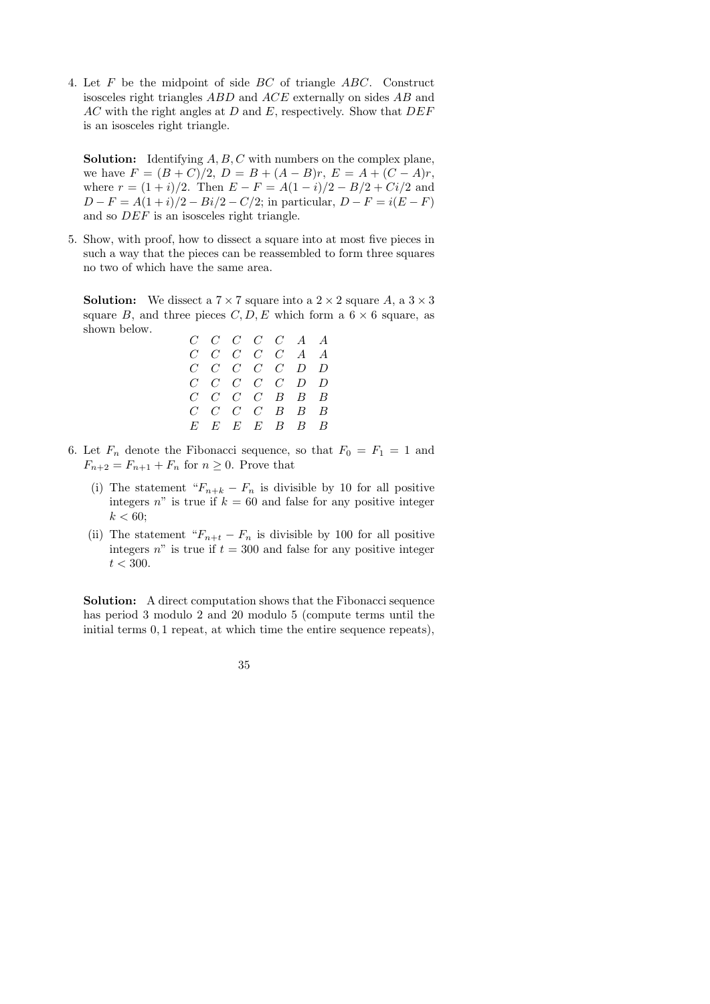4. Let F be the midpoint of side BC of triangle ABC. Construct isosceles right triangles ABD and ACE externally on sides AB and  $AC$  with the right angles at  $D$  and  $E$ , respectively. Show that  $DEF$ is an isosceles right triangle.

**Solution:** Identifying  $A, B, C$  with numbers on the complex plane, we have  $F = (B + C)/2$ ,  $D = B + (A - B)r$ ,  $E = A + (C - A)r$ , where  $r = (1 + i)/2$ . Then  $E - F = A(1 - i)/2 - B/2 + Ci/2$  and  $D - F = A(1 + i)/2 - Bi/2 - C/2$ ; in particular,  $D - F = i(E - F)$ and so DEF is an isosceles right triangle.

5. Show, with proof, how to dissect a square into at most five pieces in such a way that the pieces can be reassembled to form three squares no two of which have the same area.

**Solution:** We dissect a  $7 \times 7$  square into a  $2 \times 2$  square A, a  $3 \times 3$ square B, and three pieces  $C, D, E$  which form a  $6 \times 6$  square, as shown below.  $\begin{array}{c} \n\alpha & \alpha & \alpha & \alpha & \alpha \n\end{array}$ 

|  |  | $C$ $C$ $C$ $C$ $A$ $A$                             |  |
|--|--|-----------------------------------------------------|--|
|  |  | $C \quad C \quad C \quad C \quad C \quad A \quad A$ |  |
|  |  | $C$ $C$ $C$ $C$ $D$ $D$                             |  |
|  |  | $C$ $C$ $C$ $C$ $D$ $D$                             |  |
|  |  | $C$ $C$ $C$ $D$ $B$ $B$ $B$                         |  |
|  |  | $C\quad C\quad C\quad C\quad B\quad B\quad B$       |  |
|  |  | $E$ $E$ $E$ $B$ $B$ $B$                             |  |

- 6. Let  $F_n$  denote the Fibonacci sequence, so that  $F_0 = F_1 = 1$  and  $F_{n+2} = F_{n+1} + F_n$  for  $n \geq 0$ . Prove that
	- (i) The statement " $F_{n+k} F_n$  is divisible by 10 for all positive integers  $n^{\prime\prime}$  is true if  $k = 60$  and false for any positive integer  $k < 60$ ;
	- (ii) The statement " $F_{n+t} F_n$  is divisible by 100 for all positive integers  $n^{\prime\prime}$  is true if  $t = 300$  and false for any positive integer  $t < 300$ .

Solution: A direct computation shows that the Fibonacci sequence has period 3 modulo 2 and 20 modulo 5 (compute terms until the initial terms 0, 1 repeat, at which time the entire sequence repeats),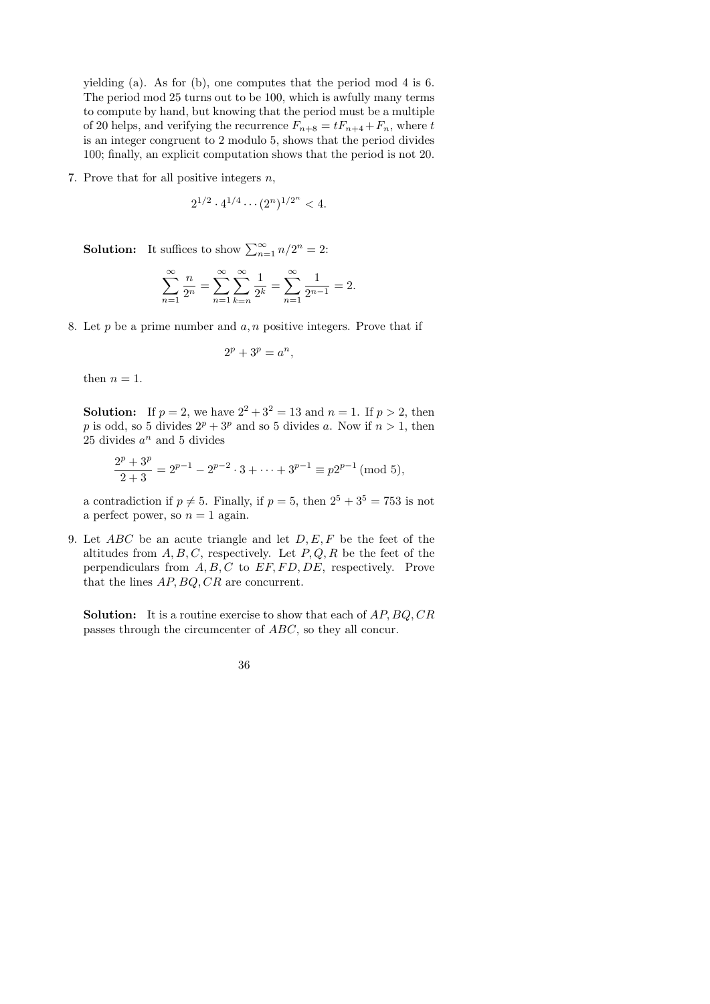yielding (a). As for (b), one computes that the period mod 4 is 6. The period mod 25 turns out to be 100, which is awfully many terms to compute by hand, but knowing that the period must be a multiple of 20 helps, and verifying the recurrence  $F_{n+8} = tF_{n+4} + F_n$ , where t is an integer congruent to 2 modulo 5, shows that the period divides 100; finally, an explicit computation shows that the period is not 20.

7. Prove that for all positive integers  $n$ ,

$$
2^{1/2} \cdot 4^{1/4} \cdots (2^n)^{1/2^n} < 4.
$$

**Solution:** It suffices to show  $\sum_{n=1}^{\infty} n/2^n = 2$ :

$$
\sum_{n=1}^{\infty} \frac{n}{2^n} = \sum_{n=1}^{\infty} \sum_{k=n}^{\infty} \frac{1}{2^k} = \sum_{n=1}^{\infty} \frac{1}{2^{n-1}} = 2.
$$

8. Let  $p$  be a prime number and  $a, n$  positive integers. Prove that if

$$
2^p + 3^p = a^n,
$$

then  $n = 1$ .

**Solution:** If  $p = 2$ , we have  $2^2 + 3^2 = 13$  and  $n = 1$ . If  $p > 2$ , then p is odd, so 5 divides  $2^p + 3^p$  and so 5 divides a. Now if  $n > 1$ , then 25 divides  $a^n$  and 5 divides

$$
\frac{2^p + 3^p}{2+3} = 2^{p-1} - 2^{p-2} \cdot 3 + \dots + 3^{p-1} \equiv p2^{p-1} \pmod{5},
$$

a contradiction if  $p \neq 5$ . Finally, if  $p = 5$ , then  $2^5 + 3^5 = 753$  is not a perfect power, so  $n = 1$  again.

9. Let  $ABC$  be an acute triangle and let  $D, E, F$  be the feet of the altitudes from  $A, B, C$ , respectively. Let  $P, Q, R$  be the feet of the perpendiculars from  $A, B, C$  to  $EF, FD, DE$ , respectively. Prove that the lines AP, BQ, CR are concurrent.

Solution: It is a routine exercise to show that each of AP, BQ, CR passes through the circumcenter of ABC, so they all concur.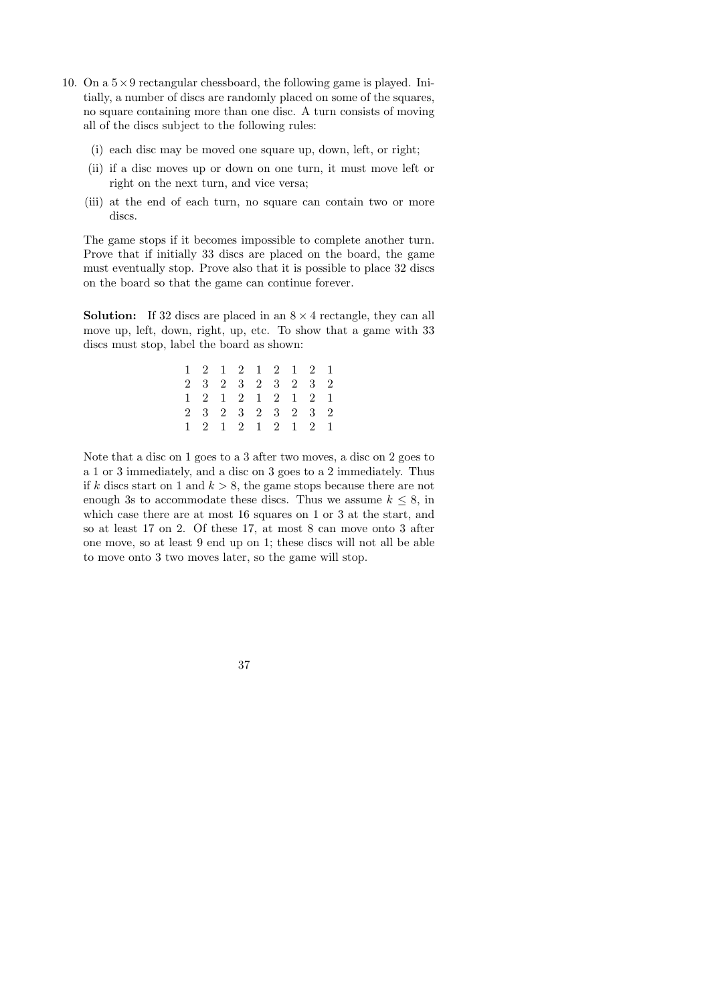- 10. On a  $5 \times 9$  rectangular chessboard, the following game is played. Initially, a number of discs are randomly placed on some of the squares, no square containing more than one disc. A turn consists of moving all of the discs subject to the following rules:
	- (i) each disc may be moved one square up, down, left, or right;
	- (ii) if a disc moves up or down on one turn, it must move left or right on the next turn, and vice versa;
	- (iii) at the end of each turn, no square can contain two or more discs.

The game stops if it becomes impossible to complete another turn. Prove that if initially 33 discs are placed on the board, the game must eventually stop. Prove also that it is possible to place 32 discs on the board so that the game can continue forever.

**Solution:** If 32 discs are placed in an  $8 \times 4$  rectangle, they can all move up, left, down, right, up, etc. To show that a game with 33 discs must stop, label the board as shown:

|  |  |  | 1 2 1 2 1 2 1 2 1 |  |
|--|--|--|-------------------|--|
|  |  |  | 2 3 2 3 2 3 2 3 2 |  |
|  |  |  | 1 2 1 2 1 2 1 2 1 |  |
|  |  |  | 2 3 2 3 2 3 2 3 2 |  |
|  |  |  | 1 2 1 2 1 2 1 2 1 |  |

Note that a disc on 1 goes to a 3 after two moves, a disc on 2 goes to a 1 or 3 immediately, and a disc on 3 goes to a 2 immediately. Thus if k discs start on 1 and  $k > 8$ , the game stops because there are not enough 3s to accommodate these discs. Thus we assume  $k \leq 8$ , in which case there are at most 16 squares on 1 or 3 at the start, and so at least 17 on 2. Of these 17, at most 8 can move onto 3 after one move, so at least 9 end up on 1; these discs will not all be able to move onto 3 two moves later, so the game will stop.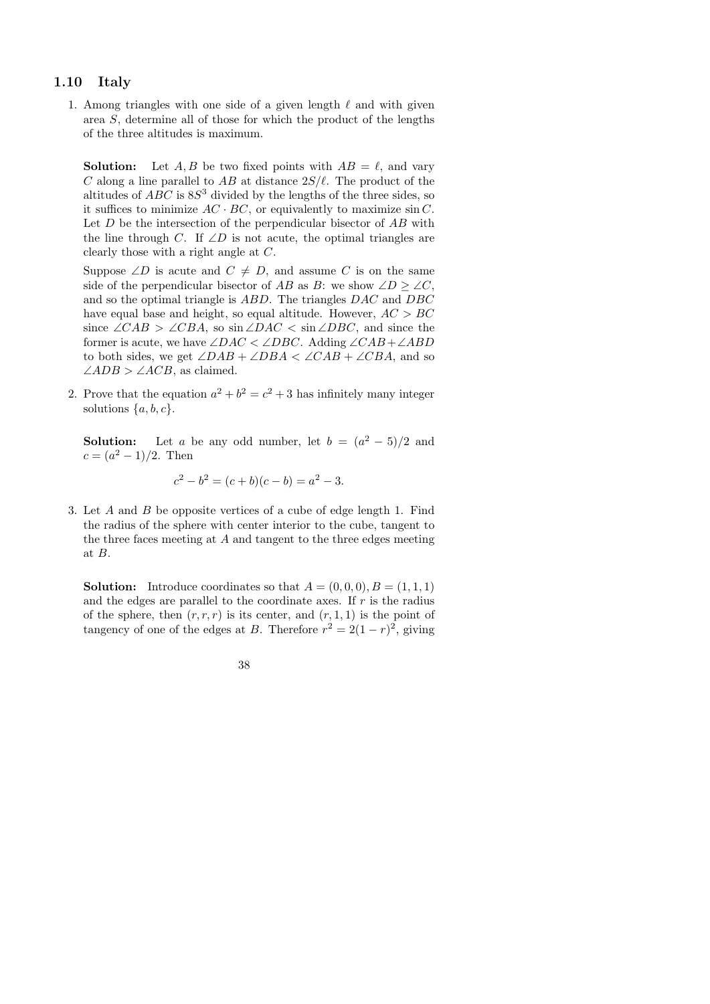# 1.10 Italy

1. Among triangles with one side of a given length  $\ell$  and with given area S, determine all of those for which the product of the lengths of the three altitudes is maximum.

**Solution:** Let A, B be two fixed points with  $AB = \ell$ , and vary C along a line parallel to AB at distance  $2S/\ell$ . The product of the altitudes of  $ABC$  is  $8S^3$  divided by the lengths of the three sides, so it suffices to minimize  $AC \cdot BC$ , or equivalently to maximize  $\sin C$ . Let  $D$  be the intersection of the perpendicular bisector of  $AB$  with the line through C. If  $\angle D$  is not acute, the optimal triangles are clearly those with a right angle at C.

Suppose ∠D is acute and  $C \neq D$ , and assume C is on the same side of the perpendicular bisector of AB as B: we show  $\angle D \geq \angle C$ . and so the optimal triangle is ABD. The triangles DAC and DBC have equal base and height, so equal altitude. However,  $AC > BC$ since  $\angle CAB > \angle CBA$ , so sin ∠DAC < sin ∠DBC, and since the former is acute, we have  $\angle DAC < \angle DBC$ . Adding  $\angle CAB + \angle ABD$ to both sides, we get  $\angle DAB + \angle DBA < \angle CAB + \angle CBA$ , and so  $\angle ADB > \angle ACB$ , as claimed.

2. Prove that the equation  $a^2 + b^2 = c^2 + 3$  has infinitely many integer solutions  $\{a, b, c\}$ .

**Solution:** Let a be any odd number, let  $b = (a^2 - 5)/2$  and  $c = (a^2 - 1)/2$ . Then

$$
c2 - b2 = (c + b)(c - b) = a2 - 3.
$$

3. Let A and B be opposite vertices of a cube of edge length 1. Find the radius of the sphere with center interior to the cube, tangent to the three faces meeting at  $A$  and tangent to the three edges meeting at B.

**Solution:** Introduce coordinates so that  $A = (0, 0, 0), B = (1, 1, 1)$ and the edges are parallel to the coordinate axes. If  $r$  is the radius of the sphere, then  $(r, r, r)$  is its center, and  $(r, 1, 1)$  is the point of tangency of one of the edges at B. Therefore  $r^2 = 2(1 - r)^2$ , giving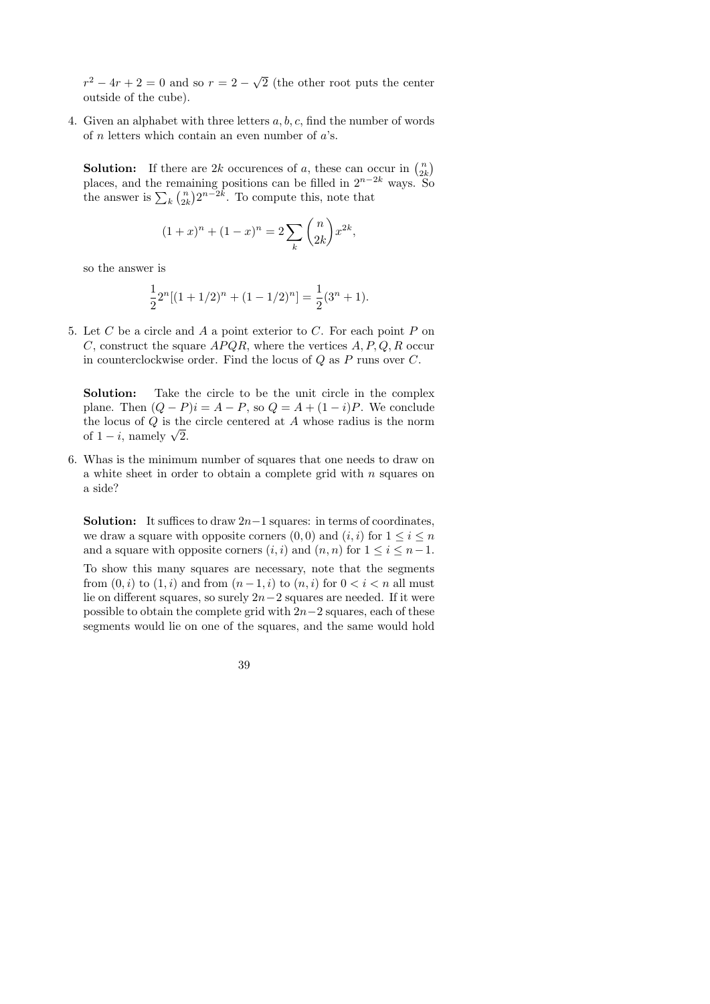$r^2 - 4r + 2 = 0$  and so  $r = 2 -$ 2 (the other root puts the center outside of the cube).

4. Given an alphabet with three letters  $a, b, c$ , find the number of words of  $n$  letters which contain an even number of  $a$ 's.

**Solution:** If there are 2k occurences of a, these can occur in  $\binom{n}{2k}$ places, and the remaining positions can be filled in  $2^{n-2k}$  ways. So the answer is  $\sum_{k} \binom{n}{2k} 2^{n-2k}$ . To compute this, note that

$$
(1+x)^n + (1-x)^n = 2\sum_{k} \binom{n}{2k} x^{2k},
$$

so the answer is

$$
\frac{1}{2}2^{n}[(1+1/2)^{n} + (1-1/2)^{n}] = \frac{1}{2}(3^{n}+1).
$$

5. Let  $C$  be a circle and  $A$  a point exterior to  $C$ . For each point  $P$  on C, construct the square  $APQR$ , where the vertices  $A, P, Q, R$  occur in counterclockwise order. Find the locus of  $Q$  as  $P$  runs over  $C$ .

Solution: Take the circle to be the unit circle in the complex plane. Then  $(Q - P)i = A - P$ , so  $Q = A + (1 - i)P$ . We conclude the locus of  $Q$  is the circle centered at  $A$  whose radius is the norm the locus of Q is the of  $1 - i$ , namely  $\sqrt{2}$ .

6. Whas is the minimum number of squares that one needs to draw on a white sheet in order to obtain a complete grid with  $n$  squares on a side?

**Solution:** It suffices to draw  $2n-1$  squares: in terms of coordinates, we draw a square with opposite corners  $(0, 0)$  and  $(i, i)$  for  $1 \le i \le n$ and a square with opposite corners  $(i, i)$  and  $(n, n)$  for  $1 \leq i \leq n-1$ .

To show this many squares are necessary, note that the segments from  $(0, i)$  to  $(1, i)$  and from  $(n-1, i)$  to  $(n, i)$  for  $0 < i < n$  all must lie on different squares, so surely 2n−2 squares are needed. If it were possible to obtain the complete grid with  $2n-2$  squares, each of these segments would lie on one of the squares, and the same would hold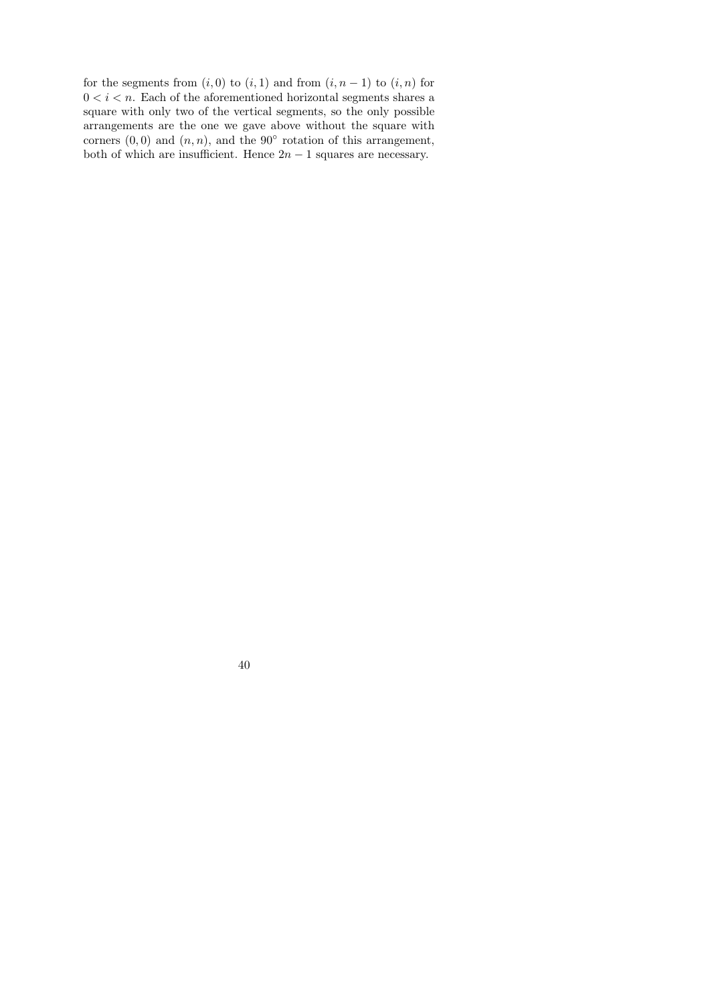for the segments from  $(i, 0)$  to  $(i, 1)$  and from  $(i, n - 1)$  to  $(i, n)$  for  $0 < i < n$ . Each of the aforementioned horizontal segments shares a square with only two of the vertical segments, so the only possible arrangements are the one we gave above without the square with corners  $(0,0)$  and  $(n, n)$ , and the 90 $\degree$  rotation of this arrangement, both of which are insufficient. Hence  $2n - 1$  squares are necessary.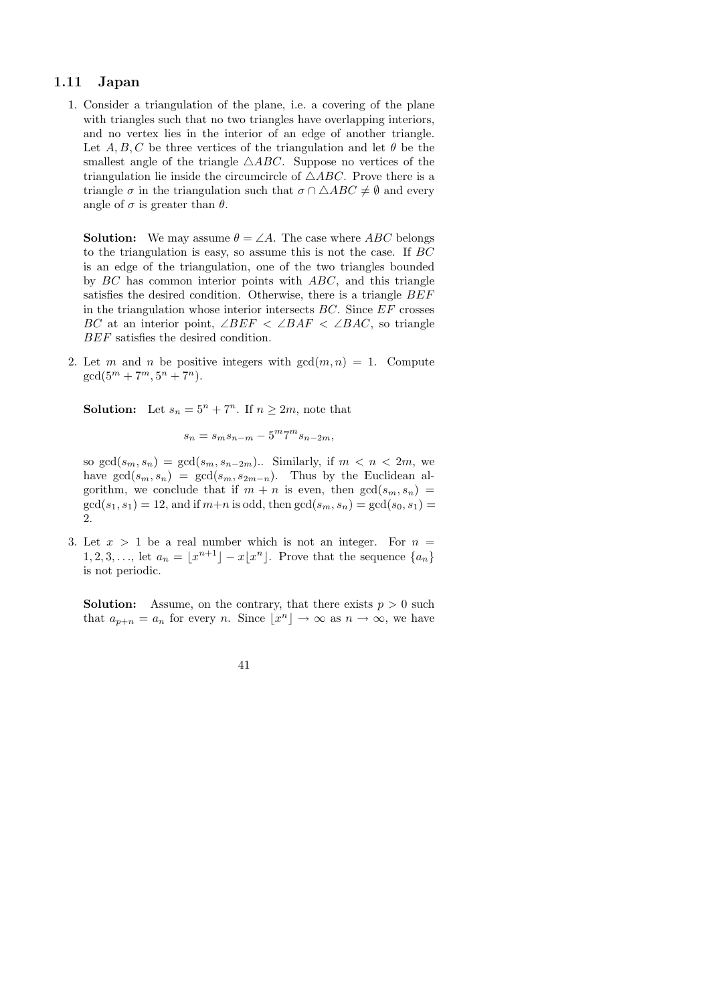#### 1.11 Japan

1. Consider a triangulation of the plane, i.e. a covering of the plane with triangles such that no two triangles have overlapping interiors, and no vertex lies in the interior of an edge of another triangle. Let  $A, B, C$  be three vertices of the triangulation and let  $\theta$  be the smallest angle of the triangle  $\triangle ABC$ . Suppose no vertices of the triangulation lie inside the circumcircle of  $\triangle ABC$ . Prove there is a triangle  $\sigma$  in the triangulation such that  $\sigma \cap \triangle ABC \neq \emptyset$  and every angle of  $\sigma$  is greater than  $\theta$ .

**Solution:** We may assume  $\theta = \angle A$ . The case where ABC belongs to the triangulation is easy, so assume this is not the case. If BC is an edge of the triangulation, one of the two triangles bounded by  $BC$  has common interior points with  $ABC$ , and this triangle satisfies the desired condition. Otherwise, there is a triangle BEF in the triangulation whose interior intersects  $BC$ . Since  $EF$  crosses BC at an interior point,  $\angle BEF \angle BAF \angle \angle BAC$ , so triangle BEF satisfies the desired condition.

2. Let m and n be positive integers with  $gcd(m, n) = 1$ . Compute  $gcd(5^m + 7^m, 5^n + 7^n).$ 

**Solution:** Let  $s_n = 5^n + 7^n$ . If  $n \ge 2m$ , note that

 $s_n = s_m s_{n-m} - 5^m 7^m s_{n-2m},$ 

so  $gcd(s_m, s_n) = gcd(s_m, s_{n-2m})$ . Similarly, if  $m < n < 2m$ , we have  $gcd(s_m, s_n) = gcd(s_m, s_{2m-n})$ . Thus by the Euclidean algorithm, we conclude that if  $m + n$  is even, then  $gcd(s_m, s_n)$  $gcd(s_1, s_1) = 12$ , and if  $m+n$  is odd, then  $gcd(s_m, s_n) = gcd(s_0, s_1)$ 2.

3. Let  $x > 1$  be a real number which is not an integer. For  $n =$ 1, 2, 3, ..., let  $a_n = \lfloor x^{n+1} \rfloor - x \lfloor x^n \rfloor$ . Prove that the sequence  $\{a_n\}$ is not periodic.

**Solution:** Assume, on the contrary, that there exists  $p > 0$  such that  $a_{p+n} = a_n$  for every *n*. Since  $\lfloor x^n \rfloor \to \infty$  as  $n \to \infty$ , we have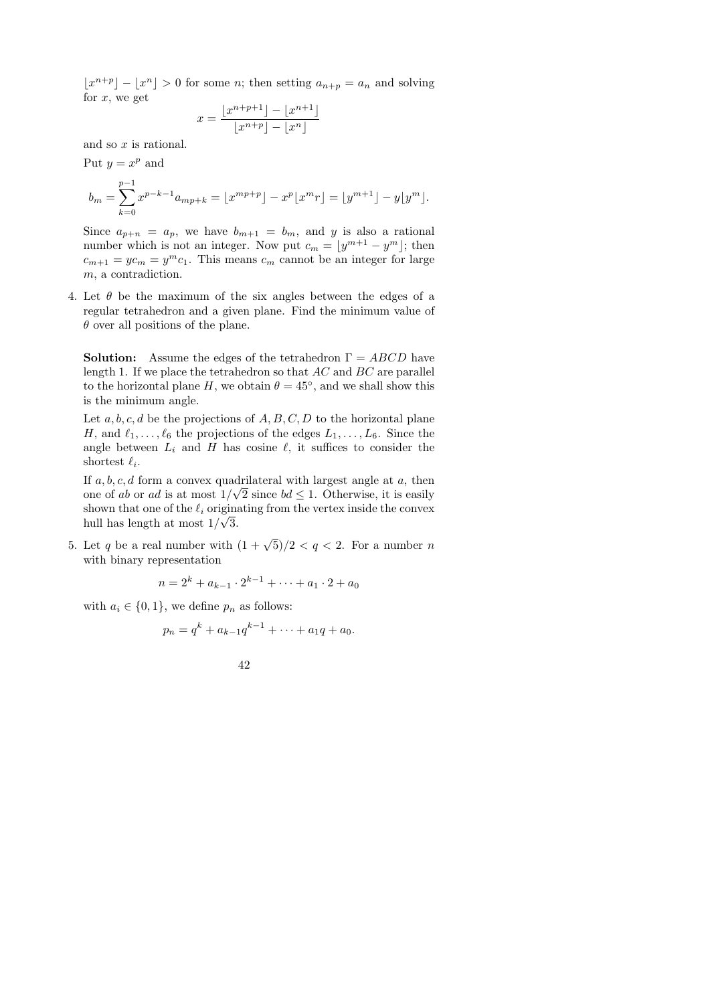$\lfloor x^{n+p} \rfloor - \lfloor x^n \rfloor > 0$  for some *n*; then setting  $a_{n+p} = a_n$  and solving for  $x$ , we get

$$
x = \frac{\lfloor x^{n+p+1} \rfloor - \lfloor x^{n+1} \rfloor}{\lfloor x^{n+p} \rfloor - \lfloor x^n \rfloor}
$$

and so x is rational.

Put  $y = x^p$  and

$$
b_m = \sum_{k=0}^{p-1} x^{p-k-1} a_{mp+k} = \lfloor x^{mp+p} \rfloor - x^p \lfloor x^m r \rfloor = \lfloor y^{m+1} \rfloor - y \lfloor y^m \rfloor.
$$

Since  $a_{p+n} = a_p$ , we have  $b_{m+1} = b_m$ , and y is also a rational number which is not an integer. Now put  $c_m = \lfloor y^{m+1} - y^m \rfloor$ ; then  $c_{m+1} = y c_m = y^m c_1$ . This means  $c_m$  cannot be an integer for large m, a contradiction.

4. Let  $\theta$  be the maximum of the six angles between the edges of a regular tetrahedron and a given plane. Find the minimum value of  $\theta$  over all positions of the plane.

**Solution:** Assume the edges of the tetrahedron  $\Gamma = ABCD$  have length 1. If we place the tetrahedron so that  $AC$  and  $BC$  are parallel to the horizontal plane H, we obtain  $\theta = 45^{\circ}$ , and we shall show this is the minimum angle.

Let  $a, b, c, d$  be the projections of  $A, B, C, D$  to the horizontal plane H, and  $\ell_1, \ldots, \ell_6$  the projections of the edges  $L_1, \ldots, L_6$ . Since the angle between  $L_i$  and H has cosine  $\ell$ , it suffices to consider the shortest  $\ell_i$ .

If  $a, b, c, d$  form a convex quadrilateral with largest angle at  $a$ , then one of ab or ad is at most  $1/\sqrt{2}$  since  $bd \leq 1$ . Otherwise, it is easily shown that one of the  $\ell_i$  originating from the vertex inside the convex hull has length at most  $1/\sqrt{3}$ .

5. Let q be a real number with  $(1 + \sqrt{5})/2 < q < 2$ . For a number n with binary representation

$$
n = 2^{k} + a_{k-1} \cdot 2^{k-1} + \dots + a_1 \cdot 2 + a_0
$$

with  $a_i \in \{0, 1\}$ , we define  $p_n$  as follows:

$$
p_n = q^k + a_{k-1}q^{k-1} + \dots + a_1q + a_0.
$$

$$
42
$$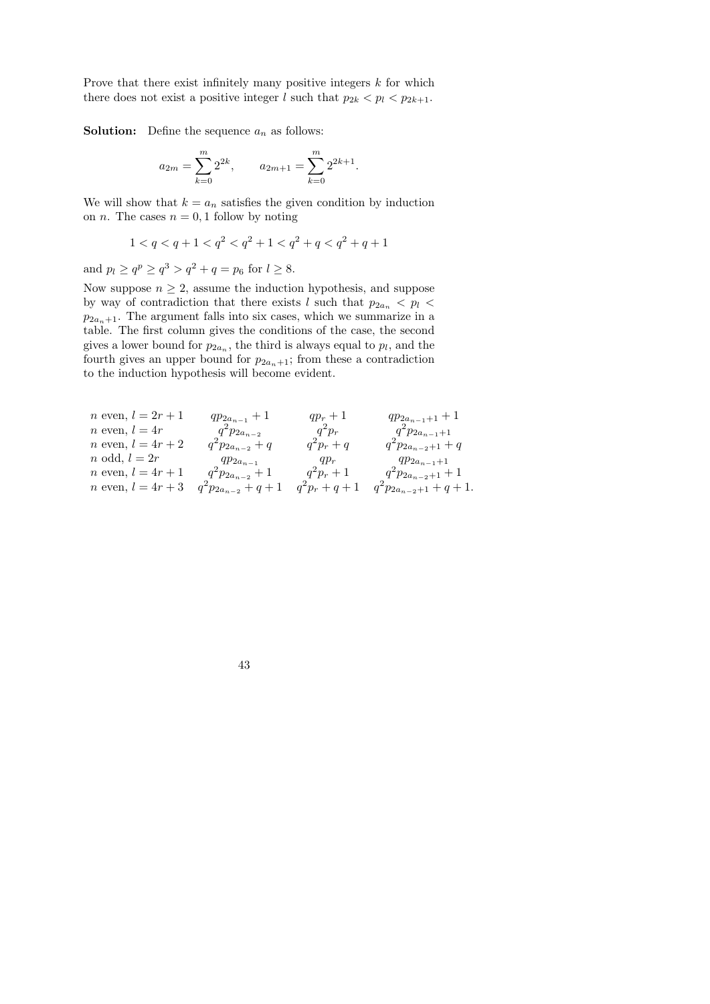Prove that there exist infinitely many positive integers  $k$  for which there does not exist a positive integer l such that  $p_{2k} < p_l < p_{2k+1}$ .

**Solution:** Define the sequence  $a_n$  as follows:

$$
a_{2m} = \sum_{k=0}^{m} 2^{2k}
$$
,  $a_{2m+1} = \sum_{k=0}^{m} 2^{2k+1}$ .

We will show that  $k = a_n$  satisfies the given condition by induction on *n*. The cases  $n = 0, 1$  follow by noting

$$
1 < q < q + 1 < q^2 < q^2 + 1 < q^2 + q < q^2 + q + 1
$$

and  $p_l \ge q^p \ge q^3 > q^2 + q = p_6$  for  $l \ge 8$ .

Now suppose  $n \geq 2$ , assume the induction hypothesis, and suppose by way of contradiction that there exists l such that  $p_{2a_n} < p_l$  $p_{2a_n+1}$ . The argument falls into six cases, which we summarize in a table. The first column gives the conditions of the case, the second gives a lower bound for  $p_{2a_n}$ , the third is always equal to  $p_l$ , and the fourth gives an upper bound for  $p_{2a_n+1}$ ; from these a contradiction to the induction hypothesis will become evident.

n even, l = 2r + 1 qp2an−<sup>1</sup> + 1 qp<sup>r</sup> + 1 qp2an−1+1 + 1 n even, l = 4r q<sup>2</sup>p2an−<sup>2</sup> q <sup>2</sup>p<sup>r</sup> q <sup>2</sup>p2an−1+1 n even, l = 4r + 2 q <sup>2</sup>p2an−<sup>2</sup> + q q<sup>2</sup>p<sup>r</sup> + q q<sup>2</sup>p2an−2+1 + q n odd, l = 2r qp2an−<sup>1</sup> qp<sup>r</sup> qp2an−1+1 n even, l = 4r + 1 q <sup>2</sup>p2an−<sup>2</sup> + 1 q <sup>2</sup>p<sup>r</sup> + 1 q <sup>2</sup>p2an−2+1 + 1 n even, l = 4r + 3 q <sup>2</sup>p2an−<sup>2</sup> + q + 1 q <sup>2</sup>p<sup>r</sup> + q + 1 q <sup>2</sup>p2an−2+1 + q + 1.

$$
43\quad
$$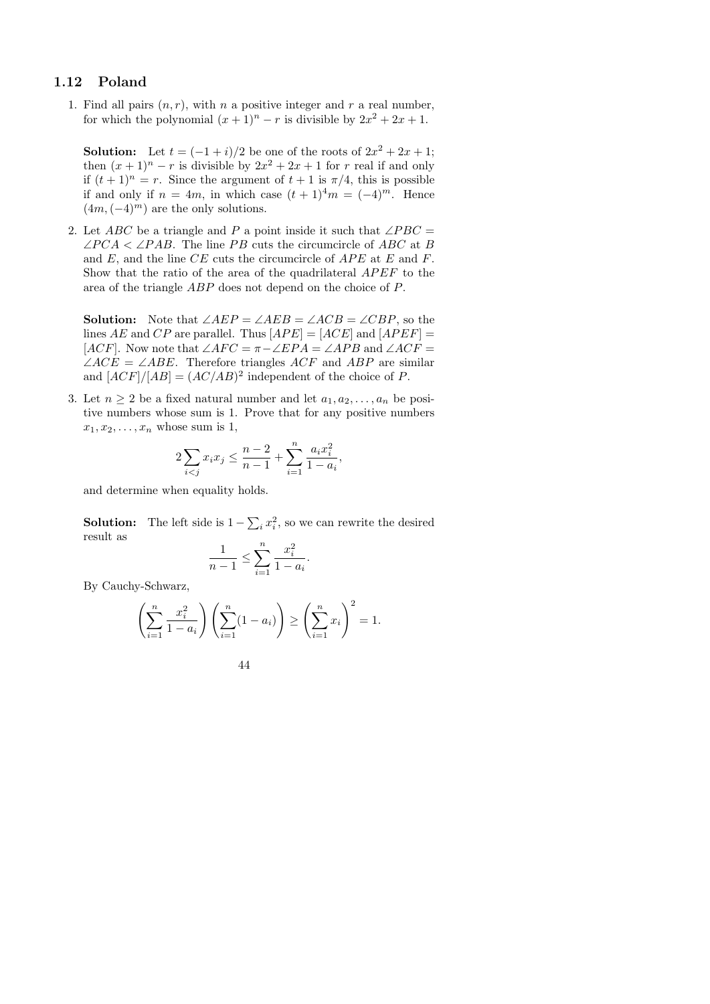## 1.12 Poland

1. Find all pairs  $(n, r)$ , with n a positive integer and r a real number, for which the polynomial  $(x + 1)^n - r$  is divisible by  $2x^2 + 2x + 1$ .

**Solution:** Let  $t = (-1 + i)/2$  be one of the roots of  $2x^2 + 2x + 1$ ; then  $(x + 1)^n - r$  is divisible by  $2x^2 + 2x + 1$  for r real if and only if  $(t + 1)^n = r$ . Since the argument of  $t + 1$  is  $\pi/4$ , this is possible if and only if  $n = 4m$ , in which case  $(t + 1)^4 m = (-4)^m$ . Hence  $(4m, (-4)^m)$  are the only solutions.

2. Let ABC be a triangle and P a point inside it such that  $\angle PBC =$  $\angle PCA < \angle PAB$ . The line PB cuts the circumcircle of ABC at B and  $E$ , and the line  $CE$  cuts the circumcircle of  $APE$  at  $E$  and  $F$ . Show that the ratio of the area of the quadrilateral  $APEF$  to the area of the triangle ABP does not depend on the choice of P.

**Solution:** Note that  $\angle AEP = \angle AEB = \angle ACB = \angle CBP$ , so the lines AE and CP are parallel. Thus  $[APE] = [ACE]$  and  $[APE] =$ [ACF]. Now note that  $\angle AFC = \pi - \angle EPA = \angle APB$  and  $\angle ACF =$  $\angle ACE = \angle ABE$ . Therefore triangles ACF and ABP are similar and  $[ACF]/[AB] = (AC/AB)^2$  independent of the choice of P.

3. Let  $n \geq 2$  be a fixed natural number and let  $a_1, a_2, \ldots, a_n$  be positive numbers whose sum is 1. Prove that for any positive numbers  $x_1, x_2, \ldots, x_n$  whose sum is 1,

$$
2\sum_{i < j} x_i x_j \le \frac{n-2}{n-1} + \sum_{i=1}^n \frac{a_i x_i^2}{1 - a_i},
$$

and determine when equality holds.

**Solution:** The left side is  $1 - \sum_i x_i^2$ , so we can rewrite the desired result as

$$
\frac{1}{n-1} \le \sum_{i=1}^n \frac{x_i^2}{1 - a_i}.
$$

By Cauchy-Schwarz,

$$
\left(\sum_{i=1}^{n} \frac{x_i^2}{1 - a_i}\right) \left(\sum_{i=1}^{n} (1 - a_i)\right) \ge \left(\sum_{i=1}^{n} x_i\right)^2 = 1.
$$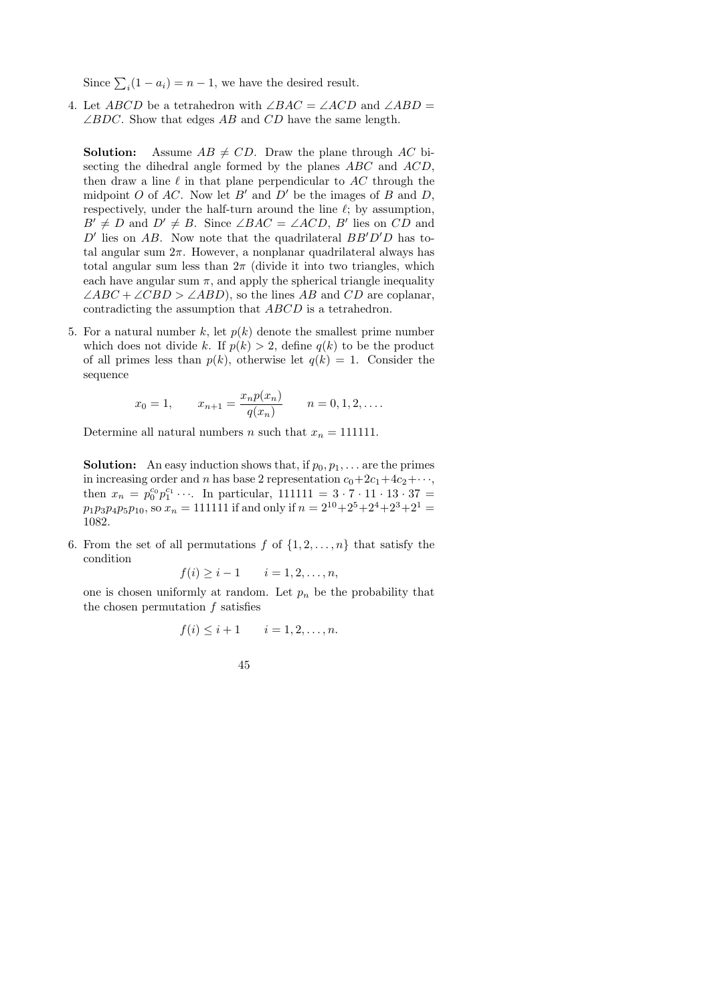Since  $\sum_i (1 - a_i) = n - 1$ , we have the desired result.

4. Let ABCD be a tetrahedron with  $\angle BAC = \angle ACD$  and  $\angle ABD =$  $\angle BDC$ . Show that edges AB and CD have the same length.

**Solution:** Assume  $AB \neq CD$ . Draw the plane through AC bisecting the dihedral angle formed by the planes ABC and ACD, then draw a line  $\ell$  in that plane perpendicular to AC through the midpoint O of AC. Now let  $B'$  and  $D'$  be the images of B and D, respectively, under the half-turn around the line  $\ell$ ; by assumption,  $B' \neq D$  and  $D' \neq B$ . Since ∠BAC = ∠ACD, B' lies on CD and  $D'$  lies on AB. Now note that the quadrilateral  $BB'D'D$  has total angular sum  $2\pi$ . However, a nonplanar quadrilateral always has total angular sum less than  $2\pi$  (divide it into two triangles, which each have angular sum  $\pi$ , and apply the spherical triangle inequality  $\angle ABC + \angle CBD > \angle ABD$ , so the lines AB and CD are coplanar. contradicting the assumption that ABCD is a tetrahedron.

5. For a natural number k, let  $p(k)$  denote the smallest prime number which does not divide k. If  $p(k) > 2$ , define  $q(k)$  to be the product of all primes less than  $p(k)$ , otherwise let  $q(k) = 1$ . Consider the sequence

$$
x_0 = 1,
$$
  $x_{n+1} = \frac{x_n p(x_n)}{q(x_n)}$   $n = 0, 1, 2, ....$ 

Determine all natural numbers *n* such that  $x_n = 111111$ .

**Solution:** An easy induction shows that, if  $p_0, p_1, \ldots$  are the primes in increasing order and n has base 2 representation  $c_0+2c_1+4c_2+\cdots$ , then  $x_n = p_0^{c_0} p_1^{c_1} \cdots$ . In particular,  $111111 = 3 \cdot 7 \cdot 11 \cdot 13 \cdot 37 =$  $p_1p_3p_4p_5p_{10}$ , so  $x_n = 1111111$  if and only if  $n = 2^{10} + 2^5 + 2^4 + 2^3 + 2^1 =$ 1082.

6. From the set of all permutations f of  $\{1, 2, \ldots, n\}$  that satisfy the condition

$$
f(i) \geq i - 1 \qquad i = 1, 2, \dots, n,
$$

one is chosen uniformly at random. Let  $p_n$  be the probability that the chosen permutation  $f$  satisfies

$$
f(i) \leq i+1
$$
  $i = 1, 2, ..., n.$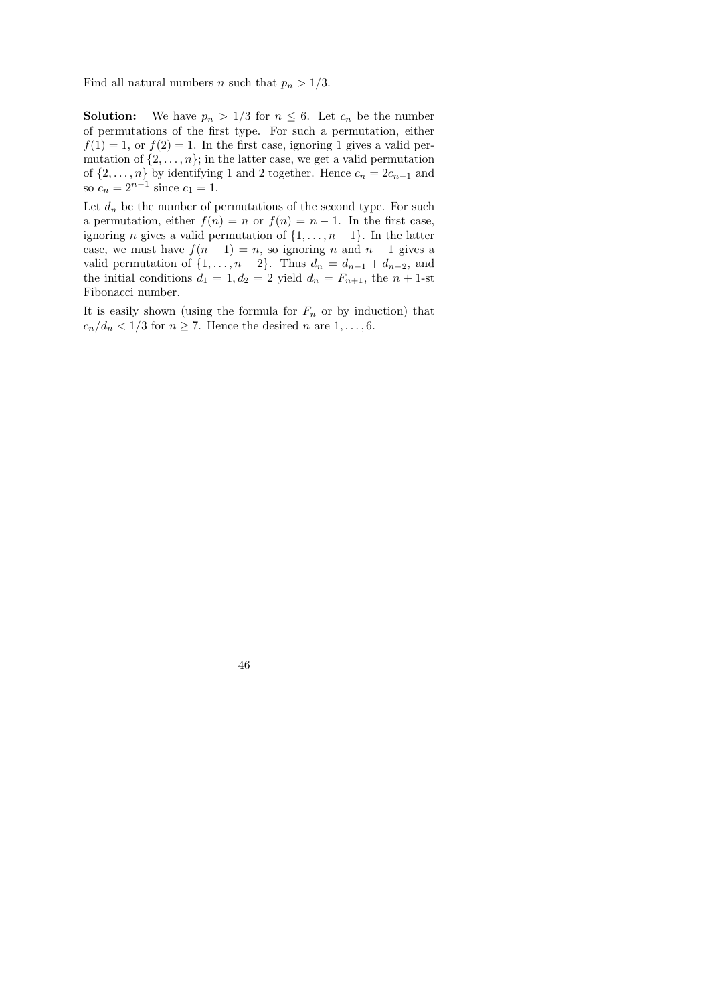Find all natural numbers *n* such that  $p_n > 1/3$ .

**Solution:** We have  $p_n > 1/3$  for  $n \leq 6$ . Let  $c_n$  be the number of permutations of the first type. For such a permutation, either  $f(1) = 1$ , or  $f(2) = 1$ . In the first case, ignoring 1 gives a valid permutation of  $\{2, \ldots, n\}$ ; in the latter case, we get a valid permutation of  $\{2,\ldots,n\}$  by identifying 1 and 2 together. Hence  $c_n = 2c_{n-1}$  and so  $c_n = 2^{n-1}$  since  $c_1 = 1$ .

Let  $d_n$  be the number of permutations of the second type. For such a permutation, either  $f(n) = n$  or  $f(n) = n - 1$ . In the first case, ignoring *n* gives a valid permutation of  $\{1, \ldots, n-1\}$ . In the latter case, we must have  $f(n-1) = n$ , so ignoring n and  $n-1$  gives a valid permutation of  $\{1, \ldots, n-2\}$ . Thus  $d_n = d_{n-1} + d_{n-2}$ , and the initial conditions  $d_1 = 1, d_2 = 2$  yield  $d_n = F_{n+1}$ , the  $n+1$ -st Fibonacci number.

It is easily shown (using the formula for  $F_n$  or by induction) that  $c_n/d_n < 1/3$  for  $n \ge 7$ . Hence the desired n are  $1, \ldots, 6$ .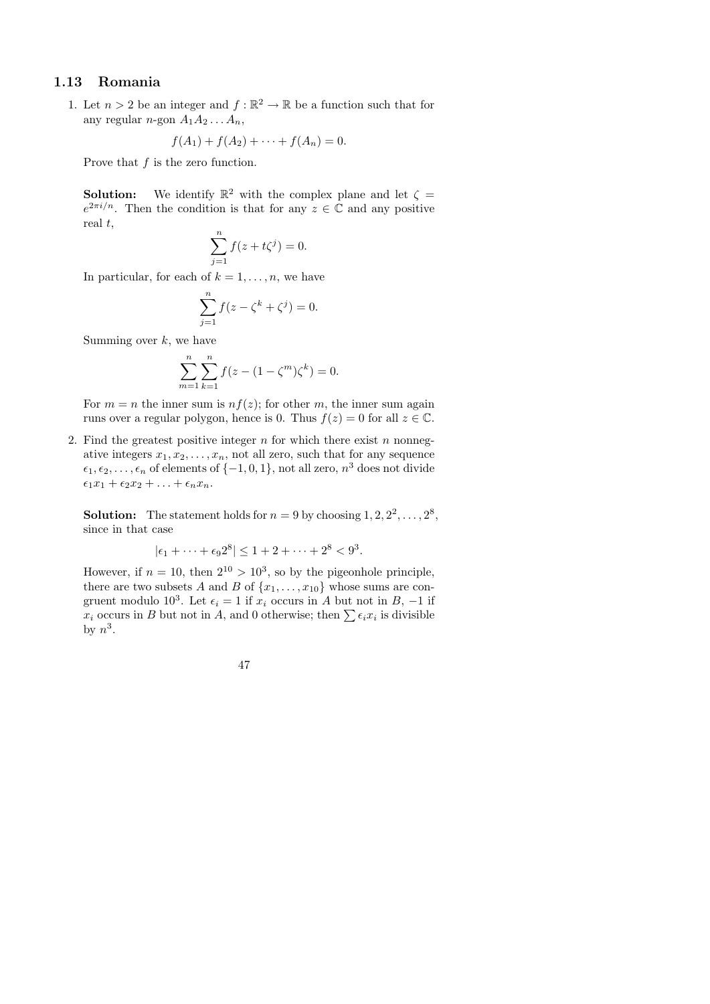## 1.13 Romania

1. Let  $n > 2$  be an integer and  $f : \mathbb{R}^2 \to \mathbb{R}$  be a function such that for any regular n-gon  $A_1A_2...A_n$ ,

$$
f(A_1) + f(A_2) + \cdots + f(A_n) = 0.
$$

Prove that  $f$  is the zero function.

**Solution:** We identify  $\mathbb{R}^2$  with the complex plane and let  $\zeta =$  $e^{2\pi i/n}$ . Then the condition is that for any  $z \in \mathbb{C}$  and any positive real  $t$ ,

$$
\sum_{j=1}^{n} f(z + t\zeta^{j}) = 0.
$$

In particular, for each of  $k = 1, \ldots, n$ , we have

$$
\sum_{j=1}^{n} f(z - \zeta^{k} + \zeta^{j}) = 0.
$$

Summing over  $k$ , we have

$$
\sum_{m=1}^{n} \sum_{k=1}^{n} f(z - (1 - \zeta^m)\zeta^k) = 0.
$$

For  $m = n$  the inner sum is  $nf(z)$ ; for other m, the inner sum again runs over a regular polygon, hence is 0. Thus  $f(z) = 0$  for all  $z \in \mathbb{C}$ .

2. Find the greatest positive integer  $n$  for which there exist  $n$  nonnegative integers  $x_1, x_2, \ldots, x_n$ , not all zero, such that for any sequence  $\epsilon_1, \epsilon_2, \ldots, \epsilon_n$  of elements of  $\{-1, 0, 1\}$ , not all zero,  $n^3$  does not divide  $\epsilon_1x_1 + \epsilon_2x_2 + \ldots + \epsilon_nx_n.$ 

**Solution:** The statement holds for  $n = 9$  by choosing  $1, 2, 2^2, \ldots, 2^8$ , since in that case

$$
|\epsilon_1 + \cdots + \epsilon_9 2^8| \le 1 + 2 + \cdots + 2^8 < 9^3.
$$

However, if  $n = 10$ , then  $2^{10} > 10^3$ , so by the pigeonhole principle, there are two subsets A and B of  $\{x_1, \ldots, x_{10}\}$  whose sums are congruent modulo 10<sup>3</sup>. Let  $\epsilon_i = 1$  if  $x_i$  occurs in A but not in B, -1 if  $x_i$  occurs in B but not in A, and 0 otherwise; then  $\sum \epsilon_i x_i$  is divisible by  $n^3$ .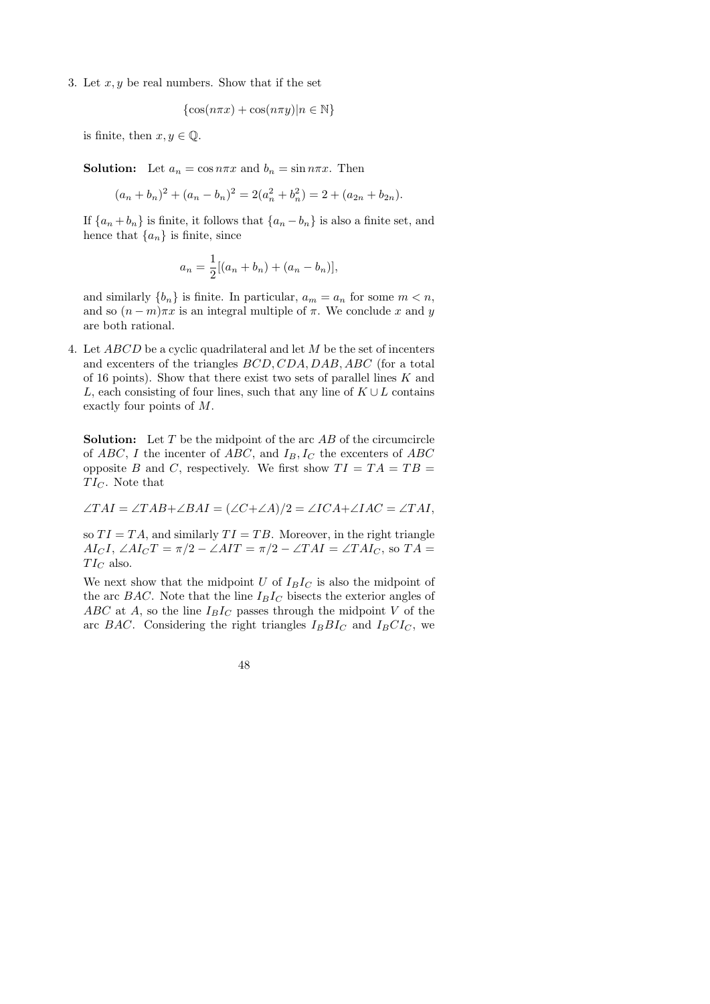3. Let  $x, y$  be real numbers. Show that if the set

$$
\{\cos(n\pi x) + \cos(n\pi y)|n \in \mathbb{N}\}\
$$

is finite, then  $x, y \in \mathbb{Q}$ .

**Solution:** Let  $a_n = \cos n\pi x$  and  $b_n = \sin n\pi x$ . Then

$$
(a_n + b_n)^2 + (a_n - b_n)^2 = 2(a_n^2 + b_n^2) = 2 + (a_{2n} + b_{2n}).
$$

If  $\{a_n + b_n\}$  is finite, it follows that  $\{a_n - b_n\}$  is also a finite set, and hence that  $\{a_n\}$  is finite, since

$$
a_n = \frac{1}{2} [(a_n + b_n) + (a_n - b_n)],
$$

and similarly  $\{b_n\}$  is finite. In particular,  $a_m = a_n$  for some  $m < n$ , and so  $(n - m)\pi x$  is an integral multiple of  $\pi$ . We conclude x and y are both rational.

4. Let ABCD be a cyclic quadrilateral and let M be the set of incenters and excenters of the triangles BCD, CDA, DAB, ABC (for a total of 16 points). Show that there exist two sets of parallel lines K and L, each consisting of four lines, such that any line of  $K \cup L$  contains exactly four points of M.

**Solution:** Let  $T$  be the midpoint of the arc  $AB$  of the circumcircle of  $ABC$ , I the incenter of  $ABC$ , and  $I_B$ ,  $I_C$  the excenters of  $ABC$ opposite B and C, respectively. We first show  $TI = TA = TB =$  $TI_C$ . Note that

$$
\angle TAI = \angle TAB + \angle BAI = (\angle C + \angle A)/2 = \angle ICA + \angle IAC = \angle TAI,
$$

so  $TI = TA$ , and similarly  $TI = TB$ . Moreover, in the right triangle  $A I_C I$ ,  $\angle A I_C T = \pi/2 - \angle A T = \pi/2 - \angle T A I = \angle T A I_C$ , so  $T A =$  $TI_C$  also.

We next show that the midpoint  $U$  of  $I_B I_C$  is also the midpoint of the arc BAC. Note that the line  $I_B I_C$  bisects the exterior angles of ABC at A, so the line  $I_B I_C$  passes through the midpoint V of the arc BAC. Considering the right triangles  $I_B B I_C$  and  $I_B C I_C$ , we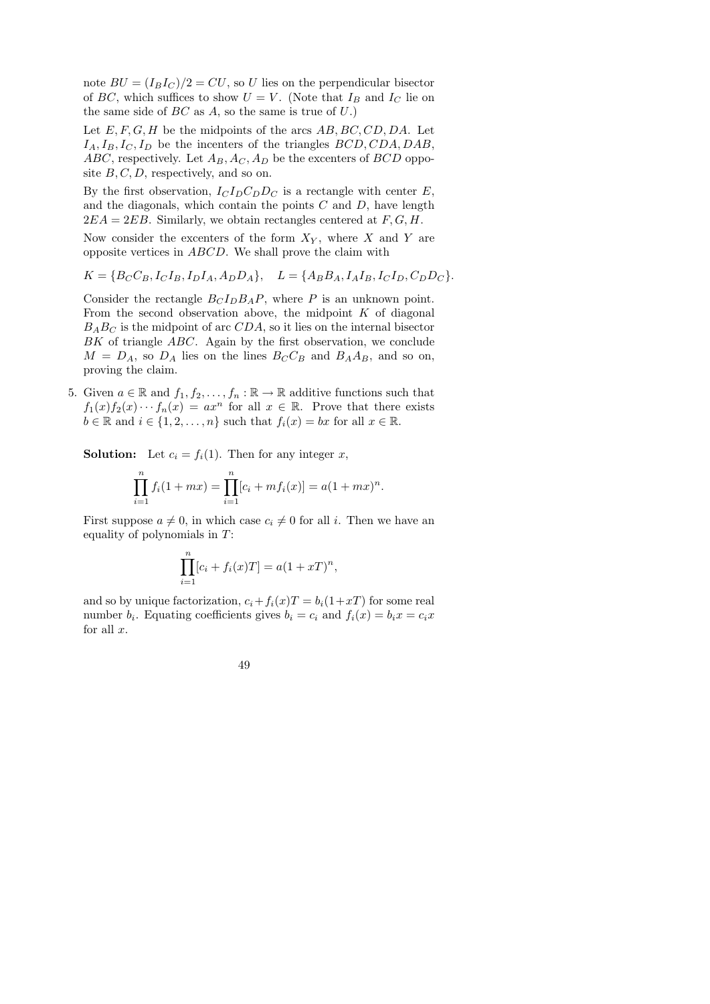note  $BU = (I_B I_C)/2 = CU$ , so U lies on the perpendicular bisector of BC, which suffices to show  $U = V$ . (Note that  $I_B$  and  $I_C$  lie on the same side of  $BC$  as  $A$ , so the same is true of  $U$ .)

Let  $E, F, G, H$  be the midpoints of the arcs  $AB, BC, CD, DA$ . Let  $I_A, I_B, I_C, I_D$  be the incenters of the triangles  $BCD, CDA, DAB$ , ABC, respectively. Let  $A_B$ ,  $A_C$ ,  $A_D$  be the excenters of BCD opposite  $B, C, D$ , respectively, and so on.

By the first observation,  $I_C I_D C_D D_C$  is a rectangle with center E, and the diagonals, which contain the points  $C$  and  $D$ , have length  $2EA = 2EB$ . Similarly, we obtain rectangles centered at  $F, G, H$ .

Now consider the excenters of the form  $X_Y$ , where X and Y are opposite vertices in ABCD. We shall prove the claim with

$$
K = \{B_C C_B, I_C I_B, I_D I_A, A_D D_A\}, \quad L = \{A_B B_A, I_A I_B, I_C I_D, C_D D_C\}.
$$

Consider the rectangle  $B_C I_D B_A P$ , where P is an unknown point. From the second observation above, the midpoint  $K$  of diagonal  $B_{A}B_{C}$  is the midpoint of arc CDA, so it lies on the internal bisector BK of triangle ABC. Again by the first observation, we conclude  $M = D_A$ , so  $D_A$  lies on the lines  $B_C C_B$  and  $B_A A_B$ , and so on, proving the claim.

5. Given  $a \in \mathbb{R}$  and  $f_1, f_2, \ldots, f_n : \mathbb{R} \to \mathbb{R}$  additive functions such that  $f_1(x)f_2(x)\cdots f_n(x) = ax^n$  for all  $x \in \mathbb{R}$ . Prove that there exists  $b \in \mathbb{R}$  and  $i \in \{1, 2, \ldots, n\}$  such that  $f_i(x) = bx$  for all  $x \in \mathbb{R}$ .

**Solution:** Let  $c_i = f_i(1)$ . Then for any integer x,

$$
\prod_{i=1}^{n} f_i(1+mx) = \prod_{i=1}^{n} [c_i + mf_i(x)] = a(1+mx)^n.
$$

First suppose  $a \neq 0$ , in which case  $c_i \neq 0$  for all i. Then we have an equality of polynomials in T:

$$
\prod_{i=1}^{n} [c_i + f_i(x)T] = a(1 + xT)^n,
$$

and so by unique factorization,  $c_i+f_i(x)T = b_i(1+xT)$  for some real number  $b_i$ . Equating coefficients gives  $b_i = c_i$  and  $f_i(x) = b_i x = c_i x$ for all  $x$ .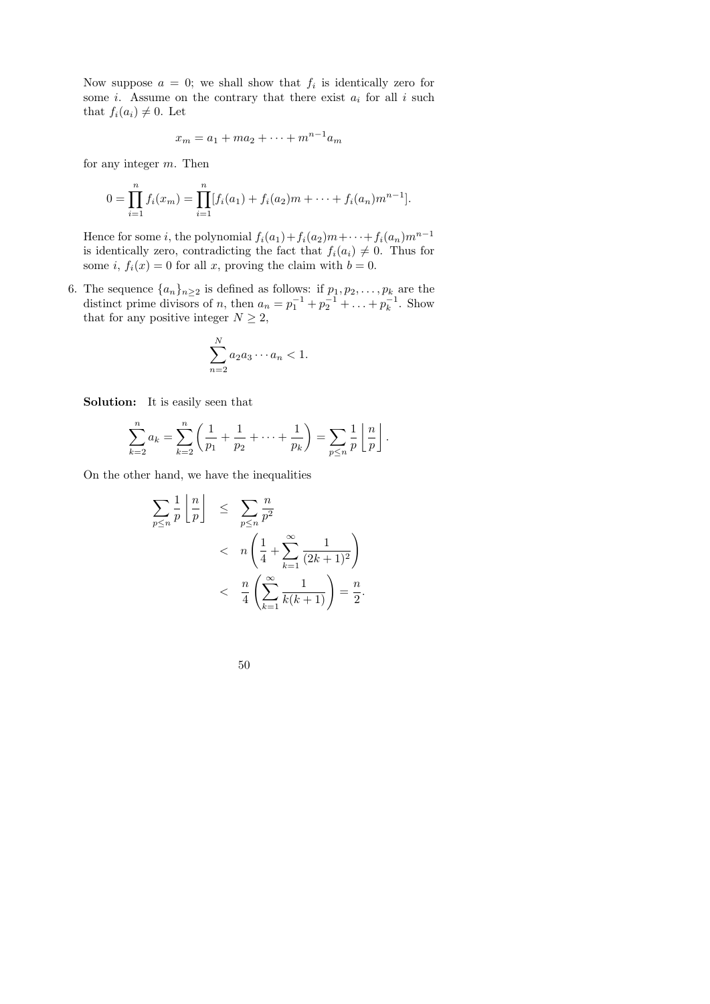Now suppose  $a = 0$ ; we shall show that  $f_i$  is identically zero for some i. Assume on the contrary that there exist  $a_i$  for all i such that  $f_i(a_i) \neq 0$ . Let

$$
x_m = a_1 + ma_2 + \dots + m^{n-1}a_m
$$

for any integer  $m$ . Then

$$
0 = \prod_{i=1}^{n} f_i(x_m) = \prod_{i=1}^{n} [f_i(a_1) + f_i(a_2)m + \cdots + f_i(a_n)m^{n-1}].
$$

Hence for some i, the polynomial  $f_i(a_1)+f_i(a_2)m+\cdots+f_i(a_n)m^{n-1}$ is identically zero, contradicting the fact that  $f_i(a_i) \neq 0$ . Thus for some i,  $f_i(x) = 0$  for all x, proving the claim with  $b = 0$ .

6. The sequence  $\{a_n\}_{n\geq 2}$  is defined as follows: if  $p_1, p_2, \ldots, p_k$  are the distinct prime divisors of n, then  $a_n = p_1^{-1} + p_2^{-1} + \ldots + p_k^{-1}$ . Show that for any positive integer  $N \geq 2$ ,

$$
\sum_{n=2}^{N} a_2 a_3 \cdots a_n < 1.
$$

Solution: It is easily seen that

$$
\sum_{k=2}^{n} a_k = \sum_{k=2}^{n} \left( \frac{1}{p_1} + \frac{1}{p_2} + \dots + \frac{1}{p_k} \right) = \sum_{p \le n} \frac{1}{p} \left\lfloor \frac{n}{p} \right\rfloor.
$$

On the other hand, we have the inequalities

$$
\sum_{p\leq n} \frac{1}{p} \left\lfloor \frac{n}{p} \right\rfloor \leq \sum_{p\leq n} \frac{n}{p^2}
$$
\n
$$
< n \left( \frac{1}{4} + \sum_{k=1}^{\infty} \frac{1}{(2k+1)^2} \right)
$$
\n
$$
< \frac{n}{4} \left( \sum_{k=1}^{\infty} \frac{1}{k(k+1)} \right) = \frac{n}{2}.
$$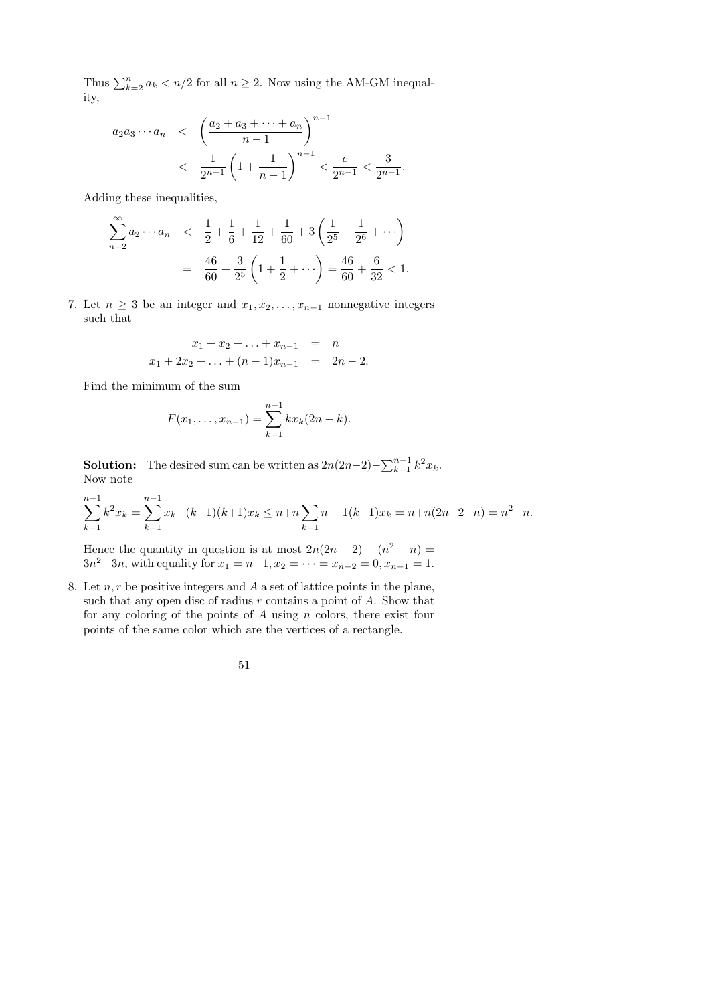Thus  $\sum_{k=2}^{n} a_k < n/2$  for all  $n \ge 2$ . Now using the AM-GM inequality,

$$
a_2 a_3 \cdots a_n \quad < \quad \left(\frac{a_2 + a_3 + \cdots + a_n}{n-1}\right)^{n-1} \\
 < \quad \frac{1}{2^{n-1}} \left(1 + \frac{1}{n-1}\right)^{n-1} < \frac{e}{2^{n-1}} < \frac{3}{2^{n-1}}.
$$

Adding these inequalities,

$$
\sum_{n=2}^{\infty} a_2 \cdots a_n \quad < \quad \frac{1}{2} + \frac{1}{6} + \frac{1}{12} + \frac{1}{60} + 3 \left( \frac{1}{2^5} + \frac{1}{2^6} + \cdots \right) \\
= \quad \frac{46}{60} + \frac{3}{2^5} \left( 1 + \frac{1}{2} + \cdots \right) = \frac{46}{60} + \frac{6}{32} < 1.
$$

7. Let  $n \geq 3$  be an integer and  $x_1, x_2, \ldots, x_{n-1}$  nonnegative integers such that

$$
x_1 + x_2 + \ldots + x_{n-1} = n
$$
  

$$
x_1 + 2x_2 + \ldots + (n-1)x_{n-1} = 2n - 2.
$$

Find the minimum of the sum

$$
F(x_1, \ldots, x_{n-1}) = \sum_{k=1}^{n-1} k x_k (2n - k).
$$

**Solution:** The desired sum can be written as  $2n(2n-2)-\sum_{k=1}^{n-1}k^2x_k$ . Now note

$$
\sum_{k=1}^{n-1} k^2 x_k = \sum_{k=1}^{n-1} x_k + (k-1)(k+1)x_k \le n + n \sum_{k=1}^{n} n - 1(k-1)x_k = n + n(2n - 2 - n) = n^2 - n.
$$

Hence the quantity in question is at most  $2n(2n-2) - (n^2 - n) =$  $3n^2-3n$ , with equality for  $x_1 = n-1$ ,  $x_2 = \cdots = x_{n-2} = 0$ ,  $x_{n-1} = 1$ .

8. Let  $n, r$  be positive integers and  $A$  a set of lattice points in the plane, such that any open disc of radius  $r$  contains a point of  $A$ . Show that for any coloring of the points of  $A$  using  $n$  colors, there exist four points of the same color which are the vertices of a rectangle.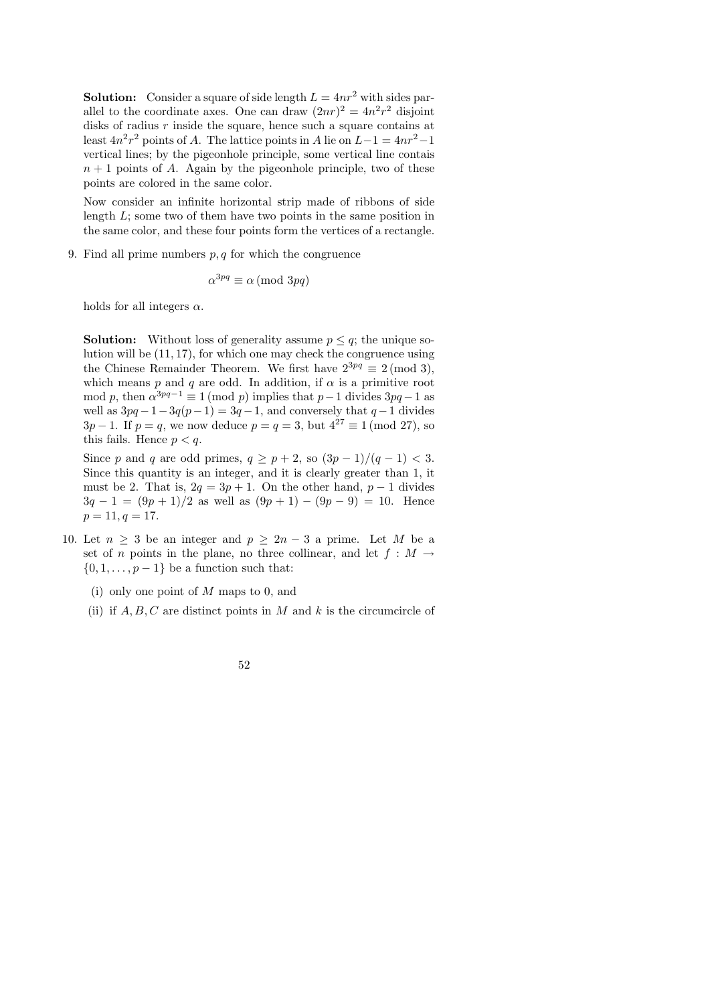**Solution:** Consider a square of side length  $L = 4nr^2$  with sides parallel to the coordinate axes. One can draw  $(2nr)^2 = 4n^2r^2$  disjoint disks of radius  $r$  inside the square, hence such a square contains at least  $4n^2r^2$  points of A. The lattice points in A lie on  $L-1 = 4nr^2-1$ vertical lines; by the pigeonhole principle, some vertical line contais  $n + 1$  points of A. Again by the pigeonhole principle, two of these points are colored in the same color.

Now consider an infinite horizontal strip made of ribbons of side length L; some two of them have two points in the same position in the same color, and these four points form the vertices of a rectangle.

9. Find all prime numbers  $p, q$  for which the congruence

$$
\alpha^{3pq} \equiv \alpha \pmod{3pq}
$$

holds for all integers  $\alpha$ .

**Solution:** Without loss of generality assume  $p \leq q$ ; the unique solution will be (11, 17), for which one may check the congruence using the Chinese Remainder Theorem. We first have  $2^{3pq} \equiv 2 \pmod{3}$ , which means p and q are odd. In addition, if  $\alpha$  is a primitive root mod p, then  $\alpha^{3pq-1} \equiv 1 \pmod{p}$  implies that p - 1 divides 3pq - 1 as well as  $3pq-1-3q(p-1) = 3q-1$ , and conversely that  $q-1$  divides  $3p - 1$ . If  $p = q$ , we now deduce  $p = q = 3$ , but  $4^{27} \equiv 1 \pmod{27}$ , so this fails. Hence  $p < q$ .

Since p and q are odd primes,  $q \ge p+2$ , so  $(3p-1)/(q-1) < 3$ . Since this quantity is an integer, and it is clearly greater than 1, it must be 2. That is,  $2q = 3p + 1$ . On the other hand,  $p - 1$  divides  $3q - 1 = (9p + 1)/2$  as well as  $(9p + 1) - (9p - 9) = 10$ . Hence  $p = 11, q = 17.$ 

- 10. Let  $n \geq 3$  be an integer and  $p \geq 2n-3$  a prime. Let M be a set of n points in the plane, no three collinear, and let  $f : M \rightarrow$  $\{0, 1, \ldots, p-1\}$  be a function such that:
	- (i) only one point of M maps to 0, and
	- (ii) if  $A, B, C$  are distinct points in M and k is the circumcircle of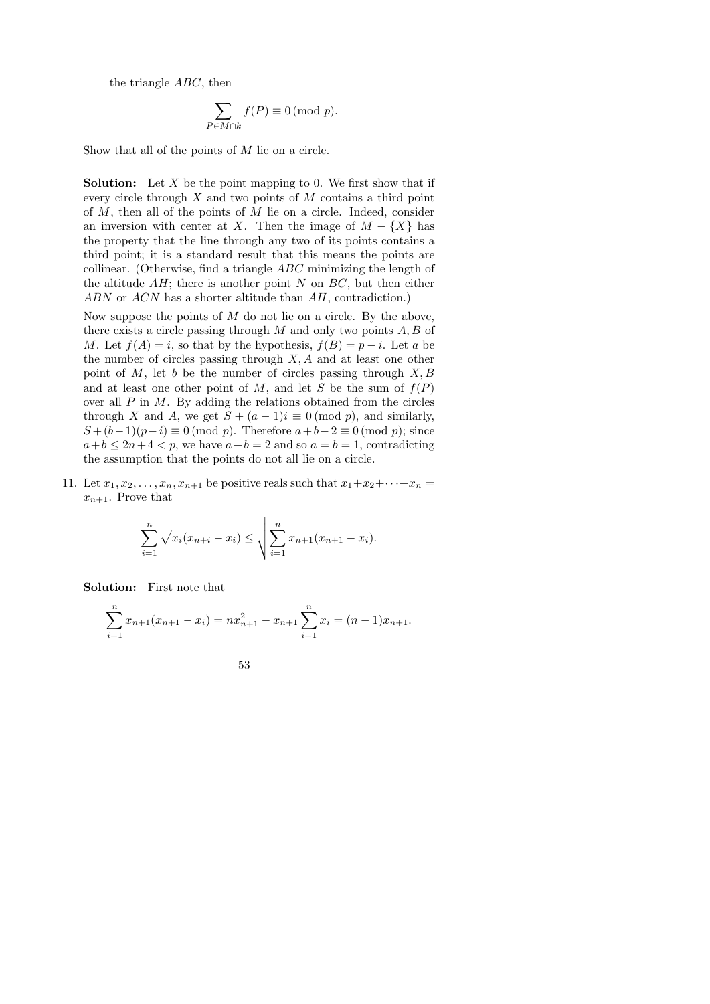the triangle ABC, then

$$
\sum_{P \in M \cap k} f(P) \equiv 0 \pmod{p}.
$$

Show that all of the points of M lie on a circle.

**Solution:** Let X be the point mapping to 0. We first show that if every circle through  $X$  and two points of  $M$  contains a third point of  $M$ , then all of the points of  $M$  lie on a circle. Indeed, consider an inversion with center at X. Then the image of  $M - \{X\}$  has the property that the line through any two of its points contains a third point; it is a standard result that this means the points are collinear. (Otherwise, find a triangle ABC minimizing the length of the altitude  $AH$ ; there is another point N on BC, but then either ABN or ACN has a shorter altitude than AH, contradiction.)

Now suppose the points of  $M$  do not lie on a circle. By the above, there exists a circle passing through  $M$  and only two points  $A, B$  of M. Let  $f(A) = i$ , so that by the hypothesis,  $f(B) = p - i$ . Let a be the number of circles passing through  $X$ ,  $A$  and at least one other point of  $M$ , let b be the number of circles passing through  $X, B$ and at least one other point of M, and let S be the sum of  $f(P)$ over all  $P$  in  $M$ . By adding the relations obtained from the circles through X and A, we get  $S + (a-1)i \equiv 0 \pmod{p}$ , and similarly,  $S + (b-1)(p-i) \equiv 0 \pmod{p}$ . Therefore  $a+b-2 \equiv 0 \pmod{p}$ ; since  $a+b \leq 2n+4 < p$ , we have  $a+b=2$  and so  $a=b=1$ , contradicting the assumption that the points do not all lie on a circle.

11. Let  $x_1, x_2, \ldots, x_n, x_{n+1}$  be positive reals such that  $x_1+x_2+\cdots+x_n$  $x_{n+1}$ . Prove that

$$
\sum_{i=1}^{n} \sqrt{x_i(x_{n+i} - x_i)} \le \sqrt{\sum_{i=1}^{n} x_{n+1}(x_{n+1} - x_i)}.
$$

Solution: First note that

$$
\sum_{i=1}^{n} x_{n+1}(x_{n+1} - x_i) = nx_{n+1}^2 - x_{n+1} \sum_{i=1}^{n} x_i = (n-1)x_{n+1}.
$$

$$
53\,
$$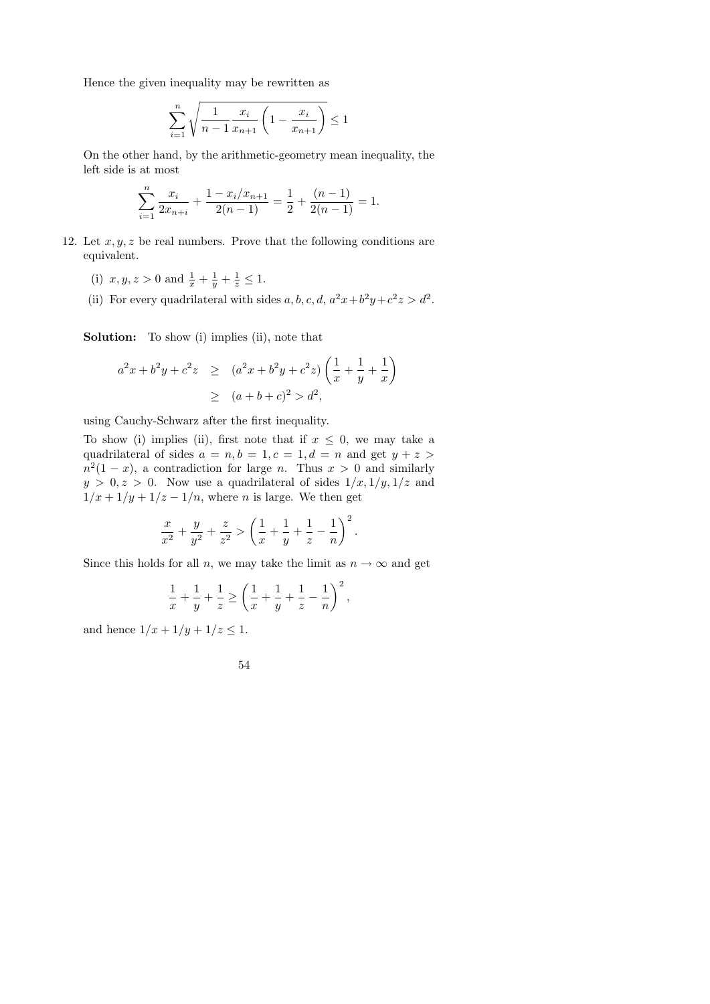Hence the given inequality may be rewritten as

$$
\sum_{i=1}^{n} \sqrt{\frac{1}{n-1} \frac{x_i}{x_{n+1}} \left(1 - \frac{x_i}{x_{n+1}}\right)} \le 1
$$

On the other hand, by the arithmetic-geometry mean inequality, the left side is at most

$$
\sum_{i=1}^{n} \frac{x_i}{2x_{n+i}} + \frac{1 - x_i/x_{n+1}}{2(n-1)} = \frac{1}{2} + \frac{(n-1)}{2(n-1)} = 1.
$$

- 12. Let  $x, y, z$  be real numbers. Prove that the following conditions are equivalent.
	- (i)  $x, y, z > 0$  and  $\frac{1}{x} + \frac{1}{y} + \frac{1}{z} \leq 1$ .
	- (ii) For every quadrilateral with sides  $a, b, c, d, a^2x+b^2y+c^2z > d^2$ .

Solution: To show (i) implies (ii), note that

$$
a^{2}x + b^{2}y + c^{2}z \ge (a^{2}x + b^{2}y + c^{2}z) \left(\frac{1}{x} + \frac{1}{y} + \frac{1}{x}\right)
$$
  
 
$$
\ge (a + b + c)^{2} > d^{2},
$$

using Cauchy-Schwarz after the first inequality.

To show (i) implies (ii), first note that if  $x \leq 0$ , we may take a quadrilateral of sides  $a = n, b = 1, c = 1, d = n$  and get  $y + z$  $n^2(1-x)$ , a contradiction for large n. Thus  $x > 0$  and similarly  $y > 0, z > 0$ . Now use a quadrilateral of sides  $1/x, 1/y, 1/z$  and  $1/x + 1/y + 1/z - 1/n$ , where *n* is large. We then get

$$
\frac{x}{x^2} + \frac{y}{y^2} + \frac{z}{z^2} > \left(\frac{1}{x} + \frac{1}{y} + \frac{1}{z} - \frac{1}{n}\right)^2.
$$

Since this holds for all n, we may take the limit as  $n \to \infty$  and get

$$
\frac{1}{x} + \frac{1}{y} + \frac{1}{z} \ge \left(\frac{1}{x} + \frac{1}{y} + \frac{1}{z} - \frac{1}{n}\right)^2,
$$

and hence  $1/x + 1/y + 1/z \le 1$ .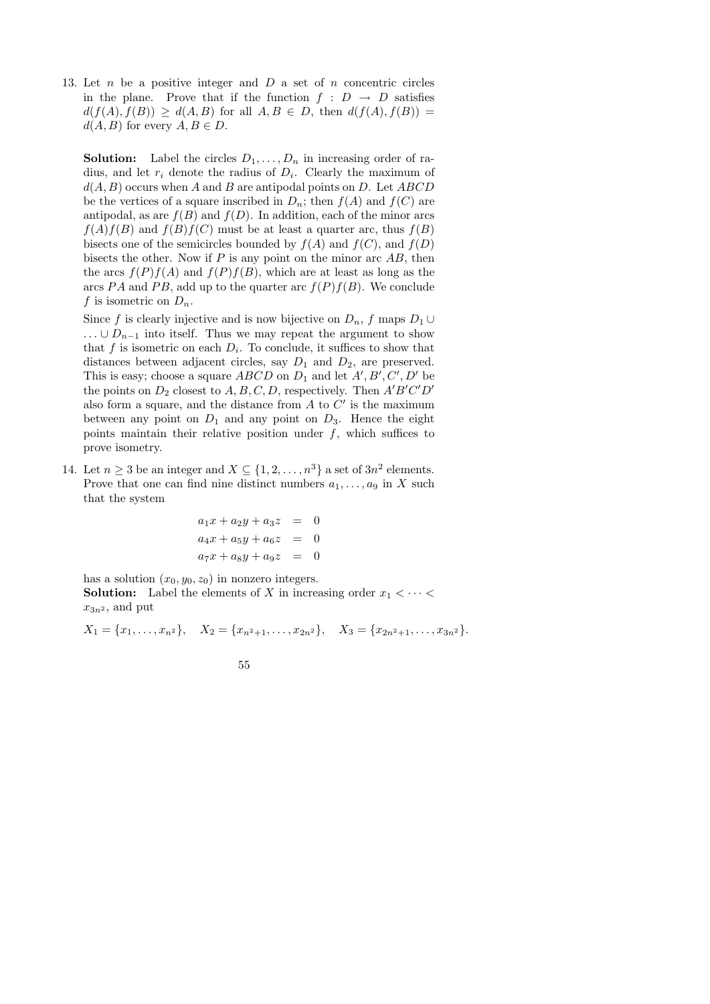13. Let  $n$  be a positive integer and  $D$  a set of  $n$  concentric circles in the plane. Prove that if the function  $f : D \to D$  satisfies  $d(f(A), f(B)) \geq d(A, B)$  for all  $A, B \in D$ , then  $d(f(A), f(B)) =$  $d(A, B)$  for every  $A, B \in D$ .

**Solution:** Label the circles  $D_1, \ldots, D_n$  in increasing order of radius, and let  $r_i$  denote the radius of  $D_i$ . Clearly the maximum of  $d(A, B)$  occurs when A and B are antipodal points on D. Let ABCD be the vertices of a square inscribed in  $D_n$ ; then  $f(A)$  and  $f(C)$  are antipodal, as are  $f(B)$  and  $f(D)$ . In addition, each of the minor arcs  $f(A)f(B)$  and  $f(B)f(C)$  must be at least a quarter arc, thus  $f(B)$ bisects one of the semicircles bounded by  $f(A)$  and  $f(C)$ , and  $f(D)$ bisects the other. Now if  $P$  is any point on the minor arc  $AB$ , then the arcs  $f(P)f(A)$  and  $f(P)f(B)$ , which are at least as long as the arcs PA and PB, add up to the quarter arc  $f(P)f(B)$ . We conclude f is isometric on  $D_n$ .

Since f is clearly injective and is now bijective on  $D_n$ , f maps  $D_1 \cup$ ... ∪  $D_{n-1}$  into itself. Thus we may repeat the argument to show that f is isometric on each  $D_i$ . To conclude, it suffices to show that distances between adjacent circles, say  $D_1$  and  $D_2$ , are preserved. This is easy; choose a square  $ABCD$  on  $D_1$  and let  $A', B', C', D'$  be the points on  $D_2$  closest to  $A, B, C, D$ , respectively. Then  $A'B'C'D'$ also form a square, and the distance from  $A$  to  $C'$  is the maximum between any point on  $D_1$  and any point on  $D_3$ . Hence the eight points maintain their relative position under  $f$ , which suffices to prove isometry.

14. Let  $n \geq 3$  be an integer and  $X \subseteq \{1, 2, ..., n^3\}$  a set of  $3n^2$  elements. Prove that one can find nine distinct numbers  $a_1, \ldots, a_9$  in X such that the system

$$
a_1x + a_2y + a_3z = 0
$$
  

$$
a_4x + a_5y + a_6z = 0
$$
  

$$
a_7x + a_8y + a_9z = 0
$$

has a solution  $(x_0, y_0, z_0)$  in nonzero integers. **Solution:** Label the elements of X in increasing order  $x_1 < \cdots <$  $x_{3n^2}$ , and put

$$
X_1 = \{x_1, \ldots, x_{n^2}\}, \quad X_2 = \{x_{n^2+1}, \ldots, x_{2n^2}\}, \quad X_3 = \{x_{2n^2+1}, \ldots, x_{3n^2}\}.
$$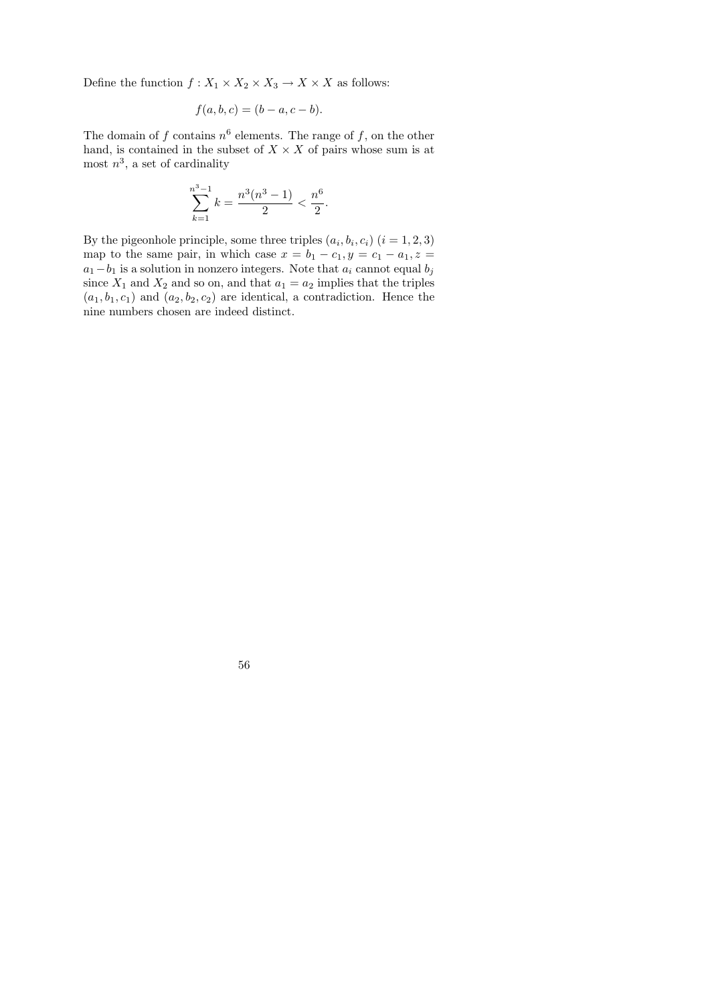Define the function  $f: X_1 \times X_2 \times X_3 \to X \times X$  as follows:

$$
f(a,b,c) = (b-a,c-b).
$$

The domain of f contains  $n^6$  elements. The range of f, on the other hand, is contained in the subset of  $X \times X$  of pairs whose sum is at most  $n^3$ , a set of cardinality

$$
\sum_{k=1}^{n^3-1} k = \frac{n^3(n^3-1)}{2} < \frac{n^6}{2}.
$$

By the pigeonhole principle, some three triples  $(a_i, b_i, c_i)$   $(i = 1, 2, 3)$ map to the same pair, in which case  $x = b_1 - c_1, y = c_1 - a_1, z =$  $a_1-b_1$  is a solution in nonzero integers. Note that  $a_i$  cannot equal  $b_j$ since  $X_1$  and  $X_2$  and so on, and that  $a_1 = a_2$  implies that the triples  $(a_1, b_1, c_1)$  and  $(a_2, b_2, c_2)$  are identical, a contradiction. Hence the nine numbers chosen are indeed distinct.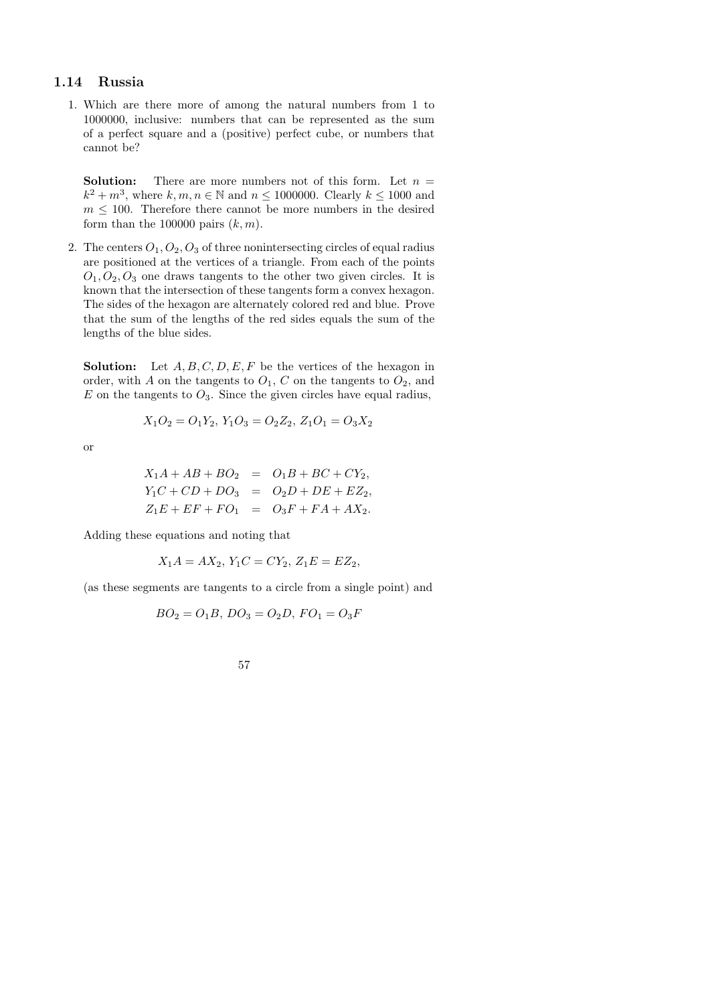## 1.14 Russia

1. Which are there more of among the natural numbers from 1 to 1000000, inclusive: numbers that can be represented as the sum of a perfect square and a (positive) perfect cube, or numbers that cannot be?

**Solution:** There are more numbers not of this form. Let  $n =$  $k^2 + m^3$ , where  $k, m, n \in \mathbb{N}$  and  $n \le 1000000$ . Clearly  $k \le 1000$  and  $m \leq 100$ . Therefore there cannot be more numbers in the desired form than the 100000 pairs  $(k, m)$ .

2. The centers  $O_1$ ,  $O_2$ ,  $O_3$  of three nonintersecting circles of equal radius are positioned at the vertices of a triangle. From each of the points  $O_1, O_2, O_3$  one draws tangents to the other two given circles. It is known that the intersection of these tangents form a convex hexagon. The sides of the hexagon are alternately colored red and blue. Prove that the sum of the lengths of the red sides equals the sum of the lengths of the blue sides.

**Solution:** Let  $A, B, C, D, E, F$  be the vertices of the hexagon in order, with A on the tangents to  $O_1$ , C on the tangents to  $O_2$ , and  $E$  on the tangents to  $O_3$ . Since the given circles have equal radius,

$$
X_1O_2 = O_1Y_2
$$
,  $Y_1O_3 = O_2Z_2$ ,  $Z_1O_1 = O_3X_2$ 

or

$$
X_1A + AB + BO_2 = O_1B + BC + CY_2,
$$
  
\n
$$
Y_1C + CD + DO_3 = O_2D + DE + EZ_2,
$$
  
\n
$$
Z_1E + EF + FO_1 = O_3F + FA + AX_2.
$$

Adding these equations and noting that

$$
X_1A = AX_2, Y_1C = CY_2, Z_1E = EZ_2,
$$

(as these segments are tangents to a circle from a single point) and

$$
BO_2 = O_1B
$$
,  $DO_3 = O_2D$ ,  $FO_1 = O_3F$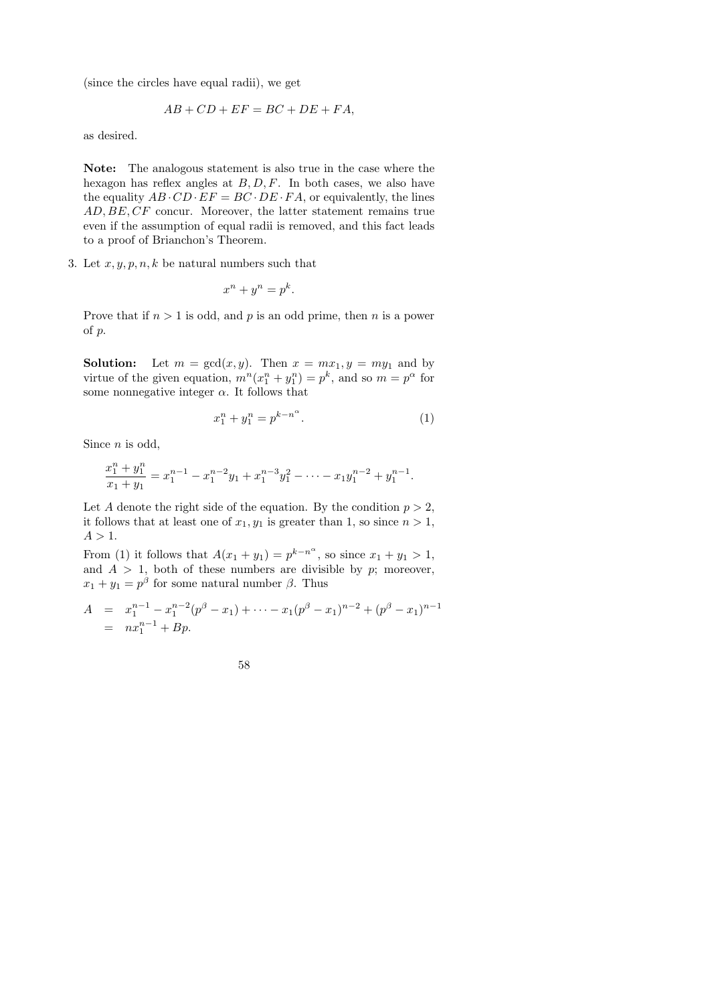(since the circles have equal radii), we get

$$
AB + CD + EF = BC + DE + FA,
$$

as desired.

Note: The analogous statement is also true in the case where the hexagon has reflex angles at  $B, D, F$ . In both cases, we also have the equality  $AB \cdot CD \cdot EF = BC \cdot DE \cdot FA$ , or equivalently, the lines AD, BE, CF concur. Moreover, the latter statement remains true even if the assumption of equal radii is removed, and this fact leads to a proof of Brianchon's Theorem.

3. Let  $x, y, p, n, k$  be natural numbers such that

$$
x^n + y^n = p^k.
$$

Prove that if  $n > 1$  is odd, and p is an odd prime, then n is a power of p.

**Solution:** Let  $m = \gcd(x, y)$ . Then  $x = mx_1, y = my_1$  and by virtue of the given equation,  $m^n(x_1^n + y_1^n) = p^k$ , and so  $m = p^{\alpha}$  for some nonnegative integer  $\alpha$ . It follows that

$$
x_1^n + y_1^n = p^{k - n^{\alpha}}.\t\t(1)
$$

Since  $n$  is odd,

$$
\frac{x_1^n + y_1^n}{x_1 + y_1} = x_1^{n-1} - x_1^{n-2}y_1 + x_1^{n-3}y_1^2 - \dots - x_1y_1^{n-2} + y_1^{n-1}.
$$

Let A denote the right side of the equation. By the condition  $p > 2$ , it follows that at least one of  $x_1, y_1$  is greater than 1, so since  $n > 1$ ,  $A > 1$ .

From (1) it follows that  $A(x_1 + y_1) = p^{k-n^{\alpha}}$ , so since  $x_1 + y_1 > 1$ , and  $A > 1$ , both of these numbers are divisible by p; moreover,  $x_1 + y_1 = p^{\beta}$  for some natural number  $\beta$ . Thus

$$
A = x_1^{n-1} - x_1^{n-2}(p^{\beta} - x_1) + \dots - x_1(p^{\beta} - x_1)^{n-2} + (p^{\beta} - x_1)^{n-1}
$$
  
=  $nx_1^{n-1} + Bp$ .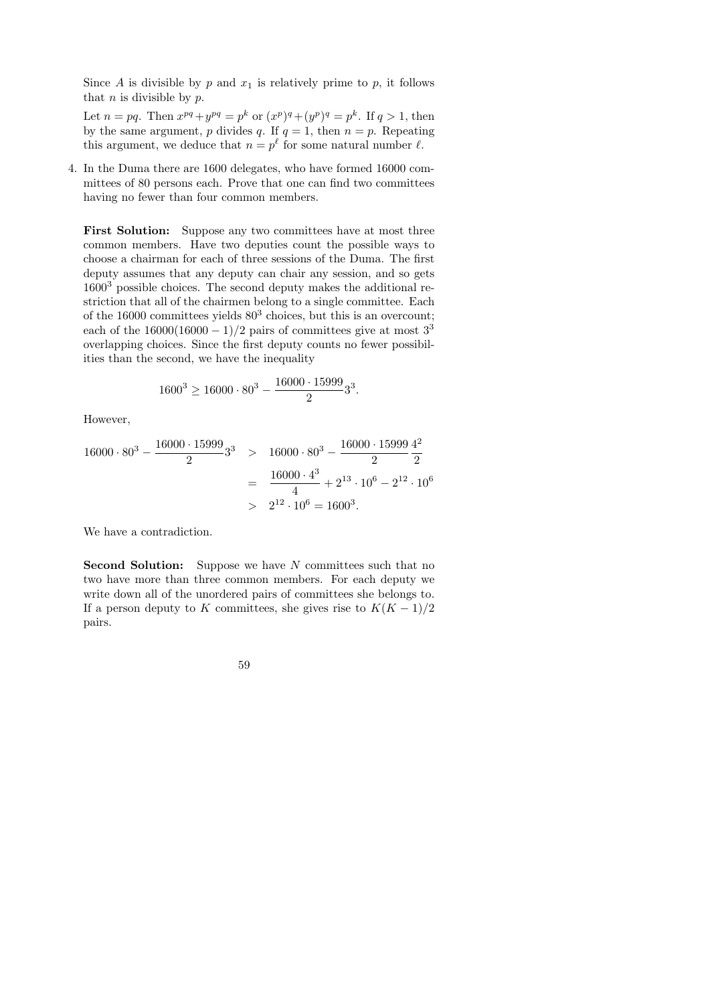Since A is divisible by p and  $x_1$  is relatively prime to p, it follows that  $n$  is divisible by  $p$ .

Let  $n = pq$ . Then  $x^{pq} + y^{pq} = p^k$  or  $(x^p)^q + (y^p)^q = p^k$ . If  $q > 1$ , then by the same argument, p divides q. If  $q = 1$ , then  $n = p$ . Repeating this argument, we deduce that  $n = p^{\ell}$  for some natural number  $\ell$ .

4. In the Duma there are 1600 delegates, who have formed 16000 committees of 80 persons each. Prove that one can find two committees having no fewer than four common members.

First Solution: Suppose any two committees have at most three common members. Have two deputies count the possible ways to choose a chairman for each of three sessions of the Duma. The first deputy assumes that any deputy can chair any session, and so gets 1600<sup>3</sup> possible choices. The second deputy makes the additional restriction that all of the chairmen belong to a single committee. Each of the 16000 committees yields  $80<sup>3</sup>$  choices, but this is an overcount; each of the  $16000(16000 - 1)/2$  pairs of committees give at most  $3<sup>3</sup>$ overlapping choices. Since the first deputy counts no fewer possibilities than the second, we have the inequality

$$
1600^3 \ge 16000 \cdot 80^3 - \frac{16000 \cdot 15999}{2}3^3.
$$

However,

$$
16000 \cdot 80^3 - \frac{16000 \cdot 15999}{2}3^3 \quad > \quad 16000 \cdot 80^3 - \frac{16000 \cdot 15999}{2} \frac{4^2}{2} \\
 = \quad \frac{16000 \cdot 4^3}{4} + 2^{13} \cdot 10^6 - 2^{12} \cdot 10^6 \\
 > \quad 2^{12} \cdot 10^6 = 1600^3.
$$

We have a contradiction.

**Second Solution:** Suppose we have  $N$  committees such that no two have more than three common members. For each deputy we write down all of the unordered pairs of committees she belongs to. If a person deputy to K committees, she gives rise to  $K(K-1)/2$ pairs.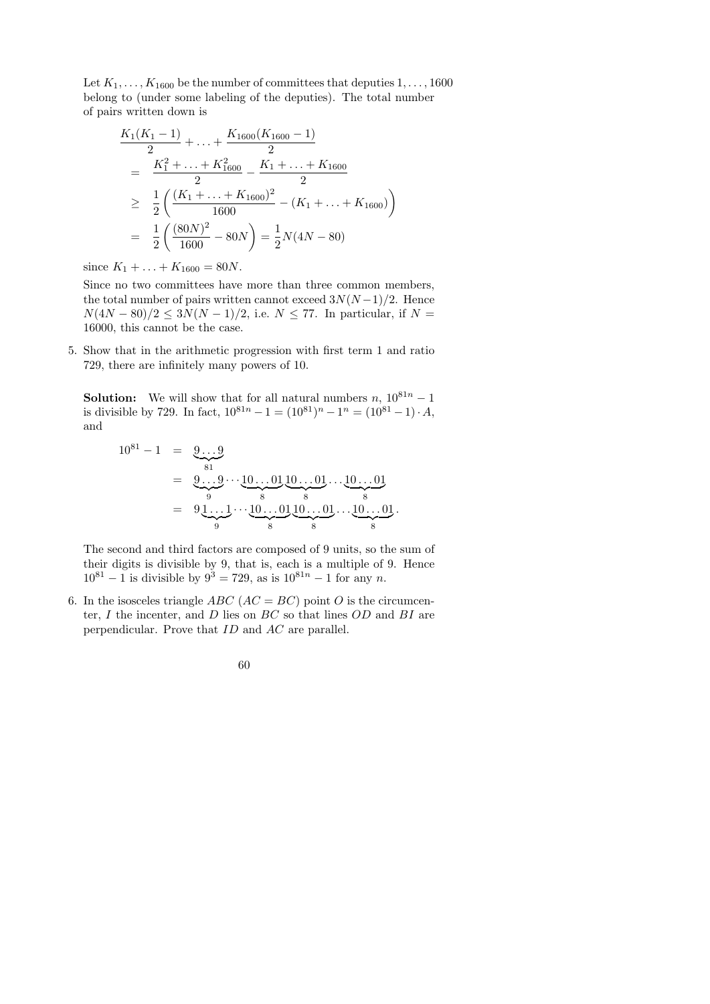Let  $K_1, \ldots, K_{1600}$  be the number of committees that deputies  $1, \ldots, 1600$ belong to (under some labeling of the deputies). The total number of pairs written down is

$$
\frac{K_1(K_1 - 1)}{2} + \dots + \frac{K_{1600}(K_{1600} - 1)}{2}
$$
\n
$$
= \frac{K_1^2 + \dots + K_{1600}^2}{2} - \frac{K_1 + \dots + K_{1600}}{2}
$$
\n
$$
\geq \frac{1}{2} \left( \frac{(K_1 + \dots + K_{1600})^2}{1600} - (K_1 + \dots + K_{1600}) \right)
$$
\n
$$
= \frac{1}{2} \left( \frac{(80N)^2}{1600} - 80N \right) = \frac{1}{2} N(4N - 80)
$$

since  $K_1 + \ldots + K_{1600} = 80N$ .

Since no two committees have more than three common members, the total number of pairs written cannot exceed  $3N(N-1)/2$ . Hence  $N(4N - 80)/2 \leq 3N(N - 1)/2$ , i.e.  $N \leq 77$ . In particular, if  $N =$ 16000, this cannot be the case.

5. Show that in the arithmetic progression with first term 1 and ratio 729, there are infinitely many powers of 10.

**Solution:** We will show that for all natural numbers n,  $10^{81n} - 1$ is divisible by 729. In fact,  $10^{81n} - 1 = (10^{81})^n - 1^n = (10^{81} - 1) \cdot A$ , and

$$
10^{81} - 1 = \underbrace{9...9}_{81} = \underbrace{9...9}_{8} \cdots \underbrace{10...01}_{8} \underbrace{10...01}_{8} \cdots \underbrace{10...01}_{8} \underbrace{8...}_{8}.
$$
  
= 9 \underbrace{1...1}\_{8} \cdots \underbrace{10...01}\_{8} \underbrace{10...01}\_{8} \cdots \underbrace{10...01}\_{8}.

The second and third factors are composed of 9 units, so the sum of their digits is divisible by 9, that is, each is a multiple of 9. Hence  $10^{81} - 1$  is divisible by  $9^3 = 729$ , as is  $10^{81n} - 1$  for any n.

6. In the isosceles triangle *ABC* ( $AC = BC$ ) point *O* is the circumcenter, I the incenter, and D lies on BC so that lines OD and BI are perpendicular. Prove that ID and AC are parallel.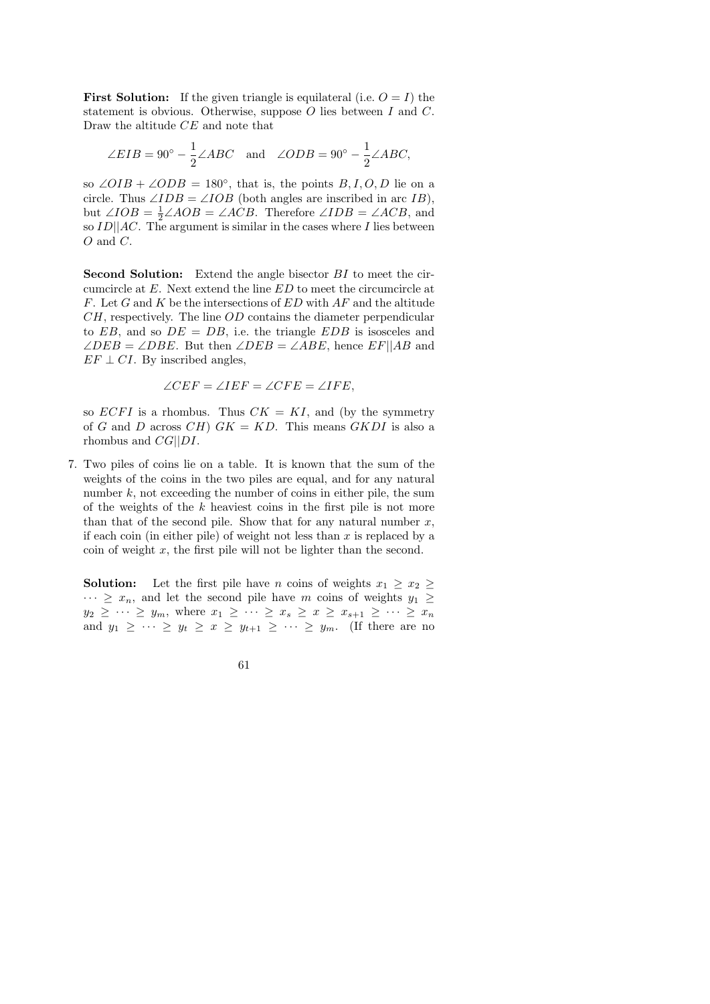**First Solution:** If the given triangle is equilateral (i.e.  $O = I$ ) the statement is obvious. Otherwise, suppose  $O$  lies between  $I$  and  $C$ . Draw the altitude CE and note that

$$
\angle EIB = 90^{\circ} - \frac{1}{2} \angle ABC
$$
 and  $\angle ODB = 90^{\circ} - \frac{1}{2} \angle ABC$ ,

so  $\angle OIB + \angle ODB = 180^\circ$ , that is, the points  $B, I, O, D$  lie on a circle. Thus  $\angle IDB = \angle IOB$  (both angles are inscribed in arc IB), but  $\angle IOB = \frac{1}{2} \angle AOB = \angle ACB$ . Therefore  $\angle IDB = \angle ACB$ , and so  $ID||AC$ . The argument is similar in the cases where I lies between O and C.

Second Solution: Extend the angle bisector BI to meet the circumcircle at E. Next extend the line ED to meet the circumcircle at F. Let G and K be the intersections of  $ED$  with  $AF$  and the altitude CH, respectively. The line OD contains the diameter perpendicular to EB, and so  $DE = DB$ , i.e. the triangle EDB is isosceles and  $\angle DEB = \angle DBE$ . But then  $\angle DEB = \angle ABE$ , hence  $EF||AB$  and  $EF \perp CI$ . By inscribed angles,

$$
\angle CEF = \angle IEF = \angle CFE = \angle IFE,
$$

so  $ECFI$  is a rhombus. Thus  $CK = KI$ , and (by the symmetry of G and D across  $CH$ )  $GK = KD$ . This means  $GKDI$  is also a rhombus and CG||DI.

7. Two piles of coins lie on a table. It is known that the sum of the weights of the coins in the two piles are equal, and for any natural number  $k$ , not exceeding the number of coins in either pile, the sum of the weights of the  $k$  heaviest coins in the first pile is not more than that of the second pile. Show that for any natural number  $x$ , if each coin (in either pile) of weight not less than  $x$  is replaced by a coin of weight  $x$ , the first pile will not be lighter than the second.

**Solution:** Let the first pile have n coins of weights  $x_1 \geq x_2 \geq$  $\cdots \geq x_n$ , and let the second pile have m coins of weights  $y_1 \geq$  $y_2 \geq \cdots \geq y_m$ , where  $x_1 \geq \cdots \geq x_s \geq x \geq x_{s+1} \geq \cdots \geq x_n$ and  $y_1 \geq \cdots \geq y_t \geq x \geq y_{t+1} \geq \cdots \geq y_m$ . (If there are no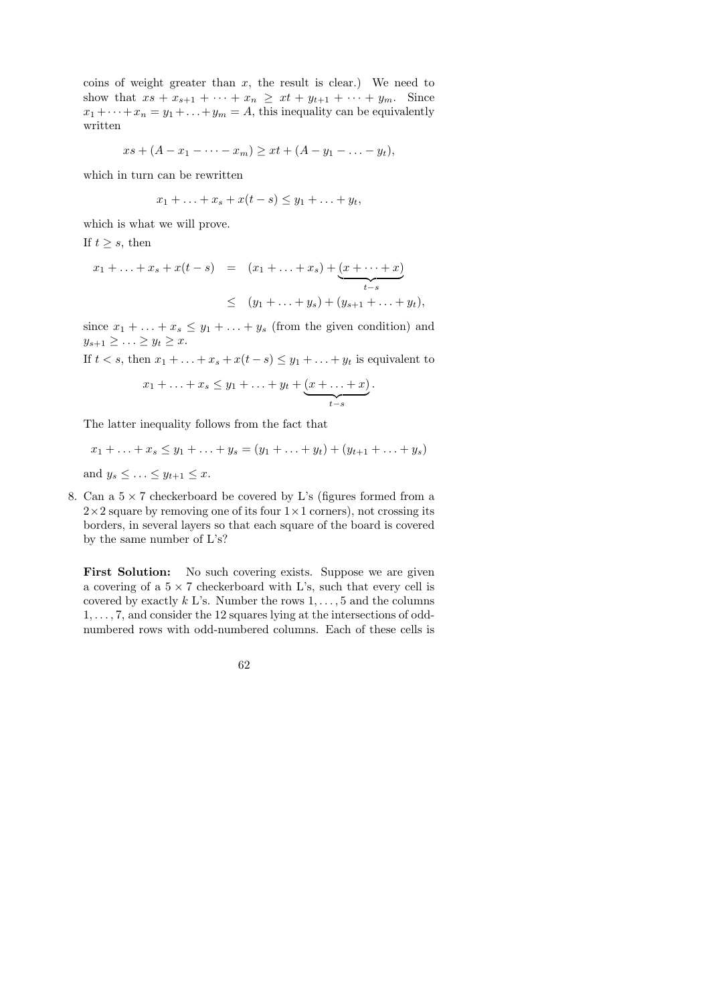coins of weight greater than  $x$ , the result is clear.) We need to show that  $xs + x_{s+1} + \cdots + x_n \geq xt + y_{t+1} + \cdots + y_m$ . Since  $x_1 + \cdots + x_n = y_1 + \ldots + y_m = A$ , this inequality can be equivalently written

$$
xs + (A - x_1 - \cdots - x_m) \ge xt + (A - y_1 - \cdots - y_t),
$$

which in turn can be rewritten

$$
x_1+\ldots+x_s+x(t-s)\leq y_1+\ldots+y_t,
$$

which is what we will prove.

If  $t \geq s$ , then

$$
x_1 + \ldots + x_s + x(t - s) = (x_1 + \ldots + x_s) + \underbrace{(x + \cdots + x)}_{t - s}
$$
  
 
$$
\leq (y_1 + \ldots + y_s) + (y_{s+1} + \ldots + y_t),
$$

since  $x_1 + \ldots + x_s \leq y_1 + \ldots + y_s$  (from the given condition) and  $y_{s+1} \geq \ldots \geq y_t \geq x.$ 

If  $t < s$ , then  $x_1 + \ldots + x_s + x(t - s) \leq y_1 + \ldots + y_t$  is equivalent to

$$
x_1 + \ldots + x_s \leq y_1 + \ldots + y_t + \underbrace{(x + \ldots + x)}_{t-s}.
$$

The latter inequality follows from the fact that

 $x_1 + \ldots + x_s \leq y_1 + \ldots + y_s = (y_1 + \ldots + y_t) + (y_{t+1} + \ldots + y_s)$ and  $y_s \leq \ldots \leq y_{t+1} \leq x$ .

8. Can a  $5 \times 7$  checkerboard be covered by L's (figures formed from a  $2\times2$  square by removing one of its four  $1\times1$  corners), not crossing its borders, in several layers so that each square of the board is covered by the same number of L's?

First Solution: No such covering exists. Suppose we are given a covering of a  $5 \times 7$  checkerboard with L's, such that every cell is covered by exactly  $k$  L's. Number the rows  $1, \ldots, 5$  and the columns 1, . . . , 7, and consider the 12 squares lying at the intersections of oddnumbered rows with odd-numbered columns. Each of these cells is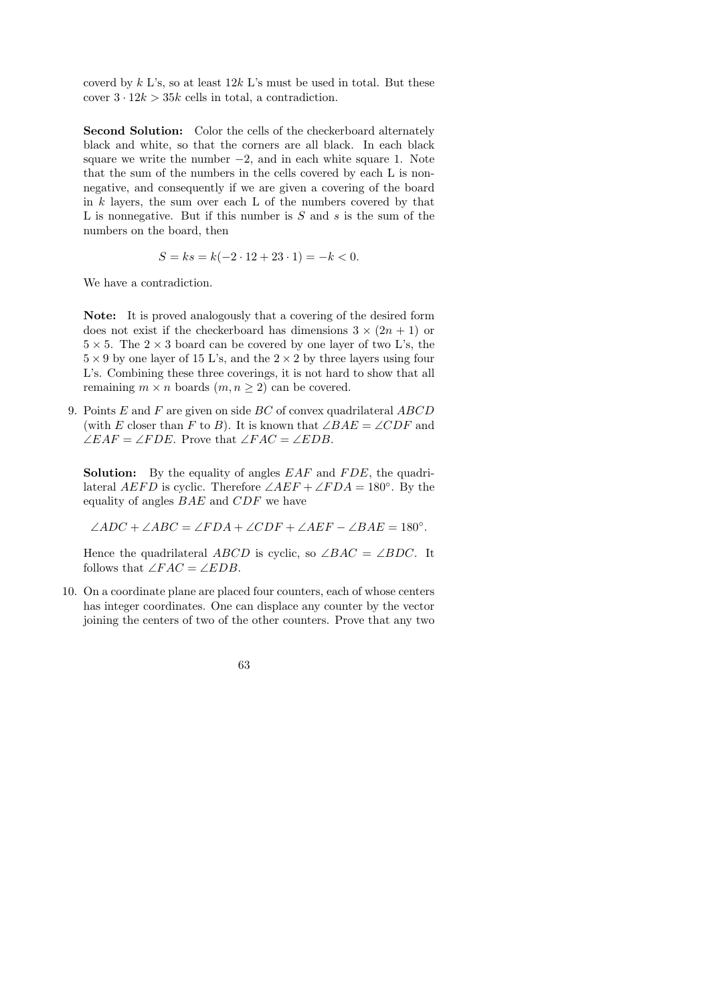coverd by  $k$  L's, so at least  $12k$  L's must be used in total. But these cover  $3 \cdot 12k > 35k$  cells in total, a contradiction.

Second Solution: Color the cells of the checkerboard alternately black and white, so that the corners are all black. In each black square we write the number  $-2$ , and in each white square 1. Note that the sum of the numbers in the cells covered by each L is nonnegative, and consequently if we are given a covering of the board in  $k$  layers, the sum over each  $L$  of the numbers covered by that L is nonnegative. But if this number is  $S$  and  $s$  is the sum of the numbers on the board, then

 $S = ks = k(-2 \cdot 12 + 23 \cdot 1) = -k < 0.$ 

We have a contradiction.

Note: It is proved analogously that a covering of the desired form does not exist if the checkerboard has dimensions  $3 \times (2n + 1)$  or  $5 \times 5$ . The  $2 \times 3$  board can be covered by one layer of two L's, the  $5 \times 9$  by one layer of 15 L's, and the  $2 \times 2$  by three layers using four L's. Combining these three coverings, it is not hard to show that all remaining  $m \times n$  boards  $(m, n \geq 2)$  can be covered.

9. Points  $E$  and  $F$  are given on side  $BC$  of convex quadrilateral  $ABCD$ (with E closer than F to B). It is known that  $\angle BAE = \angle CDF$  and ∠ $EAF = \angle FDE$ . Prove that  $\angle FAC = \angle EDB$ .

**Solution:** By the equality of angles  $EAF$  and  $FDE$ , the quadrilateral  $AEFD$  is cyclic. Therefore  $\angle AEF + \angle FDA = 180^{\circ}$ . By the equality of angles BAE and CDF we have

 $\angle ADC + \angle ABC = \angle FDA + \angle CDF + \angle AEF - \angle BAE = 180^{\circ}.$ 

Hence the quadrilateral ABCD is cyclic, so  $\angle BAC = \angle BDC$ . It follows that  $\angle FAC = \angle EDB$ .

10. On a coordinate plane are placed four counters, each of whose centers has integer coordinates. One can displace any counter by the vector joining the centers of two of the other counters. Prove that any two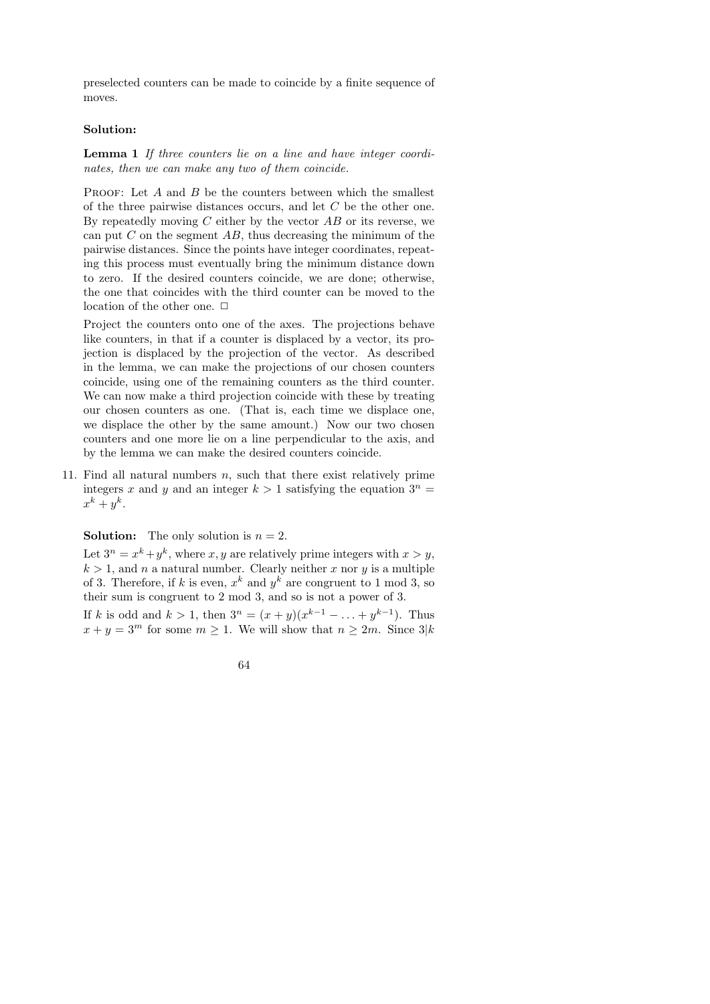preselected counters can be made to coincide by a finite sequence of moves.

#### Solution:

Lemma 1 If three counters lie on a line and have integer coordinates, then we can make any two of them coincide.

PROOF: Let A and B be the counters between which the smallest of the three pairwise distances occurs, and let C be the other one. By repeatedly moving  $C$  either by the vector  $AB$  or its reverse, we can put  $C$  on the segment  $AB$ , thus decreasing the minimum of the pairwise distances. Since the points have integer coordinates, repeating this process must eventually bring the minimum distance down to zero. If the desired counters coincide, we are done; otherwise, the one that coincides with the third counter can be moved to the location of the other one.  $\Box$ 

Project the counters onto one of the axes. The projections behave like counters, in that if a counter is displaced by a vector, its projection is displaced by the projection of the vector. As described in the lemma, we can make the projections of our chosen counters coincide, using one of the remaining counters as the third counter. We can now make a third projection coincide with these by treating our chosen counters as one. (That is, each time we displace one, we displace the other by the same amount.) Now our two chosen counters and one more lie on a line perpendicular to the axis, and by the lemma we can make the desired counters coincide.

11. Find all natural numbers  $n$ , such that there exist relatively prime integers x and y and an integer  $k > 1$  satisfying the equation  $3^n =$  $x^k + y^k$ .

#### **Solution:** The only solution is  $n = 2$ .

Let  $3^n = x^k + y^k$ , where x, y are relatively prime integers with  $x > y$ ,  $k > 1$ , and n a natural number. Clearly neither x nor y is a multiple of 3. Therefore, if k is even,  $x^k$  and  $y^k$  are congruent to 1 mod 3, so their sum is congruent to 2 mod 3, and so is not a power of 3.

If k is odd and  $k > 1$ , then  $3^n = (x + y)(x^{k-1} - ... + y^{k-1})$ . Thus  $x + y = 3^m$  for some  $m > 1$ . We will show that  $n > 2m$ . Since  $3|k$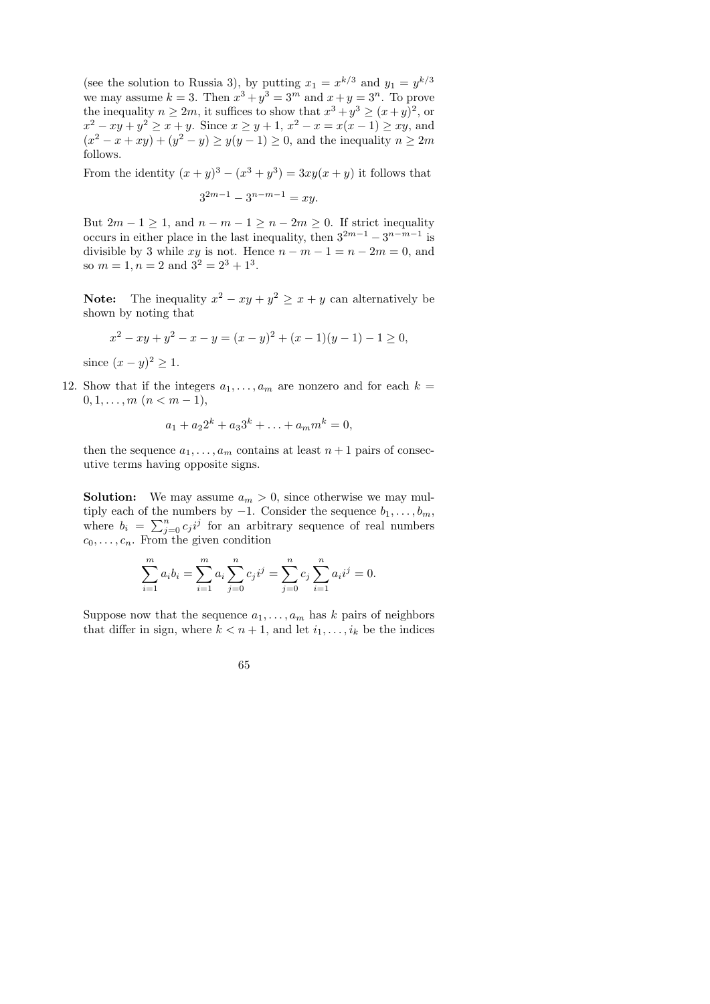(see the solution to Russia 3), by putting  $x_1 = x^{k/3}$  and  $y_1 = y^{k/3}$ we may assume  $k = 3$ . Then  $x^3 + y^3 = 3^m$  and  $x + y = 3^n$ . To prove the inequality  $n \ge 2m$ , it suffices to show that  $x^3 + y^3 \ge (x+y)^2$ , or  $x^2 - xy + y^2 \ge x + y$ . Since  $x \ge y + 1$ ,  $x^2 - x = x(x - 1) \ge xy$ , and  $(x^{2} - x + xy) + (y^{2} - y) \ge y(y - 1) \ge 0$ , and the inequality  $n \ge 2m$ follows.

From the identity  $(x+y)^3 - (x^3+y^3) = 3xy(x+y)$  it follows that

$$
3^{2m-1} - 3^{n-m-1} = xy.
$$

But  $2m - 1 \geq 1$ , and  $n - m - 1 \geq n - 2m \geq 0$ . If strict inequality occurs in either place in the last inequality, then  $3^{2m-1} - 3^{n-m-1}$  is divisible by 3 while xy is not. Hence  $n - m - 1 = n - 2m = 0$ , and so  $m = 1, n = 2$  and  $3^2 = 2^3 + 1^3$ .

**Note:** The inequality  $x^2 - xy + y^2 \ge x + y$  can alternatively be shown by noting that

$$
x^{2} - xy + y^{2} - x - y = (x - y)^{2} + (x - 1)(y - 1) - 1 \ge 0,
$$

since  $(x - y)^2 \geq 1$ .

12. Show that if the integers  $a_1, \ldots, a_m$  are nonzero and for each  $k =$  $0, 1, \ldots, m \ (n < m-1),$ 

$$
a_1 + a_2 2^k + a_3 3^k + \ldots + a_m m^k = 0,
$$

then the sequence  $a_1, \ldots, a_m$  contains at least  $n+1$  pairs of consecutive terms having opposite signs.

**Solution:** We may assume  $a_m > 0$ , since otherwise we may multiply each of the numbers by  $-1$ . Consider the sequence  $b_1, \ldots, b_m$ , where  $b_i = \sum_{j=0}^n c_j i^j$  for an arbitrary sequence of real numbers  $c_0, \ldots, c_n$ . From the given condition

$$
\sum_{i=1}^{m} a_i b_i = \sum_{i=1}^{m} a_i \sum_{j=0}^{n} c_j i^j = \sum_{j=0}^{n} c_j \sum_{i=1}^{n} a_i i^j = 0.
$$

Suppose now that the sequence  $a_1, \ldots, a_m$  has k pairs of neighbors that differ in sign, where  $k < n + 1$ , and let  $i_1, \ldots, i_k$  be the indices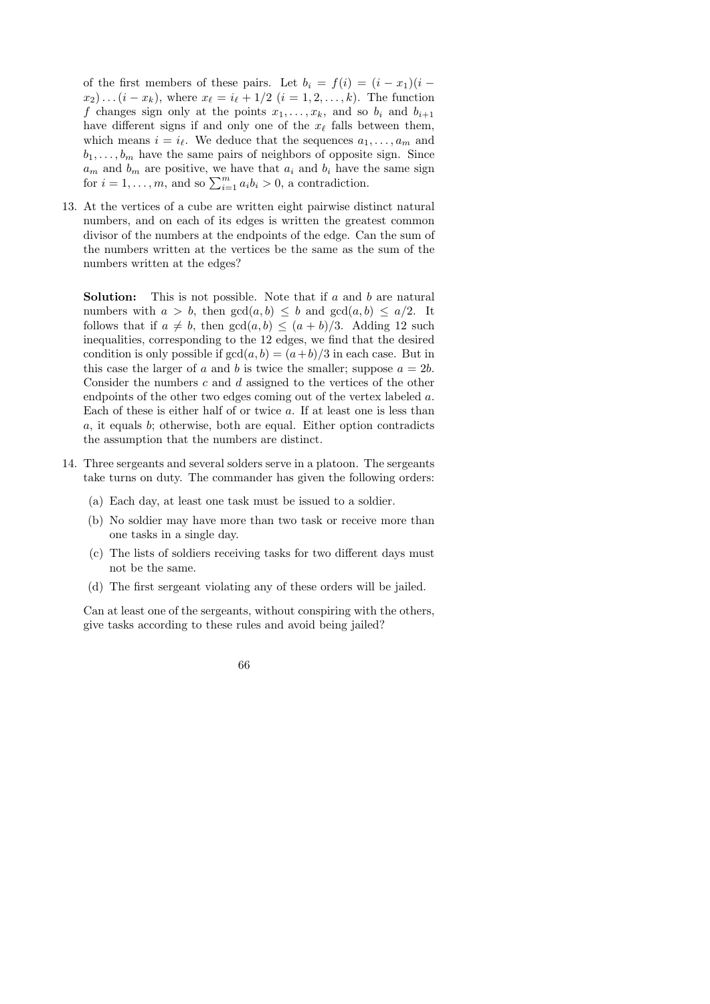of the first members of these pairs. Let  $b_i = f(i) = (i - x_1)(i$  $x_2$ ). . .  $(i - x_k)$ , where  $x_{\ell} = i_{\ell} + 1/2$   $(i = 1, 2, ..., k)$ . The function f changes sign only at the points  $x_1, \ldots, x_k$ , and so  $b_i$  and  $b_{i+1}$ have different signs if and only one of the  $x_\ell$  falls between them, which means  $i = i_{\ell}$ . We deduce that the sequences  $a_1, \ldots, a_m$  and  $b_1, \ldots, b_m$  have the same pairs of neighbors of opposite sign. Since  $a_m$  and  $b_m$  are positive, we have that  $a_i$  and  $b_i$  have the same sign for  $i = 1, ..., m$ , and so  $\sum_{i=1}^{m} a_i b_i > 0$ , a contradiction.

13. At the vertices of a cube are written eight pairwise distinct natural numbers, and on each of its edges is written the greatest common divisor of the numbers at the endpoints of the edge. Can the sum of the numbers written at the vertices be the same as the sum of the numbers written at the edges?

**Solution:** This is not possible. Note that if  $a$  and  $b$  are natural numbers with  $a > b$ , then  $gcd(a, b) \leq b$  and  $gcd(a, b) \leq a/2$ . It follows that if  $a \neq b$ , then  $gcd(a, b) \leq (a + b)/3$ . Adding 12 such inequalities, corresponding to the 12 edges, we find that the desired condition is only possible if  $gcd(a, b) = (a+b)/3$  in each case. But in this case the larger of a and b is twice the smaller; suppose  $a = 2b$ . Consider the numbers  $c$  and  $d$  assigned to the vertices of the other endpoints of the other two edges coming out of the vertex labeled a. Each of these is either half of or twice  $a$ . If at least one is less than a, it equals b; otherwise, both are equal. Either option contradicts the assumption that the numbers are distinct.

- 14. Three sergeants and several solders serve in a platoon. The sergeants take turns on duty. The commander has given the following orders:
	- (a) Each day, at least one task must be issued to a soldier.
	- (b) No soldier may have more than two task or receive more than one tasks in a single day.
	- (c) The lists of soldiers receiving tasks for two different days must not be the same.
	- (d) The first sergeant violating any of these orders will be jailed.

Can at least one of the sergeants, without conspiring with the others, give tasks according to these rules and avoid being jailed?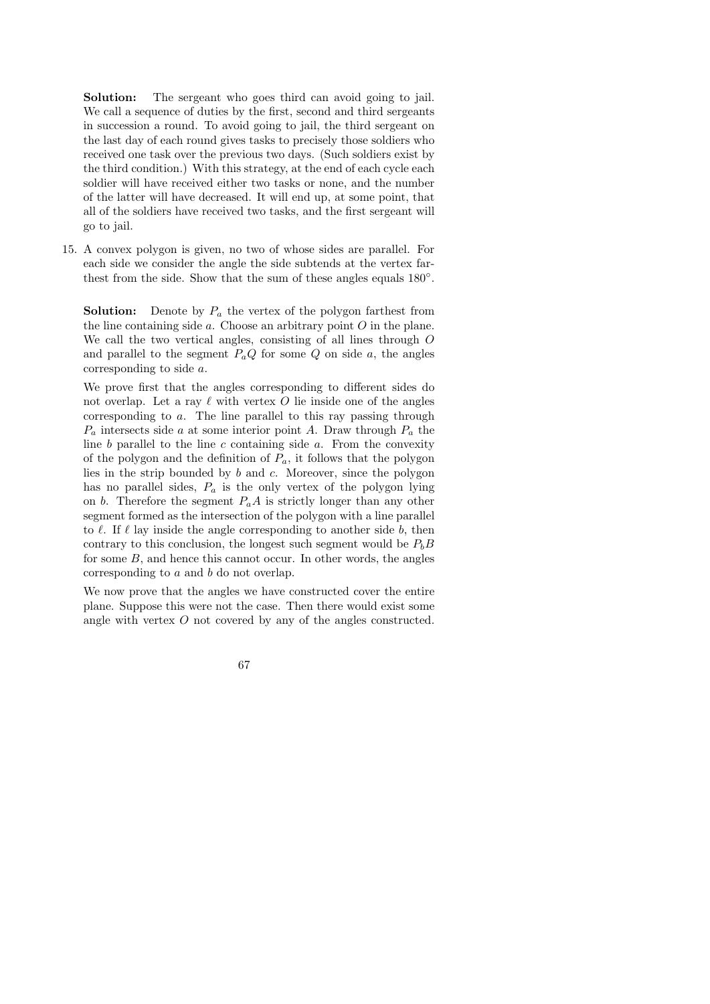Solution: The sergeant who goes third can avoid going to jail. We call a sequence of duties by the first, second and third sergeants in succession a round. To avoid going to jail, the third sergeant on the last day of each round gives tasks to precisely those soldiers who received one task over the previous two days. (Such soldiers exist by the third condition.) With this strategy, at the end of each cycle each soldier will have received either two tasks or none, and the number of the latter will have decreased. It will end up, at some point, that all of the soldiers have received two tasks, and the first sergeant will go to jail.

15. A convex polygon is given, no two of whose sides are parallel. For each side we consider the angle the side subtends at the vertex farthest from the side. Show that the sum of these angles equals 180°.

**Solution:** Denote by  $P_a$  the vertex of the polygon farthest from the line containing side  $a$ . Choose an arbitrary point  $O$  in the plane. We call the two vertical angles, consisting of all lines through O and parallel to the segment  $P_aQ$  for some Q on side a, the angles corresponding to side a.

We prove first that the angles corresponding to different sides do not overlap. Let a ray  $\ell$  with vertex O lie inside one of the angles corresponding to a. The line parallel to this ray passing through  $P_a$  intersects side a at some interior point A. Draw through  $P_a$  the line b parallel to the line c containing side  $a$ . From the convexity of the polygon and the definition of  $P_a$ , it follows that the polygon lies in the strip bounded by  $b$  and  $c$ . Moreover, since the polygon has no parallel sides,  $P_a$  is the only vertex of the polygon lying on b. Therefore the segment  $P_aA$  is strictly longer than any other segment formed as the intersection of the polygon with a line parallel to  $\ell$ . If  $\ell$  lay inside the angle corresponding to another side b, then contrary to this conclusion, the longest such segment would be  $P_bB$ for some  $B$ , and hence this cannot occur. In other words, the angles corresponding to a and b do not overlap.

We now prove that the angles we have constructed cover the entire plane. Suppose this were not the case. Then there would exist some angle with vertex O not covered by any of the angles constructed.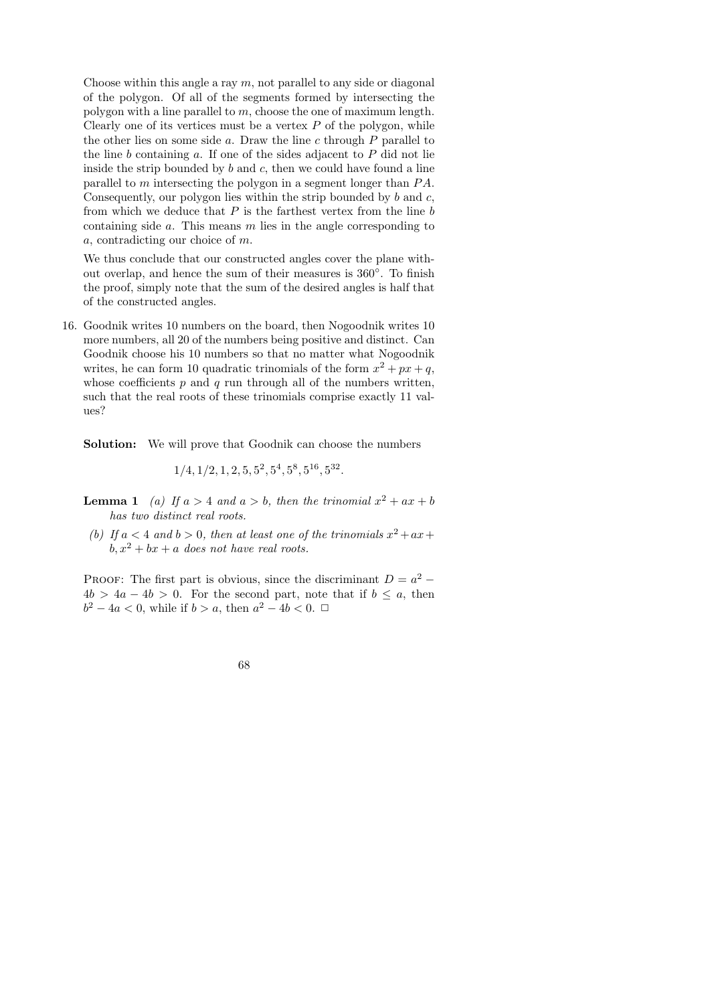Choose within this angle a ray  $m$ , not parallel to any side or diagonal of the polygon. Of all of the segments formed by intersecting the polygon with a line parallel to  $m$ , choose the one of maximum length. Clearly one of its vertices must be a vertex  $P$  of the polygon, while the other lies on some side  $a$ . Draw the line  $c$  through  $P$  parallel to the line  $b$  containing  $a$ . If one of the sides adjacent to  $P$  did not lie inside the strip bounded by  $b$  and  $c$ , then we could have found a line parallel to  $m$  intersecting the polygon in a segment longer than  $PA$ . Consequently, our polygon lies within the strip bounded by  $b$  and  $c$ , from which we deduce that  $P$  is the farthest vertex from the line  $b$ containing side  $a$ . This means  $m$  lies in the angle corresponding to a, contradicting our choice of m.

We thus conclude that our constructed angles cover the plane without overlap, and hence the sum of their measures is 360◦ . To finish the proof, simply note that the sum of the desired angles is half that of the constructed angles.

16. Goodnik writes 10 numbers on the board, then Nogoodnik writes 10 more numbers, all 20 of the numbers being positive and distinct. Can Goodnik choose his 10 numbers so that no matter what Nogoodnik writes, he can form 10 quadratic trinomials of the form  $x^2 + px + q$ , whose coefficients  $p$  and  $q$  run through all of the numbers written, such that the real roots of these trinomials comprise exactly 11 values?

Solution: We will prove that Goodnik can choose the numbers

$$
1/4, 1/2, 1, 2, 5, 5^2, 5^4, 5^8, 5^{16}, 5^{32}.
$$

- **Lemma 1** (a) If  $a > 4$  and  $a > b$ , then the trinomial  $x^2 + ax + b$ has two distinct real roots.
- (b) If  $a < 4$  and  $b > 0$ , then at least one of the trinomials  $x^2 + ax +$  $b, x^2 + bx + a$  does not have real roots.

PROOF: The first part is obvious, since the discriminant  $D = a^2$  –  $4b > 4a - 4b > 0$ . For the second part, note that if  $b \le a$ , then  $b^2 - 4a < 0$ , while if  $b > a$ , then  $a^2 - 4b < 0$ .  $\Box$ 

68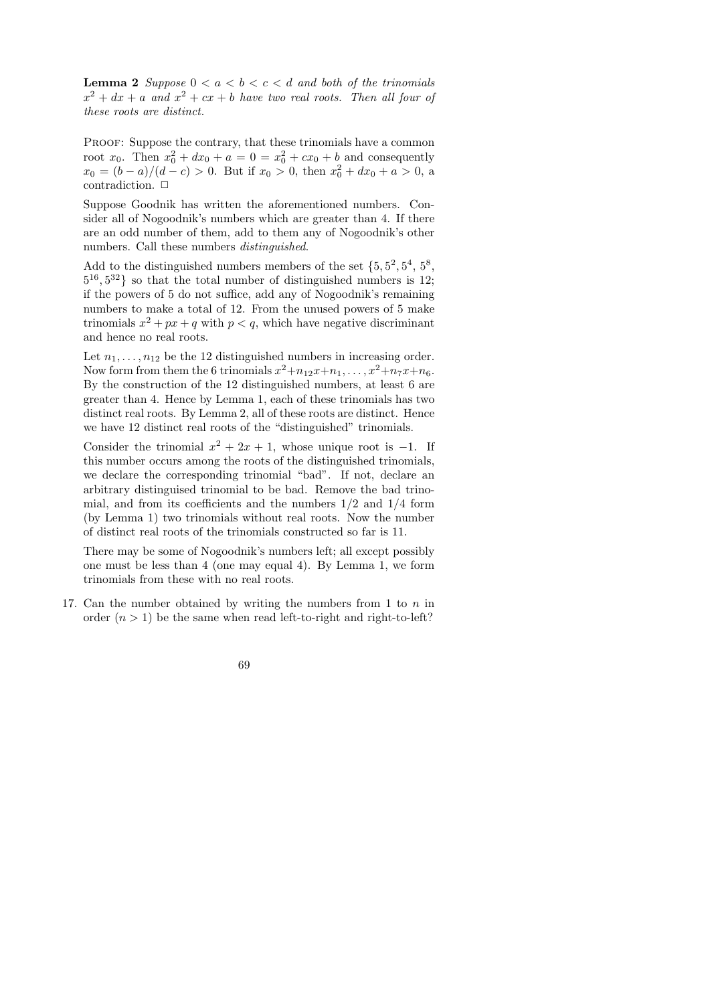**Lemma 2** Suppose  $0 < a < b < c < d$  and both of the trinomials  $x^2 + dx + a$  and  $x^2 + cx + b$  have two real roots. Then all four of these roots are distinct.

PROOF: Suppose the contrary, that these trinomials have a common root  $x_0$ . Then  $x_0^2 + dx_0 + a = 0 = x_0^2 + cx_0 + b$  and consequently  $x_0 = (b - a)/(d - c) > 0$ . But if  $x_0 > 0$ , then  $x_0^2 + dx_0 + a > 0$ , a contradiction.  $\Box$ 

Suppose Goodnik has written the aforementioned numbers. Consider all of Nogoodnik's numbers which are greater than 4. If there are an odd number of them, add to them any of Nogoodnik's other numbers. Call these numbers distinguished.

Add to the distinguished numbers members of the set  $\{5, 5^2, 5^4, 5^8,$  $\{5^{16}, 5^{32}\}$  so that the total number of distinguished numbers is 12; if the powers of 5 do not suffice, add any of Nogoodnik's remaining numbers to make a total of 12. From the unused powers of 5 make trinomials  $x^2 + px + q$  with  $p < q$ , which have negative discriminant and hence no real roots.

Let  $n_1, \ldots, n_{12}$  be the 12 distinguished numbers in increasing order. Now form from them the 6 trinomials  $x^2+n_{12}x+n_1,\ldots,x^2+n_7x+n_6$ . By the construction of the 12 distinguished numbers, at least 6 are greater than 4. Hence by Lemma 1, each of these trinomials has two distinct real roots. By Lemma 2, all of these roots are distinct. Hence we have 12 distinct real roots of the "distinguished" trinomials.

Consider the trinomial  $x^2 + 2x + 1$ , whose unique root is -1. If this number occurs among the roots of the distinguished trinomials, we declare the corresponding trinomial "bad". If not, declare an arbitrary distinguised trinomial to be bad. Remove the bad trinomial, and from its coefficients and the numbers 1/2 and 1/4 form (by Lemma 1) two trinomials without real roots. Now the number of distinct real roots of the trinomials constructed so far is 11.

There may be some of Nogoodnik's numbers left; all except possibly one must be less than 4 (one may equal 4). By Lemma 1, we form trinomials from these with no real roots.

17. Can the number obtained by writing the numbers from 1 to  $n$  in order  $(n > 1)$  be the same when read left-to-right and right-to-left?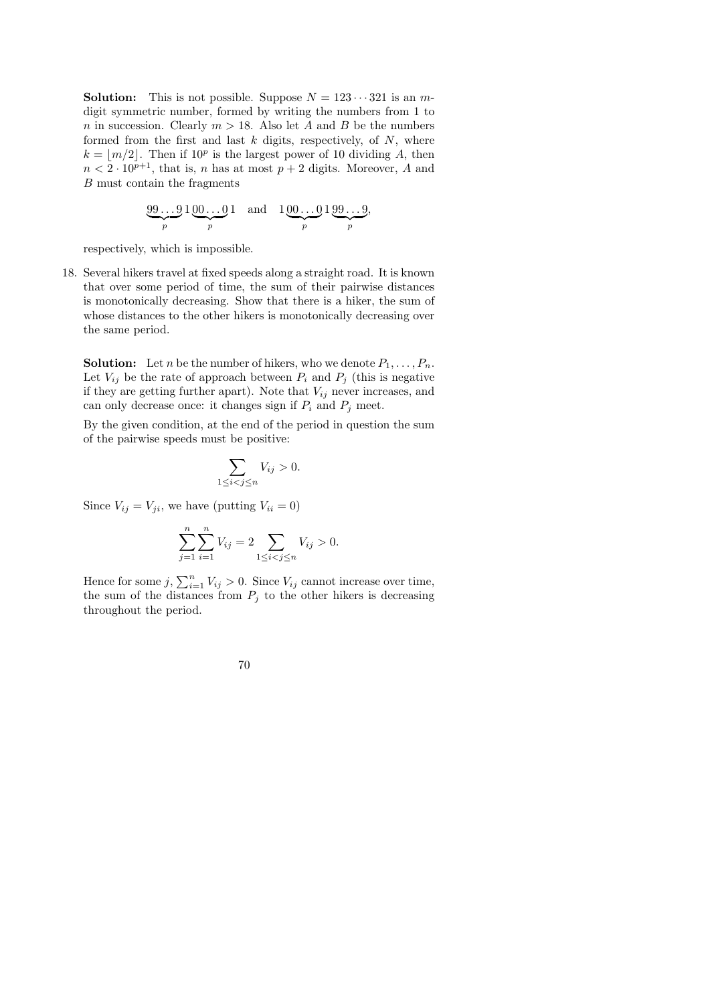**Solution:** This is not possible. Suppose  $N = 123 \cdots 321$  is an mdigit symmetric number, formed by writing the numbers from 1 to n in succession. Clearly  $m > 18$ . Also let A and B be the numbers formed from the first and last  $k$  digits, respectively, of  $N$ , where  $k = \lfloor m/2 \rfloor$ . Then if  $10^p$  is the largest power of 10 dividing A, then  $n < 2 \cdot 10^{p+1}$ , that is, n has at most  $p+2$  digits. Moreover, A and  $B$  must contain the fragments

$$
\underbrace{99\ldots9}_{p}1\underbrace{00\ldots0}_{p}1 \quad \text{and} \quad 1\underbrace{00\ldots0}_{p}1\underbrace{99\ldots9}_{p},
$$

respectively, which is impossible.

18. Several hikers travel at fixed speeds along a straight road. It is known that over some period of time, the sum of their pairwise distances is monotonically decreasing. Show that there is a hiker, the sum of whose distances to the other hikers is monotonically decreasing over the same period.

**Solution:** Let *n* be the number of hikers, who we denote  $P_1, \ldots, P_n$ . Let  $V_{ij}$  be the rate of approach between  $P_i$  and  $P_j$  (this is negative if they are getting further apart). Note that  $V_{ij}$  never increases, and can only decrease once: it changes sign if  $P_i$  and  $P_j$  meet.

By the given condition, at the end of the period in question the sum of the pairwise speeds must be positive:

$$
\sum_{1 \le i < j \le n} V_{ij} > 0.
$$

Since  $V_{ij} = V_{ji}$ , we have (putting  $V_{ii} = 0$ )

$$
\sum_{j=1}^{n} \sum_{i=1}^{n} V_{ij} = 2 \sum_{1 \le i < j \le n} V_{ij} > 0.
$$

Hence for some  $j$ ,  $\sum_{i=1}^{n} V_{ij} > 0$ . Since  $V_{ij}$  cannot increase over time, the sum of the distances from  $P_j$  to the other hikers is decreasing throughout the period.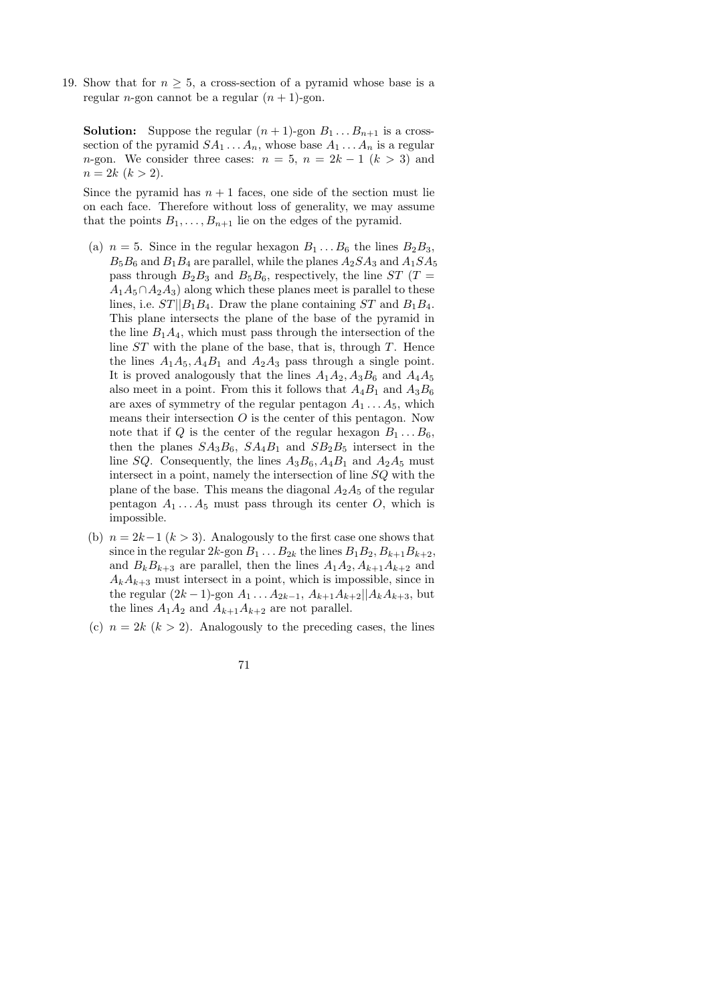19. Show that for  $n \geq 5$ , a cross-section of a pyramid whose base is a regular *n*-gon cannot be a regular  $(n + 1)$ -gon.

**Solution:** Suppose the regular  $(n + 1)$ -gon  $B_1 \dots B_{n+1}$  is a crosssection of the pyramid  $SA_1 \ldots A_n$ , whose base  $A_1 \ldots A_n$  is a regular n-gon. We consider three cases:  $n = 5$ ,  $n = 2k - 1$  ( $k > 3$ ) and  $n = 2k (k > 2).$ 

Since the pyramid has  $n + 1$  faces, one side of the section must lie on each face. Therefore without loss of generality, we may assume that the points  $B_1, \ldots, B_{n+1}$  lie on the edges of the pyramid.

- (a)  $n = 5$ . Since in the regular hexagon  $B_1 \dots B_6$  the lines  $B_2B_3$ ,  $B_5B_6$  and  $B_1B_4$  are parallel, while the planes  $A_2SA_3$  and  $A_1SA_5$ pass through  $B_2B_3$  and  $B_5B_6$ , respectively, the line ST (T =  $A_1A_5 \cap A_2A_3$  along which these planes meet is parallel to these lines, i.e.  $ST||B_1B_4$ . Draw the plane containing  $ST$  and  $B_1B_4$ . This plane intersects the plane of the base of the pyramid in the line  $B_1A_4$ , which must pass through the intersection of the line  $ST$  with the plane of the base, that is, through  $T$ . Hence the lines  $A_1A_5$ ,  $A_4B_1$  and  $A_2A_3$  pass through a single point. It is proved analogously that the lines  $A_1A_2, A_3B_6$  and  $A_4A_5$ also meet in a point. From this it follows that  $A_4B_1$  and  $A_3B_6$ are axes of symmetry of the regular pentagon  $A_1 \ldots A_5$ , which means their intersection  $O$  is the center of this pentagon. Now note that if Q is the center of the regular hexagon  $B_1 \dots B_6$ , then the planes  $SA_3B_6$ ,  $SA_4B_1$  and  $SB_2B_5$  intersect in the line SQ. Consequently, the lines  $A_3B_6$ ,  $A_4B_1$  and  $A_2A_5$  must intersect in a point, namely the intersection of line SQ with the plane of the base. This means the diagonal  $A_2A_5$  of the regular pentagon  $A_1 \ldots A_5$  must pass through its center O, which is impossible.
- (b)  $n = 2k-1$  ( $k > 3$ ). Analogously to the first case one shows that since in the regular  $2k$ -gon  $B_1 \ldots B_{2k}$  the lines  $B_1B_2, B_{k+1}B_{k+2}$ , and  $B_kB_{k+3}$  are parallel, then the lines  $A_1A_2, A_{k+1}A_{k+2}$  and  $A_kA_{k+3}$  must intersect in a point, which is impossible, since in the regular  $(2k-1)$ -gon  $A_1 \ldots A_{2k-1}$ ,  $A_{k+1}A_{k+2}||A_kA_{k+3}$ , but the lines  $A_1A_2$  and  $A_{k+1}A_{k+2}$  are not parallel.
- (c)  $n = 2k$  ( $k > 2$ ). Analogously to the preceding cases, the lines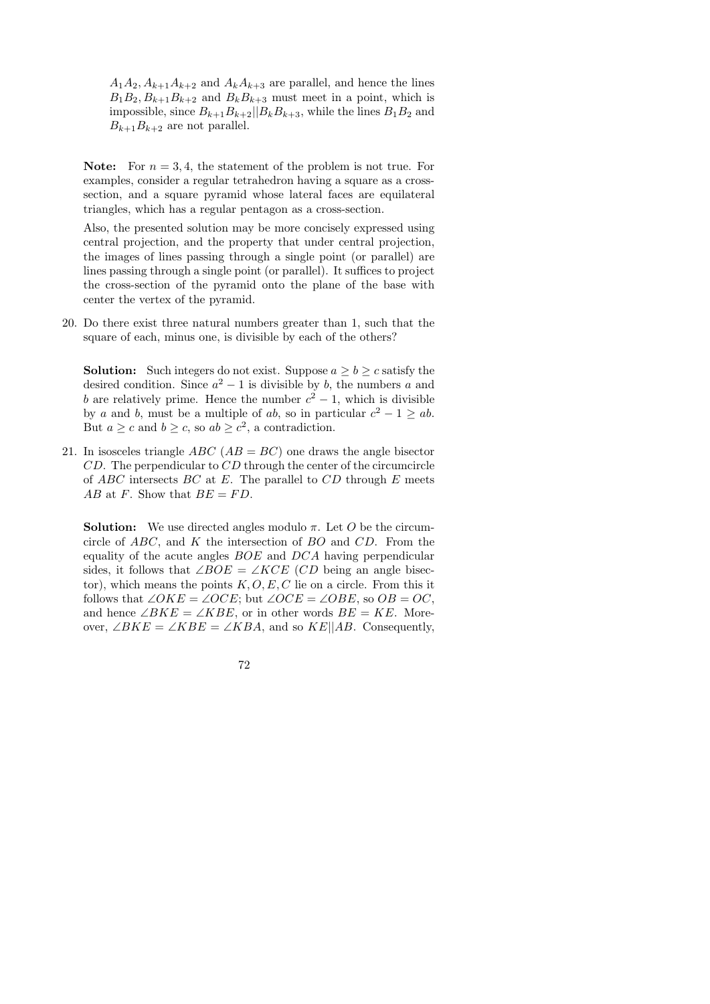$A_1A_2, A_{k+1}A_{k+2}$  and  $A_kA_{k+3}$  are parallel, and hence the lines  $B_1B_2, B_{k+1}B_{k+2}$  and  $B_kB_{k+3}$  must meet in a point, which is impossible, since  $B_{k+1}B_{k+2}||B_kB_{k+3}$ , while the lines  $B_1B_2$  and  $B_{k+1}B_{k+2}$  are not parallel.

**Note:** For  $n = 3, 4$ , the statement of the problem is not true. For examples, consider a regular tetrahedron having a square as a crosssection, and a square pyramid whose lateral faces are equilateral triangles, which has a regular pentagon as a cross-section.

Also, the presented solution may be more concisely expressed using central projection, and the property that under central projection, the images of lines passing through a single point (or parallel) are lines passing through a single point (or parallel). It suffices to project the cross-section of the pyramid onto the plane of the base with center the vertex of the pyramid.

20. Do there exist three natural numbers greater than 1, such that the square of each, minus one, is divisible by each of the others?

**Solution:** Such integers do not exist. Suppose  $a \ge b \ge c$  satisfy the desired condition. Since  $a^2 - 1$  is divisible by b, the numbers a and b are relatively prime. Hence the number  $c^2 - 1$ , which is divisible by a and b, must be a multiple of ab, so in particular  $c^2 - 1 \ge ab$ . But  $a \geq c$  and  $b \geq c$ , so  $ab \geq c^2$ , a contradiction.

21. In isosceles triangle ABC ( $AB = BC$ ) one draws the angle bisector  $CD$ . The perpendicular to  $CD$  through the center of the circumcircle of  $ABC$  intersects  $BC$  at  $E$ . The parallel to  $CD$  through  $E$  meets AB at F. Show that  $BE = FD$ .

**Solution:** We use directed angles modulo  $\pi$ . Let O be the circumcircle of ABC, and K the intersection of BO and CD. From the equality of the acute angles BOE and DCA having perpendicular sides, it follows that  $\angle BOE = \angle KCE$  (CD being an angle bisector), which means the points  $K, O, E, C$  lie on a circle. From this it follows that  $\angle OKE = \angle OCE$ ; but  $\angle OCE = \angle OBE$ , so  $OB = OC$ . and hence  $\angle BKE = \angle KBE$ , or in other words  $BE = KE$ . Moreover,  $\angle BKE = \angle KBE = \angle KBA$ , and so  $KE||AB$ . Consequently,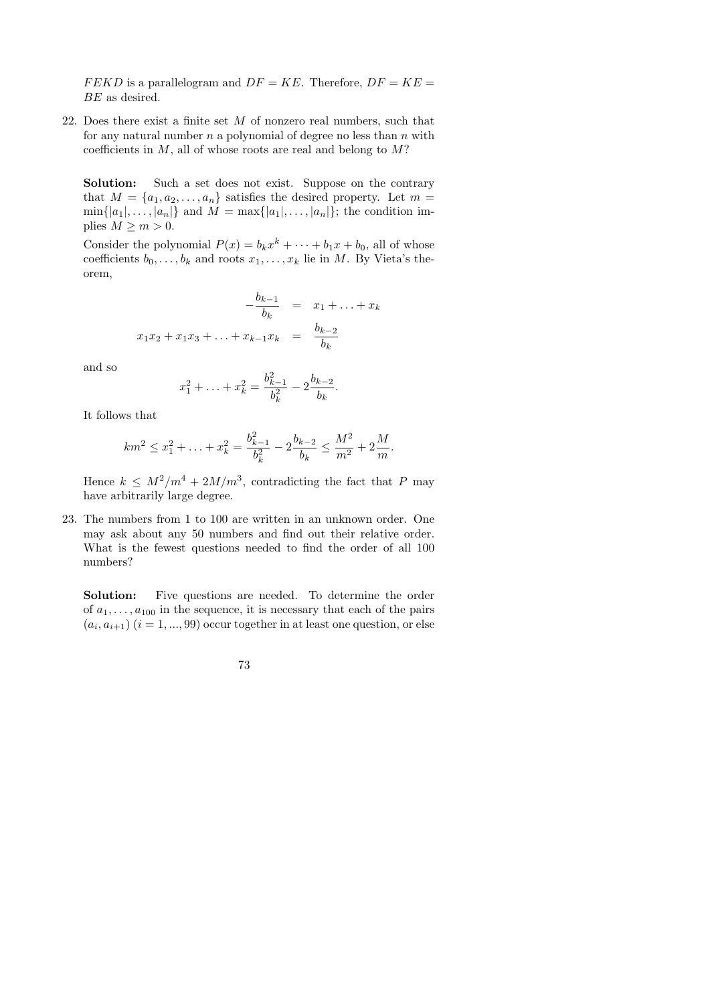$FEKD$  is a parallelogram and  $DF = KE$ . Therefore,  $DF = KE =$ BE as desired.

22. Does there exist a finite set  $M$  of nonzero real numbers, such that for any natural number  $n$  a polynomial of degree no less than  $n$  with coefficients in  $M$ , all of whose roots are real and belong to  $M$ ?

Solution: Such a set does not exist. Suppose on the contrary that  $M = \{a_1, a_2, \ldots, a_n\}$  satisfies the desired property. Let  $m =$  $\min\{|a_1|, \ldots, |a_n|\}$  and  $M = \max\{|a_1|, \ldots, |a_n|\}$ ; the condition implies  $M \geq m > 0$ .

Consider the polynomial  $P(x) = b_k x^k + \cdots + b_1 x + b_0$ , all of whose coefficients  $b_0, \ldots, b_k$  and roots  $x_1, \ldots, x_k$  lie in M. By Vieta's theorem,

$$
-\frac{b_{k-1}}{b_k} = x_1 + \ldots + x_k
$$
  

$$
x_1x_2 + x_1x_3 + \ldots + x_{k-1}x_k = \frac{b_{k-2}}{b_k}
$$

and so

$$
x_1^2 + \ldots + x_k^2 = \frac{b_{k-1}^2}{b_k^2} - 2\frac{b_{k-2}}{b_k}.
$$

It follows that

$$
km^{2} \leq x_{1}^{2} + \ldots + x_{k}^{2} = \frac{b_{k-1}^{2}}{b_{k}^{2}} - 2\frac{b_{k-2}}{b_{k}} \leq \frac{M^{2}}{m^{2}} + 2\frac{M}{m}.
$$

Hence  $k \leq M^2/m^4 + 2M/m^3$ , contradicting the fact that P may have arbitrarily large degree.

23. The numbers from 1 to 100 are written in an unknown order. One may ask about any 50 numbers and find out their relative order. What is the fewest questions needed to find the order of all 100 numbers?

Solution: Five questions are needed. To determine the order of  $a_1, \ldots, a_{100}$  in the sequence, it is necessary that each of the pairs  $(a_i, a_{i+1})$   $(i = 1, ..., 99)$  occur together in at least one question, or else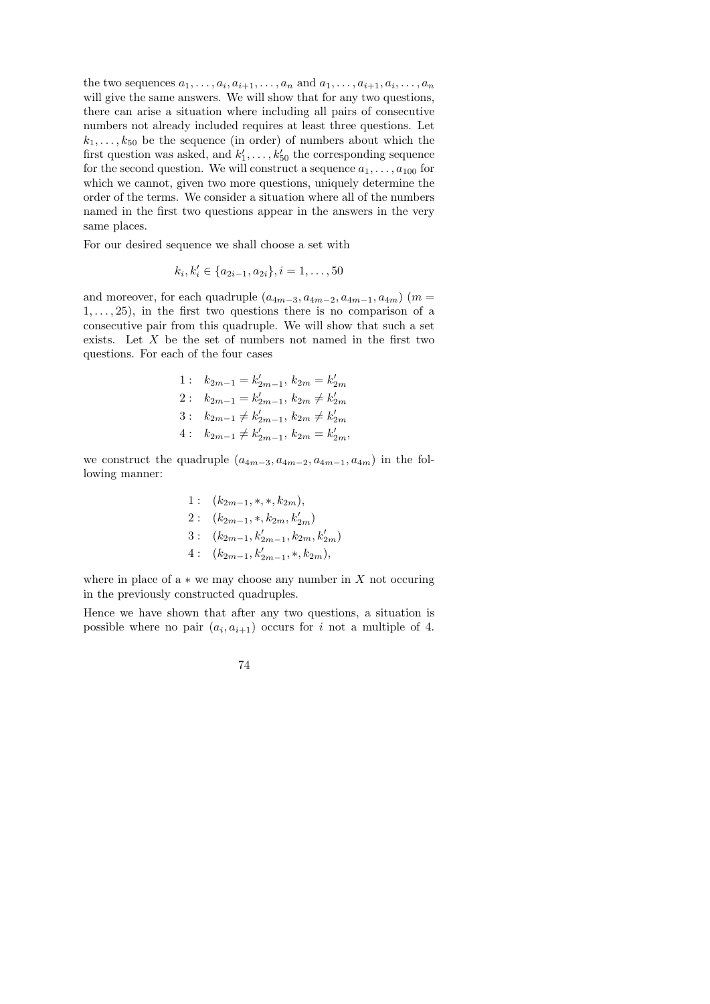the two sequences  $a_1, \ldots, a_i, a_{i+1}, \ldots, a_n$  and  $a_1, \ldots, a_{i+1}, a_i, \ldots, a_n$ will give the same answers. We will show that for any two questions, there can arise a situation where including all pairs of consecutive numbers not already included requires at least three questions. Let  $k_1, \ldots, k_{50}$  be the sequence (in order) of numbers about which the first question was asked, and  $k'_1, \ldots, k'_{50}$  the corresponding sequence for the second question. We will construct a sequence  $a_1, \ldots, a_{100}$  for which we cannot, given two more questions, uniquely determine the order of the terms. We consider a situation where all of the numbers named in the first two questions appear in the answers in the very same places.

For our desired sequence we shall choose a set with

$$
k_i, k'_i \in \{a_{2i-1}, a_{2i}\}, i = 1, \ldots, 50
$$

and moreover, for each quadruple  $(a_{4m-3}, a_{4m-2}, a_{4m-1}, a_{4m})$  (m =  $1, \ldots, 25$ , in the first two questions there is no comparison of a consecutive pair from this quadruple. We will show that such a set exists. Let  $X$  be the set of numbers not named in the first two questions. For each of the four cases

1: 
$$
k_{2m-1} = k'_{2m-1}, k_{2m} = k'_{2m}
$$
  
\n2:  $k_{2m-1} = k'_{2m-1}, k_{2m} \neq k'_{2m}$   
\n3:  $k_{2m-1} \neq k'_{2m-1}, k_{2m} \neq k'_{2m}$   
\n4:  $k_{2m-1} \neq k'_{2m-1}, k_{2m} = k'_{2m}$ 

we construct the quadruple  $(a_{4m-3}, a_{4m-2}, a_{4m-1}, a_{4m})$  in the following manner:

1: 
$$
(k_{2m-1}, *, *, k_{2m}),
$$
  
\n2:  $(k_{2m-1}, *, k_{2m}, k'_{2m})$   
\n3:  $(k_{2m-1}, k'_{2m-1}, k_{2m}, k'_{2m})$   
\n4:  $(k_{2m-1}, k'_{2m-1}, *, k_{2m}),$ 

where in place of a  $*$  we may choose any number in  $X$  not occuring in the previously constructed quadruples.

Hence we have shown that after any two questions, a situation is possible where no pair  $(a_i, a_{i+1})$  occurs for i not a multiple of 4.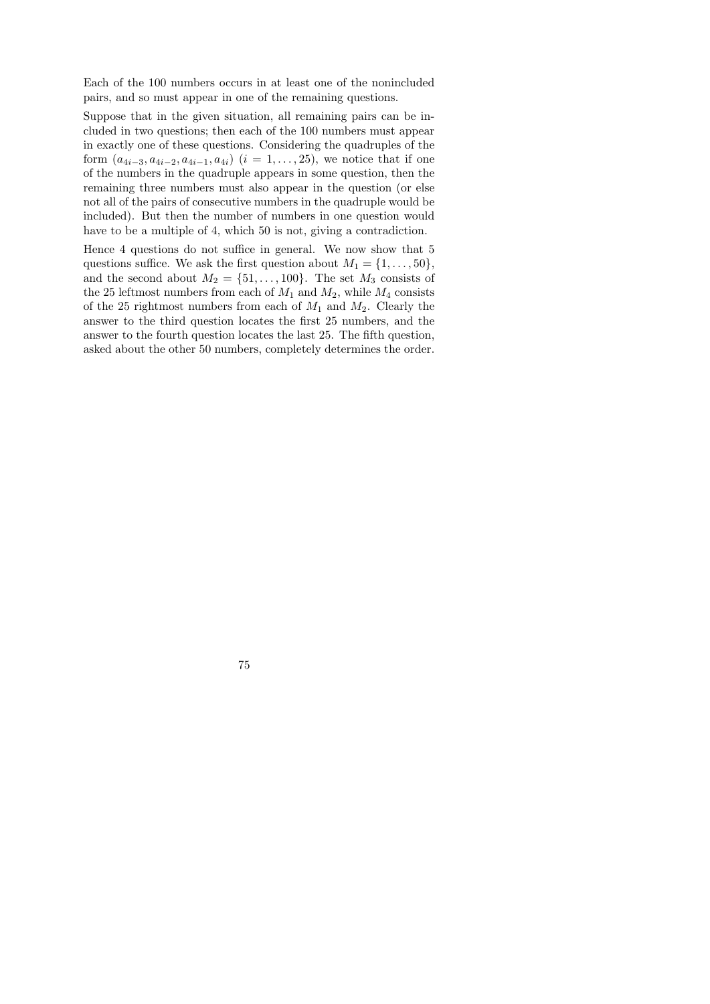Each of the 100 numbers occurs in at least one of the nonincluded pairs, and so must appear in one of the remaining questions.

Suppose that in the given situation, all remaining pairs can be included in two questions; then each of the 100 numbers must appear in exactly one of these questions. Considering the quadruples of the form  $(a_{4i-3}, a_{4i-2}, a_{4i-1}, a_{4i})$   $(i = 1, \ldots, 25)$ , we notice that if one of the numbers in the quadruple appears in some question, then the remaining three numbers must also appear in the question (or else not all of the pairs of consecutive numbers in the quadruple would be included). But then the number of numbers in one question would have to be a multiple of 4, which 50 is not, giving a contradiction.

Hence 4 questions do not suffice in general. We now show that 5 questions suffice. We ask the first question about  $M_1 = \{1, \ldots, 50\},\$ and the second about  $M_2 = \{51, \ldots, 100\}$ . The set  $M_3$  consists of the 25 leftmost numbers from each of  $M_1$  and  $M_2$ , while  $M_4$  consists of the 25 rightmost numbers from each of  $M_1$  and  $M_2$ . Clearly the answer to the third question locates the first 25 numbers, and the answer to the fourth question locates the last 25. The fifth question, asked about the other 50 numbers, completely determines the order.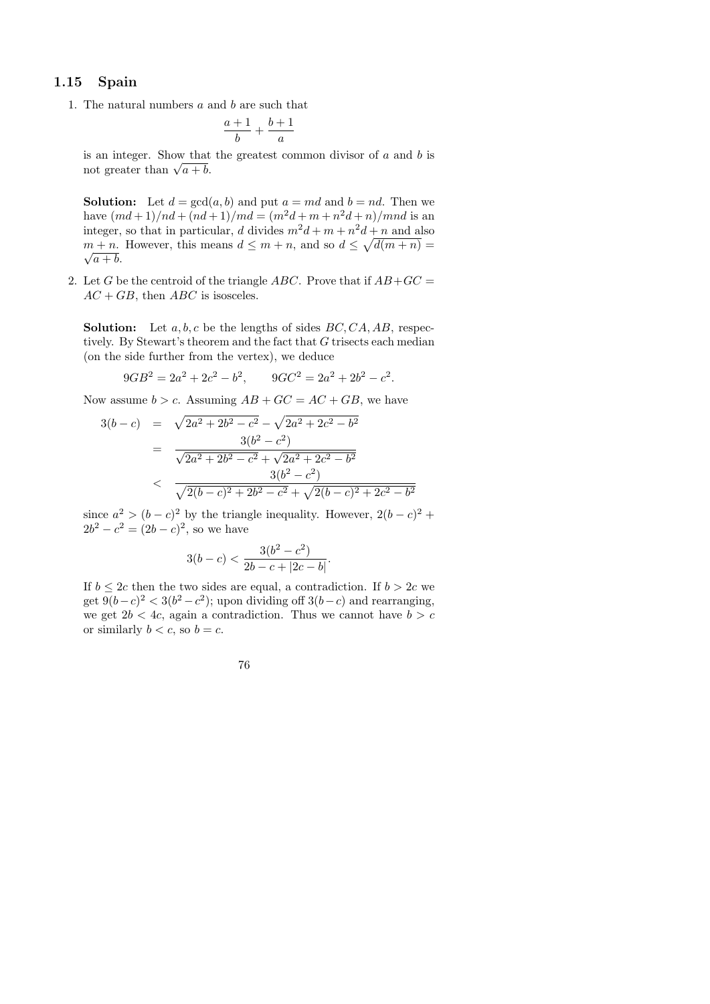#### 1.15 Spain

1. The natural numbers a and b are such that

$$
\frac{a+1}{b} + \frac{b+1}{a}
$$

is an integer. Show that the greatest common divisor of  $a$  and  $b$  is is an integer. Show that<br>not greater than  $\sqrt{a+b}$ .

**Solution:** Let  $d = \gcd(a, b)$  and put  $a = md$  and  $b = nd$ . Then we have  $(md+1)/nd + (nd+1)/md = (m^2d + m + n^2d + n)/mnd$  is an integer, so that in particular, d divides  $m^2d + m + n^2d + n$  and also  $m + n$ . However, this means  $d \leq m + n$ , and so  $d \leq \sqrt{d(m+n)}$  $\sqrt{a+b}$ .

2. Let G be the centroid of the triangle ABC. Prove that if  $AB+GC =$  $AC + GB$ , then  $ABC$  is isosceles.

**Solution:** Let  $a, b, c$  be the lengths of sides  $BC, CA, AB$ , respectively. By Stewart's theorem and the fact that G trisects each median (on the side further from the vertex), we deduce

$$
9GB^2 = 2a^2 + 2c^2 - b^2, \qquad 9GC^2 = 2a^2 + 2b^2 - c^2.
$$

Now assume  $b > c$ . Assuming  $AB + GC = AC + GB$ , we have

$$
3(b-c) = \sqrt{2a^2 + 2b^2 - c^2} - \sqrt{2a^2 + 2c^2 - b^2}
$$
  
= 
$$
\frac{3(b^2 - c^2)}{\sqrt{2a^2 + 2b^2 - c^2} + \sqrt{2a^2 + 2c^2 - b^2}}
$$
  
< 
$$
< \frac{3(b^2 - c^2)}{\sqrt{2(b-c)^2 + 2b^2 - c^2} + \sqrt{2(b-c)^2 + 2c^2 - b^2}}
$$

since  $a^2 > (b - c)^2$  by the triangle inequality. However,  $2(b - c)^2$  +  $2b^2 - c^2 = (2b - c)^2$ , so we have

$$
3(b-c) < \frac{3(b^2 - c^2)}{2b - c + |2c - b|}.
$$

If  $b \leq 2c$  then the two sides are equal, a contradiction. If  $b > 2c$  we get  $9(b-c)^2 < 3(b^2-c^2)$ ; upon dividing off  $3(b-c)$  and rearranging, we get  $2b < 4c$ , again a contradiction. Thus we cannot have  $b > c$ or similarly  $b < c$ , so  $b = c$ .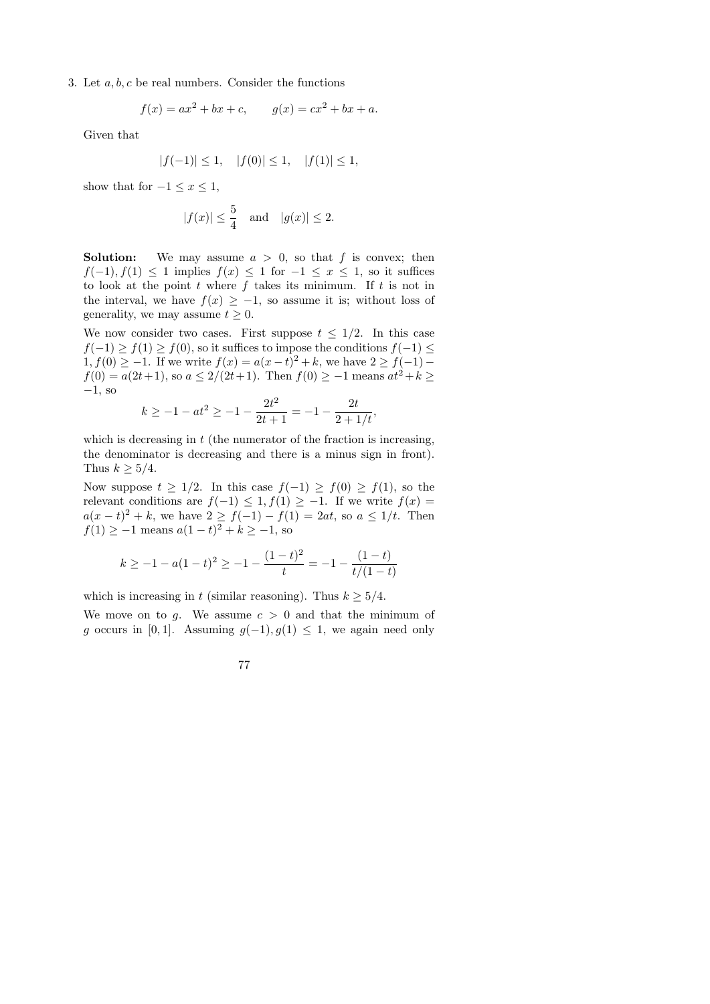3. Let  $a, b, c$  be real numbers. Consider the functions

$$
f(x) = ax^{2} + bx + c,
$$
  $g(x) = cx^{2} + bx + a.$ 

Given that

$$
|f(-1)| \le 1, \quad |f(0)| \le 1, \quad |f(1)| \le 1,
$$

show that for  $-1 \leq x \leq 1$ ,

$$
|f(x)|\leq \frac{5}{4}\quad \text{and}\quad |g(x)|\leq 2.
$$

**Solution:** We may assume  $a > 0$ , so that f is convex; then  $f(-1), f(1) \leq 1$  implies  $f(x) \leq 1$  for  $-1 \leq x \leq 1$ , so it suffices to look at the point  $t$  where  $f$  takes its minimum. If  $t$  is not in the interval, we have  $f(x) \geq -1$ , so assume it is; without loss of generality, we may assume  $t \geq 0$ .

We now consider two cases. First suppose  $t \leq 1/2$ . In this case  $f(-1) \ge f(1) \ge f(0)$ , so it suffices to impose the conditions  $f(-1) \le$ 1,  $f(0) \ge -1$ . If we write  $f(x) = a(x-t)^2 + k$ , we have  $2 \ge f(-1)$  –  $f(0) = a(2t+1)$ , so  $a \leq 2/(2t+1)$ . Then  $f(0) \geq -1$  means  $at^2 + k \geq 1$  $-1$ , so

$$
k \ge -1 - at^2 \ge -1 - \frac{2t^2}{2t+1} = -1 - \frac{2t}{2+1/t},
$$

which is decreasing in  $t$  (the numerator of the fraction is increasing, the denominator is decreasing and there is a minus sign in front). Thus  $k \geq 5/4$ .

Now suppose  $t \geq 1/2$ . In this case  $f(-1) \geq f(0) \geq f(1)$ , so the relevant conditions are  $f(-1) \leq 1, f(1) \geq -1$ . If we write  $f(x) =$  $a(x-t)^2 + k$ , we have  $2 \ge f(-1) - f(1) = 2at$ , so  $a \le 1/t$ . Then  $f(1) \ge -1$  means  $a(1-t)^2 + k \ge -1$ , so

$$
k \ge -1 - a(1-t)^2 \ge -1 - \frac{(1-t)^2}{t} = -1 - \frac{(1-t)}{t/(1-t)}
$$

which is increasing in t (similar reasoning). Thus  $k \geq 5/4$ .

We move on to q. We assume  $c > 0$  and that the minimum of g occurs in [0, 1]. Assuming  $g(-1), g(1) \leq 1$ , we again need only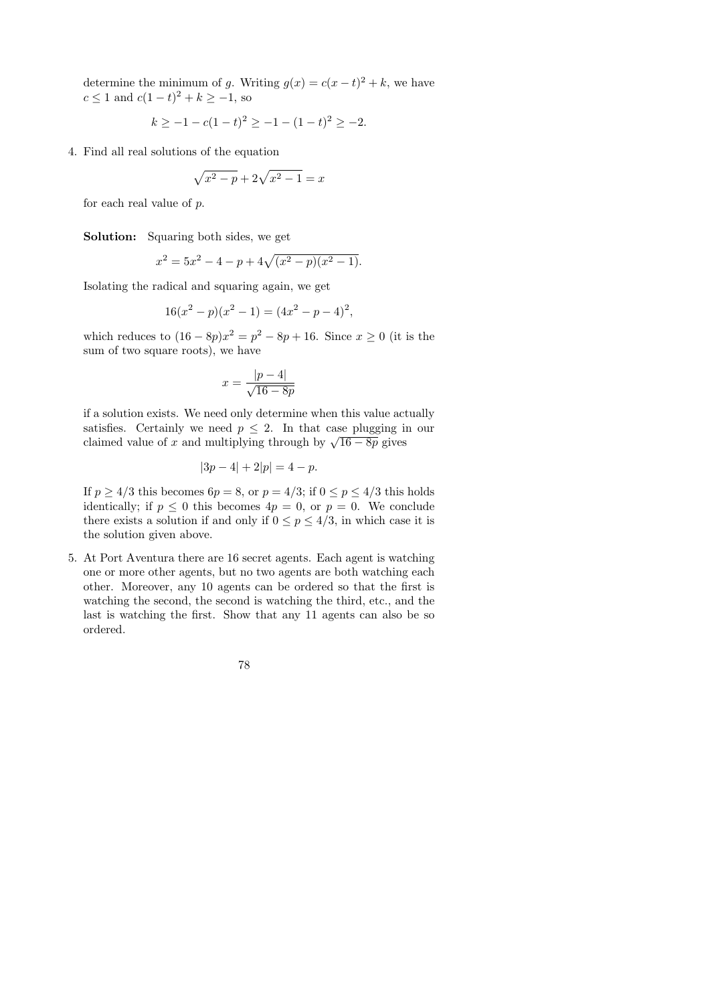determine the minimum of g. Writing  $g(x) = c(x - t)^2 + k$ , we have  $c \le 1$  and  $c(1-t)^2 + k \ge -1$ , so

$$
k \ge -1 - c(1-t)^2 \ge -1 - (1-t)^2 \ge -2.
$$

4. Find all real solutions of the equation

$$
\sqrt{x^2-p}+2\sqrt{x^2-1}=x
$$

for each real value of p.

Solution: Squaring both sides, we get

$$
x^{2} = 5x^{2} - 4 - p + 4\sqrt{(x^{2} - p)(x^{2} - 1)}.
$$

Isolating the radical and squaring again, we get

$$
16(x^{2}-p)(x^{2}-1) = (4x^{2}-p-4)^{2},
$$

which reduces to  $(16 - 8p)x^2 = p^2 - 8p + 16$ . Since  $x \ge 0$  (it is the sum of two square roots), we have

$$
x = \frac{|p-4|}{\sqrt{16 - 8p}}
$$

if a solution exists. We need only determine when this value actually satisfies. Certainly we need  $p \leq 2$ . In that case plugging in our satishes. Certainly we need  $p \leq 2$ . In that case plugging is claimed value of x and multiplying through by  $\sqrt{16 - 8p}$  gives

$$
|3p - 4| + 2|p| = 4 - p.
$$

If  $p \ge 4/3$  this becomes  $6p = 8$ , or  $p = 4/3$ ; if  $0 \le p \le 4/3$  this holds identically; if  $p \leq 0$  this becomes  $4p = 0$ , or  $p = 0$ . We conclude there exists a solution if and only if  $0 \le p \le 4/3$ , in which case it is the solution given above.

5. At Port Aventura there are 16 secret agents. Each agent is watching one or more other agents, but no two agents are both watching each other. Moreover, any 10 agents can be ordered so that the first is watching the second, the second is watching the third, etc., and the last is watching the first. Show that any 11 agents can also be so ordered.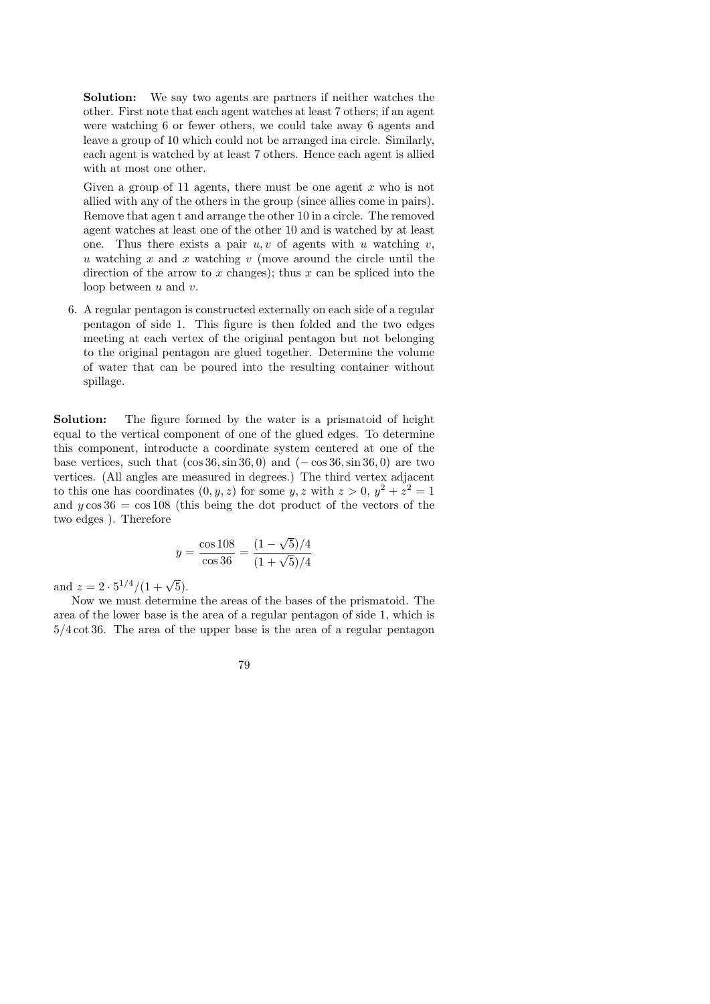Solution: We say two agents are partners if neither watches the other. First note that each agent watches at least 7 others; if an agent were watching 6 or fewer others, we could take away 6 agents and leave a group of 10 which could not be arranged ina circle. Similarly, each agent is watched by at least 7 others. Hence each agent is allied with at most one other.

Given a group of 11 agents, there must be one agent  $x$  who is not allied with any of the others in the group (since allies come in pairs). Remove that agen t and arrange the other 10 in a circle. The removed agent watches at least one of the other 10 and is watched by at least one. Thus there exists a pair  $u, v$  of agents with u watching v, u watching x and x watching  $v$  (move around the circle until the direction of the arrow to  $x$  changes); thus  $x$  can be spliced into the loop between  $u$  and  $v$ .

6. A regular pentagon is constructed externally on each side of a regular pentagon of side 1. This figure is then folded and the two edges meeting at each vertex of the original pentagon but not belonging to the original pentagon are glued together. Determine the volume of water that can be poured into the resulting container without spillage.

Solution: The figure formed by the water is a prismatoid of height equal to the vertical component of one of the glued edges. To determine this component, introducte a coordinate system centered at one of the base vertices, such that  $(\cos 36, \sin 36, 0)$  and  $(-\cos 36, \sin 36, 0)$  are two vertices. (All angles are measured in degrees.) The third vertex adjacent to this one has coordinates  $(0, y, z)$  for some y, z with  $z > 0$ ,  $y^2 + z^2 = 1$ and  $y \cos 36 = \cos 108$  (this being the dot product of the vectors of the two edges ). Therefore

$$
y = \frac{\cos 108}{\cos 36} = \frac{(1 - \sqrt{5})/4}{(1 + \sqrt{5})/4}
$$

and  $z = 2 \cdot 5^{1/4}/(1 + \sqrt{5}).$ 

Now we must determine the areas of the bases of the prismatoid. The area of the lower base is the area of a regular pentagon of side 1, which is 5/4 cot 36. The area of the upper base is the area of a regular pentagon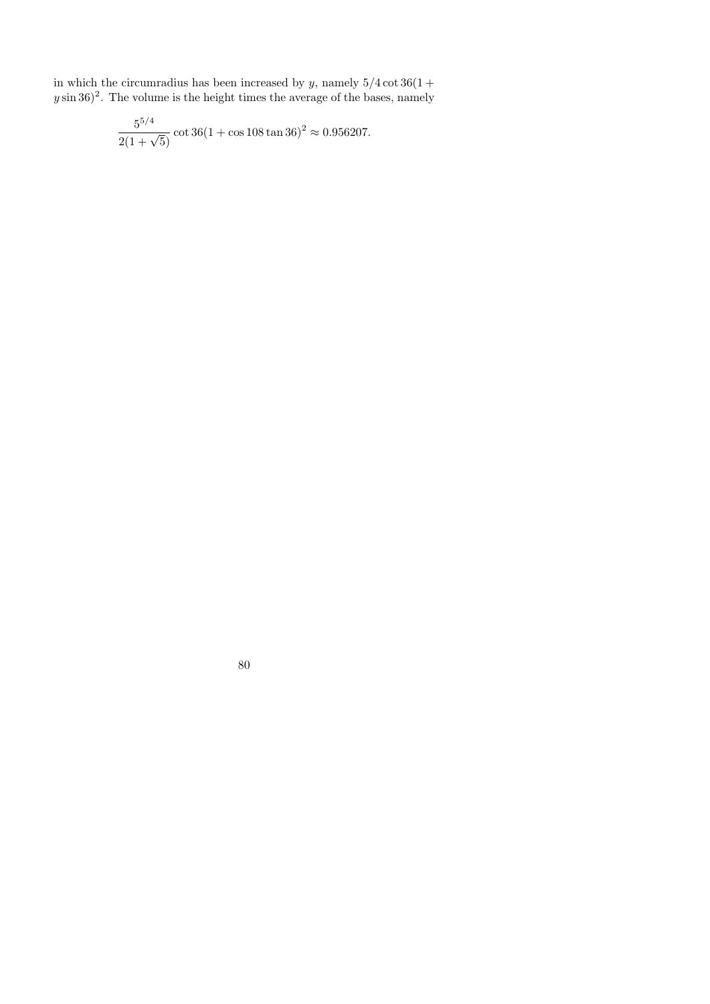in which the circumradius has been increased by y, namely  $5/4 \cot 36(1 +$  $y \sin 36$ <sup>2</sup>. The volume is the height times the average of the bases, namely

$$
\frac{5^{5/4}}{2(1+\sqrt{5})} \cot 36(1+\cos 108 \tan 36)^2 \approx 0.956207.
$$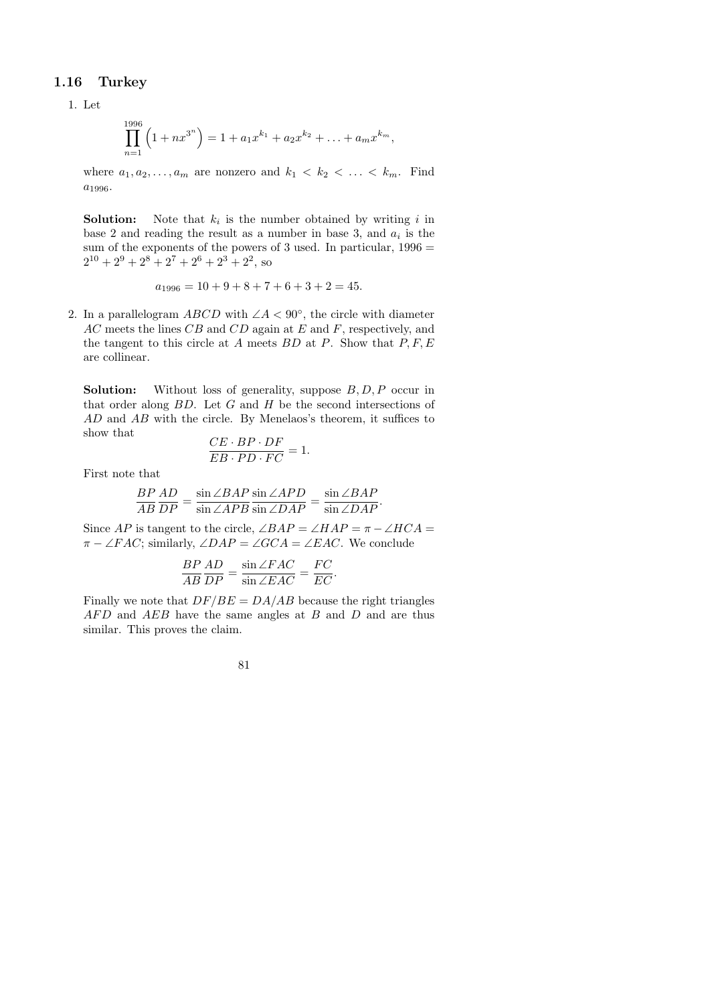#### 1.16 Turkey

1. Let

$$
\prod_{n=1}^{1996} \left( 1 + nx^{3^n} \right) = 1 + a_1 x^{k_1} + a_2 x^{k_2} + \ldots + a_m x^{k_m},
$$

where  $a_1, a_2, \ldots, a_m$  are nonzero and  $k_1 < k_2 < \ldots < k_m$ . Find  $a_{1996}.$ 

**Solution:** Note that  $k_i$  is the number obtained by writing i in base 2 and reading the result as a number in base 3, and  $a_i$  is the sum of the exponents of the powers of 3 used. In particular,  $1996 =$  $2^{10} + 2^9 + 2^8 + 2^7 + 2^6 + 2^3 + 2^2$ , so

$$
a_{1996} = 10 + 9 + 8 + 7 + 6 + 3 + 2 = 45.
$$

2. In a parallelogram  $ABCD$  with  $\angle A < 90^{\circ}$ , the circle with diameter  $AC$  meets the lines  $CB$  and  $CD$  again at  $E$  and  $F$ , respectively, and the tangent to this circle at A meets  $BD$  at P. Show that  $P, F, E$ are collinear.

**Solution:** Without loss of generality, suppose  $B, D, P$  occur in that order along  $BD$ . Let  $G$  and  $H$  be the second intersections of AD and AB with the circle. By Menelaos's theorem, it suffices to show that

$$
\frac{CE \cdot BP \cdot DF}{EB \cdot PD \cdot FC} = 1.
$$

First note that

$$
\frac{BP}{AB}\frac{AD}{DP} = \frac{\sin \angle BAD}{\sin \angle APB}\frac{\sin \angle APD}{\sin \angle DAP} = \frac{\sin \angle BAD}{\sin \angle DAP}.
$$

Since AP is tangent to the circle,  $\angle BAP = \angle HAP = \pi - \angle HCA =$  $\pi - \angle FAC$ ; similarly,  $\angle DAP = \angle GCA = \angle EAC$ . We conclude

$$
\frac{BP}{AB}\frac{AD}{DP} = \frac{\sin \angle FAC}{\sin \angle EAC} = \frac{FC}{EC}.
$$

Finally we note that  $DF/BE = DA/AB$  because the right triangles  $AFD$  and  $AEB$  have the same angles at  $B$  and  $D$  and are thus similar. This proves the claim.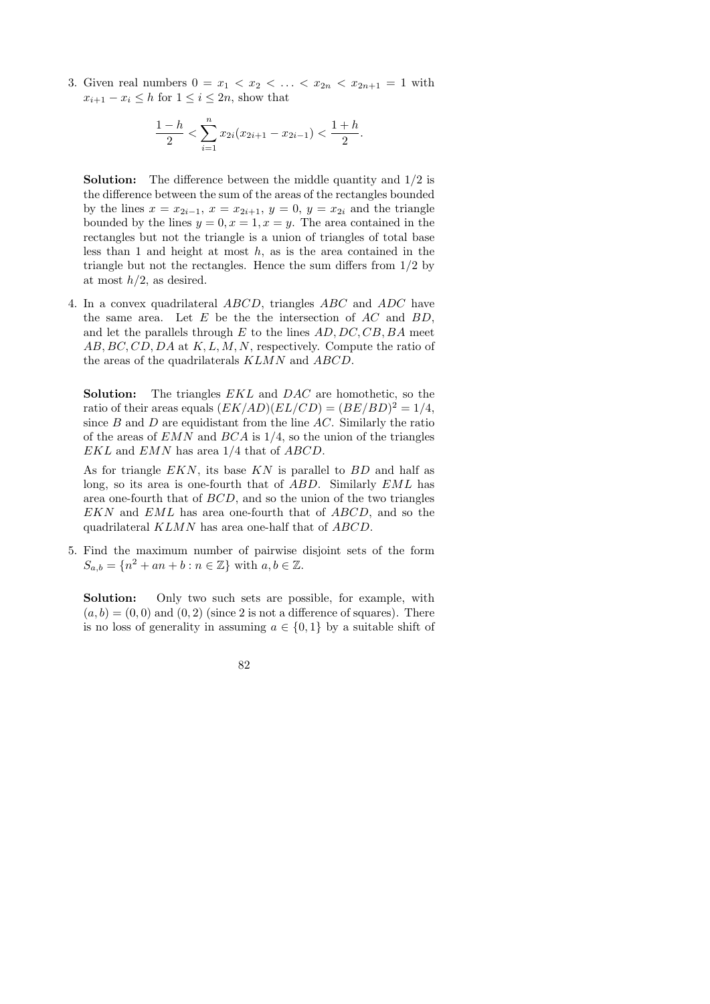3. Given real numbers  $0 = x_1 < x_2 < \ldots < x_{2n} < x_{2n+1} = 1$  with  $x_{i+1} - x_i \leq h$  for  $1 \leq i \leq 2n$ , show that

$$
\frac{1-h}{2} < \sum_{i=1}^{n} x_{2i} (x_{2i+1} - x_{2i-1}) < \frac{1+h}{2}.
$$

Solution: The difference between the middle quantity and  $1/2$  is the difference between the sum of the areas of the rectangles bounded by the lines  $x = x_{2i-1}$ ,  $x = x_{2i+1}$ ,  $y = 0$ ,  $y = x_{2i}$  and the triangle bounded by the lines  $y = 0, x = 1, x = y$ . The area contained in the rectangles but not the triangle is a union of triangles of total base less than 1 and height at most  $h$ , as is the area contained in the triangle but not the rectangles. Hence the sum differs from 1/2 by at most  $h/2$ , as desired.

4. In a convex quadrilateral ABCD, triangles ABC and ADC have the same area. Let  $E$  be the intersection of  $AC$  and  $BD$ , and let the parallels through  $E$  to the lines  $AD, DC, CB, BA$  meet AB, BC, CD, DA at K, L, M, N, respectively. Compute the ratio of the areas of the quadrilaterals KLMN and ABCD.

Solution: The triangles EKL and DAC are homothetic, so the ratio of their areas equals  $(EK/AD)(EL/CD) = (BE/BD)^2 = 1/4$ , since  $B$  and  $D$  are equidistant from the line  $AC$ . Similarly the ratio of the areas of  $EMN$  and  $BCA$  is  $1/4$ , so the union of the triangles EKL and EMN has area 1/4 that of ABCD.

As for triangle  $EKN$ , its base  $KN$  is parallel to  $BD$  and half as long, so its area is one-fourth that of ABD. Similarly EML has area one-fourth that of BCD, and so the union of the two triangles EKN and EML has area one-fourth that of ABCD, and so the quadrilateral KLMN has area one-half that of ABCD.

5. Find the maximum number of pairwise disjoint sets of the form  $S_{a,b} = \{n^2 + an + b : n \in \mathbb{Z}\}\$  with  $a, b \in \mathbb{Z}$ .

Solution: Only two such sets are possible, for example, with  $(a, b) = (0, 0)$  and  $(0, 2)$  (since 2 is not a difference of squares). There is no loss of generality in assuming  $a \in \{0,1\}$  by a suitable shift of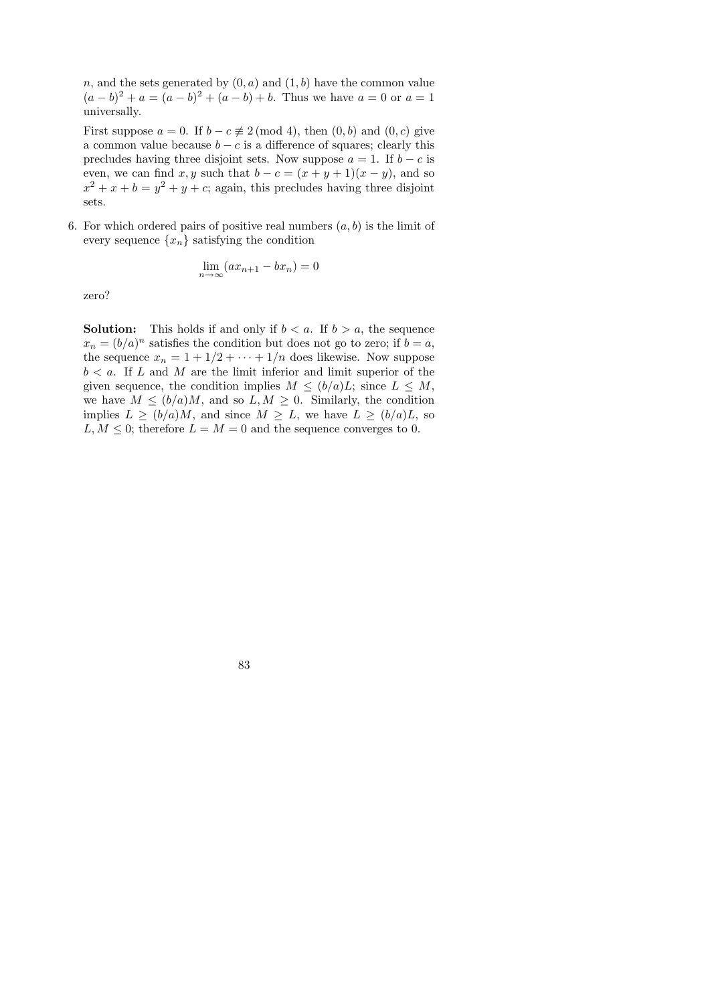n, and the sets generated by  $(0, a)$  and  $(1, b)$  have the common value  $(a - b)^2 + a = (a - b)^2 + (a - b) + b$ . Thus we have  $a = 0$  or  $a = 1$ universally.

First suppose  $a = 0$ . If  $b - c \not\equiv 2 \pmod{4}$ , then  $(0, b)$  and  $(0, c)$  give a common value because  $b - c$  is a difference of squares; clearly this precludes having three disjoint sets. Now suppose  $a = 1$ . If  $b - c$  is even, we can find x, y such that  $b - c = (x + y + 1)(x - y)$ , and so  $x^2 + x + b = y^2 + y + c$ ; again, this precludes having three disjoint sets.

6. For which ordered pairs of positive real numbers  $(a, b)$  is the limit of every sequence  $\{x_n\}$  satisfying the condition

$$
\lim_{n \to \infty} (ax_{n+1} - bx_n) = 0
$$

zero?

**Solution:** This holds if and only if  $b < a$ . If  $b > a$ , the sequence  $x_n = (b/a)^n$  satisfies the condition but does not go to zero; if  $b = a$ , the sequence  $x_n = 1 + 1/2 + \cdots + 1/n$  does likewise. Now suppose  $b < a$ . If L and M are the limit inferior and limit superior of the given sequence, the condition implies  $M \leq (b/a)L$ ; since  $L \leq M$ , we have  $M \leq (b/a)M$ , and so  $L, M \geq 0$ . Similarly, the condition implies  $L \ge (b/a)M$ , and since  $M \ge L$ , we have  $L \ge (b/a)L$ , so  $L, M \leq 0$ ; therefore  $L = M = 0$  and the sequence converges to 0.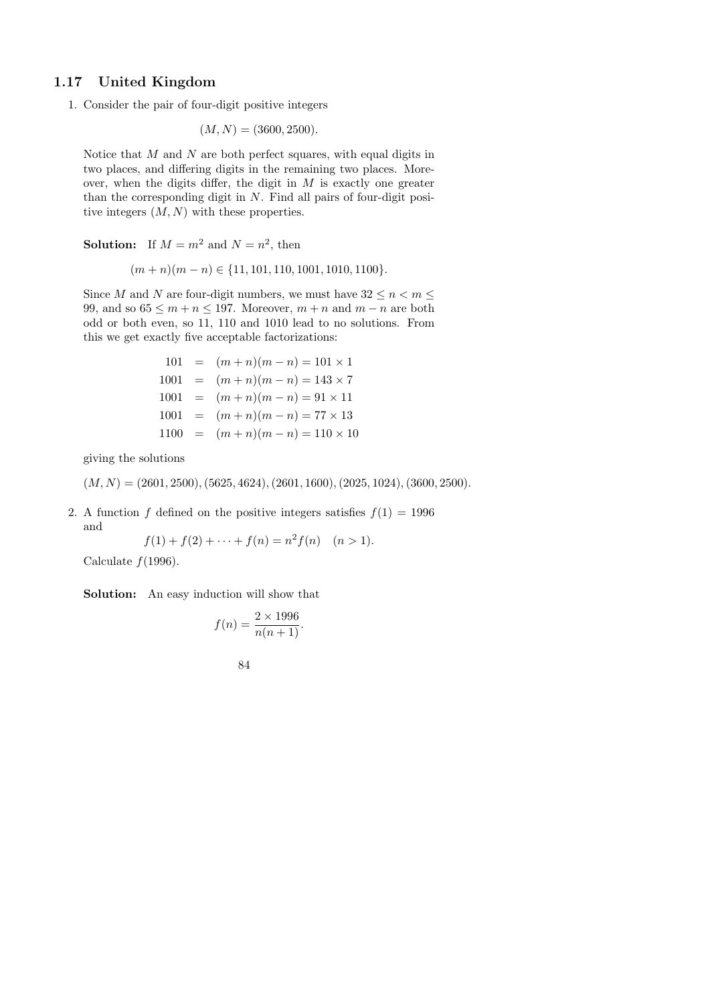# 1.17 United Kingdom

1. Consider the pair of four-digit positive integers

$$
(M, N) = (3600, 2500).
$$

Notice that  $M$  and  $N$  are both perfect squares, with equal digits in two places, and differing digits in the remaining two places. Moreover, when the digits differ, the digit in  $M$  is exactly one greater than the corresponding digit in  $N$ . Find all pairs of four-digit positive integers  $(M, N)$  with these properties.

**Solution:** If  $M = m^2$  and  $N = n^2$ , then

$$
(m+n)(m-n) \in \{11, 101, 110, 1001, 1010, 1100\}.
$$

Since M and N are four-digit numbers, we must have  $32 \leq n < m \leq$ 99, and so  $65 \le m + n \le 197$ . Moreover,  $m + n$  and  $m - n$  are both odd or both even, so 11, 110 and 1010 lead to no solutions. From this we get exactly five acceptable factorizations:

$$
101 = (m+n)(m-n) = 101 \times 1
$$
  
\n
$$
1001 = (m+n)(m-n) = 143 \times 7
$$
  
\n
$$
1001 = (m+n)(m-n) = 91 \times 11
$$
  
\n
$$
1001 = (m+n)(m-n) = 77 \times 13
$$
  
\n
$$
1100 = (m+n)(m-n) = 110 \times 10
$$

giving the solutions

 $(M, N) = (2601, 2500), (5625, 4624), (2601, 1600), (2025, 1024), (3600, 2500).$ 

2. A function f defined on the positive integers satisfies  $f(1) = 1996$ and

$$
f(1) + f(2) + \dots + f(n) = n^2 f(n) \quad (n > 1).
$$

Calculate  $f(1996)$ .

Solution: An easy induction will show that

$$
f(n) = \frac{2 \times 1996}{n(n+1)}.
$$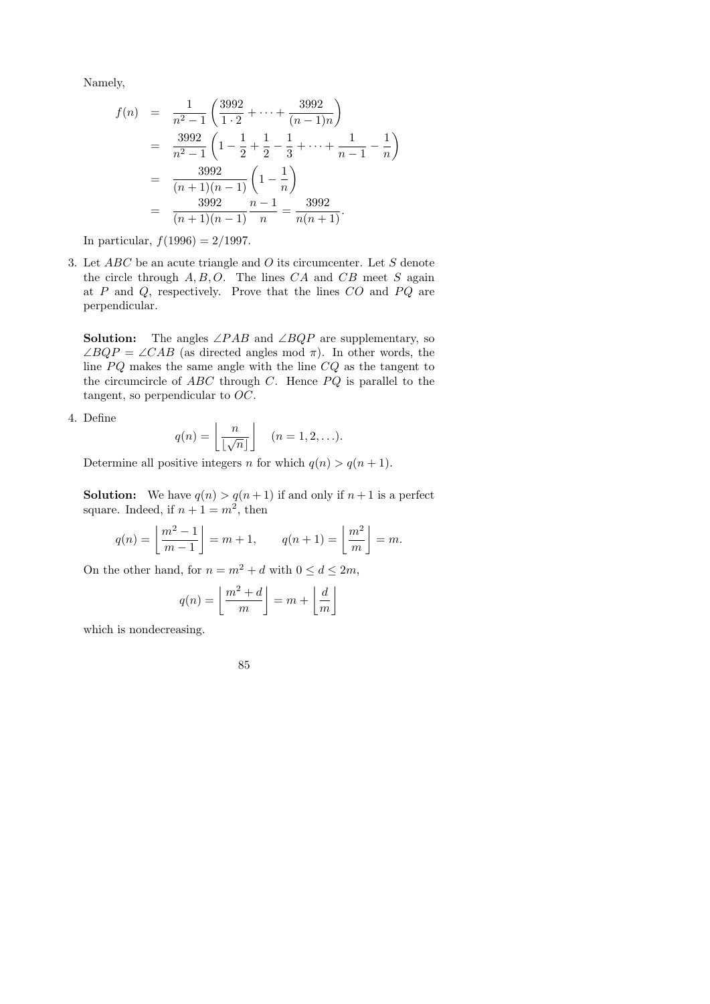Namely,

$$
f(n) = \frac{1}{n^2 - 1} \left( \frac{3992}{1 \cdot 2} + \dots + \frac{3992}{(n - 1)n} \right)
$$
  
= 
$$
\frac{3992}{n^2 - 1} \left( 1 - \frac{1}{2} + \frac{1}{2} - \frac{1}{3} + \dots + \frac{1}{n - 1} - \frac{1}{n} \right)
$$
  
= 
$$
\frac{3992}{(n + 1)(n - 1)} \left( 1 - \frac{1}{n} \right)
$$
  
= 
$$
\frac{3992}{(n + 1)(n - 1)} \frac{n - 1}{n} = \frac{3992}{n(n + 1)}.
$$

In particular,  $f(1996) = 2/1997$ .

3. Let  $ABC$  be an acute triangle and  $O$  its circumcenter. Let  $S$  denote the circle through  $A, B, O$ . The lines  $CA$  and  $CB$  meet S again at  $P$  and  $Q$ , respectively. Prove that the lines  $CO$  and  $PQ$  are perpendicular.

**Solution:** The angles  $\angle PAB$  and  $\angle BQP$  are supplementary, so  $\angle BQP = \angle CAB$  (as directed angles mod  $\pi$ ). In other words, the line  $PQ$  makes the same angle with the line  $CQ$  as the tangent to the circumcircle of  $ABC$  through  $C$ . Hence  $PQ$  is parallel to the tangent, so perpendicular to OC.

4. Define

$$
q(n) = \left\lfloor \frac{n}{\lfloor \sqrt{n} \rfloor} \right\rfloor \quad (n = 1, 2, \ldots).
$$

Determine all positive integers n for which  $q(n) > q(n+1)$ .

**Solution:** We have  $q(n) > q(n+1)$  if and only if  $n+1$  is a perfect square. Indeed, if  $n + 1 = m^2$ , then

$$
q(n) = \left\lfloor \frac{m^2 - 1}{m - 1} \right\rfloor = m + 1, \qquad q(n + 1) = \left\lfloor \frac{m^2}{m} \right\rfloor = m.
$$

On the other hand, for  $n = m^2 + d$  with  $0 \le d \le 2m$ ,

$$
q(n) = \left\lfloor \frac{m^2 + d}{m} \right\rfloor = m + \left\lfloor \frac{d}{m} \right\rfloor
$$

which is nondecreasing.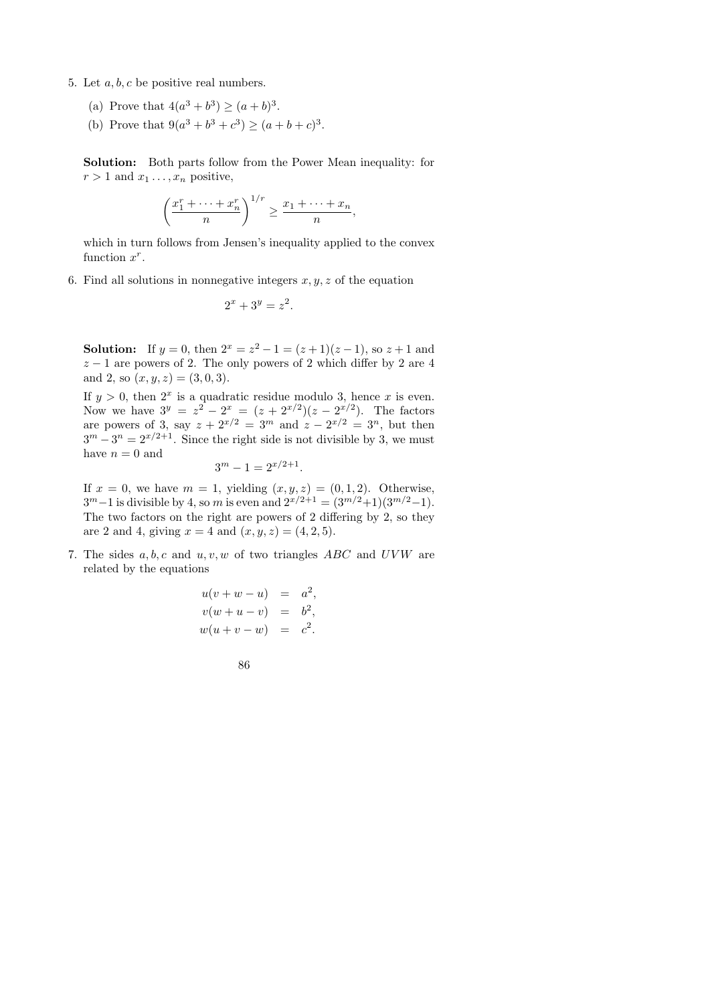- 5. Let  $a, b, c$  be positive real numbers.
	- (a) Prove that  $4(a^3 + b^3) \ge (a+b)^3$ .
	- (b) Prove that  $9(a^3 + b^3 + c^3) \ge (a + b + c)^3$ .

Solution: Both parts follow from the Power Mean inequality: for  $r > 1$  and  $x_1 \ldots, x_n$  positive,

$$
\left(\frac{x_1^r + \dots + x_n^r}{n}\right)^{1/r} \ge \frac{x_1 + \dots + x_n}{n},
$$

which in turn follows from Jensen's inequality applied to the convex function  $x^r$ .

6. Find all solutions in nonnegative integers  $x, y, z$  of the equation

$$
2^x + 3^y = z^2.
$$

**Solution:** If  $y = 0$ , then  $2^x = z^2 - 1 = (z+1)(z-1)$ , so  $z+1$  and  $z - 1$  are powers of 2. The only powers of 2 which differ by 2 are 4 and 2, so  $(x, y, z) = (3, 0, 3)$ .

If  $y > 0$ , then  $2^x$  is a quadratic residue modulo 3, hence x is even. Now we have  $3^y = z^2 - 2^x = (z + 2^{x/2})(z - 2^{x/2})$ . The factors are powers of 3, say  $z + 2^{x/2} = 3^m$  and  $z - 2^{x/2} = 3^n$ , but then  $3^m - 3^n = 2^{x/2+1}$ . Since the right side is not divisible by 3, we must have  $n = 0$  and

$$
3^m - 1 = 2^{x/2 + 1}.
$$

If  $x = 0$ , we have  $m = 1$ , yielding  $(x, y, z) = (0, 1, 2)$ . Otherwise,  $3^m-1$  is divisible by 4, so m is even and  $2^{x/2+1} = (3^{m/2}+1)(3^{m/2}-1)$ . The two factors on the right are powers of 2 differing by 2, so they are 2 and 4, giving  $x = 4$  and  $(x, y, z) = (4, 2, 5)$ .

7. The sides  $a, b, c$  and  $u, v, w$  of two triangles ABC and UVW are related by the equations

$$
u(v + w - u) = a2,\n v(w + u - v) = b2,\n w(u + v - w) = c2.
$$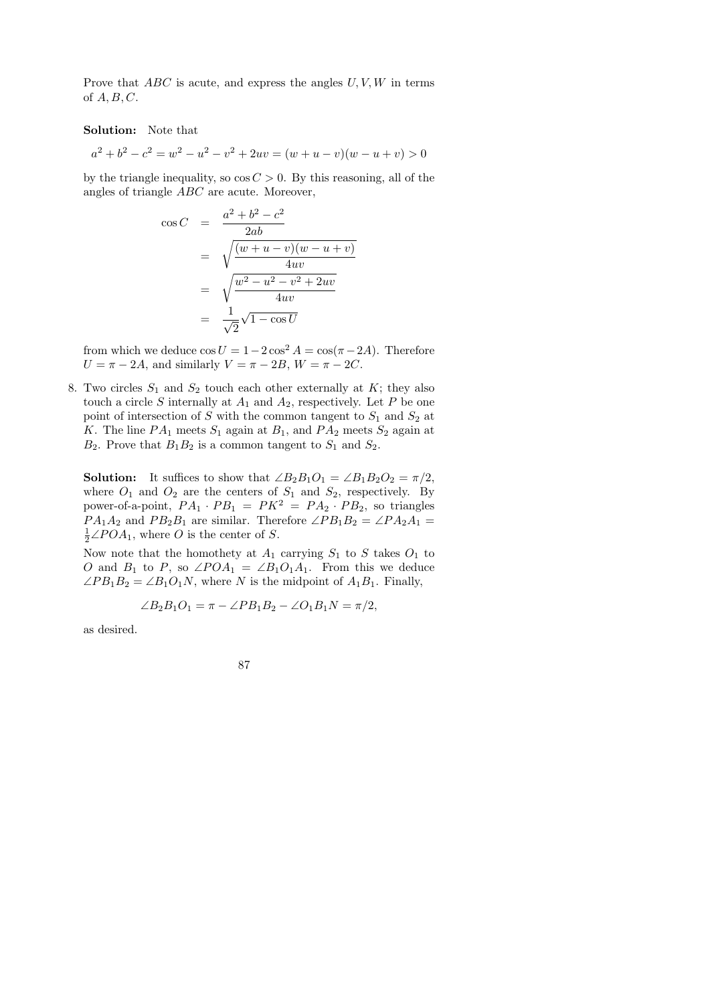Prove that  $ABC$  is acute, and express the angles  $U, V, W$  in terms of  $A, B, C$ .

Solution: Note that

$$
a2 + b2 - c2 = w2 - u2 - v2 + 2uv = (w + u - v)(w - u + v) > 0
$$

by the triangle inequality, so  $\cos C > 0$ . By this reasoning, all of the angles of triangle ABC are acute. Moreover,

$$
\cos C = \frac{a^2 + b^2 - c^2}{2ab}
$$
  
= 
$$
\sqrt{\frac{(w+u-v)(w-u+v)}{4uv}}
$$
  
= 
$$
\sqrt{\frac{w^2 - u^2 - v^2 + 2uv}{4uv}}
$$
  
= 
$$
\frac{1}{\sqrt{2}}\sqrt{1 - \cos U}
$$

from which we deduce  $\cos U = 1-2\cos^2 A = \cos(\pi-2A)$ . Therefore  $U = \pi - 2A$ , and similarly  $V = \pi - 2B$ ,  $W = \pi - 2C$ .

8. Two circles  $S_1$  and  $S_2$  touch each other externally at K; they also touch a circle S internally at  $A_1$  and  $A_2$ , respectively. Let P be one point of intersection of S with the common tangent to  $S_1$  and  $S_2$  at K. The line  $PA_1$  meets  $S_1$  again at  $B_1$ , and  $PA_2$  meets  $S_2$  again at  $B_2$ . Prove that  $B_1B_2$  is a common tangent to  $S_1$  and  $S_2$ .

**Solution:** It suffices to show that  $\angle B_2B_1O_1 = \angle B_1B_2O_2 = \pi/2$ , where  $O_1$  and  $O_2$  are the centers of  $S_1$  and  $S_2$ , respectively. By power-of-a-point,  $PA_1 \cdot PB_1 = PK^2 = PA_2 \cdot PB_2$ , so triangles  $PA_1A_2$  and  $PB_2B_1$  are similar. Therefore  $\angle PB_1B_2 = \angle PA_2A_1 =$  $\frac{1}{2}$ ∠*POA*<sub>1</sub>, where *O* is the center of *S*.

Now note that the homothety at  $A_1$  carrying  $S_1$  to S takes  $O_1$  to O and  $B_1$  to P, so  $\angle POA_1 = \angle B_1O_1A_1$ . From this we deduce  $\angle PB_1B_2 = \angle B_1O_1N$ , where N is the midpoint of  $A_1B_1$ . Finally,

$$
\angle B_2B_1O_1 = \pi - \angle PB_1B_2 - \angle O_1B_1N = \pi/2,
$$

as desired.

$$
^{87}
$$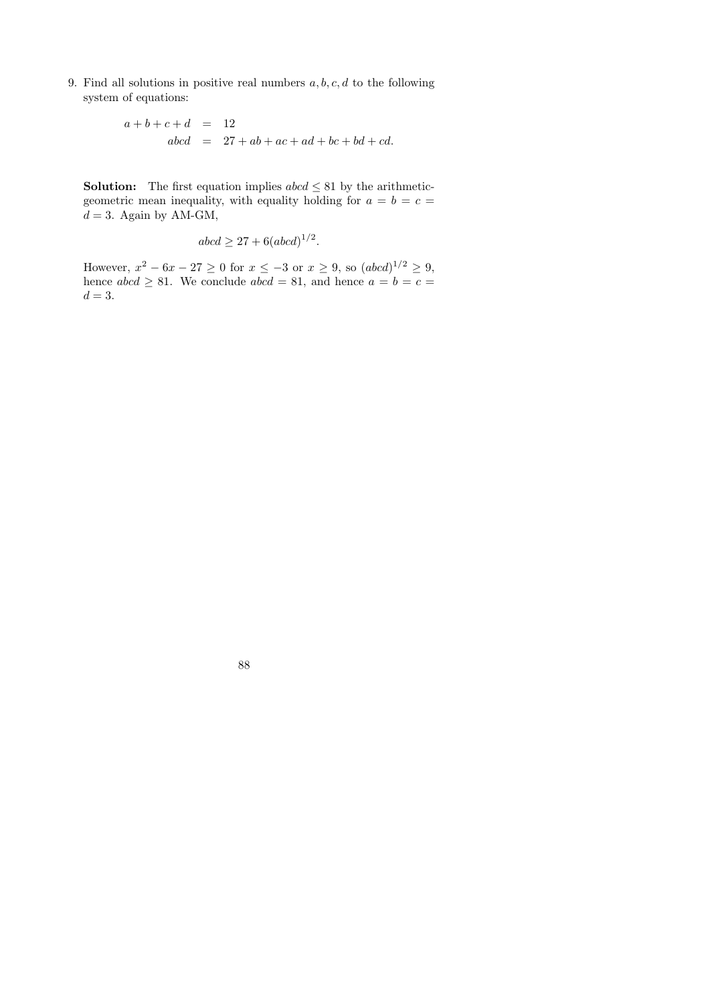9. Find all solutions in positive real numbers  $a, b, c, d$  to the following system of equations:

> $a + b + c + d = 12$  $abcd = 27 + ab + ac + ad + bc + bd + cd.$

**Solution:** The first equation implies  $abcd \leq 81$  by the arithmeticgeometric mean inequality, with equality holding for  $a = b = c$  $d = 3$ . Again by AM-GM,

$$
abcd \ge 27 + 6(abcd)^{1/2}.
$$

However,  $x^2 - 6x - 27 \ge 0$  for  $x \le -3$  or  $x \ge 9$ , so  $(abcd)^{1/2} \ge 9$ , hence  $abcd \ge 81$ . We conclude  $abcd = 81$ , and hence  $a = b = c =$  $d = 3$ .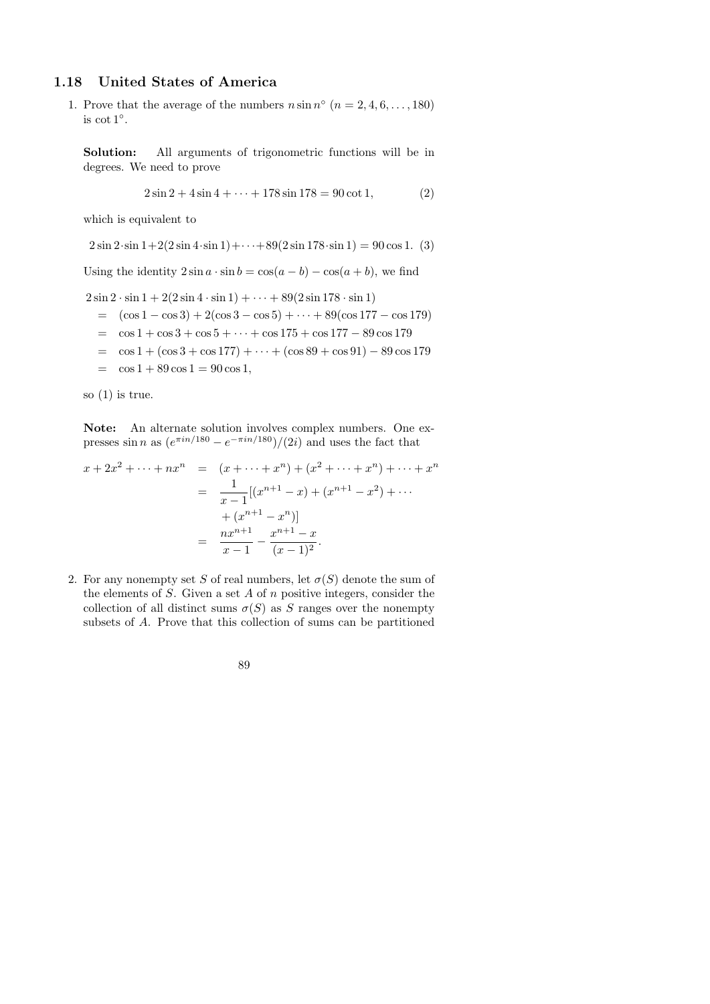## 1.18 United States of America

1. Prove that the average of the numbers  $n \sin n^{\circ}$   $(n = 2, 4, 6, \ldots, 180)$ is  $\cot 1^\circ$ .

Solution: All arguments of trigonometric functions will be in degrees. We need to prove

$$
2\sin 2 + 4\sin 4 + \dots + 178\sin 178 = 90\cot 1,\tag{2}
$$

which is equivalent to

$$
2\sin 2 \cdot \sin 1 + 2(2\sin 4 \cdot \sin 1) + \dots + 89(2\sin 178 \cdot \sin 1) = 90\cos 1. \tag{3}
$$

Using the identity  $2 \sin a \cdot \sin b = \cos(a-b) - \cos(a+b)$ , we find

 $2 \sin 2 \cdot \sin 1 + 2(2 \sin 4 \cdot \sin 1) + \cdots + 89(2 \sin 178 \cdot \sin 1)$ 

- $=$   $(\cos 1 \cos 3) + 2(\cos 3 \cos 5) + \cdots + 89(\cos 177 \cos 179)$
- $=$   $\cos 1 + \cos 3 + \cos 5 + \cdots + \cos 175 + \cos 177 89 \cos 179$
- $=$   $\cos 1 + (\cos 3 + \cos 177) + \cdots + (\cos 89 + \cos 91) 89 \cos 179$
- $=$   $\cos 1 + 89 \cos 1 = 90 \cos 1$ ,

so  $(1)$  is true.

Note: An alternate solution involves complex numbers. One expresses  $\sin n$  as  $(e^{\pi i n/180} - e^{-\pi i n/180})/(2i)$  and uses the fact that

$$
x + 2x^{2} + \dots + nx^{n} = (x + \dots + x^{n}) + (x^{2} + \dots + x^{n}) + \dots + x^{n}
$$
  

$$
= \frac{1}{x - 1}[(x^{n+1} - x) + (x^{n+1} - x^{2}) + \dots
$$
  

$$
+ (x^{n+1} - x^{n})]
$$
  

$$
= \frac{nx^{n+1}}{x - 1} - \frac{x^{n+1} - x}{(x - 1)^{2}}.
$$

2. For any nonempty set S of real numbers, let  $\sigma(S)$  denote the sum of the elements of  $S$ . Given a set  $A$  of  $n$  positive integers, consider the collection of all distinct sums  $\sigma(S)$  as S ranges over the nonempty subsets of A. Prove that this collection of sums can be partitioned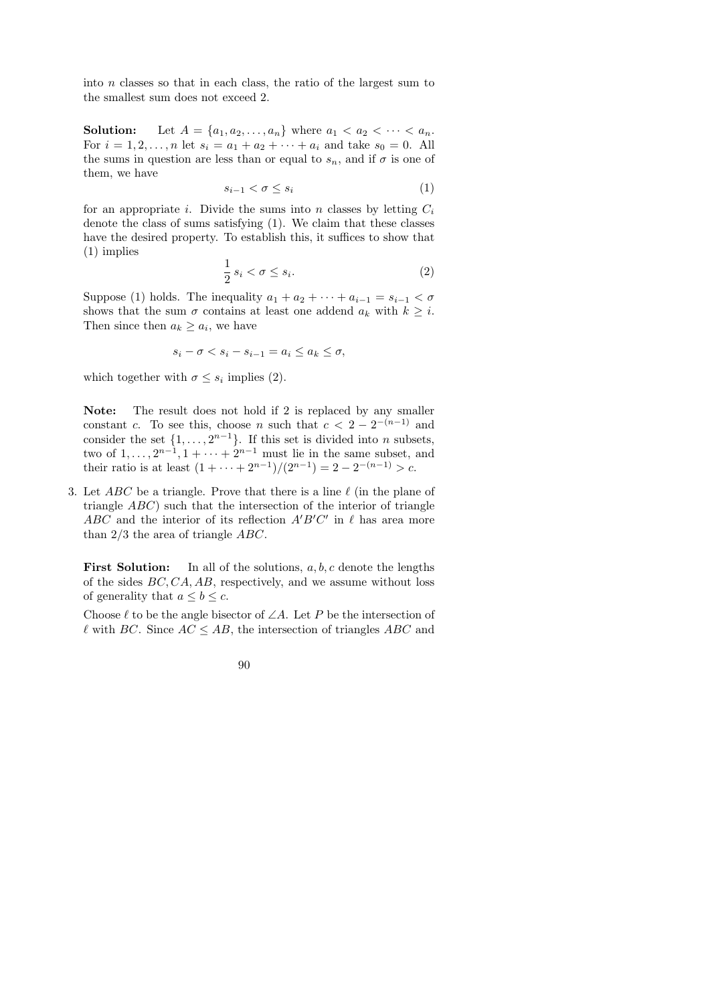into n classes so that in each class, the ratio of the largest sum to the smallest sum does not exceed 2.

**Solution:** Let  $A = \{a_1, a_2, \ldots, a_n\}$  where  $a_1 < a_2 < \cdots < a_n$ . For  $i = 1, 2, ..., n$  let  $s_i = a_1 + a_2 + \cdots + a_i$  and take  $s_0 = 0$ . All the sums in question are less than or equal to  $s_n$ , and if  $\sigma$  is one of them, we have

$$
s_{i-1} < \sigma \le s_i \tag{1}
$$

for an appropriate i. Divide the sums into n classes by letting  $C_i$ denote the class of sums satisfying (1). We claim that these classes have the desired property. To establish this, it suffices to show that (1) implies

$$
\frac{1}{2} s_i < \sigma \le s_i. \tag{2}
$$

Suppose (1) holds. The inequality  $a_1 + a_2 + \cdots + a_{i-1} = s_{i-1} < \sigma$ shows that the sum  $\sigma$  contains at least one addend  $a_k$  with  $k > i$ . Then since then  $a_k \geq a_i$ , we have

$$
s_i - \sigma < s_i - s_{i-1} = a_i \le a_k \le \sigma,
$$

which together with  $\sigma \leq s_i$  implies (2).

Note: The result does not hold if 2 is replaced by any smaller constant c. To see this, choose n such that  $c < 2 - 2^{-(n-1)}$  and consider the set  $\{1, \ldots, 2^{n-1}\}$ . If this set is divided into *n* subsets, two of  $1, \ldots, 2^{n-1}, 1 + \cdots + 2^{n-1}$  must lie in the same subset, and their ratio is at least  $(1 + \cdots + 2^{n-1})/(2^{n-1}) = 2 - 2^{-(n-1)} > c$ .

3. Let ABC be a triangle. Prove that there is a line  $\ell$  (in the plane of triangle ABC) such that the intersection of the interior of triangle  $ABC$  and the interior of its reflection  $A'B'C'$  in  $\ell$  has area more than 2/3 the area of triangle ABC.

**First Solution:** In all of the solutions,  $a, b, c$  denote the lengths of the sides BC, CA, AB, respectively, and we assume without loss of generality that  $a \leq b \leq c$ .

Choose  $\ell$  to be the angle bisector of  $\angle A$ . Let P be the intersection of  $\ell$  with BC. Since  $AC \le AB$ , the intersection of triangles ABC and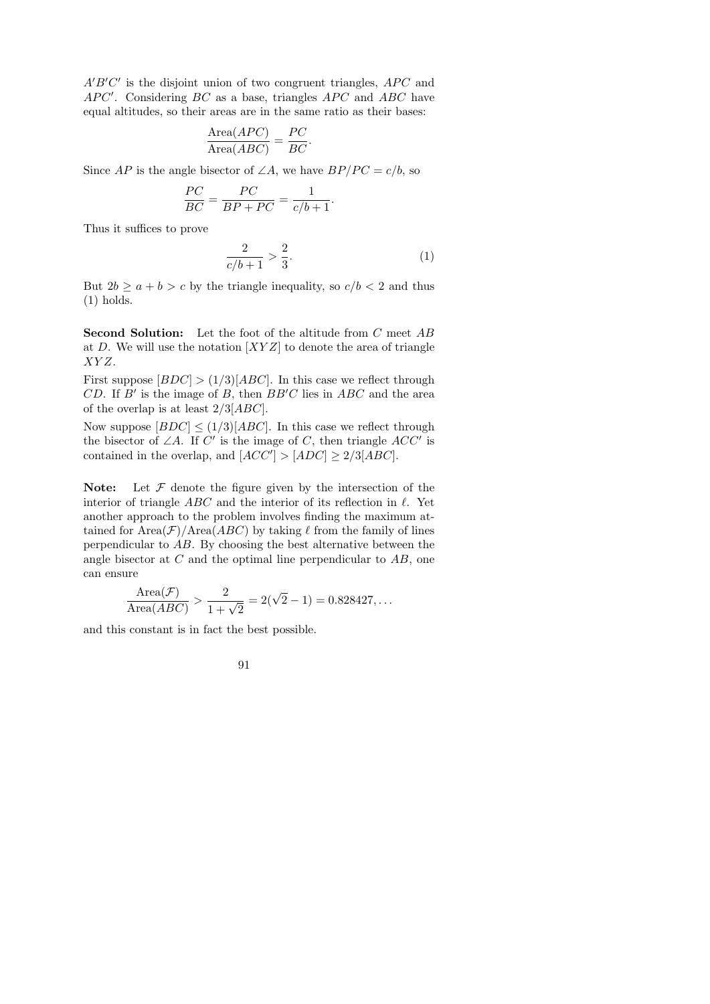$A'B'C'$  is the disjoint union of two congruent triangles,  $APC$  and  $APC'$ . Considering  $BC$  as a base, triangles  $APC$  and  $ABC$  have equal altitudes, so their areas are in the same ratio as their bases:

$$
\frac{\text{Area}(APC)}{\text{Area}(ABC)} = \frac{PC}{BC}.
$$

Since AP is the angle bisector of  $\angle A$ , we have  $BP/PC = c/b$ , so

$$
\frac{PC}{BC} = \frac{PC}{BP + PC} = \frac{1}{c/b + 1}.
$$

Thus it suffices to prove

$$
\frac{2}{c/b+1} > \frac{2}{3}.
$$
 (1)

But  $2b \ge a + b > c$  by the triangle inequality, so  $c/b < 2$  and thus (1) holds.

Second Solution: Let the foot of the altitude from C meet AB at D. We will use the notation  $[XYZ]$  to denote the area of triangle XY Z.

First suppose  $[BDC] > (1/3)[ABC]$ . In this case we reflect through CD. If  $B'$  is the image of  $B$ , then  $BB'C$  lies in  $ABC$  and the area of the overlap is at least  $2/3[ABC]$ .

Now suppose  $[BDC] \le (1/3)[ABC]$ . In this case we reflect through the bisector of  $\angle A$ . If C' is the image of C, then triangle ACC' is contained in the overlap, and  $[ACC'] > [ADC] \geq 2/3[ABC]$ .

**Note:** Let  $\mathcal F$  denote the figure given by the intersection of the interior of triangle  $ABC$  and the interior of its reflection in  $\ell$ . Yet another approach to the problem involves finding the maximum attained for Area $(F)/Area(ABC)$  by taking  $\ell$  from the family of lines perpendicular to AB. By choosing the best alternative between the angle bisector at  $C$  and the optimal line perpendicular to  $AB$ , one can ensure

$$
\frac{\text{Area}(\mathcal{F})}{\text{Area}(ABC)} > \frac{2}{1+\sqrt{2}} = 2(\sqrt{2}-1) = 0.828427, \dots
$$

and this constant is in fact the best possible.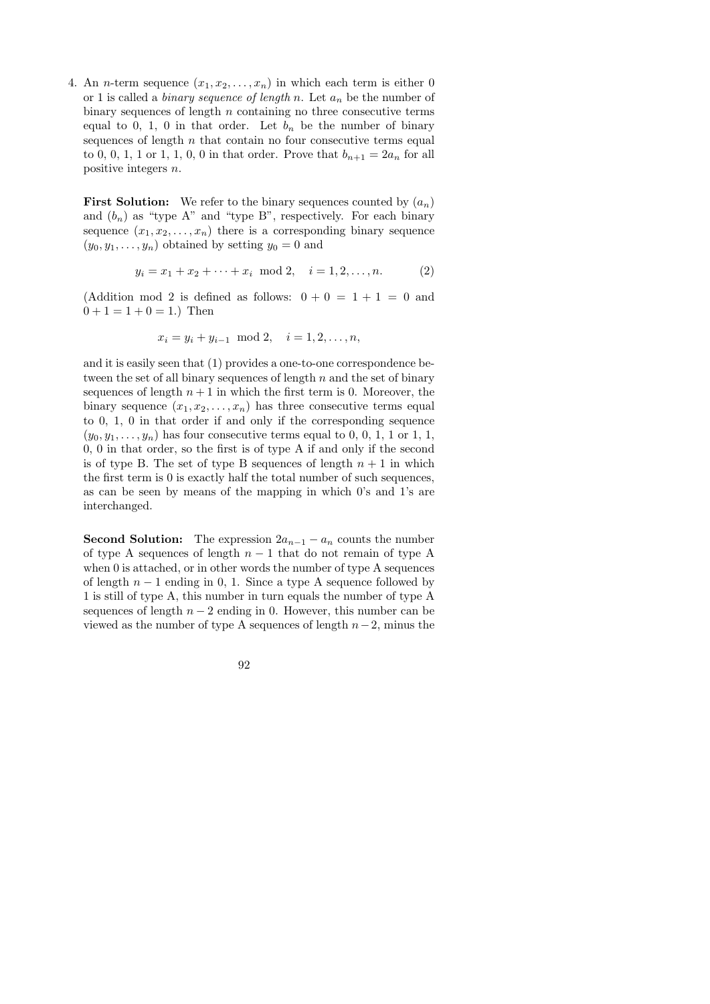4. An *n*-term sequence  $(x_1, x_2, \ldots, x_n)$  in which each term is either 0 or 1 is called a *binary sequence of length n*. Let  $a_n$  be the number of binary sequences of length  $n$  containing no three consecutive terms equal to 0, 1, 0 in that order. Let  $b_n$  be the number of binary sequences of length  $n$  that contain no four consecutive terms equal to 0, 0, 1, 1 or 1, 1, 0, 0 in that order. Prove that  $b_{n+1} = 2a_n$  for all positive integers n.

**First Solution:** We refer to the binary sequences counted by  $(a_n)$ and  $(b_n)$  as "type A" and "type B", respectively. For each binary sequence  $(x_1, x_2, \ldots, x_n)$  there is a corresponding binary sequence  $(y_0, y_1, \ldots, y_n)$  obtained by setting  $y_0 = 0$  and

$$
y_i = x_1 + x_2 + \dots + x_i \mod 2, \quad i = 1, 2, \dots, n. \tag{2}
$$

(Addition mod 2 is defined as follows:  $0 + 0 = 1 + 1 = 0$  and  $0 + 1 = 1 + 0 = 1.$  Then

$$
x_i = y_i + y_{i-1} \mod 2, \quad i = 1, 2, \dots, n,
$$

and it is easily seen that (1) provides a one-to-one correspondence between the set of all binary sequences of length  $n$  and the set of binary sequences of length  $n + 1$  in which the first term is 0. Moreover, the binary sequence  $(x_1, x_2, \ldots, x_n)$  has three consecutive terms equal to 0, 1, 0 in that order if and only if the corresponding sequence  $(y_0, y_1, \ldots, y_n)$  has four consecutive terms equal to 0, 0, 1, 1 or 1, 1, 0, 0 in that order, so the first is of type A if and only if the second is of type B. The set of type B sequences of length  $n + 1$  in which the first term is 0 is exactly half the total number of such sequences, as can be seen by means of the mapping in which 0's and 1's are interchanged.

**Second Solution:** The expression  $2a_{n-1} - a_n$  counts the number of type A sequences of length  $n-1$  that do not remain of type A when 0 is attached, or in other words the number of type A sequences of length  $n-1$  ending in 0, 1. Since a type A sequence followed by 1 is still of type A, this number in turn equals the number of type A sequences of length  $n-2$  ending in 0. However, this number can be viewed as the number of type A sequences of length  $n-2$ , minus the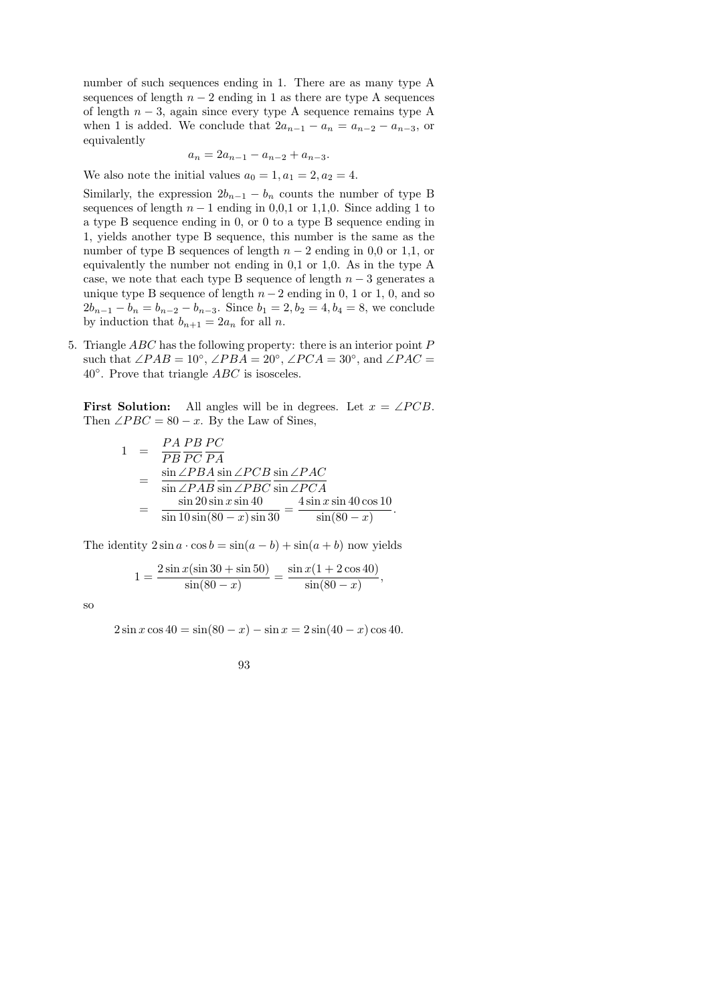number of such sequences ending in 1. There are as many type A sequences of length  $n-2$  ending in 1 as there are type A sequences of length  $n-3$ , again since every type A sequence remains type A when 1 is added. We conclude that  $2a_{n-1} - a_n = a_{n-2} - a_{n-3}$ , or equivalently

$$
a_n = 2a_{n-1} - a_{n-2} + a_{n-3}.
$$

We also note the initial values  $a_0 = 1, a_1 = 2, a_2 = 4.$ 

Similarly, the expression  $2b_{n-1} - b_n$  counts the number of type B sequences of length  $n - 1$  ending in 0,0,1 or 1,1,0. Since adding 1 to a type B sequence ending in 0, or 0 to a type B sequence ending in 1, yields another type B sequence, this number is the same as the number of type B sequences of length  $n-2$  ending in 0,0 or 1,1, or equivalently the number not ending in 0,1 or 1,0. As in the type A case, we note that each type B sequence of length  $n-3$  generates a unique type B sequence of length  $n-2$  ending in 0, 1 or 1, 0, and so  $2b_{n-1} - b_n = b_{n-2} - b_{n-3}$ . Since  $b_1 = 2, b_2 = 4, b_4 = 8$ , we conclude by induction that  $b_{n+1} = 2a_n$  for all n.

5. Triangle  $ABC$  has the following property: there is an interior point  $P$ such that  $\angle PAB = 10^\circ$ ,  $\angle PBA = 20^\circ$ ,  $\angle PCA = 30^\circ$ , and  $\angle PAC =$  $40^\circ$ . Prove that triangle  $ABC$  is isosceles.

First Solution: All angles will be in degrees. Let  $x = \angle PCB$ . Then  $\angle PBC = 80 - x$ . By the Law of Sines,

$$
1 = \frac{PA}{PB} \frac{PB}{PC} \frac{PC}{PA}
$$
  
= 
$$
\frac{\sin \angle PBA \sin \angle PCB \sin \angle PAC}{\sin \angle PAB \sin \angle PBC \sin \angle PCA}
$$
  
= 
$$
\frac{\sin 20 \sin x \sin 40}{\sin 10 \sin (80 - x) \sin 30} = \frac{4 \sin x \sin 40 \cos 10}{\sin (80 - x)}.
$$

The identity  $2 \sin a \cdot \cos b = \sin(a-b) + \sin(a+b)$  now yields

$$
1 = \frac{2\sin x(\sin 30 + \sin 50)}{\sin(80 - x)} = \frac{\sin x(1 + 2\cos 40)}{\sin(80 - x)},
$$

so

 $2 \sin x \cos 40 = \sin(80 - x) - \sin x = 2 \sin(40 - x) \cos 40.$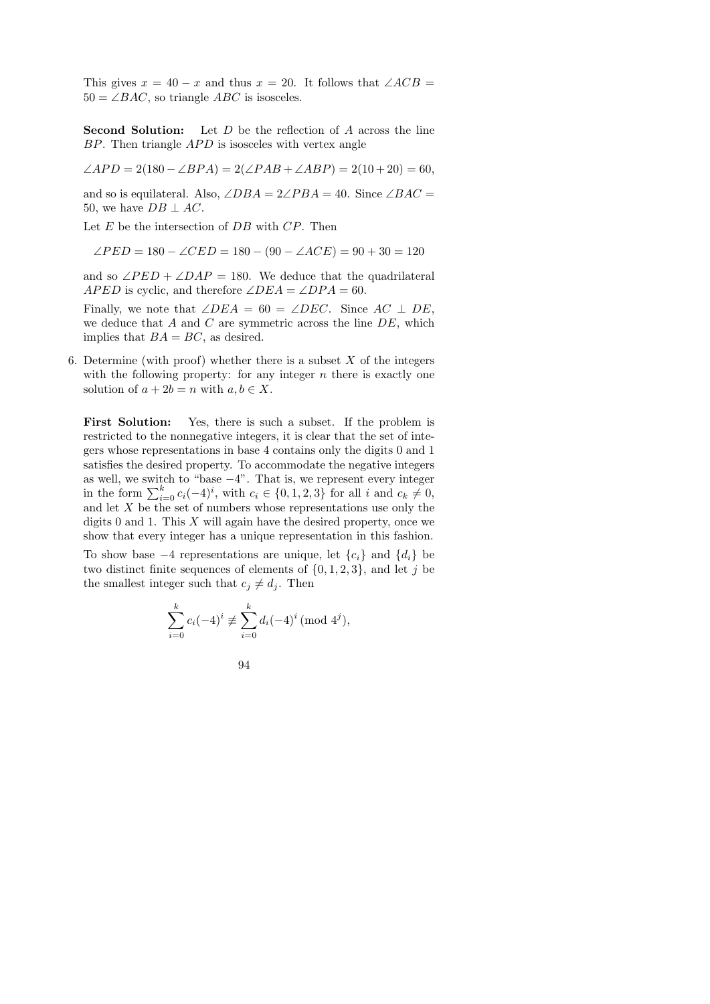This gives  $x = 40 - x$  and thus  $x = 20$ . It follows that  $\angle ACB$  $50 = \angle BAC$ , so triangle ABC is isosceles.

**Second Solution:** Let  $D$  be the reflection of  $A$  across the line  $BP$ . Then triangle  $APD$  is isosceles with vertex angle

 $\angle APD = 2(180 - \angle BPA) = 2(\angle PAB + \angle ABP) = 2(10 + 20) = 60,$ 

and so is equilateral. Also,  $\angle DBA = 2\angle PBA = 40$ . Since  $\angle BAC =$ 50, we have  $DB \perp AC$ .

Let  $E$  be the intersection of  $DB$  with  $CP$ . Then

$$
\angle PED = 180 - \angle CED = 180 - (90 - \angle ACE) = 90 + 30 = 120
$$

and so  $\angle PED + \angle DAP = 180$ . We deduce that the quadrilateral APED is cyclic, and therefore  $\angle DEA = \angle DPA = 60$ .

Finally, we note that  $\angle DEA = 60 = \angle DEC$ . Since  $AC \perp DE$ , we deduce that  $A$  and  $C$  are symmetric across the line  $DE$ , which implies that  $BA = BC$ , as desired.

6. Determine (with proof) whether there is a subset  $X$  of the integers with the following property: for any integer  $n$  there is exactly one solution of  $a + 2b = n$  with  $a, b \in X$ .

First Solution: Yes, there is such a subset. If the problem is restricted to the nonnegative integers, it is clear that the set of integers whose representations in base 4 contains only the digits 0 and 1 satisfies the desired property. To accommodate the negative integers as well, we switch to "base −4". That is, we represent every integer in the form  $\sum_{i=0}^{k} c_i(-4)^i$ , with  $c_i \in \{0, 1, 2, 3\}$  for all i and  $c_k \neq 0$ , and let  $X$  be the set of numbers whose representations use only the digits 0 and 1. This  $X$  will again have the desired property, once we show that every integer has a unique representation in this fashion.

To show base  $-4$  representations are unique, let  ${c_i}$  and  ${d_i}$  be two distinct finite sequences of elements of  $\{0, 1, 2, 3\}$ , and let j be the smallest integer such that  $c_i \neq d_i$ . Then

$$
\sum_{i=0}^{k} c_i (-4)^i \neq \sum_{i=0}^{k} d_i (-4)^i \pmod{4^j},
$$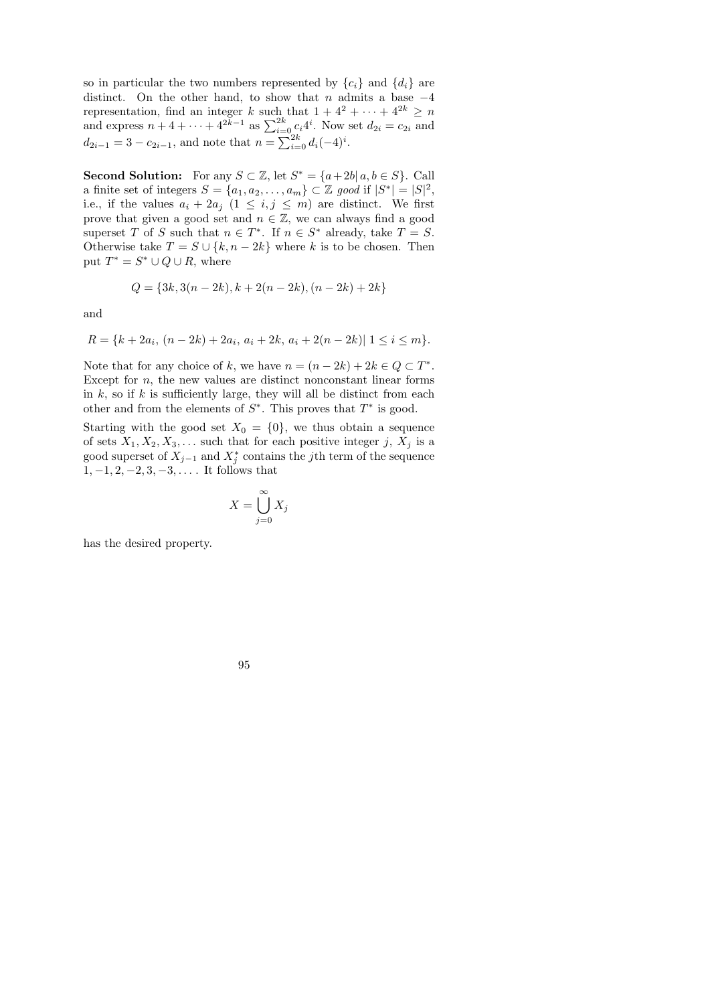so in particular the two numbers represented by  $\{c_i\}$  and  $\{d_i\}$  are distinct. On the other hand, to show that n admits a base  $-4$ representation, find an integer k such that  $1 + 4^2 + \cdots + 4^{2k} \ge n$ and express  $n + 4 + \cdots + 4^{2k-1}$  as  $\sum_{i=0}^{2k} c_i 4^i$ . Now set  $d_{2i} = c_{2i}$  and  $d_{2i-1} = 3 - c_{2i-1}$ , and note that  $n = \sum_{i=0}^{2k} d_i(-4)^i$ .

**Second Solution:** For any  $S \subset \mathbb{Z}$ , let  $S^* = \{a+2b | a, b \in S\}$ . Call a finite set of integers  $S = \{a_1, a_2, \ldots, a_m\} \subset \mathbb{Z}$  good if  $|S^*| = |S|^2$ , i.e., if the values  $a_i + 2a_j$   $(1 \leq i, j \leq m)$  are distinct. We first prove that given a good set and  $n \in \mathbb{Z}$ , we can always find a good superset T of S such that  $n \in T^*$ . If  $n \in S^*$  already, take  $T = S$ . Otherwise take  $T = S \cup \{k, n - 2k\}$  where k is to be chosen. Then put  $T^* = S^* \cup Q \cup R$ , where

$$
Q = \{3k, 3(n-2k), k+2(n-2k), (n-2k)+2k\}
$$

and

$$
R = \{k + 2a_i, (n - 2k) + 2a_i, a_i + 2k, a_i + 2(n - 2k)| 1 \le i \le m\}.
$$

Note that for any choice of k, we have  $n = (n - 2k) + 2k \in Q \subset T^*$ . Except for  $n$ , the new values are distinct nonconstant linear forms in  $k$ , so if  $k$  is sufficiently large, they will all be distinct from each other and from the elements of  $S^*$ . This proves that  $T^*$  is good.

Starting with the good set  $X_0 = \{0\}$ , we thus obtain a sequence of sets  $X_1, X_2, X_3, \ldots$  such that for each positive integer j,  $X_j$  is a good superset of  $X_{j-1}$  and  $X_j^*$  contains the jth term of the sequence  $1, -1, 2, -2, 3, -3, \ldots$  It follows that

$$
X = \bigcup_{j=0}^{\infty} X_j
$$

has the desired property.

$$
95\,
$$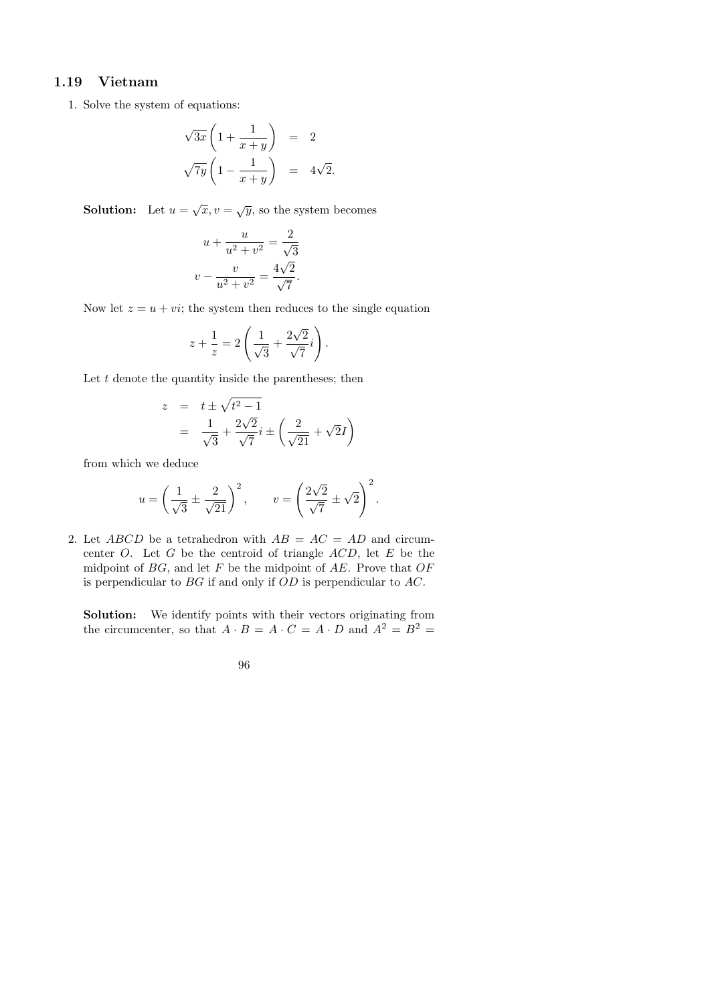## 1.19 Vietnam

1. Solve the system of equations:

$$
\sqrt{3x} \left( 1 + \frac{1}{x+y} \right) = 2
$$
  

$$
\sqrt{7y} \left( 1 - \frac{1}{x+y} \right) = 4\sqrt{2}.
$$

**Solution:** Let  $u =$ √  $\overline{x}, v = \sqrt{y}$ , so the system becomes

$$
u + \frac{u}{u^2 + v^2} = \frac{2}{\sqrt{3}}
$$

$$
v - \frac{v}{u^2 + v^2} = \frac{4\sqrt{2}}{\sqrt{7}}.
$$

Now let  $z = u + vi$ ; the system then reduces to the single equation

$$
z + \frac{1}{z} = 2\left(\frac{1}{\sqrt{3}} + \frac{2\sqrt{2}}{\sqrt{7}}i\right).
$$

Let  $t$  denote the quantity inside the parentheses; then

$$
z = t \pm \sqrt{t^2 - 1}
$$
  
=  $\frac{1}{\sqrt{3}} + \frac{2\sqrt{2}}{\sqrt{7}} i \pm \left(\frac{2}{\sqrt{21}} + \sqrt{21}\right)$ 

from which we deduce

$$
u = \left(\frac{1}{\sqrt{3}} \pm \frac{2}{\sqrt{21}}\right)^2, \qquad v = \left(\frac{2\sqrt{2}}{\sqrt{7}} \pm \sqrt{2}\right)^2.
$$

2. Let *ABCD* be a tetrahedron with  $AB = AC = AD$  and circumcenter  $O$ . Let  $G$  be the centroid of triangle  $ACD$ , let  $E$  be the midpoint of  $BG$ , and let F be the midpoint of  $AE$ . Prove that  $OF$ is perpendicular to BG if and only if OD is perpendicular to AC.

Solution: We identify points with their vectors originating from the circumcenter, so that  $A \cdot B = A \cdot C = A \cdot D$  and  $A^2 = B^2 =$ 

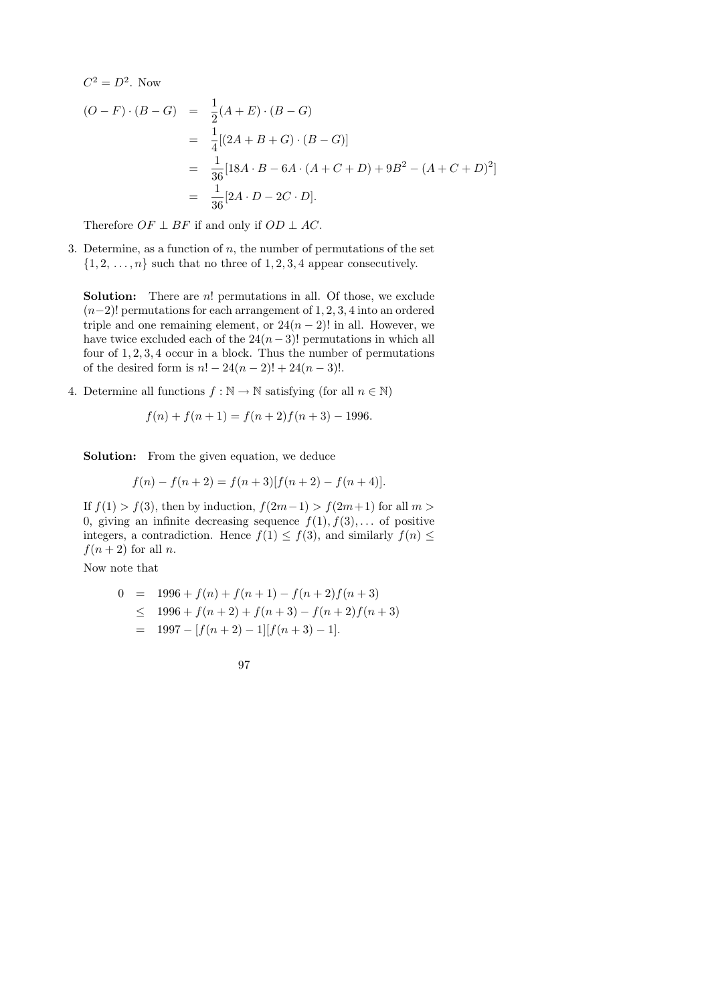$C^2 = D^2$ . Now

$$
(O - F) \cdot (B - G) = \frac{1}{2}(A + E) \cdot (B - G)
$$
  
=  $\frac{1}{4}[(2A + B + G) \cdot (B - G)]$   
=  $\frac{1}{36}[18A \cdot B - 6A \cdot (A + C + D) + 9B^2 - (A + C + D)^2]$   
=  $\frac{1}{36}[2A \cdot D - 2C \cdot D].$ 

Therefore  $OF \perp BF$  if and only if  $OD \perp AC$ .

3. Determine, as a function of  $n$ , the number of permutations of the set  $\{1, 2, \ldots, n\}$  such that no three of 1, 2, 3, 4 appear consecutively.

**Solution:** There are  $n!$  permutations in all. Of those, we exclude  $(n-2)!$  permutations for each arrangement of 1, 2, 3, 4 into an ordered triple and one remaining element, or  $24(n-2)!$  in all. However, we have twice excluded each of the  $24(n-3)!$  permutations in which all four of  $1, 2, 3, 4$  occur in a block. Thus the number of permutations of the desired form is  $n! - 24(n - 2)! + 24(n - 3)!$ .

4. Determine all functions  $f : \mathbb{N} \to \mathbb{N}$  satisfying (for all  $n \in \mathbb{N}$ )

$$
f(n) + f(n+1) = f(n+2)f(n+3) - 1996.
$$

Solution: From the given equation, we deduce

$$
f(n) - f(n+2) = f(n+3)[f(n+2) - f(n+4)].
$$

If  $f(1) > f(3)$ , then by induction,  $f(2m-1) > f(2m+1)$  for all  $m >$ 0, giving an infinite decreasing sequence  $f(1), f(3), \ldots$  of positive integers, a contradiction. Hence  $f(1) \leq f(3)$ , and similarly  $f(n) \leq$  $f(n+2)$  for all n.

Now note that

$$
0 = 1996 + f(n) + f(n+1) - f(n+2)f(n+3)
$$
  
\n
$$
\leq 1996 + f(n+2) + f(n+3) - f(n+2)f(n+3)
$$
  
\n
$$
= 1997 - [f(n+2) - 1][f(n+3) - 1].
$$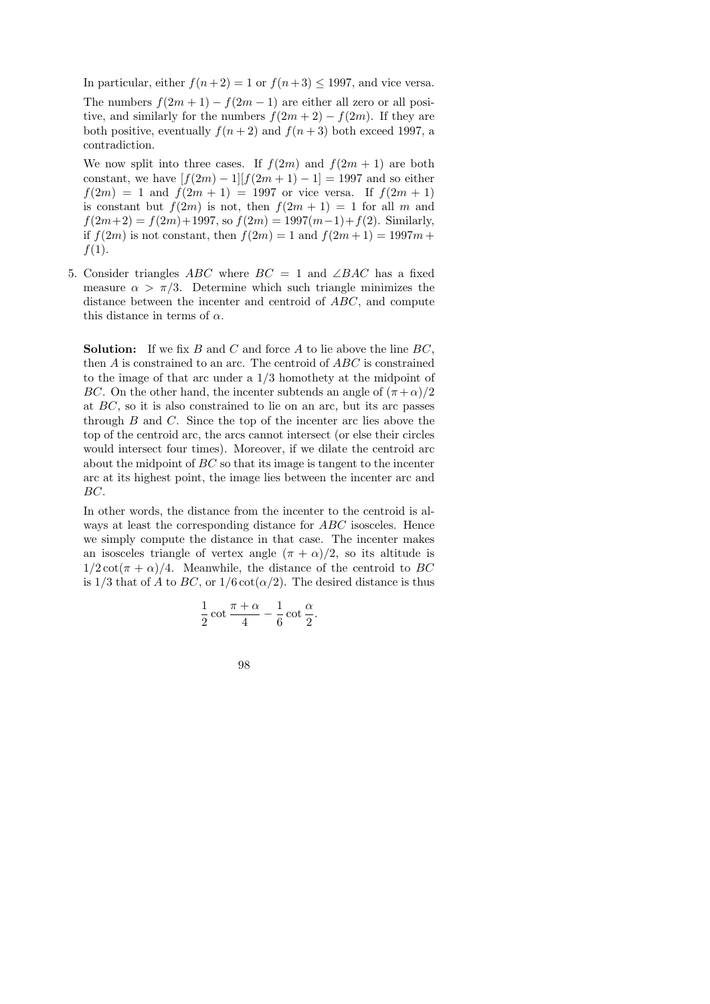In particular, either  $f(n+2) = 1$  or  $f(n+3) < 1997$ , and vice versa.

The numbers  $f(2m + 1) - f(2m - 1)$  are either all zero or all positive, and similarly for the numbers  $f(2m + 2) - f(2m)$ . If they are both positive, eventually  $f(n+2)$  and  $f(n+3)$  both exceed 1997, a contradiction.

We now split into three cases. If  $f(2m)$  and  $f(2m + 1)$  are both constant, we have  $[f(2m) - 1][f(2m + 1) - 1] = 1997$  and so either  $f(2m) = 1$  and  $f(2m + 1) = 1997$  or vice versa. If  $f(2m + 1)$ is constant but  $f(2m)$  is not, then  $f(2m + 1) = 1$  for all m and  $f(2m+2) = f(2m)+1997$ , so  $f(2m) = 1997(m-1)+f(2)$ . Similarly, if  $f(2m)$  is not constant, then  $f(2m) = 1$  and  $f(2m + 1) = 1997m +$  $f(1)$ .

5. Consider triangles ABC where  $BC = 1$  and ∠BAC has a fixed measure  $\alpha > \pi/3$ . Determine which such triangle minimizes the distance between the incenter and centroid of  $ABC$ , and compute this distance in terms of  $\alpha$ .

**Solution:** If we fix  $B$  and  $C$  and force  $A$  to lie above the line  $BC$ . then A is constrained to an arc. The centroid of ABC is constrained to the image of that arc under a 1/3 homothety at the midpoint of BC. On the other hand, the incenter subtends an angle of  $(\pi + \alpha)/2$ at BC, so it is also constrained to lie on an arc, but its arc passes through B and C. Since the top of the incenter arc lies above the top of the centroid arc, the arcs cannot intersect (or else their circles would intersect four times). Moreover, if we dilate the centroid arc about the midpoint of BC so that its image is tangent to the incenter arc at its highest point, the image lies between the incenter arc and BC.

In other words, the distance from the incenter to the centroid is always at least the corresponding distance for  $ABC$  isosceles. Hence we simply compute the distance in that case. The incenter makes an isosceles triangle of vertex angle  $(\pi + \alpha)/2$ , so its altitude is  $1/2 \cot(\pi + \alpha)/4$ . Meanwhile, the distance of the centroid to BC is  $1/3$  that of A to BC, or  $1/6 \cot(\alpha/2)$ . The desired distance is thus

$$
\frac{1}{2}\cot\frac{\pi+\alpha}{4} - \frac{1}{6}\cot\frac{\alpha}{2}.
$$

| ٠<br>٦<br>۰.<br>×<br>٠<br>۰.<br>٦<br>۰.<br>×<br>٧<br>۰. |  |
|---------------------------------------------------------|--|
|---------------------------------------------------------|--|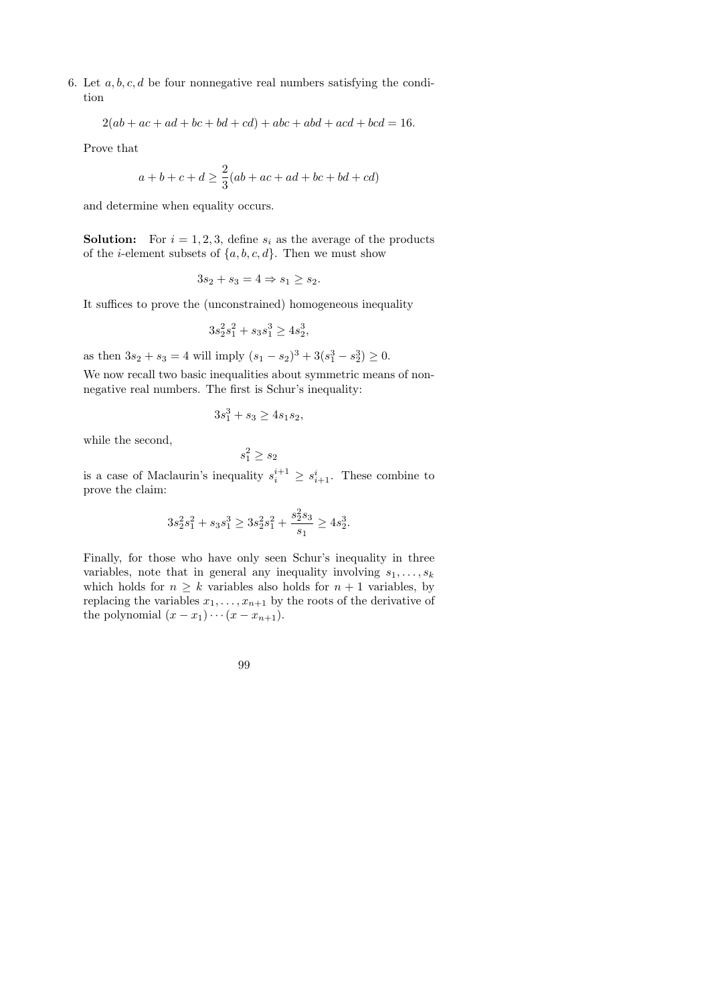6. Let  $a, b, c, d$  be four nonnegative real numbers satisfying the condition

$$
2(ab+ac+ad+bc+bd+cd)+abc+abd+acd+bcd=16.
$$

Prove that

$$
a + b + c + d \ge \frac{2}{3}(ab + ac + ad + bc + bd + cd)
$$

and determine when equality occurs.

**Solution:** For  $i = 1, 2, 3$ , define  $s_i$  as the average of the products of the *i*-element subsets of  $\{a, b, c, d\}$ . Then we must show

$$
3s_2 + s_3 = 4 \Rightarrow s_1 \ge s_2.
$$

It suffices to prove the (unconstrained) homogeneous inequality

$$
3s_2^2s_1^2 + s_3s_1^3 \ge 4s_2^3,
$$

as then  $3s_2 + s_3 = 4$  will imply  $(s_1 - s_2)^3 + 3(s_1^3 - s_2^3) \ge 0$ .

We now recall two basic inequalities about symmetric means of nonnegative real numbers. The first is Schur's inequality:

$$
3s_1^3 + s_3 \ge 4s_1s_2,
$$

while the second,

$$
s_1^2 \geq s_2
$$

is a case of Maclaurin's inequality  $s_i^{i+1} \geq s_{i+1}^i$ . These combine to prove the claim:

$$
3s_2^2s_1^2 + s_3s_1^3 \ge 3s_2^2s_1^2 + \frac{s_2^2s_3}{s_1} \ge 4s_2^3.
$$

Finally, for those who have only seen Schur's inequality in three variables, note that in general any inequality involving  $s_1, \ldots, s_k$ which holds for  $n \geq k$  variables also holds for  $n + 1$  variables, by replacing the variables  $x_1, \ldots, x_{n+1}$  by the roots of the derivative of the polynomial  $(x - x_1) \cdots (x - x_{n+1})$ .

99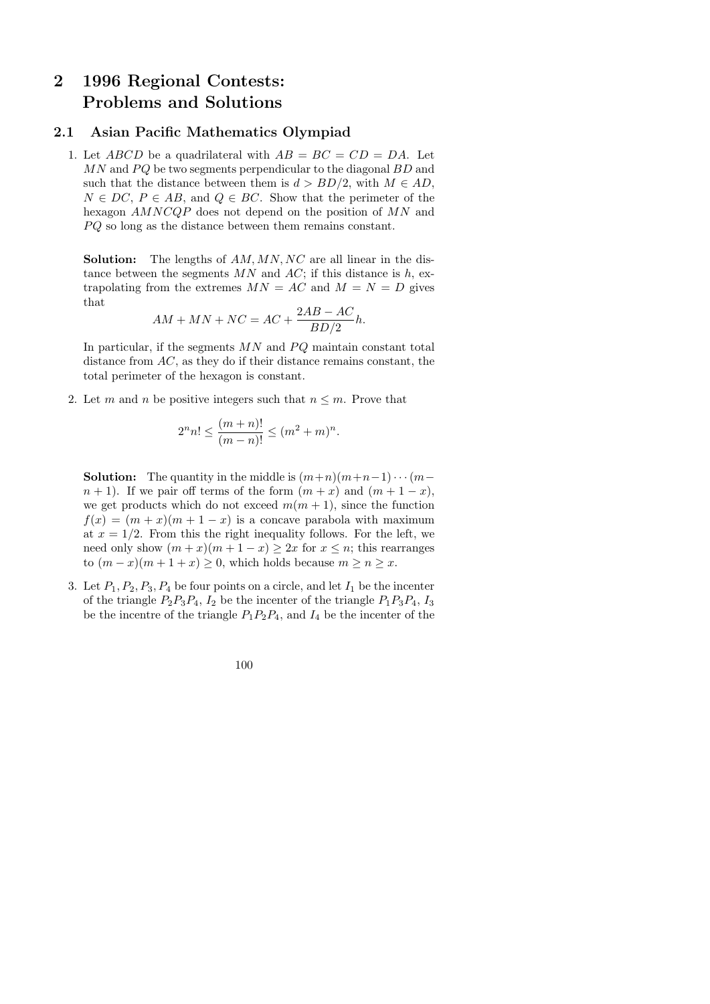# 2 1996 Regional Contests: Problems and Solutions

# 2.1 Asian Pacific Mathematics Olympiad

1. Let *ABCD* be a quadrilateral with  $AB = BC = CD = DA$ . Let  $MN$  and  $PQ$  be two segments perpendicular to the diagonal  $BD$  and such that the distance between them is  $d > BD/2$ , with  $M \in AD$ ,  $N \in DC$ ,  $P \in AB$ , and  $Q \in BC$ . Show that the perimeter of the hexagon AMNCQP does not depend on the position of MN and  $PQ$  so long as the distance between them remains constant.

Solution: The lengths of AM, MN, NC are all linear in the distance between the segments  $MN$  and  $AC$ ; if this distance is h, extrapolating from the extremes  $MN = AC$  and  $M = N = D$  gives that

$$
AM + MN + NC = AC + \frac{2AB - AC}{BD/2}h.
$$

In particular, if the segments  $MN$  and  $PQ$  maintain constant total distance from  $AC$ , as they do if their distance remains constant, the total perimeter of the hexagon is constant.

2. Let m and n be positive integers such that  $n \leq m$ . Prove that

$$
2^{n}n! \le \frac{(m+n)!}{(m-n)!} \le (m^{2}+m)^{n}.
$$

**Solution:** The quantity in the middle is  $(m+n)(m+n-1)\cdots(m-1)$  $n + 1$ . If we pair off terms of the form  $(m + x)$  and  $(m + 1 - x)$ , we get products which do not exceed  $m(m + 1)$ , since the function  $f(x) = (m + x)(m + 1 - x)$  is a concave parabola with maximum at  $x = 1/2$ . From this the right inequality follows. For the left, we need only show  $(m + x)(m + 1 - x) \geq 2x$  for  $x \leq n$ ; this rearranges to  $(m-x)(m+1+x) \ge 0$ , which holds because  $m \ge n \ge x$ .

3. Let  $P_1, P_2, P_3, P_4$  be four points on a circle, and let  $I_1$  be the incenter of the triangle  $P_2P_3P_4$ ,  $I_2$  be the incenter of the triangle  $P_1P_3P_4$ ,  $I_3$ be the incentre of the triangle  $P_1P_2P_4$ , and  $I_4$  be the incenter of the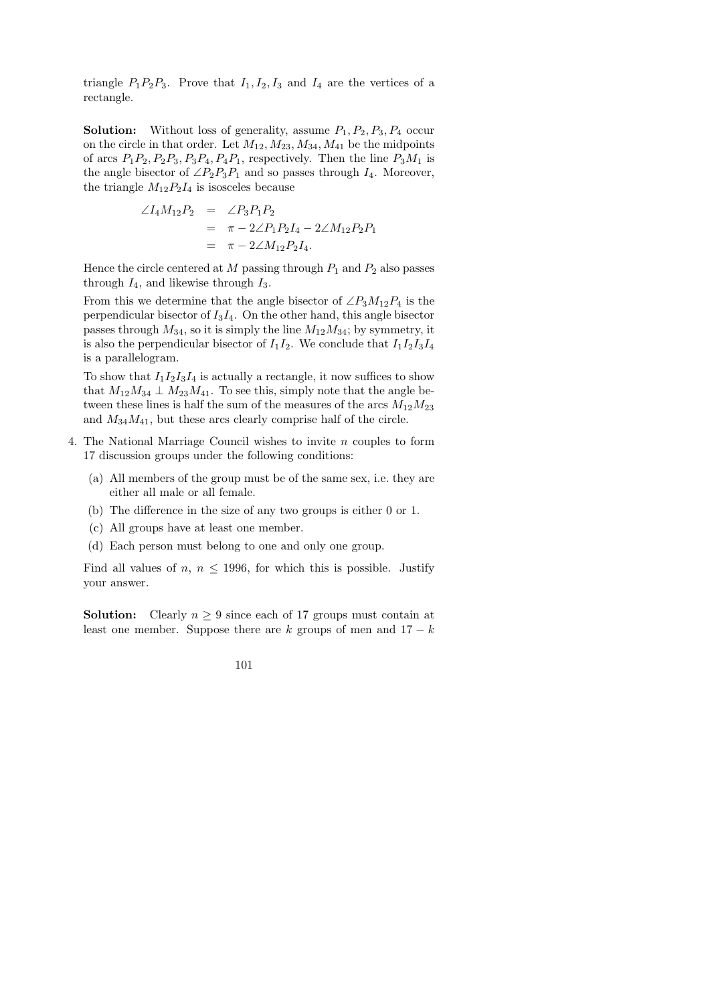triangle  $P_1P_2P_3$ . Prove that  $I_1, I_2, I_3$  and  $I_4$  are the vertices of a rectangle.

**Solution:** Without loss of generality, assume  $P_1$ ,  $P_2$ ,  $P_3$ ,  $P_4$  occur on the circle in that order. Let  $M_{12}, M_{23}, M_{34}, M_{41}$  be the midpoints of arcs  $P_1P_2$ ,  $P_2P_3$ ,  $P_3P_4$ ,  $P_4P_1$ , respectively. Then the line  $P_3M_1$  is the angle bisector of  $\angle P_2P_3P_1$  and so passes through  $I_4$ . Moreover, the triangle  $M_{12}P_2I_4$  is isosceles because

$$
\begin{array}{rcl}\n\angle I_4 M_{12} P_2 &=& \angle P_3 P_1 P_2 \\
&=& \pi - 2 \angle P_1 P_2 I_4 - 2 \angle M_{12} P_2 P_1 \\
&=& \pi - 2 \angle M_{12} P_2 I_4.\n\end{array}
$$

Hence the circle centered at M passing through  $P_1$  and  $P_2$  also passes through  $I_4$ , and likewise through  $I_3$ .

From this we determine that the angle bisector of  $\angle P_3M_{12}P_4$  is the perpendicular bisector of  $I_3I_4$ . On the other hand, this angle bisector passes through  $M_{34}$ , so it is simply the line  $M_{12}M_{34}$ ; by symmetry, it is also the perpendicular bisector of  $I_1I_2$ . We conclude that  $I_1I_2I_3I_4$ is a parallelogram.

To show that  $I_1I_2I_3I_4$  is actually a rectangle, it now suffices to show that  $M_{12}M_{34} \perp M_{23}M_{41}$ . To see this, simply note that the angle between these lines is half the sum of the measures of the arcs  $M_{12}M_{23}$ and  $M_{34}M_{41}$ , but these arcs clearly comprise half of the circle.

- 4. The National Marriage Council wishes to invite n couples to form 17 discussion groups under the following conditions:
	- (a) All members of the group must be of the same sex, i.e. they are either all male or all female.
	- (b) The difference in the size of any two groups is either 0 or 1.
	- (c) All groups have at least one member.
	- (d) Each person must belong to one and only one group.

Find all values of n,  $n \leq 1996$ , for which this is possible. Justify your answer.

**Solution:** Clearly  $n > 9$  since each of 17 groups must contain at least one member. Suppose there are k groups of men and  $17 - k$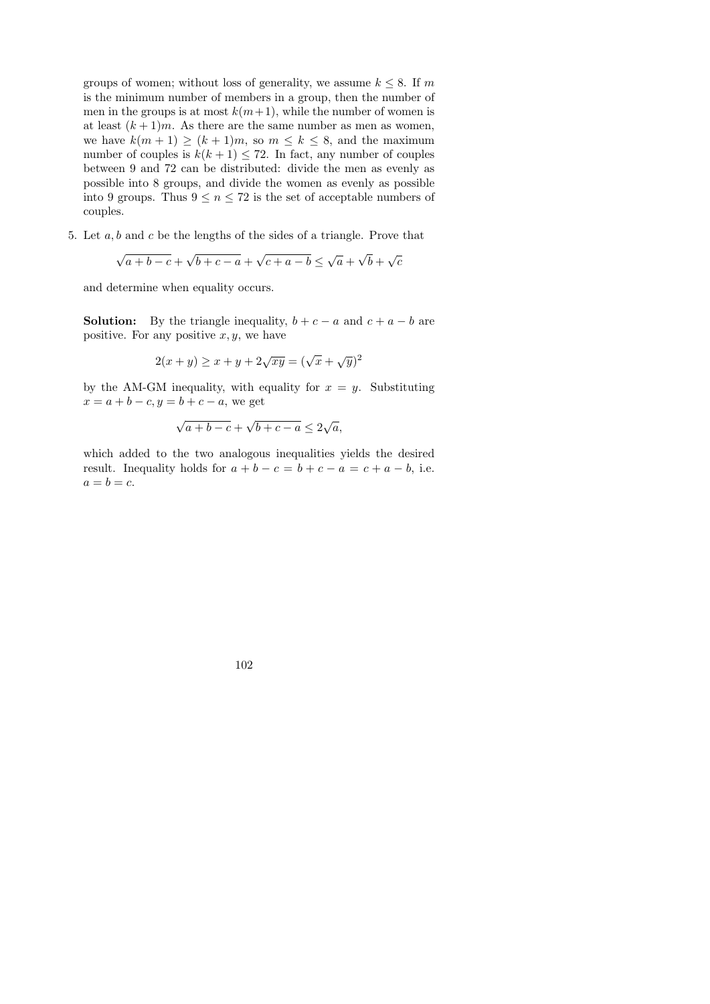groups of women; without loss of generality, we assume  $k \leq 8$ . If m is the minimum number of members in a group, then the number of men in the groups is at most  $k(m+1)$ , while the number of women is at least  $(k+1)m$ . As there are the same number as men as women, we have  $k(m + 1) \ge (k + 1)m$ , so  $m \le k \le 8$ , and the maximum number of couples is  $k(k + 1) \le 72$ . In fact, any number of couples between 9 and 72 can be distributed: divide the men as evenly as possible into 8 groups, and divide the women as evenly as possible into 9 groups. Thus  $9 \le n \le 72$  is the set of acceptable numbers of couples.

5. Let  $a, b$  and  $c$  be the lengths of the sides of a triangle. Prove that

$$
\sqrt{a+b-c} + \sqrt{b+c-a} + \sqrt{c+a-b} \le \sqrt{a} + \sqrt{b} + \sqrt{c}
$$

and determine when equality occurs.

**Solution:** By the triangle inequality,  $b + c - a$  and  $c + a - b$  are positive. For any positive  $x, y$ , we have

$$
2(x+y) \ge x + y + 2\sqrt{xy} = (\sqrt{x} + \sqrt{y})^2
$$

by the AM-GM inequality, with equality for  $x = y$ . Substituting  $x = a + b - c, y = b + c - a$ , we get

$$
\sqrt{a+b-c} + \sqrt{b+c-a} \le 2\sqrt{a},
$$

which added to the two analogous inequalities yields the desired result. Inequality holds for  $a + b - c = b + c - a = c + a - b$ , i.e.  $a = b = c$ .

102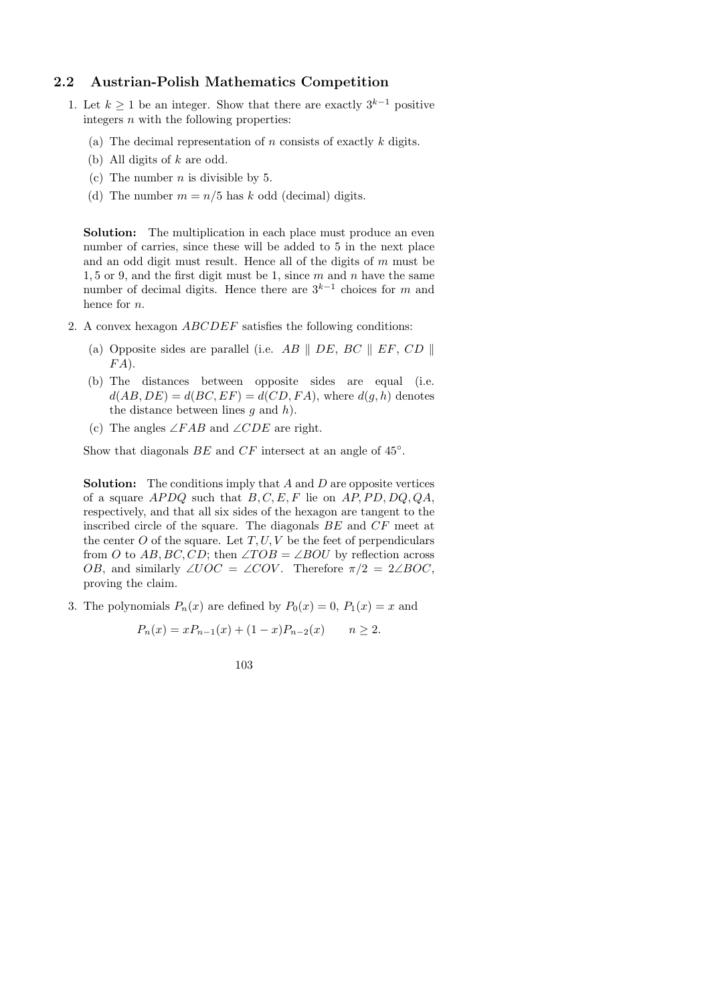#### 2.2 Austrian-Polish Mathematics Competition

- 1. Let  $k \geq 1$  be an integer. Show that there are exactly  $3^{k-1}$  positive integers  $n$  with the following properties:
	- (a) The decimal representation of n consists of exactly  $k$  digits.
	- (b) All digits of  $k$  are odd.
	- (c) The number  $n$  is divisible by 5.
	- (d) The number  $m = n/5$  has k odd (decimal) digits.

Solution: The multiplication in each place must produce an even number of carries, since these will be added to 5 in the next place and an odd digit must result. Hence all of the digits of m must be 1, 5 or 9, and the first digit must be 1, since  $m$  and  $n$  have the same number of decimal digits. Hence there are  $3^{k-1}$  choices for m and hence for n.

- 2. A convex hexagon ABCDEF satisfies the following conditions:
	- (a) Opposite sides are parallel (i.e.  $AB \parallel DE$ ,  $BC \parallel EF$ ,  $CD \parallel$  $FA$ ).
	- (b) The distances between opposite sides are equal (i.e.  $d(AB, DE) = d(BC, EF) = d(CD, FA)$ , where  $d(g, h)$  denotes the distance between lines  $g$  and  $h$ ).
	- (c) The angles  $\angle FAB$  and  $\angle CDE$  are right.

Show that diagonals  $BE$  and  $CF$  intersect at an angle of  $45^\circ$ .

**Solution:** The conditions imply that  $A$  and  $D$  are opposite vertices of a square  $APDQ$  such that  $B, C, E, F$  lie on  $AP, PD, DQ, QA,$ respectively, and that all six sides of the hexagon are tangent to the inscribed circle of the square. The diagonals BE and CF meet at the center  $O$  of the square. Let  $T, U, V$  be the feet of perpendiculars from O to AB, BC, CD; then  $\angle TOB = \angle BOU$  by reflection across *OB*, and similarly ∠*UOC* = ∠*COV*. Therefore  $\pi/2 = 2∠BOC$ , proving the claim.

3. The polynomials  $P_n(x)$  are defined by  $P_0(x) = 0$ ,  $P_1(x) = x$  and

$$
P_n(x) = xP_{n-1}(x) + (1-x)P_{n-2}(x) \qquad n \ge 2.
$$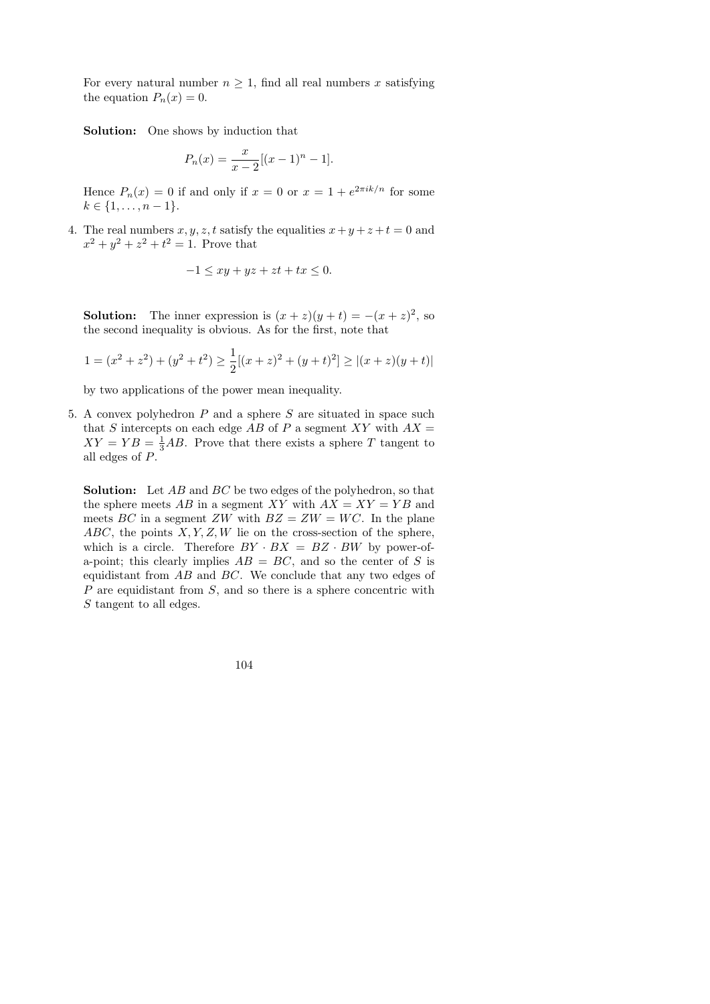For every natural number  $n \geq 1$ , find all real numbers x satisfying the equation  $P_n(x) = 0$ .

Solution: One shows by induction that

$$
P_n(x) = \frac{x}{x-2}[(x-1)^n - 1].
$$

Hence  $P_n(x) = 0$  if and only if  $x = 0$  or  $x = 1 + e^{2\pi i k/n}$  for some  $k \in \{1, \ldots, n-1\}.$ 

4. The real numbers  $x, y, z, t$  satisfy the equalities  $x+y+z+t=0$  and  $x^2 + y^2 + z^2 + t^2 = 1$ . Prove that

$$
-1 \le xy + yz + zt + tx \le 0.
$$

**Solution:** The inner expression is  $(x + z)(y + t) = -(x + z)^2$ , so the second inequality is obvious. As for the first, note that

$$
1 = (x^{2} + z^{2}) + (y^{2} + t^{2}) \ge \frac{1}{2}[(x + z)^{2} + (y + t)^{2}] \ge |(x + z)(y + t)|
$$

by two applications of the power mean inequality.

5. A convex polyhedron  $P$  and a sphere  $S$  are situated in space such that S intercepts on each edge AB of P a segment  $XY$  with  $AX =$  $XY = YB = \frac{1}{3}AB$ . Prove that there exists a sphere T tangent to all edges of P.

Solution: Let AB and BC be two edges of the polyhedron, so that the sphere meets AB in a segment XY with  $AX = XY = YB$  and meets BC in a segment ZW with  $BZ = ZW = WC$ . In the plane  $ABC$ , the points  $X, Y, Z, W$  lie on the cross-section of the sphere, which is a circle. Therefore  $BY \cdot BX = BZ \cdot BW$  by power-ofa-point; this clearly implies  $AB = BC$ , and so the center of S is equidistant from AB and BC. We conclude that any two edges of  $P$  are equidistant from  $S$ , and so there is a sphere concentric with S tangent to all edges.

104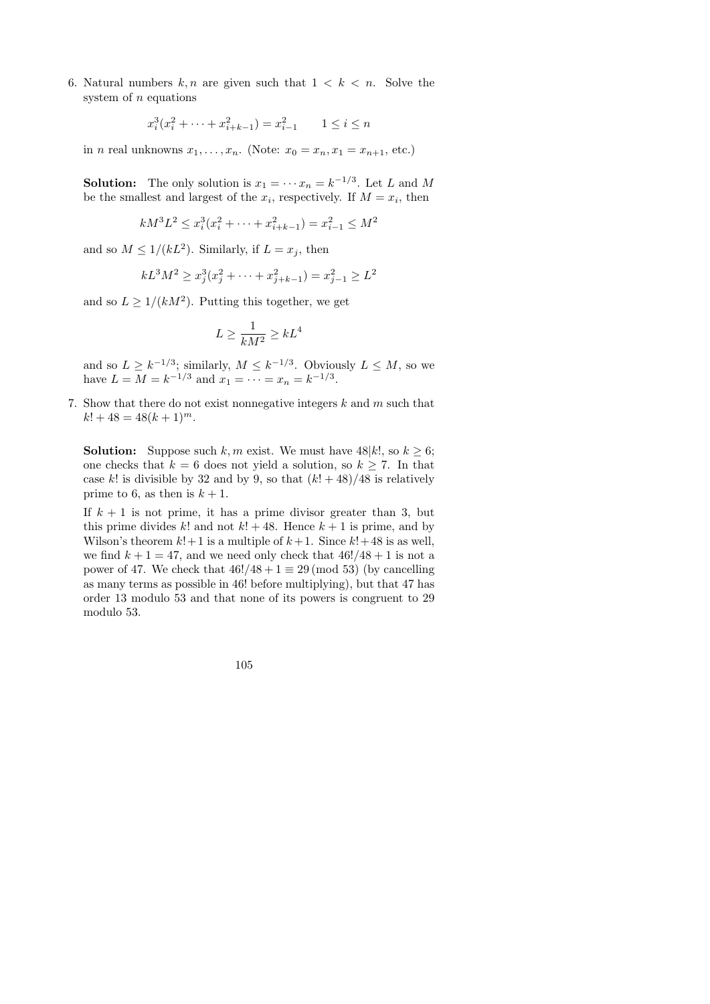6. Natural numbers k, n are given such that  $1 \leq k \leq n$ . Solve the system of  $n$  equations

$$
x_i^3(x_i^2 + \dots + x_{i+k-1}^2) = x_{i-1}^2 \qquad 1 \le i \le n
$$

in *n* real unknowns  $x_1, \ldots, x_n$ . (Note:  $x_0 = x_n, x_1 = x_{n+1}$ , etc.)

**Solution:** The only solution is  $x_1 = \cdots x_n = k^{-1/3}$ . Let L and M be the smallest and largest of the  $x_i$ , respectively. If  $M = x_i$ , then

$$
kM^{3}L^{2} \leq x_{i}^{3}(x_{i}^{2} + \dots + x_{i+k-1}^{2}) = x_{i-1}^{2} \leq M^{2}
$$

and so  $M \leq 1/(kL^2)$ . Similarly, if  $L = x_j$ , then

$$
kL^{3}M^{2} \geq x_{j}^{3}(x_{j}^{2} + \dots + x_{j+k-1}^{2}) = x_{j-1}^{2} \geq L^{2}
$$

and so  $L \geq 1/(kM^2)$ . Putting this together, we get

$$
L \ge \frac{1}{kM^2} \ge kL^4
$$

and so  $L \geq k^{-1/3}$ ; similarly,  $M \leq k^{-1/3}$ . Obviously  $L \leq M$ , so we have  $L = M = k^{-1/3}$  and  $x_1 = \cdots = x_n = k^{-1/3}$ .

7. Show that there do not exist nonnegative integers  $k$  and  $m$  such that  $k! + 48 = 48(k + 1)<sup>m</sup>$ .

**Solution:** Suppose such k, m exist. We must have  $48|k|$ , so  $k \geq 6$ ; one checks that  $k = 6$  does not yield a solution, so  $k \geq 7$ . In that case k! is divisible by 32 and by 9, so that  $(k! + 48)/48$  is relatively prime to 6, as then is  $k + 1$ .

If  $k + 1$  is not prime, it has a prime divisor greater than 3, but this prime divides k! and not  $k! + 48$ . Hence  $k + 1$  is prime, and by Wilson's theorem  $k!+1$  is a multiple of  $k+1$ . Since  $k!+48$  is as well, we find  $k + 1 = 47$ , and we need only check that  $46!/48 + 1$  is not a power of 47. We check that  $46!/48 + 1 \equiv 29 \pmod{53}$  (by cancelling as many terms as possible in 46! before multiplying), but that 47 has order 13 modulo 53 and that none of its powers is congruent to 29 modulo 53.

105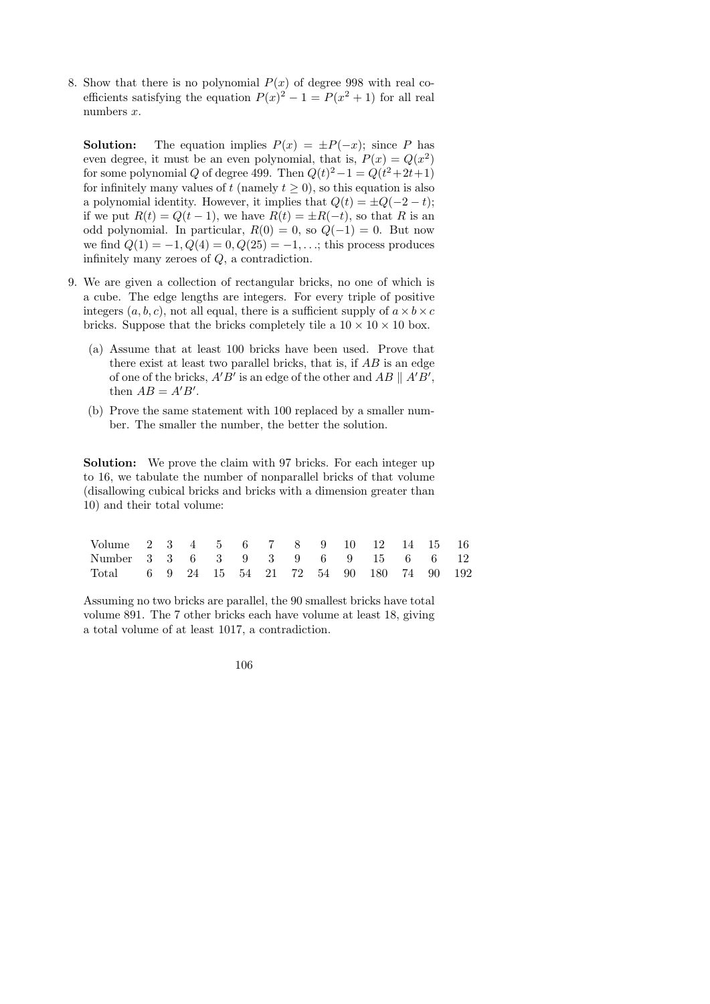8. Show that there is no polynomial  $P(x)$  of degree 998 with real coefficients satisfying the equation  $P(x)^2 - 1 = P(x^2 + 1)$  for all real numbers x.

**Solution:** The equation implies  $P(x) = \pm P(-x)$ ; since P has even degree, it must be an even polynomial, that is,  $P(x) = Q(x^2)$ for some polynomial Q of degree 499. Then  $Q(t)^2 - 1 = Q(t^2 + 2t + 1)$ for infinitely many values of t (namely  $t \geq 0$ ), so this equation is also a polynomial identity. However, it implies that  $Q(t) = \pm Q(-2-t);$ if we put  $R(t) = Q(t-1)$ , we have  $R(t) = \pm R(-t)$ , so that R is an odd polynomial. In particular,  $R(0) = 0$ , so  $Q(-1) = 0$ . But now we find  $Q(1) = -1, Q(4) = 0, Q(25) = -1, \ldots$ ; this process produces infinitely many zeroes of Q, a contradiction.

- 9. We are given a collection of rectangular bricks, no one of which is a cube. The edge lengths are integers. For every triple of positive integers  $(a, b, c)$ , not all equal, there is a sufficient supply of  $a \times b \times c$ bricks. Suppose that the bricks completely tile a  $10 \times 10 \times 10$  box.
	- (a) Assume that at least 100 bricks have been used. Prove that there exist at least two parallel bricks, that is, if  $AB$  is an edge of one of the bricks,  $A'B'$  is an edge of the other and  $AB \parallel A'B'$ , then  $AB = A'B'$ .
	- (b) Prove the same statement with 100 replaced by a smaller number. The smaller the number, the better the solution.

Solution: We prove the claim with 97 bricks. For each integer up to 16, we tabulate the number of nonparallel bricks of that volume (disallowing cubical bricks and bricks with a dimension greater than 10) and their total volume:

| Volume 2 3 4 5 6 7 8 9 10 12 14 15 16        |  |  |  |  |  |  |  |
|----------------------------------------------|--|--|--|--|--|--|--|
| Number 3 3 6 3 9 3 9 6 9 15 6 6 12           |  |  |  |  |  |  |  |
| Total 6 9 24 15 54 21 72 54 90 180 74 90 192 |  |  |  |  |  |  |  |

Assuming no two bricks are parallel, the 90 smallest bricks have total volume 891. The 7 other bricks each have volume at least 18, giving a total volume of at least 1017, a contradiction.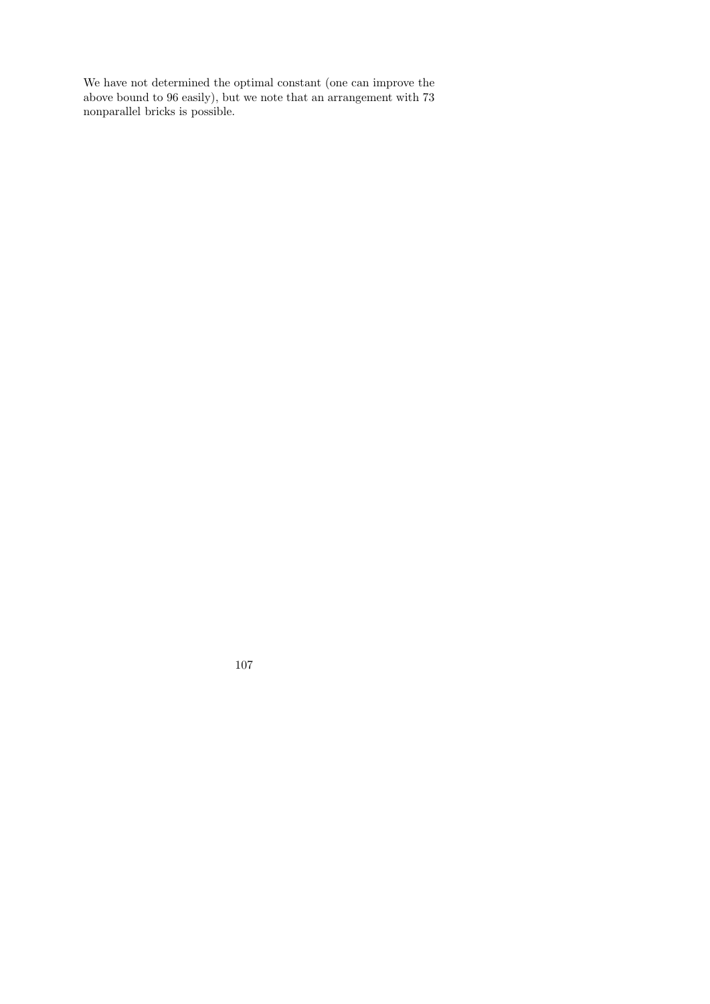We have not determined the optimal constant (one can improve the above bound to 96 easily), but we note that an arrangement with 73 nonparallel bricks is possible.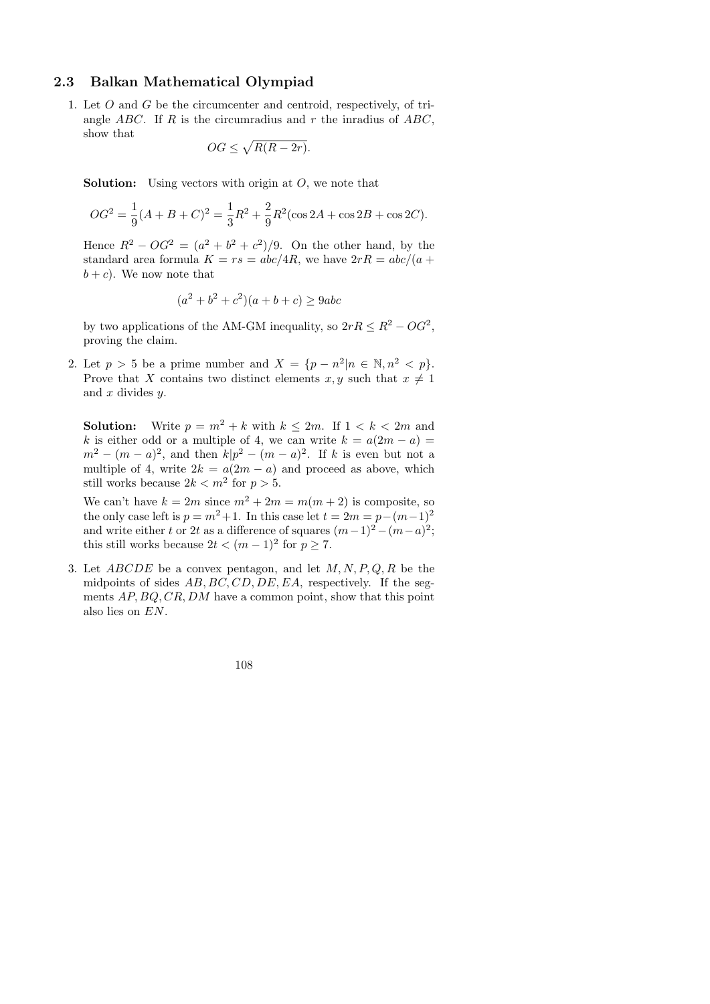#### 2.3 Balkan Mathematical Olympiad

1. Let O and G be the circumcenter and centroid, respectively, of triangle ABC. If R is the circumradius and r the inradius of  $ABC$ , show that

$$
OG \le \sqrt{R(R-2r)}.
$$

**Solution:** Using vectors with origin at  $O$ , we note that

$$
OG^2 = \frac{1}{9}(A+B+C)^2 = \frac{1}{3}R^2 + \frac{2}{9}R^2(\cos 2A + \cos 2B + \cos 2C).
$$

Hence  $R^2 - OG^2 = (a^2 + b^2 + c^2)/9$ . On the other hand, by the standard area formula  $K = rs = abc/4R$ , we have  $2rR = abc/(a +$  $b + c$ ). We now note that

$$
(a^{2} + b^{2} + c^{2})(a + b + c) \ge 9abc
$$

by two applications of the AM-GM inequality, so  $2rR \leq R^2 - OG^2$ , proving the claim.

2. Let  $p > 5$  be a prime number and  $X = \{p - n^2 | n \in \mathbb{N}, n^2 < p\}.$ Prove that X contains two distinct elements  $x, y$  such that  $x \neq 1$ and x divides y.

**Solution:** Write  $p = m^2 + k$  with  $k \leq 2m$ . If  $1 < k < 2m$  and k is either odd or a multiple of 4, we can write  $k = a(2m - a)$  $m^2 - (m - a)^2$ , and then  $k/p^2 - (m - a)^2$ . If k is even but not a multiple of 4, write  $2k = a(2m - a)$  and proceed as above, which still works because  $2k < m^2$  for  $p > 5$ .

We can't have  $k = 2m$  since  $m^2 + 2m = m(m + 2)$  is composite, so the only case left is  $p = m^2 + 1$ . In this case let  $t = 2m = p - (m-1)^2$ and write either t or 2t as a difference of squares  $(m-1)^2 - (m-a)^2$ ; this still works because  $2t < (m-1)^2$  for  $p \ge 7$ .

3. Let  $ABCDE$  be a convex pentagon, and let  $M, N, P, Q, R$  be the midpoints of sides  $AB, BC, CD, DE, EA$ , respectively. If the segments  $AP, BQ, CR, DM$  have a common point, show that this point also lies on EN.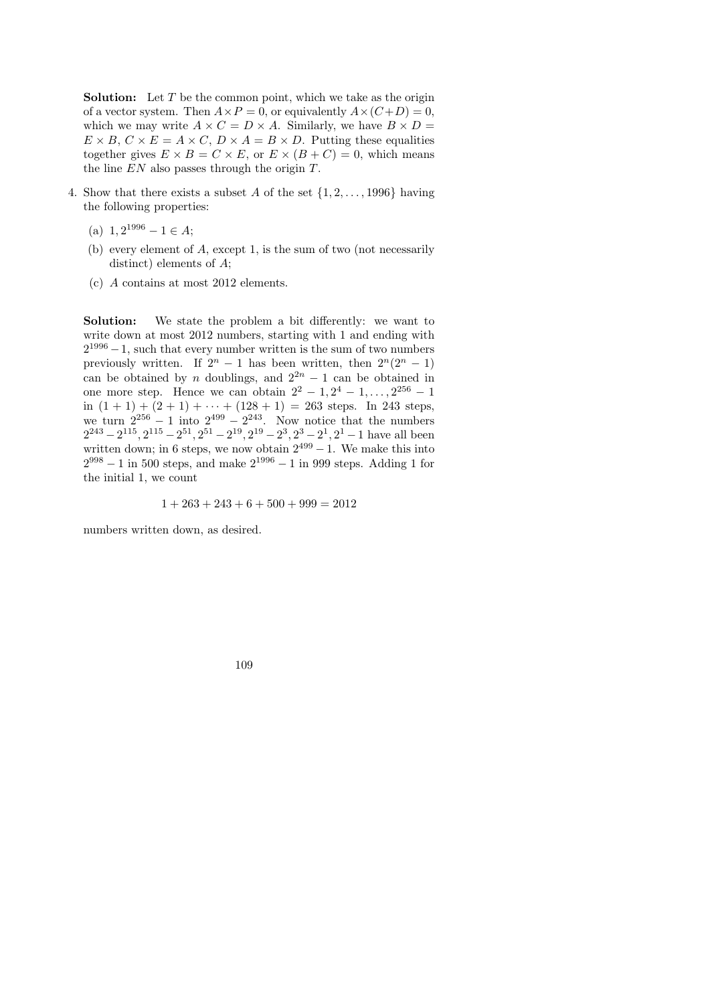**Solution:** Let  $T$  be the common point, which we take as the origin of a vector system. Then  $A \times P = 0$ , or equivalently  $A \times (C+D) = 0$ , which we may write  $A \times C = D \times A$ . Similarly, we have  $B \times D =$  $E \times B$ ,  $C \times E = A \times C$ ,  $D \times A = B \times D$ . Putting these equalities together gives  $E \times B = C \times E$ , or  $E \times (B + C) = 0$ , which means the line  $EN$  also passes through the origin  $T$ .

- 4. Show that there exists a subset A of the set  $\{1, 2, \ldots, 1996\}$  having the following properties:
	- (a)  $1, 2^{1996} 1 \in A;$
	- (b) every element of A, except 1, is the sum of two (not necessarily distinct) elements of A;
	- (c) A contains at most 2012 elements.

Solution: We state the problem a bit differently: we want to write down at most 2012 numbers, starting with 1 and ending with  $2^{1996} - 1$ , such that every number written is the sum of two numbers previously written. If  $2^n - 1$  has been written, then  $2^n(2^n - 1)$ can be obtained by n doublings, and  $2^{2n} - 1$  can be obtained in one more step. Hence we can obtain  $2^2 - 1, 2^4 - 1, ..., 2^{256} - 1$ in  $(1 + 1) + (2 + 1) + \cdots + (128 + 1) = 263$  steps. In 243 steps, we turn  $2^{256} - 1$  into  $2^{499} - 2^{243}$ . Now notice that the numbers  $2^{243} - 2^{115}$ ,  $2^{115} - 2^{51}$ ,  $2^{51} - 2^{19}$ ,  $2^{19} - 2^3$ ,  $2^3 - 2^1$ ,  $2^1 - 1$  have all been written down; in 6 steps, we now obtain  $2^{499} - 1$ . We make this into  $2^{998} - 1$  in 500 steps, and make  $2^{1996} - 1$  in 999 steps. Adding 1 for the initial 1, we count

 $1 + 263 + 243 + 6 + 500 + 999 = 2012$ 

numbers written down, as desired.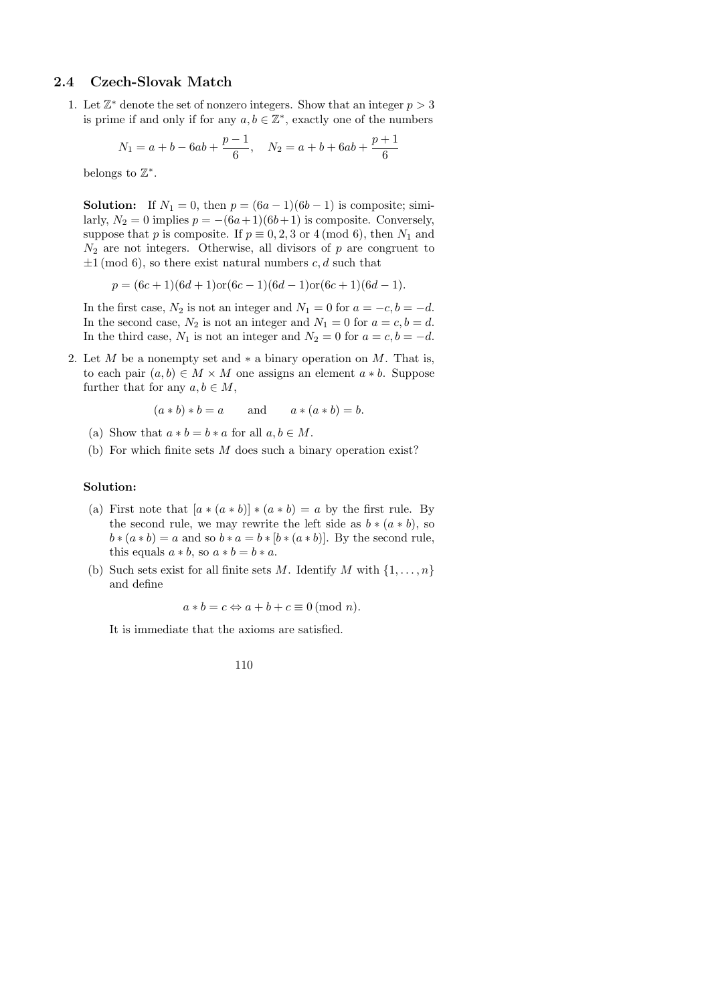#### 2.4 Czech-Slovak Match

1. Let  $\mathbb{Z}^*$  denote the set of nonzero integers. Show that an integer  $p > 3$ is prime if and only if for any  $a, b \in \mathbb{Z}^*$ , exactly one of the numbers

$$
N_1 = a + b - 6ab + \frac{p-1}{6}, \quad N_2 = a + b + 6ab + \frac{p+1}{6}
$$

belongs to  $\mathbb{Z}^*$ .

**Solution:** If  $N_1 = 0$ , then  $p = (6a - 1)(6b - 1)$  is composite; similarly,  $N_2 = 0$  implies  $p = -(6a+1)(6b+1)$  is composite. Conversely, suppose that p is composite. If  $p \equiv 0, 2, 3$  or 4 (mod 6), then  $N_1$  and  $N_2$  are not integers. Otherwise, all divisors of p are congruent to  $\pm 1 \pmod{6}$ , so there exist natural numbers c, d such that

 $p = (6c+1)(6d+1)$ or $(6c-1)(6d-1)$ or $(6c+1)(6d-1)$ .

In the first case,  $N_2$  is not an integer and  $N_1 = 0$  for  $a = -c, b = -d$ . In the second case,  $N_2$  is not an integer and  $N_1 = 0$  for  $a = c, b = d$ . In the third case,  $N_1$  is not an integer and  $N_2 = 0$  for  $a = c, b = -d$ .

2. Let  $M$  be a nonempty set and  $*$  a binary operation on  $M$ . That is, to each pair  $(a, b) \in M \times M$  one assigns an element  $a * b$ . Suppose further that for any  $a, b \in M$ ,

$$
(a * b) * b = a \qquad \text{and} \qquad a * (a * b) = b.
$$

- (a) Show that  $a * b = b * a$  for all  $a, b \in M$ .
- (b) For which finite sets  $M$  does such a binary operation exist?

#### Solution:

- (a) First note that  $[a * (a * b)] * (a * b) = a$  by the first rule. By the second rule, we may rewrite the left side as  $b * (a * b)$ , so  $b*(a*b) = a$  and so  $b*a = b*[b*(a*b)]$ . By the second rule, this equals  $a * b$ , so  $a * b = b * a$ .
- (b) Such sets exist for all finite sets M. Identify M with  $\{1, \ldots, n\}$ and define

$$
a * b = c \Leftrightarrow a + b + c \equiv 0 \pmod{n}.
$$

It is immediate that the axioms are satisfied.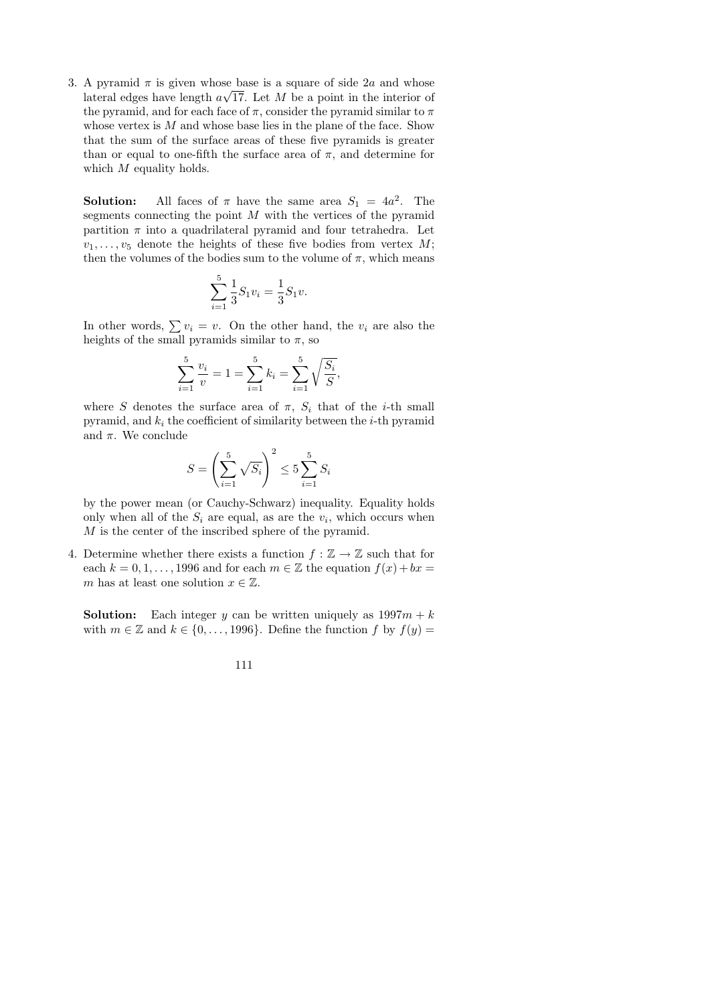3. A pyramid  $\pi$  is given whose base is a square of side 2a and whose lateral edges have length  $a\sqrt{17}$ . Let M be a point in the interior of the pyramid, and for each face of  $\pi$ , consider the pyramid similar to  $\pi$ whose vertex is  $M$  and whose base lies in the plane of the face. Show that the sum of the surface areas of these five pyramids is greater than or equal to one-fifth the surface area of  $\pi$ , and determine for which M equality holds.

**Solution:** All faces of  $\pi$  have the same area  $S_1 = 4a^2$ . The segments connecting the point  $M$  with the vertices of the pyramid partition  $\pi$  into a quadrilateral pyramid and four tetrahedra. Let  $v_1, \ldots, v_5$  denote the heights of these five bodies from vertex M; then the volumes of the bodies sum to the volume of  $\pi$ , which means

$$
\sum_{i=1}^{5} \frac{1}{3} S_1 v_i = \frac{1}{3} S_1 v.
$$

In other words,  $\sum v_i = v$ . On the other hand, the  $v_i$  are also the heights of the small pyramids similar to  $\pi$ , so

$$
\sum_{i=1}^{5} \frac{v_i}{v} = 1 = \sum_{i=1}^{5} k_i = \sum_{i=1}^{5} \sqrt{\frac{S_i}{S}},
$$

where S denotes the surface area of  $\pi$ ,  $S_i$  that of the *i*-th small pyramid, and  $k_i$  the coefficient of similarity between the *i*-th pyramid and  $\pi$ . We conclude

$$
S = \left(\sum_{i=1}^{5} \sqrt{S_i}\right)^2 \le 5 \sum_{i=1}^{5} S_i
$$

by the power mean (or Cauchy-Schwarz) inequality. Equality holds only when all of the  $S_i$  are equal, as are the  $v_i$ , which occurs when M is the center of the inscribed sphere of the pyramid.

4. Determine whether there exists a function  $f : \mathbb{Z} \to \mathbb{Z}$  such that for each  $k = 0, 1, \ldots, 1996$  and for each  $m \in \mathbb{Z}$  the equation  $f(x) + bx =$ m has at least one solution  $x \in \mathbb{Z}$ .

**Solution:** Each integer y can be written uniquely as  $1997m + k$ with  $m \in \mathbb{Z}$  and  $k \in \{0, \ldots, 1996\}$ . Define the function f by  $f(y) =$ 

$$
111\\
$$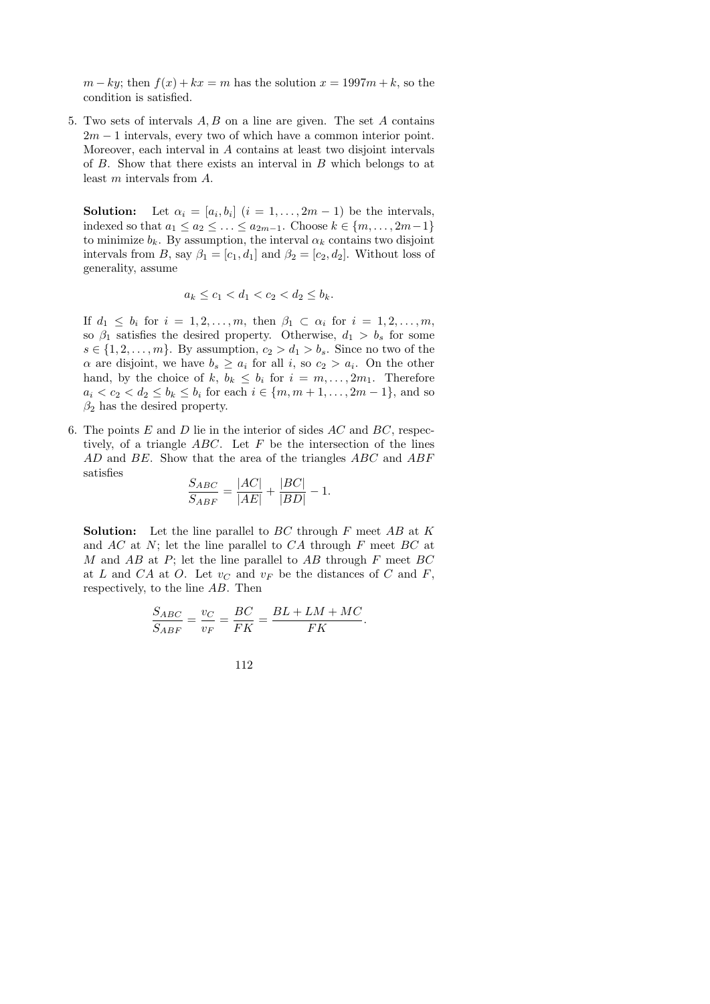$m - ky$ ; then  $f(x) + kx = m$  has the solution  $x = 1997m + k$ , so the condition is satisfied.

5. Two sets of intervals  $A, B$  on a line are given. The set  $A$  contains  $2m - 1$  intervals, every two of which have a common interior point. Moreover, each interval in A contains at least two disjoint intervals of B. Show that there exists an interval in B which belongs to at least m intervals from A.

**Solution:** Let  $\alpha_i = [a_i, b_i]$   $(i = 1, ..., 2m - 1)$  be the intervals, indexed so that  $a_1 \le a_2 \le \ldots \le a_{2m-1}$ . Choose  $k \in \{m, \ldots, 2m-1\}$ to minimize  $b_k$ . By assumption, the interval  $\alpha_k$  contains two disjoint intervals from B, say  $\beta_1 = [c_1, d_1]$  and  $\beta_2 = [c_2, d_2]$ . Without loss of generality, assume

$$
a_k \le c_1 < d_1 < c_2 < d_2 \le b_k.
$$

If  $d_1 \leq b_i$  for  $i = 1, 2, \ldots, m$ , then  $\beta_1 \subset \alpha_i$  for  $i = 1, 2, \ldots, m$ , so  $\beta_1$  satisfies the desired property. Otherwise,  $d_1 > b_s$  for some  $s \in \{1, 2, \ldots, m\}$ . By assumption,  $c_2 > d_1 > b_s$ . Since no two of the  $\alpha$  are disjoint, we have  $b_s \geq a_i$  for all i, so  $c_2 > a_i$ . On the other hand, by the choice of k,  $b_k \leq b_i$  for  $i = m, \ldots, 2m_1$ . Therefore  $a_i < c_2 < d_2 \le b_k \le b_i$  for each  $i \in \{m, m + 1, \ldots, 2m - 1\}$ , and so  $\beta_2$  has the desired property.

6. The points  $E$  and  $D$  lie in the interior of sides  $AC$  and  $BC$ , respectively, of a triangle  $ABC$ . Let  $F$  be the intersection of the lines AD and BE. Show that the area of the triangles ABC and ABF satisfies

$$
\frac{S_{ABC}}{S_{ABF}}=\frac{|AC|}{|AE|}+\frac{|BC|}{|BD|}-1.
$$

**Solution:** Let the line parallel to  $BC$  through F meet  $AB$  at K and  $AC$  at N; let the line parallel to  $CA$  through F meet  $BC$  at  $M$  and  $AB$  at  $P$ ; let the line parallel to  $AB$  through  $F$  meet  $BC$ at L and CA at O. Let  $v_C$  and  $v_F$  be the distances of C and F, respectively, to the line AB. Then

$$
\frac{S_{ABC}}{S_{ABF}} = \frac{v_C}{v_F} = \frac{BC}{FK} = \frac{BL + LM + MC}{FK}.
$$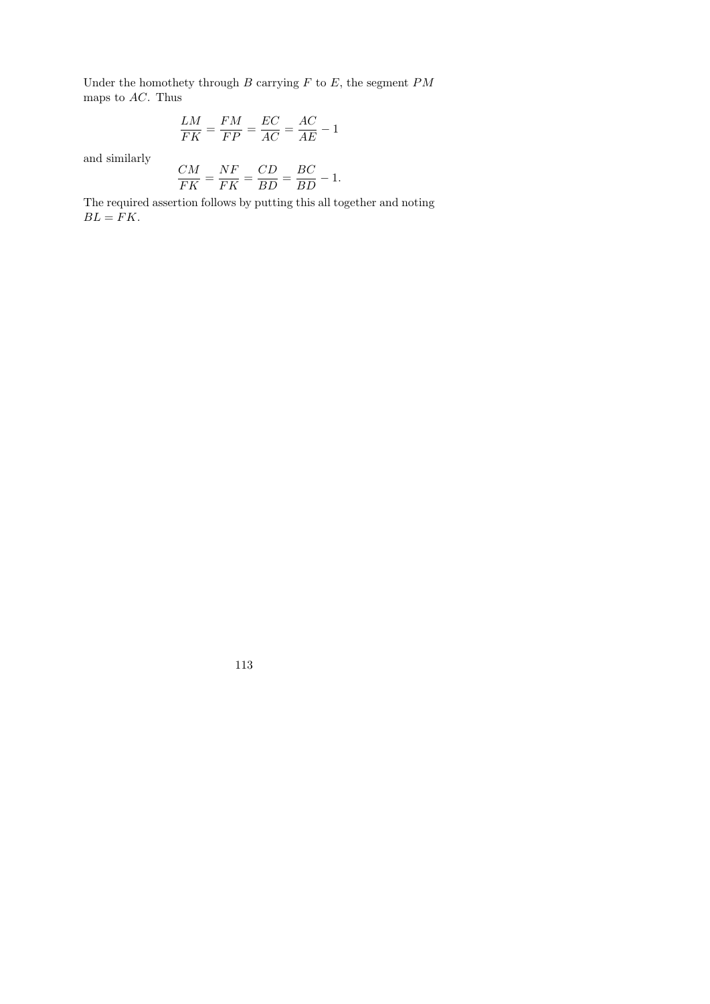Under the homothety through  $B$  carrying  $F$  to  $E$ , the segment  $PM$ maps to AC. Thus

$$
\frac{LM}{FK} = \frac{FM}{FP} = \frac{EC}{AC} = \frac{AC}{AE} - 1
$$

and similarly

$$
\frac{CM}{FK} = \frac{NF}{FK} = \frac{CD}{BD} = \frac{BC}{BD} - 1.
$$

The required assertion follows by putting this all together and noting  $BL = \overline{F}K$ .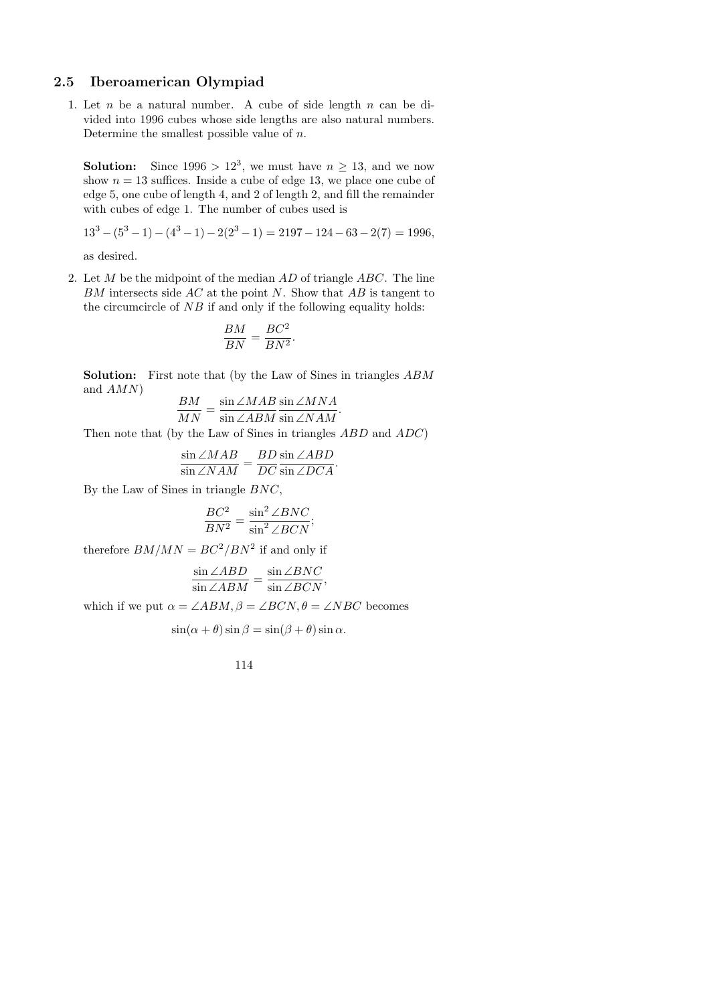## 2.5 Iberoamerican Olympiad

1. Let  $n$  be a natural number. A cube of side length  $n$  can be divided into 1996 cubes whose side lengths are also natural numbers. Determine the smallest possible value of  $n$ .

**Solution:** Since 1996 >  $12^3$ , we must have  $n \ge 13$ , and we now show  $n = 13$  suffices. Inside a cube of edge 13, we place one cube of edge 5, one cube of length 4, and 2 of length 2, and fill the remainder with cubes of edge 1. The number of cubes used is

$$
133 - (53 - 1) - (43 - 1) - 2(23 - 1) = 2197 - 124 - 63 - 2(7) = 1996,
$$

as desired.

2. Let  $M$  be the midpoint of the median  $AD$  of triangle  $ABC$ . The line  $BM$  intersects side  $AC$  at the point N. Show that  $AB$  is tangent to the circumcircle of  $NB$  if and only if the following equality holds:

$$
\frac{BM}{BN} = \frac{BC^2}{BN^2}.
$$

Solution: First note that (by the Law of Sines in triangles  $ABM$ and AMN)

$$
\frac{BM}{MN} = \frac{\sin \angle MAB}{\sin \angle ABM} \frac{\sin \angle MNA}{\sin \angle NAM}.
$$

Then note that (by the Law of Sines in triangles ABD and ADC)

$$
\frac{\sin\angle MAD}{\sin\angle NAM} = \frac{BD}{DC}\frac{\sin\angle ABD}{\sin\angle DCA}.
$$

By the Law of Sines in triangle BNC,

$$
\frac{BC^2}{BN^2} = \frac{\sin^2 \angle BNC}{\sin^2 \angle BCN};
$$

therefore  $BM/MN = BC^2/BN^2$  if and only if

$$
\frac{\sin\angle ABD}{\sin\angle ABM}=\frac{\sin\angle BNC}{\sin\angle BCN},
$$

which if we put  $\alpha = \angle ABM$ ,  $\beta = \angle BCN$ ,  $\theta = \angle NBC$  becomes

$$
\sin(\alpha + \theta) \sin \beta = \sin(\beta + \theta) \sin \alpha.
$$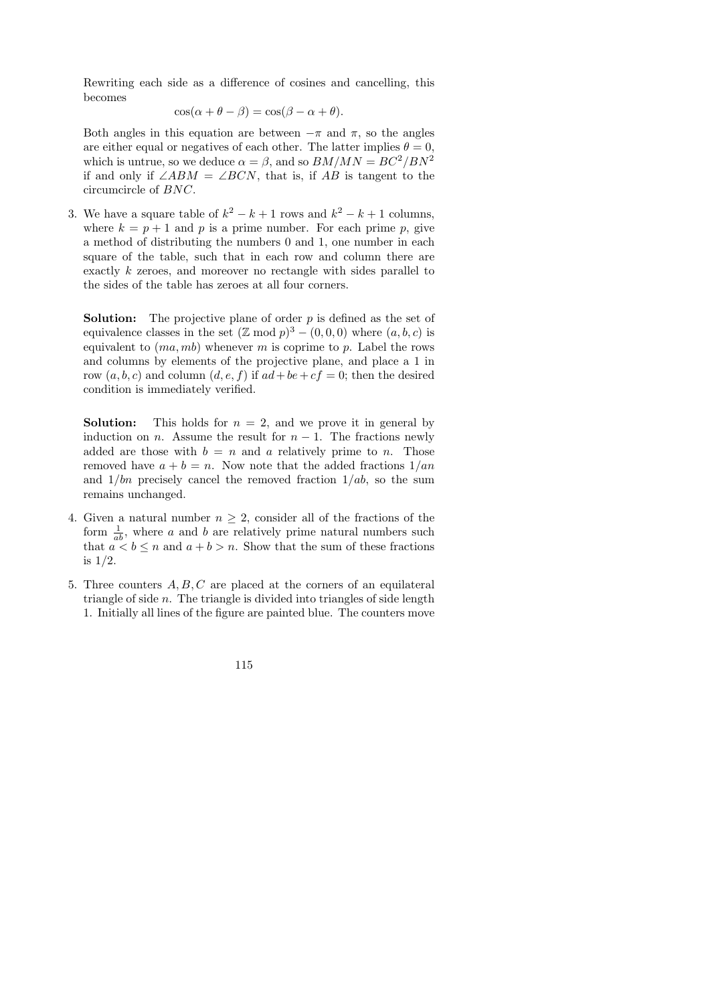Rewriting each side as a difference of cosines and cancelling, this becomes

$$
\cos(\alpha + \theta - \beta) = \cos(\beta - \alpha + \theta).
$$

Both angles in this equation are between  $-\pi$  and  $\pi$ , so the angles are either equal or negatives of each other. The latter implies  $\theta = 0$ , which is untrue, so we deduce  $\alpha = \beta$ , and so  $BM/MN = BC^2/BN^2$ if and only if  $∠ABM = ∠BCN$ , that is, if AB is tangent to the circumcircle of BNC.

3. We have a square table of  $k^2 - k + 1$  rows and  $k^2 - k + 1$  columns, where  $k = p + 1$  and p is a prime number. For each prime p, give a method of distributing the numbers 0 and 1, one number in each square of the table, such that in each row and column there are exactly k zeroes, and moreover no rectangle with sides parallel to the sides of the table has zeroes at all four corners.

**Solution:** The projective plane of order  $p$  is defined as the set of equivalence classes in the set  $(\mathbb{Z} \mod p)^3 - (0,0,0)$  where  $(a, b, c)$  is equivalent to  $(ma, mb)$  whenever m is coprime to p. Label the rows and columns by elements of the projective plane, and place a 1 in row  $(a, b, c)$  and column  $(d, e, f)$  if  $ad + be + cf = 0$ ; then the desired condition is immediately verified.

**Solution:** This holds for  $n = 2$ , and we prove it in general by induction on *n*. Assume the result for  $n - 1$ . The fractions newly added are those with  $b = n$  and a relatively prime to n. Those removed have  $a + b = n$ . Now note that the added fractions  $1/an$ and  $1/bn$  precisely cancel the removed fraction  $1/ab$ , so the sum remains unchanged.

- 4. Given a natural number  $n \geq 2$ , consider all of the fractions of the form  $\frac{1}{ab}$ , where a and b are relatively prime natural numbers such that  $a < b \leq n$  and  $a + b > n$ . Show that the sum of these fractions is 1/2.
- 5. Three counters  $A, B, C$  are placed at the corners of an equilateral triangle of side  $n$ . The triangle is divided into triangles of side length 1. Initially all lines of the figure are painted blue. The counters move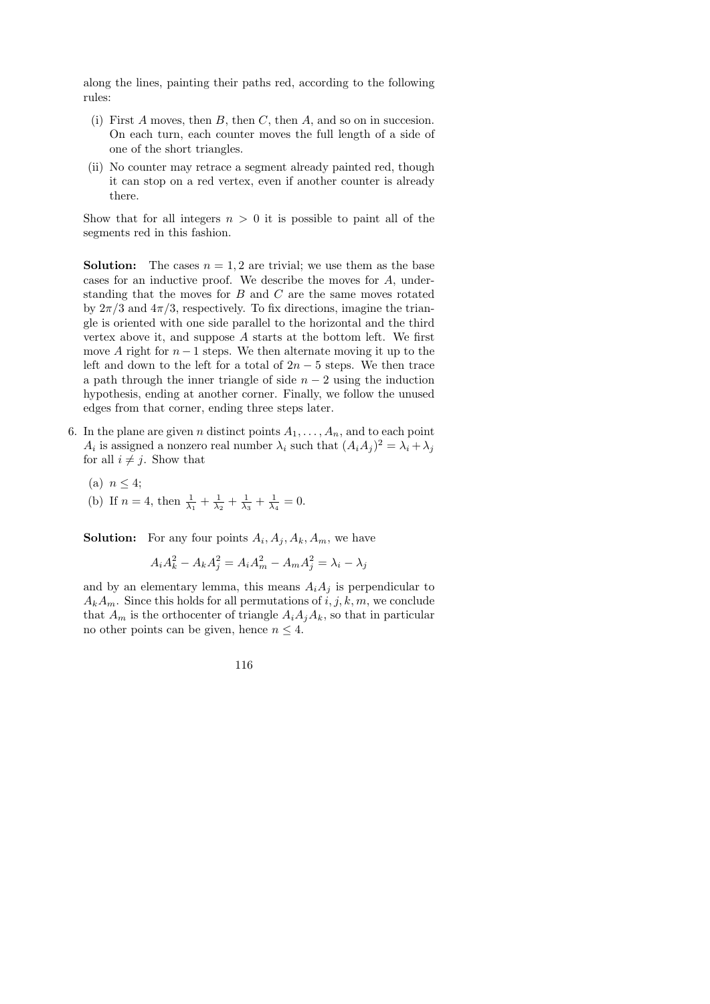along the lines, painting their paths red, according to the following rules:

- (i) First A moves, then  $B$ , then  $C$ , then  $A$ , and so on in succession. On each turn, each counter moves the full length of a side of one of the short triangles.
- (ii) No counter may retrace a segment already painted red, though it can stop on a red vertex, even if another counter is already there.

Show that for all integers  $n > 0$  it is possible to paint all of the segments red in this fashion.

**Solution:** The cases  $n = 1, 2$  are trivial; we use them as the base cases for an inductive proof. We describe the moves for A, understanding that the moves for  $B$  and  $C$  are the same moves rotated by  $2\pi/3$  and  $4\pi/3$ , respectively. To fix directions, imagine the triangle is oriented with one side parallel to the horizontal and the third vertex above it, and suppose A starts at the bottom left. We first move A right for  $n-1$  steps. We then alternate moving it up to the left and down to the left for a total of  $2n-5$  steps. We then trace a path through the inner triangle of side  $n-2$  using the induction hypothesis, ending at another corner. Finally, we follow the unused edges from that corner, ending three steps later.

- 6. In the plane are given *n* distinct points  $A_1, \ldots, A_n$ , and to each point  $A_i$  is assigned a nonzero real number  $\lambda_i$  such that  $(A_i A_j)^2 = \lambda_i + \lambda_j$ for all  $i \neq j$ . Show that
	- (a)  $n < 4$ ; (b) If  $n = 4$ , then  $\frac{1}{\lambda_1} + \frac{1}{\lambda_2} + \frac{1}{\lambda_3} + \frac{1}{\lambda_4} = 0$ .

**Solution:** For any four points  $A_i, A_j, A_k, A_m$ , we have

$$
A_i A_k^2 - A_k A_j^2 = A_i A_m^2 - A_m A_j^2 = \lambda_i - \lambda_j
$$

and by an elementary lemma, this means  $A_iA_j$  is perpendicular to  $A_kA_m$ . Since this holds for all permutations of i, j, k, m, we conclude that  $A_m$  is the orthocenter of triangle  $A_iA_jA_k$ , so that in particular no other points can be given, hence  $n \leq 4$ .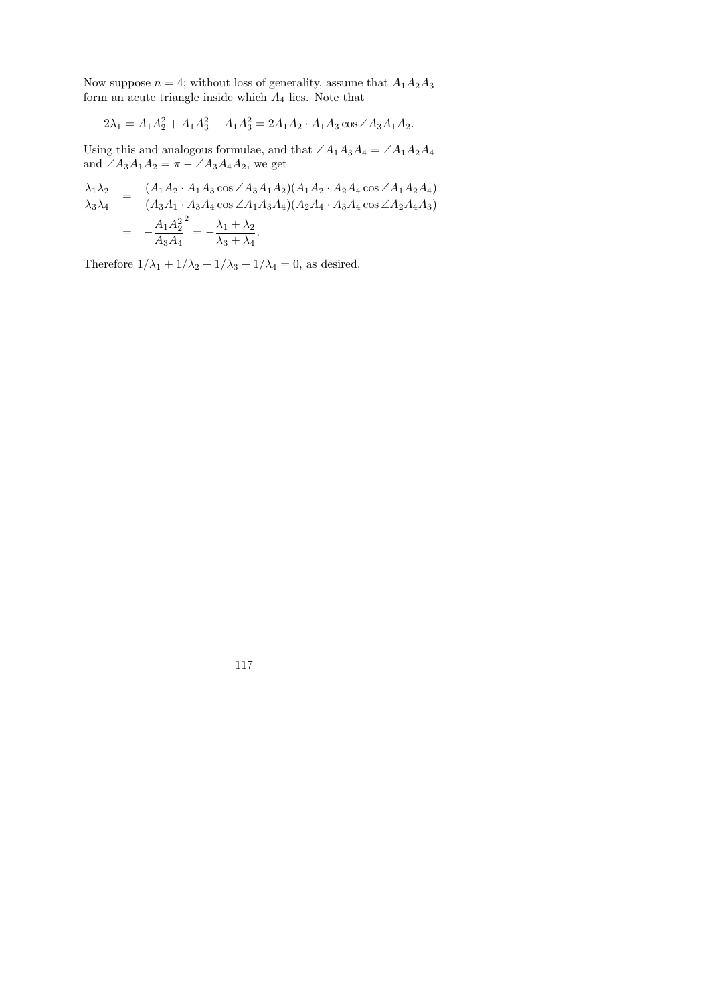Now suppose  $n = 4$ ; without loss of generality, assume that  $A_1 A_2 A_3$ form an acute triangle inside which  $A_4$  lies. Note that

$$
2\lambda_1 = A_1 A_2^2 + A_1 A_3^2 - A_1 A_3^2 = 2A_1 A_2 \cdot A_1 A_3 \cos \angle A_3 A_1 A_2.
$$

Using this and analogous formulae, and that  $\angle A_1A_3A_4 = \angle A_1A_2A_4$ and  $\angle A_3A_1A_2 = \pi - \angle A_3A_4A_2$ , we get

$$
\frac{\lambda_1 \lambda_2}{\lambda_3 \lambda_4} = \frac{(A_1 A_2 \cdot A_1 A_3 \cos \angle A_3 A_1 A_2)(A_1 A_2 \cdot A_2 A_4 \cos \angle A_1 A_2 A_4)}{(A_3 A_1 \cdot A_3 A_4 \cos \angle A_1 A_3 A_4)(A_2 A_4 \cdot A_3 A_4 \cos \angle A_2 A_4 A_3)}
$$
  
= 
$$
-\frac{A_1 A_2^2}{A_3 A_4} = -\frac{\lambda_1 + \lambda_2}{\lambda_3 + \lambda_4}.
$$

Therefore  $1/\lambda_1 + 1/\lambda_2 + 1/\lambda_3 + 1/\lambda_4 = 0$ , as desired.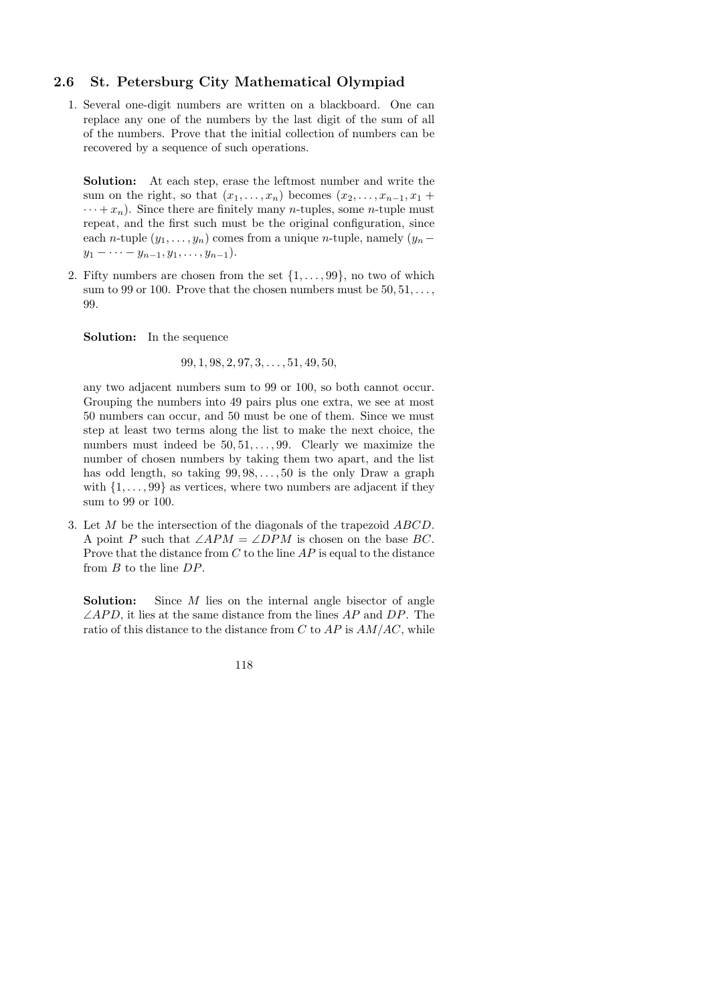#### 2.6 St. Petersburg City Mathematical Olympiad

1. Several one-digit numbers are written on a blackboard. One can replace any one of the numbers by the last digit of the sum of all of the numbers. Prove that the initial collection of numbers can be recovered by a sequence of such operations.

Solution: At each step, erase the leftmost number and write the sum on the right, so that  $(x_1, \ldots, x_n)$  becomes  $(x_2, \ldots, x_{n-1}, x_1 +$  $\cdots + x_n$ ). Since there are finitely many *n*-tuples, some *n*-tuple must repeat, and the first such must be the original configuration, since each *n*-tuple  $(y_1, \ldots, y_n)$  comes from a unique *n*-tuple, namely  $(y_n$  $y_1 - \cdots - y_{n-1}, y_1, \ldots, y_{n-1}).$ 

2. Fifty numbers are chosen from the set  $\{1, \ldots, 99\}$ , no two of which sum to 99 or 100. Prove that the chosen numbers must be  $50, 51, \ldots$ , 99.

Solution: In the sequence

99, 1, 98, 2, 97, 3, . . . , 51, 49, 50,

any two adjacent numbers sum to 99 or 100, so both cannot occur. Grouping the numbers into 49 pairs plus one extra, we see at most 50 numbers can occur, and 50 must be one of them. Since we must step at least two terms along the list to make the next choice, the numbers must indeed be  $50, 51, \ldots, 99$ . Clearly we maximize the number of chosen numbers by taking them two apart, and the list has odd length, so taking  $99, 98, \ldots, 50$  is the only Draw a graph with  $\{1, \ldots, 99\}$  as vertices, where two numbers are adjacent if they sum to 99 or 100.

3. Let M be the intersection of the diagonals of the trapezoid ABCD. A point P such that  $\angle APM = \angle DPM$  is chosen on the base BC. Prove that the distance from  $C$  to the line  $AP$  is equal to the distance from B to the line DP.

Solution: Since M lies on the internal angle bisector of angle  $\angle APD$ , it lies at the same distance from the lines AP and DP. The ratio of this distance to the distance from  $C$  to  $AP$  is  $AM/AC$ , while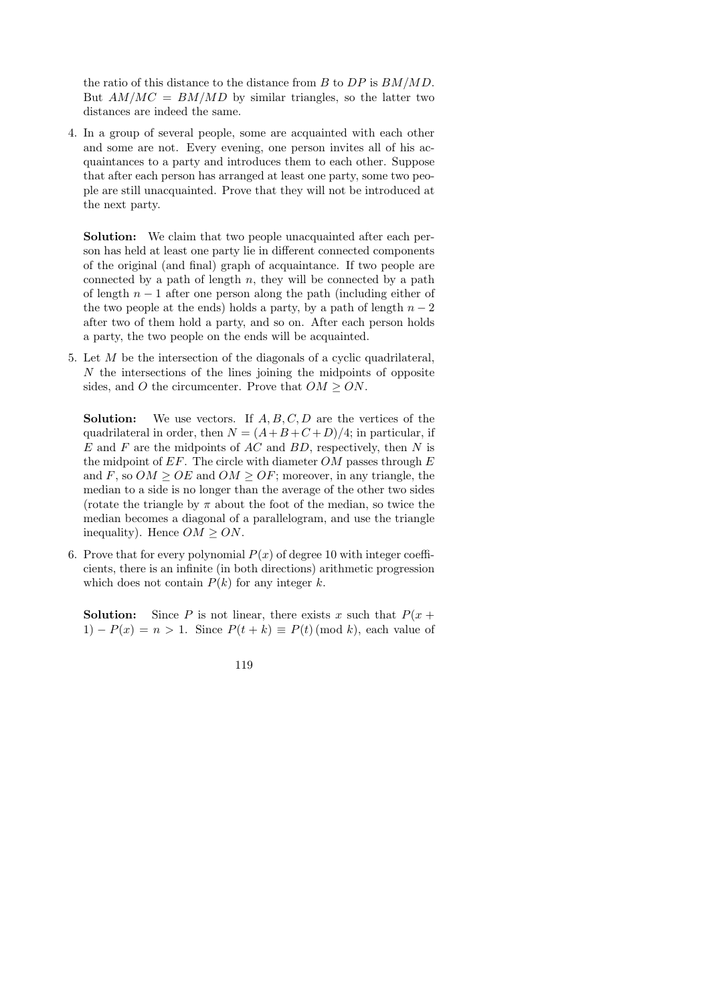the ratio of this distance to the distance from B to DP is BM/MD. But  $AM/MC = BM/MD$  by similar triangles, so the latter two distances are indeed the same.

4. In a group of several people, some are acquainted with each other and some are not. Every evening, one person invites all of his acquaintances to a party and introduces them to each other. Suppose that after each person has arranged at least one party, some two people are still unacquainted. Prove that they will not be introduced at the next party.

Solution: We claim that two people unacquainted after each person has held at least one party lie in different connected components of the original (and final) graph of acquaintance. If two people are connected by a path of length  $n$ , they will be connected by a path of length  $n-1$  after one person along the path (including either of the two people at the ends) holds a party, by a path of length  $n-2$ after two of them hold a party, and so on. After each person holds a party, the two people on the ends will be acquainted.

5. Let  $M$  be the intersection of the diagonals of a cyclic quadrilateral, N the intersections of the lines joining the midpoints of opposite sides, and O the circumcenter. Prove that  $OM > ON$ .

**Solution:** We use vectors. If  $A, B, C, D$  are the vertices of the quadrilateral in order, then  $N = (A+B+C+D)/4$ ; in particular, if  $E$  and  $F$  are the midpoints of  $AC$  and  $BD$ , respectively, then  $N$  is the midpoint of  $EF$ . The circle with diameter  $OM$  passes through  $E$ and F, so  $OM \geq OE$  and  $OM \geq OF$ ; moreover, in any triangle, the median to a side is no longer than the average of the other two sides (rotate the triangle by  $\pi$  about the foot of the median, so twice the median becomes a diagonal of a parallelogram, and use the triangle inequality). Hence  $OM > ON$ .

6. Prove that for every polynomial  $P(x)$  of degree 10 with integer coefficients, there is an infinite (in both directions) arithmetic progression which does not contain  $P(k)$  for any integer k.

**Solution:** Since P is not linear, there exists x such that  $P(x +$ 1) −  $P(x) = n > 1$ . Since  $P(t + k) \equiv P(t) \pmod{k}$ , each value of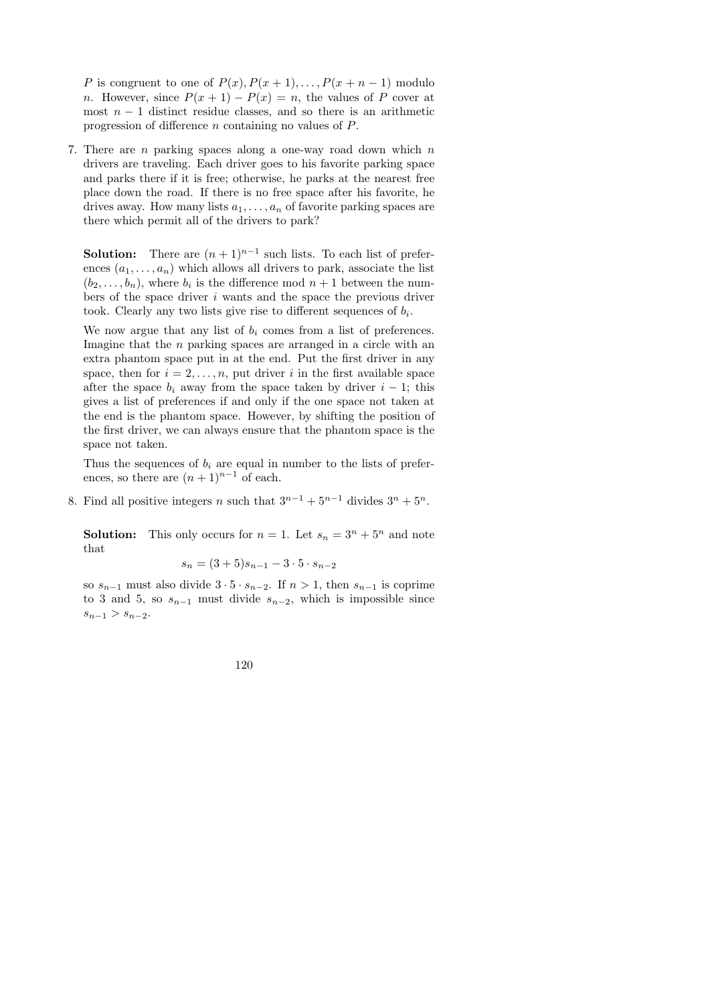P is congruent to one of  $P(x)$ ,  $P(x + 1)$ , ...,  $P(x + n - 1)$  modulo n. However, since  $P(x + 1) - P(x) = n$ , the values of P cover at most  $n - 1$  distinct residue classes, and so there is an arithmetic progression of difference n containing no values of P.

7. There are  $n$  parking spaces along a one-way road down which  $n$ drivers are traveling. Each driver goes to his favorite parking space and parks there if it is free; otherwise, he parks at the nearest free place down the road. If there is no free space after his favorite, he drives away. How many lists  $a_1, \ldots, a_n$  of favorite parking spaces are there which permit all of the drivers to park?

**Solution:** There are  $(n + 1)^{n-1}$  such lists. To each list of preferences  $(a_1, \ldots, a_n)$  which allows all drivers to park, associate the list  $(b_2, \ldots, b_n)$ , where  $b_i$  is the difference mod  $n+1$  between the numbers of the space driver i wants and the space the previous driver took. Clearly any two lists give rise to different sequences of  $b_i$ .

We now argue that any list of  $b_i$  comes from a list of preferences. Imagine that the n parking spaces are arranged in a circle with an extra phantom space put in at the end. Put the first driver in any space, then for  $i = 2, \ldots, n$ , put driver i in the first available space after the space  $b_i$  away from the space taken by driver  $i - 1$ ; this gives a list of preferences if and only if the one space not taken at the end is the phantom space. However, by shifting the position of the first driver, we can always ensure that the phantom space is the space not taken.

Thus the sequences of  $b_i$  are equal in number to the lists of preferences, so there are  $(n+1)^{n-1}$  of each.

8. Find all positive integers n such that  $3^{n-1} + 5^{n-1}$  divides  $3^n + 5^n$ .

**Solution:** This only occurs for  $n = 1$ . Let  $s_n = 3^n + 5^n$  and note that

$$
s_n = (3+5)s_{n-1} - 3 \cdot 5 \cdot s_{n-2}
$$

so  $s_{n-1}$  must also divide  $3 \cdot 5 \cdot s_{n-2}$ . If  $n > 1$ , then  $s_{n-1}$  is coprime to 3 and 5, so  $s_{n-1}$  must divide  $s_{n-2}$ , which is impossible since  $s_{n-1} > s_{n-2}$ .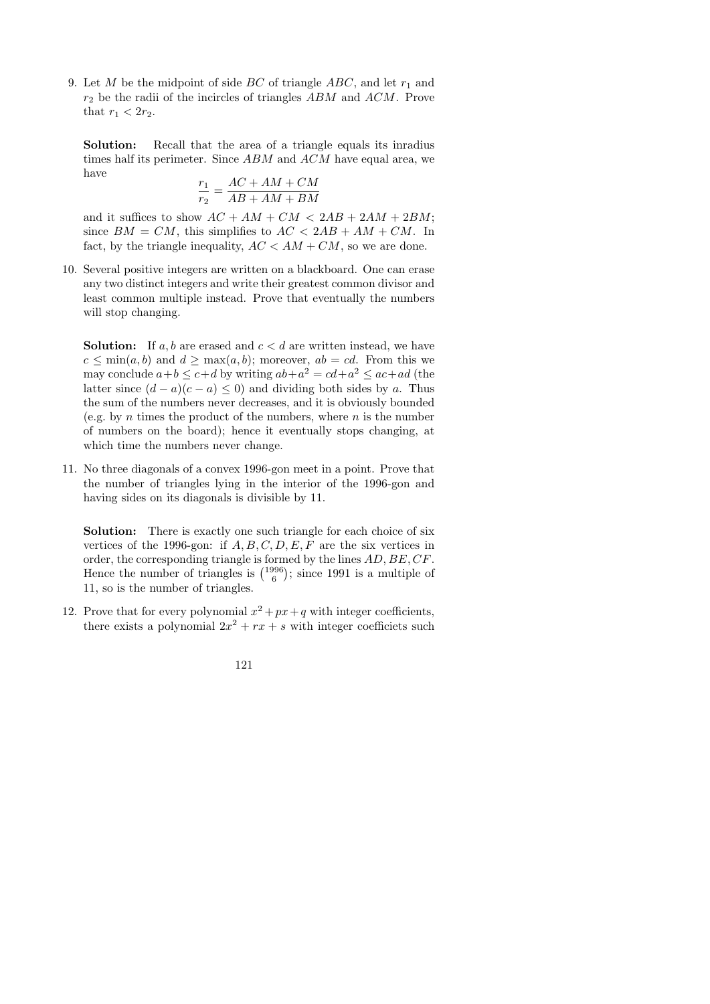9. Let M be the midpoint of side BC of triangle ABC, and let  $r_1$  and  $r_2$  be the radii of the incircles of triangles  $ABM$  and  $ACM$ . Prove that  $r_1 < 2r_2$ .

Solution: Recall that the area of a triangle equals its inradius times half its perimeter. Since ABM and ACM have equal area, we have

$$
\frac{r_1}{r_2} = \frac{AC + AM + CM}{AB + AM + BM}
$$

and it suffices to show  $AC + AM + CM < 2AB + 2AM + 2BM$ : since  $BM = CM$ , this simplifies to  $AC < 2AB + AM + CM$ . In fact, by the triangle inequality,  $AC < AM + CM$ , so we are done.

10. Several positive integers are written on a blackboard. One can erase any two distinct integers and write their greatest common divisor and least common multiple instead. Prove that eventually the numbers will stop changing.

**Solution:** If  $a, b$  are erased and  $c < d$  are written instead, we have  $c \leq \min(a, b)$  and  $d \geq \max(a, b)$ ; moreover,  $ab = cd$ . From this we may conclude  $a+b \leq c+d$  by writing  $ab+a^2=cd+a^2 \leq ac+ad$  (the latter since  $(d - a)(c − a) ≤ 0$  and dividing both sides by a. Thus the sum of the numbers never decreases, and it is obviously bounded (e.g. by *n* times the product of the numbers, where *n* is the number of numbers on the board); hence it eventually stops changing, at which time the numbers never change.

11. No three diagonals of a convex 1996-gon meet in a point. Prove that the number of triangles lying in the interior of the 1996-gon and having sides on its diagonals is divisible by 11.

Solution: There is exactly one such triangle for each choice of six vertices of the 1996-gon: if  $A, B, C, D, E, F$  are the six vertices in order, the corresponding triangle is formed by the lines AD, BE, CF. Hence the number of triangles is  $\binom{1996}{6}$ ; since 1991 is a multiple of 11, so is the number of triangles.

12. Prove that for every polynomial  $x^2 + px + q$  with integer coefficients, there exists a polynomial  $2x^2 + rx + s$  with integer coefficiets such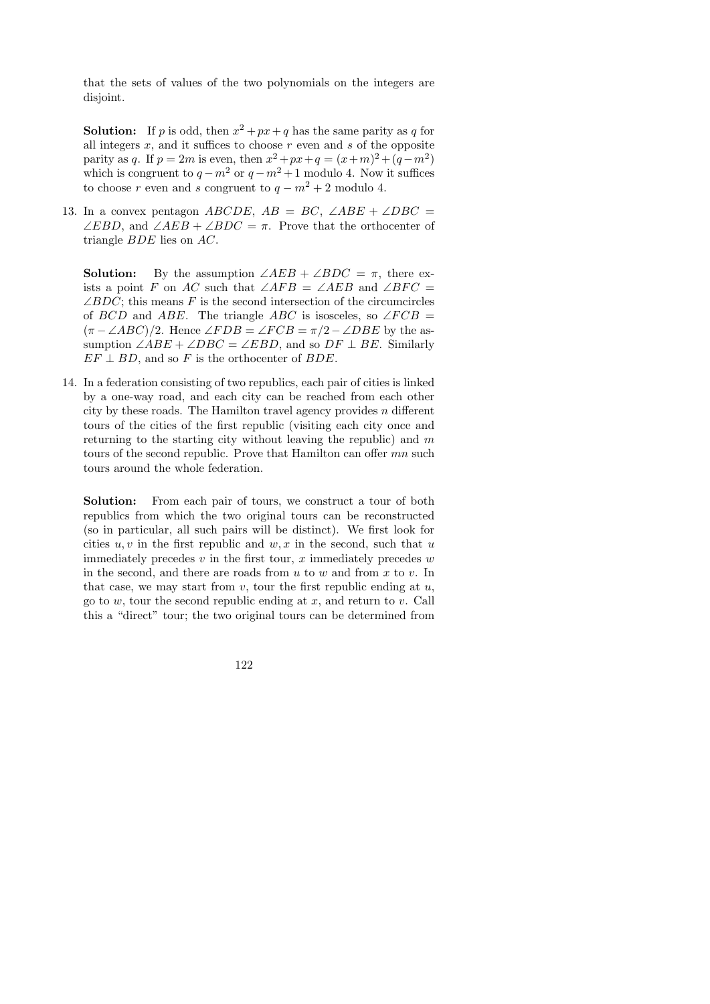that the sets of values of the two polynomials on the integers are disjoint.

**Solution:** If p is odd, then  $x^2 + px + q$  has the same parity as q for all integers  $x$ , and it suffices to choose  $r$  even and  $s$  of the opposite parity as q. If  $p = 2m$  is even, then  $x^2 + px + q = (x + m)^2 + (q - m^2)$ which is congruent to  $q - m^2$  or  $q - m^2 + 1$  modulo 4. Now it suffices to choose r even and s congruent to  $q - m^2 + 2$  modulo 4.

13. In a convex pentagon  $ABCDE$ ,  $AB = BC$ ,  $\angle ABE + \angle DBC =$  $\angle EBD$ , and  $\angle AEB + \angle BDC = \pi$ . Prove that the orthocenter of triangle BDE lies on AC.

**Solution:** By the assumption  $\angle AEB + \angle BDC = \pi$ , there exists a point F on AC such that  $\angle AFB = \angle AEB$  and  $\angle BFC =$  $\angle BDC$ ; this means F is the second intersection of the circumcircles of BCD and ABE. The triangle ABC is isosceles, so  $\angle FCB =$  $(\pi - \angle ABC)/2$ . Hence  $\angle FDB = \angle FCB = \pi/2 - \angle DBE$  by the assumption  $\angle ABE + \angle DBC = \angle EBD$ , and so  $DF \perp BE$ . Similarly  $EF \perp BD$ , and so F is the orthocenter of BDE.

14. In a federation consisting of two republics, each pair of cities is linked by a one-way road, and each city can be reached from each other city by these roads. The Hamilton travel agency provides  $n$  different tours of the cities of the first republic (visiting each city once and returning to the starting city without leaving the republic) and  $m$ tours of the second republic. Prove that Hamilton can offer mn such tours around the whole federation.

Solution: From each pair of tours, we construct a tour of both republics from which the two original tours can be reconstructed (so in particular, all such pairs will be distinct). We first look for cities  $u, v$  in the first republic and  $w, x$  in the second, such that u immediately precedes  $v$  in the first tour,  $x$  immediately precedes  $w$ in the second, and there are roads from  $u$  to  $w$  and from  $x$  to  $v$ . In that case, we may start from  $v$ , tour the first republic ending at  $u$ , go to  $w$ , tour the second republic ending at  $x$ , and return to  $v$ . Call this a "direct" tour; the two original tours can be determined from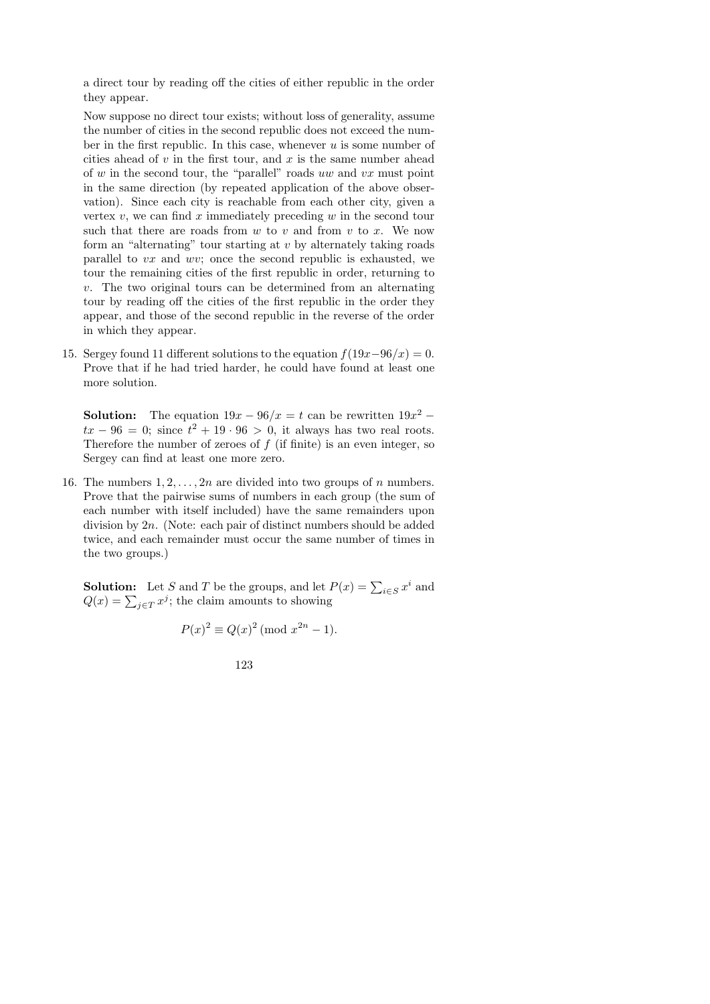a direct tour by reading off the cities of either republic in the order they appear.

Now suppose no direct tour exists; without loss of generality, assume the number of cities in the second republic does not exceed the number in the first republic. In this case, whenever  $u$  is some number of cities ahead of  $v$  in the first tour, and  $x$  is the same number ahead of w in the second tour, the "parallel" roads uw and vx must point in the same direction (by repeated application of the above observation). Since each city is reachable from each other city, given a vertex v, we can find x immediately preceding  $w$  in the second tour such that there are roads from  $w$  to  $v$  and from  $v$  to  $x$ . We now form an "alternating" tour starting at v by alternately taking roads parallel to vx and wv; once the second republic is exhausted, we tour the remaining cities of the first republic in order, returning to  $v$ . The two original tours can be determined from an alternating tour by reading off the cities of the first republic in the order they appear, and those of the second republic in the reverse of the order in which they appear.

15. Sergey found 11 different solutions to the equation  $f(19x-96/x) = 0$ . Prove that if he had tried harder, he could have found at least one more solution.

**Solution:** The equation  $19x - 96/x = t$  can be rewritten  $19x^2$  $tx - 96 = 0$ ; since  $t^2 + 19 \cdot 96 > 0$ , it always has two real roots. Therefore the number of zeroes of  $f$  (if finite) is an even integer, so Sergey can find at least one more zero.

16. The numbers  $1, 2, \ldots, 2n$  are divided into two groups of n numbers. Prove that the pairwise sums of numbers in each group (the sum of each number with itself included) have the same remainders upon division by 2n. (Note: each pair of distinct numbers should be added twice, and each remainder must occur the same number of times in the two groups.)

**Solution:** Let S and T be the groups, and let  $P(x) = \sum_{i \in S} x^i$  and  $Q(x) = \sum_{j \in T} x^j$ ; the claim amounts to showing

$$
P(x)^2 \equiv Q(x)^2 \pmod{x^{2n} - 1}.
$$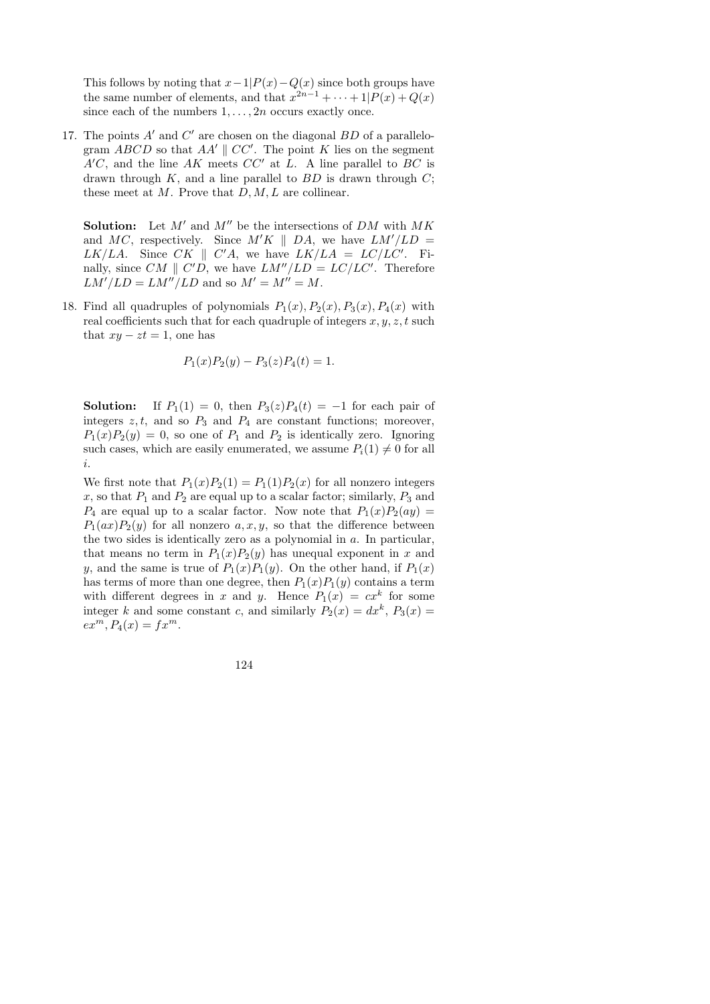This follows by noting that  $x-1|P(x)-Q(x)$  since both groups have the same number of elements, and that  $x^{2n-1} + \cdots + 1|P(x) + Q(x)$ since each of the numbers  $1, \ldots, 2n$  occurs exactly once.

17. The points  $A'$  and  $C'$  are chosen on the diagonal  $BD$  of a parallelogram  $ABCD$  so that  $AA' \parallel CC'$ . The point K lies on the segment  $A'C$ , and the line AK meets  $CC'$  at L. A line parallel to BC is drawn through  $K$ , and a line parallel to  $BD$  is drawn through  $C$ ; these meet at  $M$ . Prove that  $D, M, L$  are collinear.

**Solution:** Let  $M'$  and  $M''$  be the intersections of  $DM$  with  $MK$ and MC, respectively. Since  $M'K \parallel DA$ , we have  $LM'/LD =$ *LK/LA.* Since  $CK \parallel C'A$ , we have  $LK/LA = LC/LC'$ . Finally, since  $CM \parallel C'D$ , we have  $LM''/LD = LC/LC'$ . Therefore  $LM'/LD = LM''/LD$  and so  $M' = M'' = M$ .

18. Find all quadruples of polynomials  $P_1(x)$ ,  $P_2(x)$ ,  $P_3(x)$ ,  $P_4(x)$  with real coefficients such that for each quadruple of integers  $x, y, z, t$  such that  $xy - zt = 1$ , one has

$$
P_1(x)P_2(y) - P_3(z)P_4(t) = 1.
$$

**Solution:** If  $P_1(1) = 0$ , then  $P_3(z)P_4(t) = -1$  for each pair of integers  $z, t$ , and so  $P_3$  and  $P_4$  are constant functions; moreover,  $P_1(x)P_2(y) = 0$ , so one of  $P_1$  and  $P_2$  is identically zero. Ignoring such cases, which are easily enumerated, we assume  $P_i(1) \neq 0$  for all i.

We first note that  $P_1(x)P_2(1) = P_1(1)P_2(x)$  for all nonzero integers  $x$ , so that  $P_1$  and  $P_2$  are equal up to a scalar factor; similarly,  $P_3$  and  $P_4$  are equal up to a scalar factor. Now note that  $P_1(x)P_2(ay) =$  $P_1(ax)P_2(y)$  for all nonzero  $a, x, y$ , so that the difference between the two sides is identically zero as a polynomial in  $a$ . In particular, that means no term in  $P_1(x)P_2(y)$  has unequal exponent in x and y, and the same is true of  $P_1(x)P_1(y)$ . On the other hand, if  $P_1(x)$ has terms of more than one degree, then  $P_1(x)P_1(y)$  contains a term with different degrees in x and y. Hence  $P_1(x) = cx^k$  for some integer k and some constant c, and similarly  $P_2(x) = dx^k$ ,  $P_3(x) =$  $ex^m$ ,  $P_4(x) = fx^m$ .

$$
124\,
$$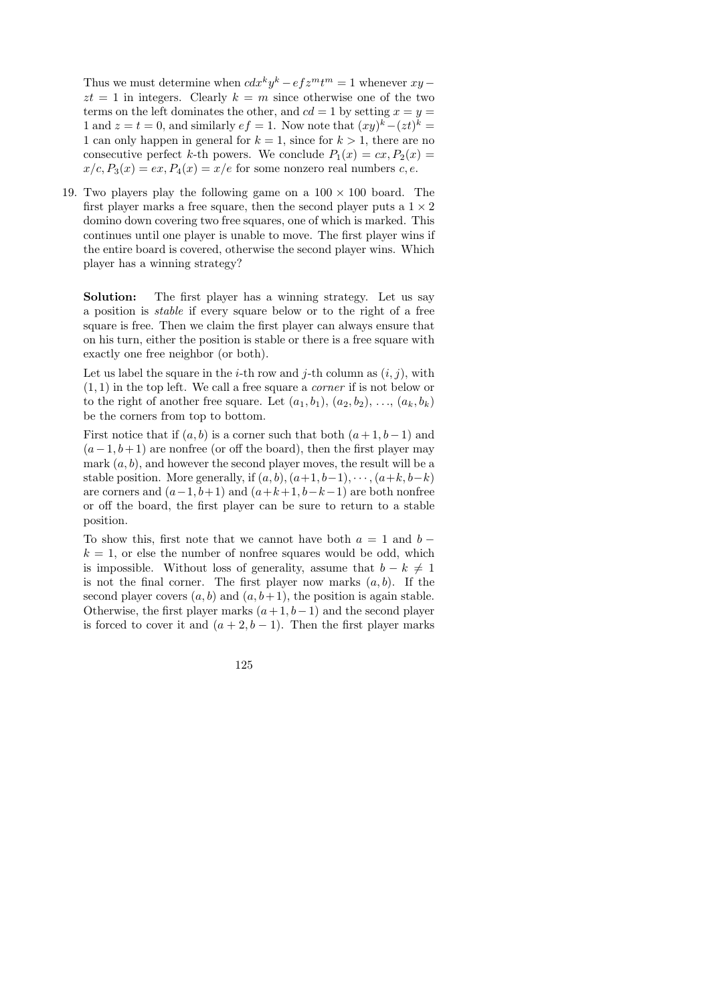Thus we must determine when  $cdx^ky^k - efz^mt^m = 1$  whenever  $xy$  $zt = 1$  in integers. Clearly  $k = m$  since otherwise one of the two terms on the left dominates the other, and  $cd = 1$  by setting  $x = y =$ 1 and  $z = t = 0$ , and similarly  $ef = 1$ . Now note that  $(xy)^k - (zt)^k = 1$ 1 can only happen in general for  $k = 1$ , since for  $k > 1$ , there are no consecutive perfect k-th powers. We conclude  $P_1(x) = cx, P_2(x) =$  $x/c$ ,  $P_3(x) = ex$ ,  $P_4(x) = x/e$  for some nonzero real numbers c, e.

19. Two players play the following game on a  $100 \times 100$  board. The first player marks a free square, then the second player puts a  $1 \times 2$ domino down covering two free squares, one of which is marked. This continues until one player is unable to move. The first player wins if the entire board is covered, otherwise the second player wins. Which player has a winning strategy?

Solution: The first player has a winning strategy. Let us say a position is stable if every square below or to the right of a free square is free. Then we claim the first player can always ensure that on his turn, either the position is stable or there is a free square with exactly one free neighbor (or both).

Let us label the square in the *i*-th row and *j*-th column as  $(i, j)$ , with  $(1, 1)$  in the top left. We call a free square a *corner* if is not below or to the right of another free square. Let  $(a_1, b_1), (a_2, b_2), \ldots, (a_k, b_k)$ be the corners from top to bottom.

First notice that if  $(a, b)$  is a corner such that both  $(a + 1, b - 1)$  and  $(a-1, b+1)$  are nonfree (or off the board), then the first player may mark  $(a, b)$ , and however the second player moves, the result will be a stable position. More generally, if  $(a, b)$ ,  $(a+1, b-1)$ ,  $\dots$ ,  $(a+k, b-k)$ are corners and  $(a-1, b+1)$  and  $(a+k+1, b-k-1)$  are both nonfree or off the board, the first player can be sure to return to a stable position.

To show this, first note that we cannot have both  $a = 1$  and  $b$  $k = 1$ , or else the number of nonfree squares would be odd, which is impossible. Without loss of generality, assume that  $b - k \neq 1$ is not the final corner. The first player now marks  $(a, b)$ . If the second player covers  $(a, b)$  and  $(a, b+1)$ , the position is again stable. Otherwise, the first player marks  $(a+1, b-1)$  and the second player is forced to cover it and  $(a + 2, b - 1)$ . Then the first player marks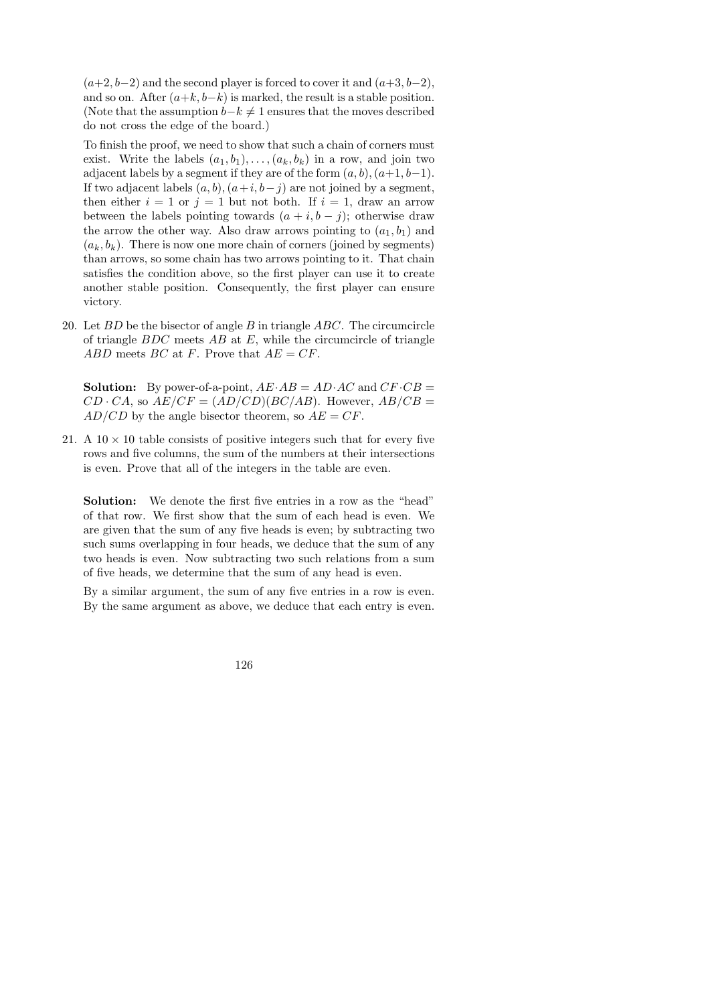$(a+2, b-2)$  and the second player is forced to cover it and  $(a+3, b-2)$ , and so on. After  $(a+k, b-k)$  is marked, the result is a stable position. (Note that the assumption  $b-k \neq 1$  ensures that the moves described do not cross the edge of the board.)

To finish the proof, we need to show that such a chain of corners must exist. Write the labels  $(a_1, b_1), \ldots, (a_k, b_k)$  in a row, and join two adjacent labels by a segment if they are of the form  $(a, b), (a+1, b-1)$ . If two adjacent labels  $(a, b), (a + i, b - j)$  are not joined by a segment, then either  $i = 1$  or  $j = 1$  but not both. If  $i = 1$ , draw an arrow between the labels pointing towards  $(a + i, b - j)$ ; otherwise draw the arrow the other way. Also draw arrows pointing to  $(a_1, b_1)$  and  $(a_k, b_k)$ . There is now one more chain of corners (joined by segments) than arrows, so some chain has two arrows pointing to it. That chain satisfies the condition above, so the first player can use it to create another stable position. Consequently, the first player can ensure victory.

20. Let  $BD$  be the bisector of angle  $B$  in triangle  $ABC$ . The circumcircle of triangle  $BDC$  meets  $AB$  at  $E$ , while the circumcircle of triangle ABD meets BC at F. Prove that  $AE = CF$ .

**Solution:** By power-of-a-point,  $AE \cdot AB = AD \cdot AC$  and  $CF \cdot CB =$  $CD \cdot CA$ , so  $AE/CF = (AD/CD)(BC/AB)$ . However,  $AB/CB =$  $AD/CD$  by the angle bisector theorem, so  $AE = CF$ .

21. A  $10 \times 10$  table consists of positive integers such that for every five rows and five columns, the sum of the numbers at their intersections is even. Prove that all of the integers in the table are even.

Solution: We denote the first five entries in a row as the "head" of that row. We first show that the sum of each head is even. We are given that the sum of any five heads is even; by subtracting two such sums overlapping in four heads, we deduce that the sum of any two heads is even. Now subtracting two such relations from a sum of five heads, we determine that the sum of any head is even.

By a similar argument, the sum of any five entries in a row is even. By the same argument as above, we deduce that each entry is even.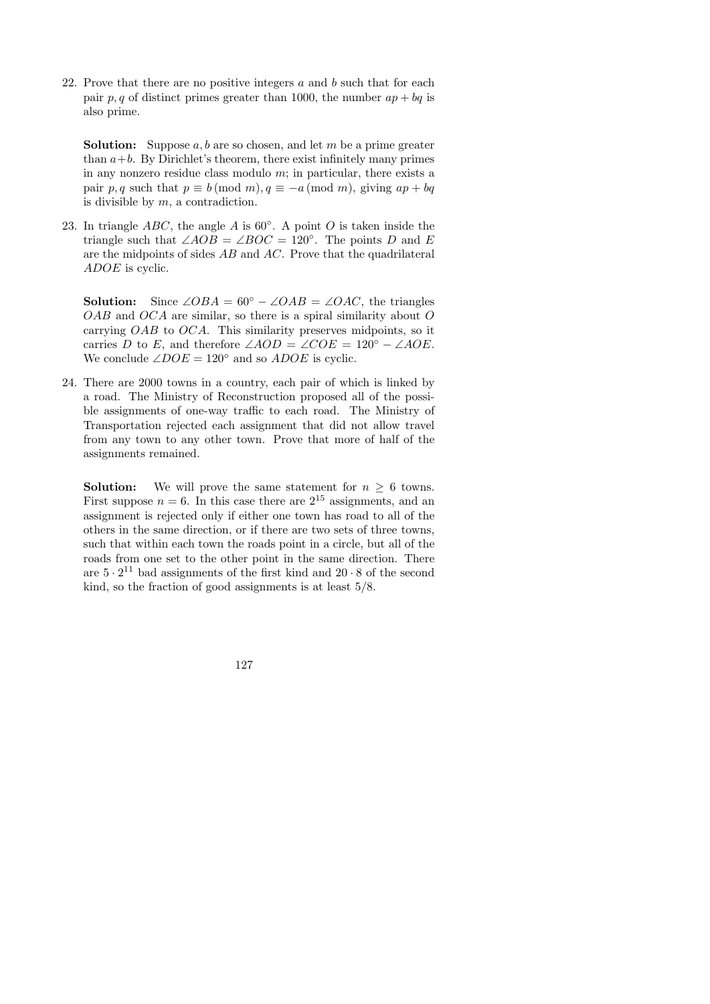22. Prove that there are no positive integers  $a$  and  $b$  such that for each pair p, q of distinct primes greater than 1000, the number  $ap + bq$  is also prime.

**Solution:** Suppose  $a, b$  are so chosen, and let  $m$  be a prime greater than  $a+b$ . By Dirichlet's theorem, there exist infinitely many primes in any nonzero residue class modulo  $m$ ; in particular, there exists a pair p, q such that  $p \equiv b \pmod{m}$ ,  $q \equiv -a \pmod{m}$ , giving  $ap + bq$ is divisible by  $m$ , a contradiction.

23. In triangle  $ABC$ , the angle A is 60°. A point O is taken inside the triangle such that  $\angle AOB = \angle BOC = 120^\circ$ . The points D and E are the midpoints of sides AB and AC. Prove that the quadrilateral ADOE is cyclic.

**Solution:** Since  $\angle OBA = 60° - \angle OAB = \angle OAC$ , the triangles OAB and OCA are similar, so there is a spiral similarity about O carrying OAB to OCA. This similarity preserves midpoints, so it carries D to E, and therefore  $\angle AOD = \angle COE = 120^{\circ} - \angle AOE$ . We conclude  $\angle DOE = 120^{\circ}$  and so  $ADOE$  is cyclic.

24. There are 2000 towns in a country, each pair of which is linked by a road. The Ministry of Reconstruction proposed all of the possible assignments of one-way traffic to each road. The Ministry of Transportation rejected each assignment that did not allow travel from any town to any other town. Prove that more of half of the assignments remained.

**Solution:** We will prove the same statement for  $n \geq 6$  towns. First suppose  $n = 6$ . In this case there are  $2^{15}$  assignments, and an assignment is rejected only if either one town has road to all of the others in the same direction, or if there are two sets of three towns, such that within each town the roads point in a circle, but all of the roads from one set to the other point in the same direction. There are  $5 \cdot 2^{11}$  bad assignments of the first kind and  $20 \cdot 8$  of the second kind, so the fraction of good assignments is at least 5/8.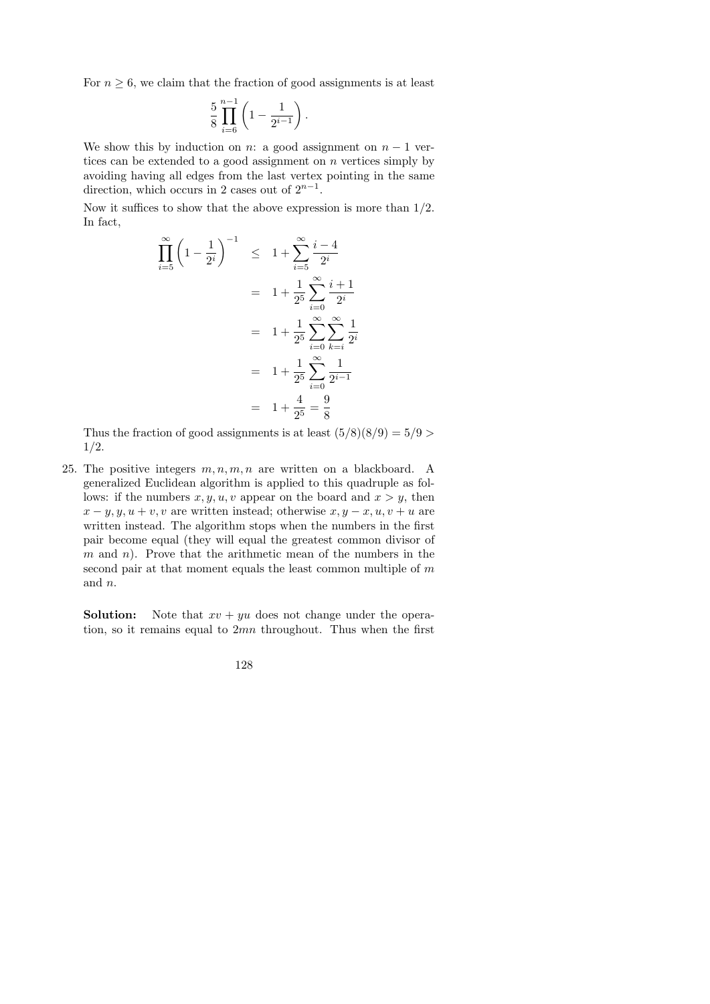For  $n \geq 6$ , we claim that the fraction of good assignments is at least

$$
\frac{5}{8}\prod_{i=6}^{n-1}\left(1-\frac{1}{2^{i-1}}\right).
$$

We show this by induction on n: a good assignment on  $n-1$  vertices can be extended to a good assignment on  $n$  vertices simply by avoiding having all edges from the last vertex pointing in the same direction, which occurs in 2 cases out of  $2^{n-1}$ .

Now it suffices to show that the above expression is more than  $1/2$ . In fact,

$$
\prod_{i=5}^{\infty} \left(1 - \frac{1}{2^i}\right)^{-1} \leq 1 + \sum_{i=5}^{\infty} \frac{i-4}{2^i}
$$

$$
= 1 + \frac{1}{2^5} \sum_{i=0}^{\infty} \frac{i+1}{2^i}
$$

$$
= 1 + \frac{1}{2^5} \sum_{i=0}^{\infty} \sum_{k=i}^{\infty} \frac{1}{2^i}
$$

$$
= 1 + \frac{1}{2^5} \sum_{i=0}^{\infty} \frac{1}{2^{i-1}}
$$

$$
= 1 + \frac{4}{2^5} = \frac{9}{8}
$$

Thus the fraction of good assignments is at least  $(5/8)(8/9) = 5/9$ 1/2.

25. The positive integers  $m, n, m, n$  are written on a blackboard. A generalized Euclidean algorithm is applied to this quadruple as follows: if the numbers  $x, y, u, v$  appear on the board and  $x > y$ , then  $x - y, y, u + v, v$  are written instead; otherwise  $x, y - x, u, v + u$  are written instead. The algorithm stops when the numbers in the first pair become equal (they will equal the greatest common divisor of  $m$  and  $n$ ). Prove that the arithmetic mean of the numbers in the second pair at that moment equals the least common multiple of  $m$ and n.

**Solution:** Note that  $xv + yu$  does not change under the operation, so it remains equal to 2mn throughout. Thus when the first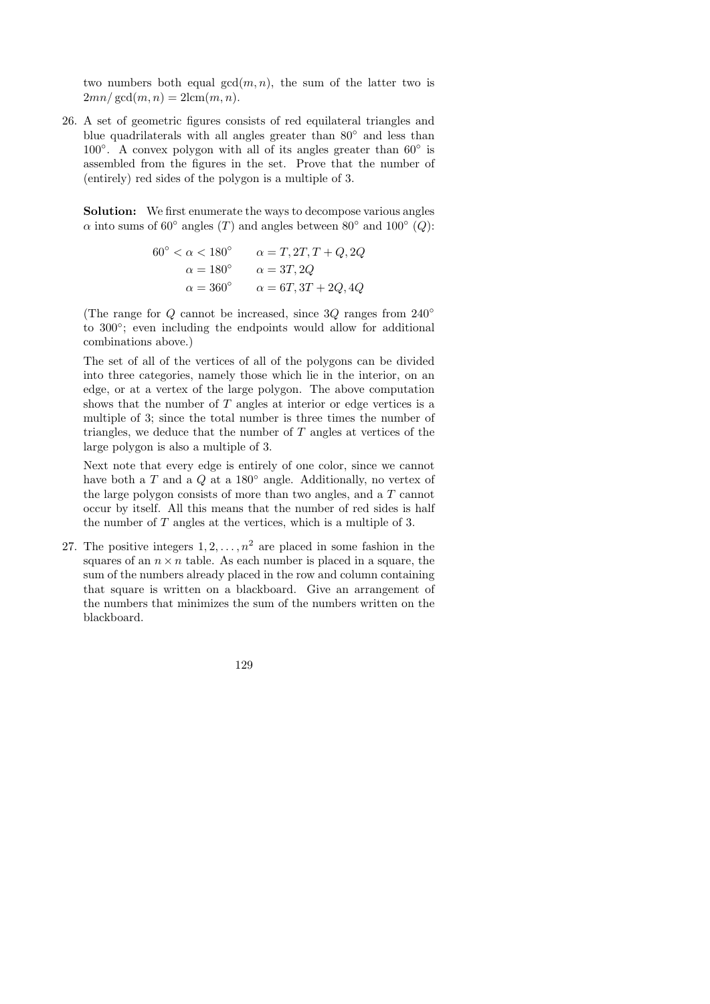two numbers both equal  $gcd(m, n)$ , the sum of the latter two is  $2mn/\gcd(m, n) = 2\mathrm{lcm}(m, n).$ 

26. A set of geometric figures consists of red equilateral triangles and blue quadrilaterals with all angles greater than 80◦ and less than 100◦ . A convex polygon with all of its angles greater than 60◦ is assembled from the figures in the set. Prove that the number of (entirely) red sides of the polygon is a multiple of 3.

Solution: We first enumerate the ways to decompose various angles  $\alpha$  into sums of 60° angles (T) and angles between 80° and 100° ( $\ddot{Q}$ ):

$$
60^{\circ} < \alpha < 180^{\circ}
$$
  
\n
$$
\alpha = 180^{\circ}
$$
  
\n
$$
\alpha = 37, 2Q
$$
  
\n
$$
\alpha = 360^{\circ}
$$
  
\n
$$
\alpha = 6T, 3T + 2Q, 4Q
$$

(The range for  $Q$  cannot be increased, since  $3Q$  ranges from  $240^{\circ}$ to 300◦ ; even including the endpoints would allow for additional combinations above.)

The set of all of the vertices of all of the polygons can be divided into three categories, namely those which lie in the interior, on an edge, or at a vertex of the large polygon. The above computation shows that the number of  $T$  angles at interior or edge vertices is a multiple of 3; since the total number is three times the number of triangles, we deduce that the number of  $T$  angles at vertices of the large polygon is also a multiple of 3.

Next note that every edge is entirely of one color, since we cannot have both a  $T$  and a  $Q$  at a 180 $\degree$  angle. Additionally, no vertex of the large polygon consists of more than two angles, and a T cannot occur by itself. All this means that the number of red sides is half the number of T angles at the vertices, which is a multiple of 3.

27. The positive integers  $1, 2, \ldots, n^2$  are placed in some fashion in the squares of an  $n \times n$  table. As each number is placed in a square, the sum of the numbers already placed in the row and column containing that square is written on a blackboard. Give an arrangement of the numbers that minimizes the sum of the numbers written on the blackboard.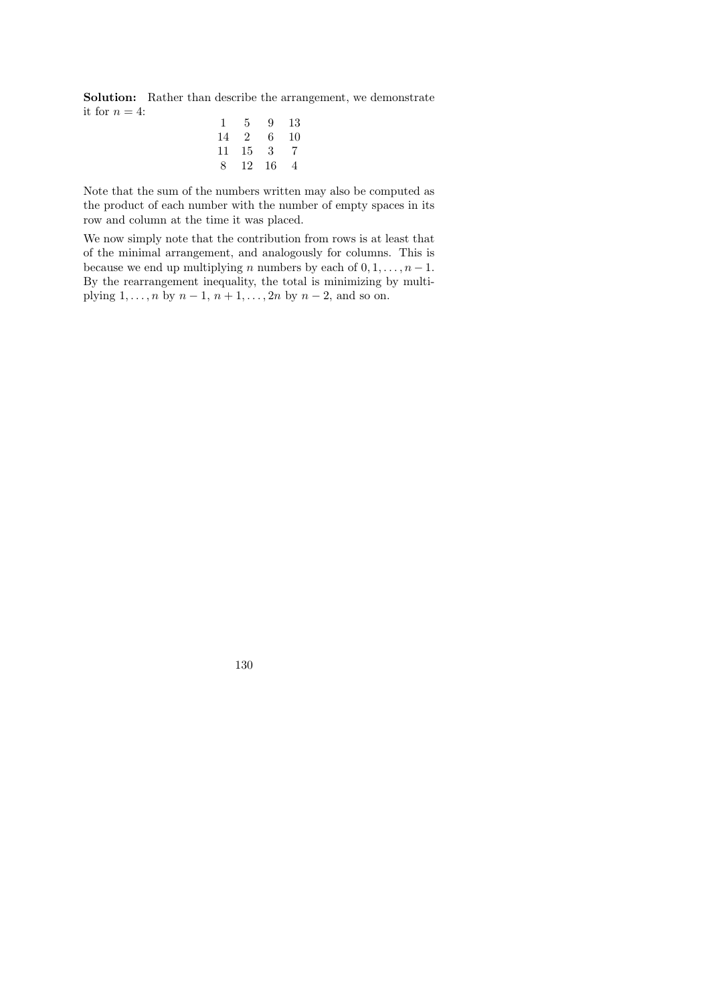Solution: Rather than describe the arrangement, we demonstrate it for  $n = 4$ :

| 5  | 9  | 13 |
|----|----|----|
| 2  | 6  | 10 |
| 15 | 3  | 7  |
| 12 | 16 | 4  |
|    |    |    |

Note that the sum of the numbers written may also be computed as the product of each number with the number of empty spaces in its row and column at the time it was placed.

We now simply note that the contribution from rows is at least that of the minimal arrangement, and analogously for columns. This is because we end up multiplying *n* numbers by each of  $0, 1, \ldots, n - 1$ . By the rearrangement inequality, the total is minimizing by multiplying  $1, ..., n$  by  $n - 1, n + 1, ..., 2n$  by  $n - 2$ , and so on.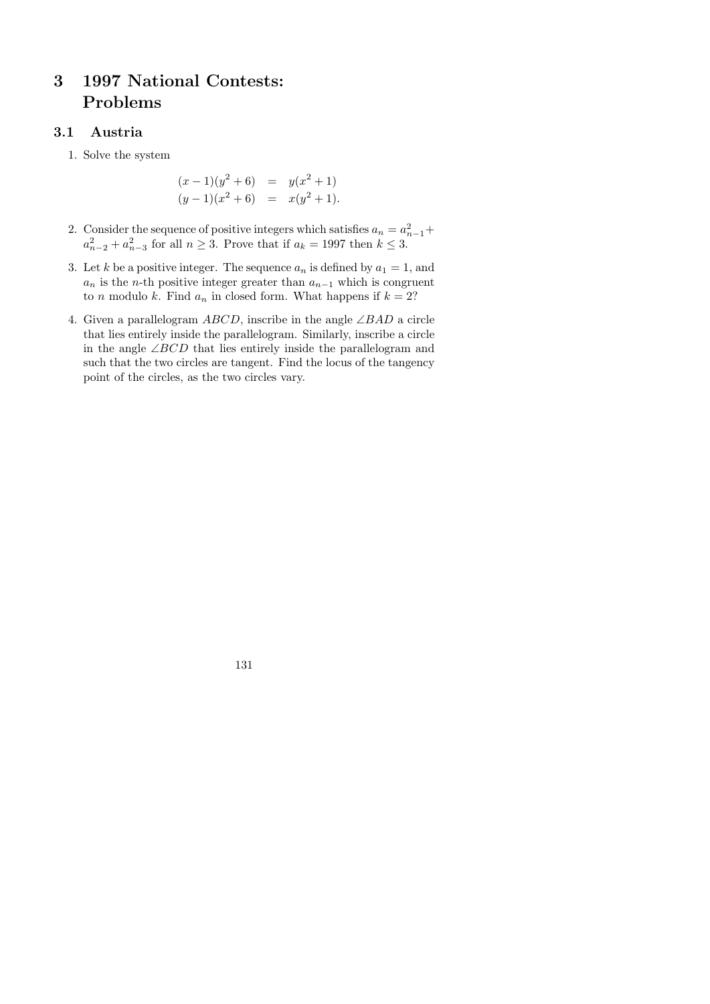# 3 1997 National Contests: Problems

## 3.1 Austria

1. Solve the system

$$
(x-1)(y2+6) = y(x2+1)
$$
  
\n
$$
(y-1)(x2+6) = x(y2+1).
$$

- 2. Consider the sequence of positive integers which satisfies  $a_n = a_{n-1}^2 +$  $a_{n-2}^2 + a_{n-3}^2$  for all  $n \ge 3$ . Prove that if  $a_k = 1997$  then  $k \le 3$ .
- 3. Let k be a positive integer. The sequence  $a_n$  is defined by  $a_1 = 1$ , and  $a_n$  is the n-th positive integer greater than  $a_{n-1}$  which is congruent to *n* modulo *k*. Find  $a_n$  in closed form. What happens if  $k = 2$ ?
- 4. Given a parallelogram ABCD, inscribe in the angle  $\angle BAD$  a circle that lies entirely inside the parallelogram. Similarly, inscribe a circle in the angle  $\angle BCD$  that lies entirely inside the parallelogram and such that the two circles are tangent. Find the locus of the tangency point of the circles, as the two circles vary.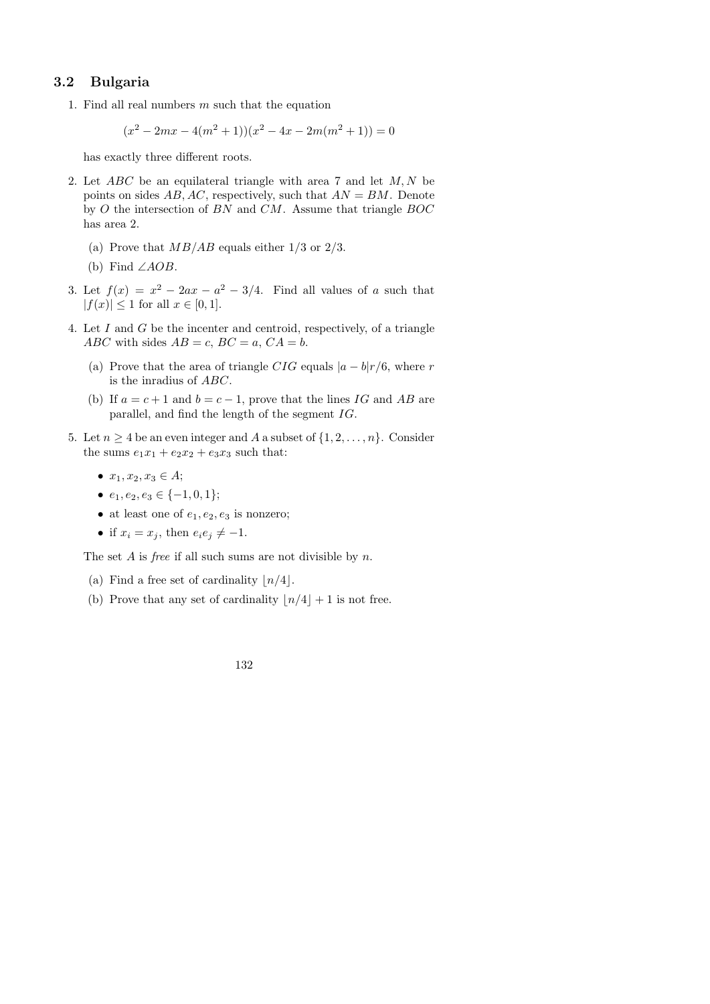#### 3.2 Bulgaria

1. Find all real numbers  $m$  such that the equation

 $(x^{2} - 2mx - 4(m^{2} + 1))(x^{2} - 4x - 2m(m^{2} + 1)) = 0$ 

has exactly three different roots.

- 2. Let  $ABC$  be an equilateral triangle with area 7 and let  $M, N$  be points on sides  $AB, AC$ , respectively, such that  $AN = BM$ . Denote by  $O$  the intersection of  $BN$  and  $CM$ . Assume that triangle  $BOC$ has area 2.
	- (a) Prove that  $MB/AB$  equals either 1/3 or 2/3.
	- (b) Find  $\angle AOB$ .
- 3. Let  $f(x) = x^2 2ax a^2 3/4$ . Find all values of a such that  $|f(x)| \le 1$  for all  $x \in [0,1]$ .
- 4. Let I and G be the incenter and centroid, respectively, of a triangle ABC with sides  $AB = c$ ,  $BC = a$ ,  $CA = b$ .
	- (a) Prove that the area of triangle CIG equals  $|a b|r/6$ , where r is the inradius of ABC.
	- (b) If  $a = c + 1$  and  $b = c 1$ , prove that the lines IG and AB are parallel, and find the length of the segment IG.
- 5. Let  $n \geq 4$  be an even integer and A a subset of  $\{1, 2, \ldots, n\}$ . Consider the sums  $e_1x_1 + e_2x_2 + e_3x_3$  such that:
	- $x_1, x_2, x_3 \in A;$
	- $e_1, e_2, e_3 \in \{-1, 0, 1\};$
	- at least one of  $e_1, e_2, e_3$  is nonzero;
	- if  $x_i = x_j$ , then  $e_i e_j \neq -1$ .

The set  $A$  is *free* if all such sums are not divisible by  $n$ .

- (a) Find a free set of cardinality  $\lfloor n/4 \rfloor$ .
- (b) Prove that any set of cardinality  $\lfloor n/4 \rfloor + 1$  is not free.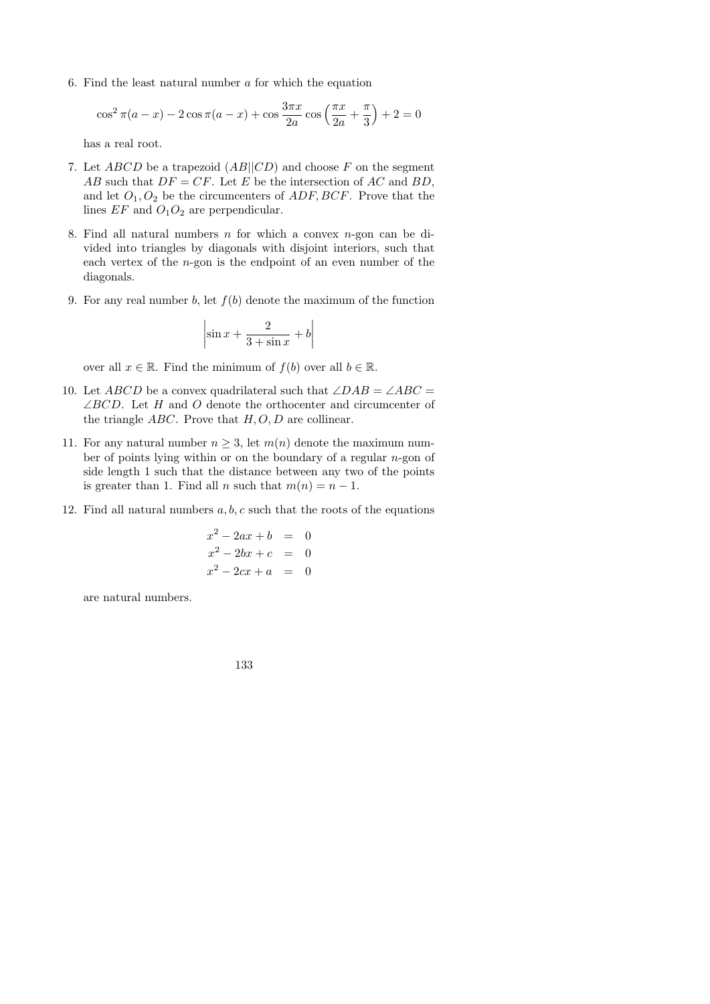6. Find the least natural number a for which the equation

$$
\cos^2 \pi (a - x) - 2 \cos \pi (a - x) + \cos \frac{3\pi x}{2a} \cos \left(\frac{\pi x}{2a} + \frac{\pi}{3}\right) + 2 = 0
$$

has a real root.

- 7. Let  $ABCD$  be a trapezoid  $(AB||CD)$  and choose F on the segment AB such that  $DF = CF$ . Let E be the intersection of AC and BD, and let  $O_1, O_2$  be the circumcenters of  $ADF, BCF$ . Prove that the lines  $EF$  and  $O_1O_2$  are perpendicular.
- 8. Find all natural numbers  $n$  for which a convex  $n$ -gon can be divided into triangles by diagonals with disjoint interiors, such that each vertex of the n-gon is the endpoint of an even number of the diagonals.
- 9. For any real number b, let  $f(b)$  denote the maximum of the function

$$
\left|\sin x + \frac{2}{3+\sin x} + b\right|
$$

over all  $x \in \mathbb{R}$ . Find the minimum of  $f(b)$  over all  $b \in \mathbb{R}$ .

- 10. Let ABCD be a convex quadrilateral such that  $\angle DAB = \angle ABC =$  $\angle BCD$ . Let H and O denote the orthocenter and circumcenter of the triangle  $ABC$ . Prove that  $H, O, D$  are collinear.
- 11. For any natural number  $n \geq 3$ , let  $m(n)$  denote the maximum number of points lying within or on the boundary of a regular n-gon of side length 1 such that the distance between any two of the points is greater than 1. Find all n such that  $m(n) = n - 1$ .
- 12. Find all natural numbers  $a, b, c$  such that the roots of the equations

$$
x^{2} - 2ax + b = 0
$$
  

$$
x^{2} - 2bx + c = 0
$$
  

$$
x^{2} - 2cx + a = 0
$$

are natural numbers.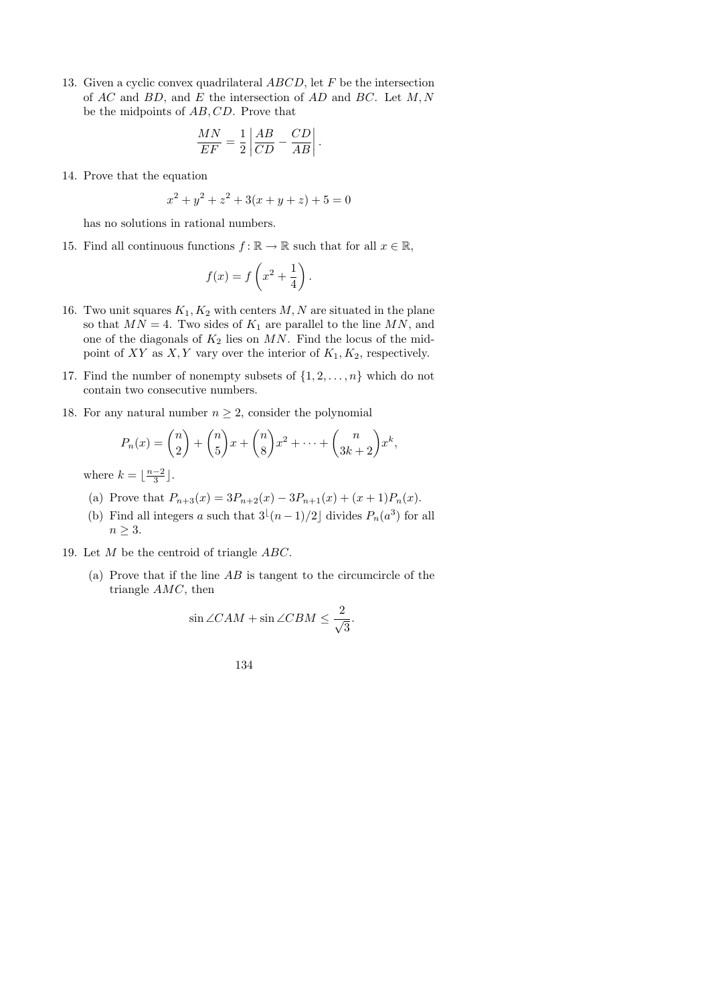13. Given a cyclic convex quadrilateral ABCD, let F be the intersection of  $AC$  and  $BD$ , and  $E$  the intersection of  $AD$  and  $BC$ . Let  $M, N$ be the midpoints of AB, CD. Prove that

$$
\frac{MN}{EF} = \frac{1}{2} \left| \frac{AB}{CD} - \frac{CD}{AB} \right|.
$$

14. Prove that the equation

$$
x^{2} + y^{2} + z^{2} + 3(x + y + z) + 5 = 0
$$

has no solutions in rational numbers.

15. Find all continuous functions  $f : \mathbb{R} \to \mathbb{R}$  such that for all  $x \in \mathbb{R}$ ,

$$
f(x) = f\left(x^2 + \frac{1}{4}\right).
$$

- 16. Two unit squares  $K_1, K_2$  with centers  $M, N$  are situated in the plane so that  $MN = 4$ . Two sides of  $K_1$  are parallel to the line  $MN$ , and one of the diagonals of  $K_2$  lies on  $MN$ . Find the locus of the midpoint of  $XY$  as  $X, Y$  vary over the interior of  $K_1, K_2$ , respectively.
- 17. Find the number of nonempty subsets of  $\{1, 2, \ldots, n\}$  which do not contain two consecutive numbers.
- 18. For any natural number  $n \geq 2$ , consider the polynomial

$$
P_n(x) = \binom{n}{2} + \binom{n}{5}x + \binom{n}{8}x^2 + \dots + \binom{n}{3k+2}x^k,
$$

where  $k = \lfloor \frac{n-2}{3} \rfloor$ .

- (a) Prove that  $P_{n+3}(x) = 3P_{n+2}(x) 3P_{n+1}(x) + (x+1)P_n(x)$ .
- (b) Find all integers a such that  $3^{\lfloor (n-1)/2 \rfloor}$  divides  $P_n(a^3)$  for all  $n \geq 3$ .
- 19. Let  $M$  be the centroid of triangle  $ABC$ .
	- (a) Prove that if the line  $AB$  is tangent to the circumcircle of the triangle AMC, then

$$
\sin \angle CAM + \sin \angle CBM \le \frac{2}{\sqrt{3}}.
$$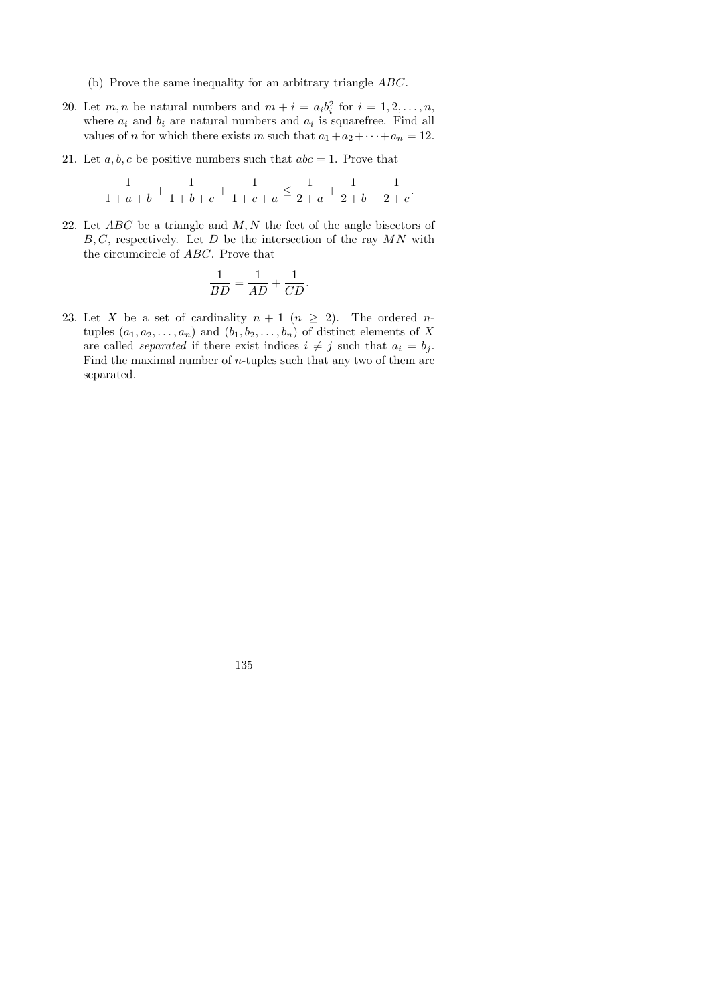- (b) Prove the same inequality for an arbitrary triangle ABC.
- 20. Let  $m, n$  be natural numbers and  $m + i = a_i b_i^2$  for  $i = 1, 2, ..., n$ , where  $a_i$  and  $b_i$  are natural numbers and  $a_i$  is squarefree. Find all values of *n* for which there exists *m* such that  $a_1 + a_2 + \cdots + a_n = 12$ .
- 21. Let  $a, b, c$  be positive numbers such that  $abc = 1$ . Prove that

$$
\frac{1}{1+a+b}+\frac{1}{1+b+c}+\frac{1}{1+c+a}\leq \frac{1}{2+a}+\frac{1}{2+b}+\frac{1}{2+c}.
$$

22. Let  $ABC$  be a triangle and  $M, N$  the feet of the angle bisectors of  $B, C$ , respectively. Let D be the intersection of the ray  $MN$  with the circumcircle of ABC. Prove that

$$
\frac{1}{BD} = \frac{1}{AD} + \frac{1}{CD}.
$$

23. Let X be a set of cardinality  $n + 1$   $(n \geq 2)$ . The ordered ntuples  $(a_1, a_2, \ldots, a_n)$  and  $(b_1, b_2, \ldots, b_n)$  of distinct elements of X are called *separated* if there exist indices  $i \neq j$  such that  $a_i = b_j$ . Find the maximal number of  $n$ -tuples such that any two of them are separated.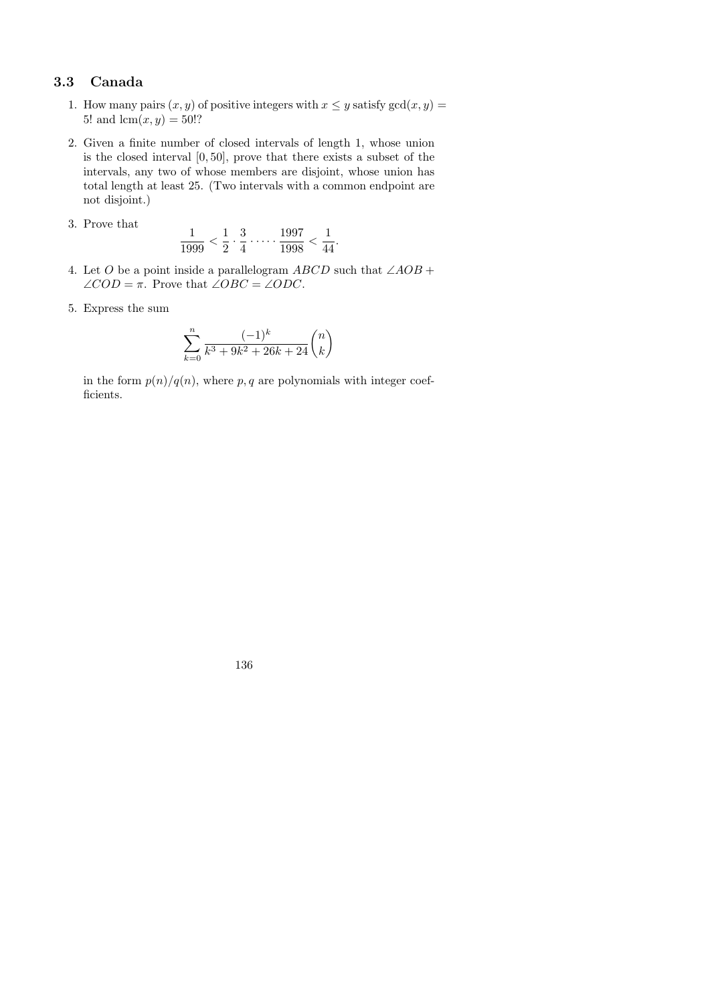## 3.3 Canada

- 1. How many pairs  $(x, y)$  of positive integers with  $x \leq y$  satisfy  $gcd(x, y) =$ 5! and  $lcm(x, y) = 50$ !?
- 2. Given a finite number of closed intervals of length 1, whose union is the closed interval [0, 50], prove that there exists a subset of the intervals, any two of whose members are disjoint, whose union has total length at least 25. (Two intervals with a common endpoint are not disjoint.)
- 3. Prove that

$$
\frac{1}{1999} < \frac{1}{2} \cdot \frac{3}{4} \cdot \dots \cdot \frac{1997}{1998} < \frac{1}{44}.
$$

- 4. Let O be a point inside a parallelogram  $ABCD$  such that  $\angle AOB$  +  $\angle COD = \pi$ . Prove that  $\angle OBC = \angle ODC$ .
- 5. Express the sum

$$
\sum_{k=0}^{n} \frac{(-1)^k}{k^3 + 9k^2 + 26k + 24} \binom{n}{k}
$$

in the form  $p(n)/q(n)$ , where p, q are polynomials with integer coefficients.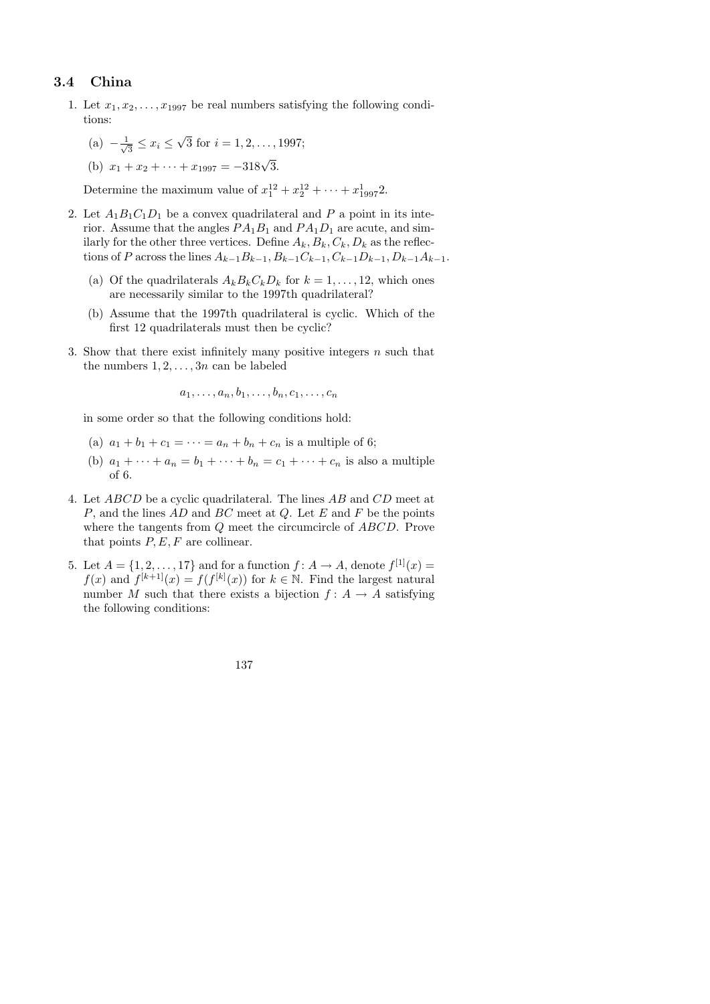## 3.4 China

1. Let  $x_1, x_2, \ldots, x_{1997}$  be real numbers satisfying the following conditions:

(a) 
$$
-\frac{1}{\sqrt{3}} \le x_i \le \sqrt{3}
$$
 for  $i = 1, 2, ..., 1997$ ;  
(b)  $x_1 + x_2 + \cdots + x_{1997} = -318\sqrt{3}$ .

Determine the maximum value of  $x_1^{12} + x_2^{12} + \cdots + x_{1997}^{122}$ .

- 2. Let  $A_1B_1C_1D_1$  be a convex quadrilateral and P a point in its interior. Assume that the angles  $PA_1B_1$  and  $PA_1D_1$  are acute, and similarly for the other three vertices. Define  $A_k, B_k, C_k, D_k$  as the reflections of P across the lines  $A_{k-1}B_{k-1}, B_{k-1}C_{k-1}, C_{k-1}D_{k-1}, D_{k-1}A_{k-1}$ .
	- (a) Of the quadrilaterals  $A_k B_k C_k D_k$  for  $k = 1, \ldots, 12$ , which ones are necessarily similar to the 1997th quadrilateral?
	- (b) Assume that the 1997th quadrilateral is cyclic. Which of the first 12 quadrilaterals must then be cyclic?
- 3. Show that there exist infinitely many positive integers  $n$  such that the numbers  $1, 2, \ldots, 3n$  can be labeled

 $a_1, \ldots, a_n, b_1, \ldots, b_n, c_1, \ldots, c_n$ 

in some order so that the following conditions hold:

- (a)  $a_1 + b_1 + c_1 = \cdots = a_n + b_n + c_n$  is a multiple of 6;
- (b)  $a_1 + \cdots + a_n = b_1 + \cdots + b_n = c_1 + \cdots + c_n$  is also a multiple of 6.
- 4. Let ABCD be a cyclic quadrilateral. The lines AB and CD meet at  $P$ , and the lines  $AD$  and  $BC$  meet at  $Q$ . Let  $E$  and  $F$  be the points where the tangents from Q meet the circumcircle of ABCD. Prove that points  $P, E, F$  are collinear.
- 5. Let  $A = \{1, 2, \ldots, 17\}$  and for a function  $f: A \to A$ , denote  $f^{[1]}(x) =$  $f(x)$  and  $f^{[k+1]}(x) = f(f^{[k]}(x))$  for  $k \in \mathbb{N}$ . Find the largest natural number M such that there exists a bijection  $f: A \rightarrow A$  satisfying the following conditions: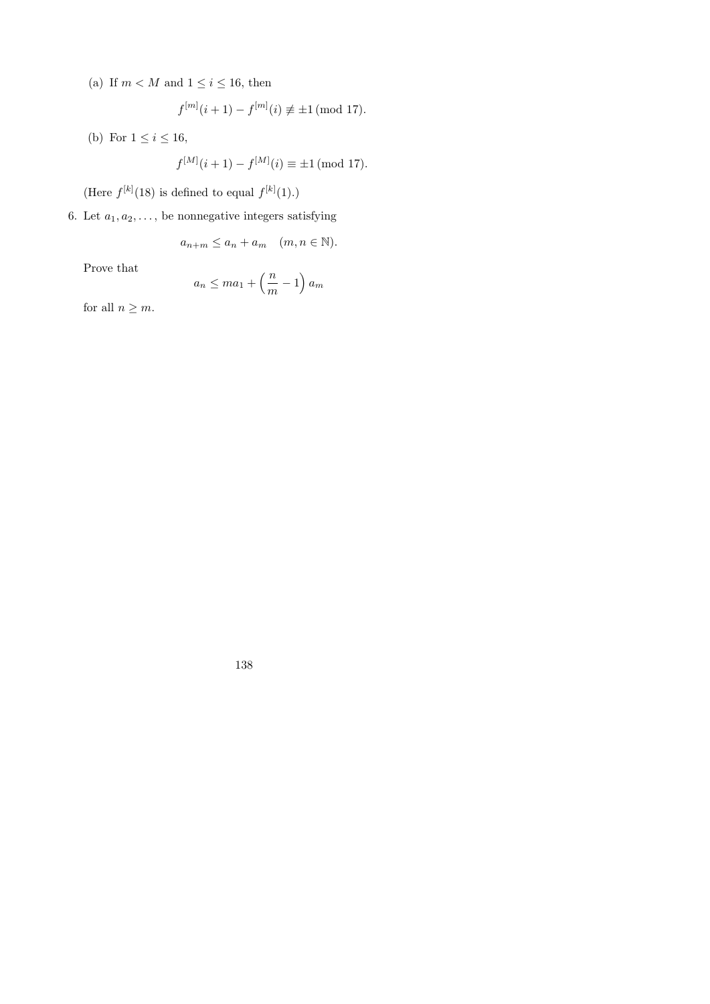(a) If  $m < M$  and  $1 \leq i \leq 16$ , then

$$
f^{[m]}(i+1) - f^{[m]}(i) \not\equiv \pm 1 \pmod{17}.
$$

(b) For  $1 \leq i \leq 16$ ,

$$
f^{[M]}(i+1) - f^{[M]}(i) \equiv \pm 1 \pmod{17}.
$$

(Here  $f^{[k]}(18)$  is defined to equal  $f^{[k]}(1)$ .)

6. Let  $a_1, a_2, \ldots$ , be nonnegative integers satisfying

$$
a_{n+m} \le a_n + a_m \quad (m, n \in \mathbb{N}).
$$

Prove that

$$
a_n \leq ma_1 + \left(\frac{n}{m} - 1\right)a_m
$$

for all  $n \geq m$ .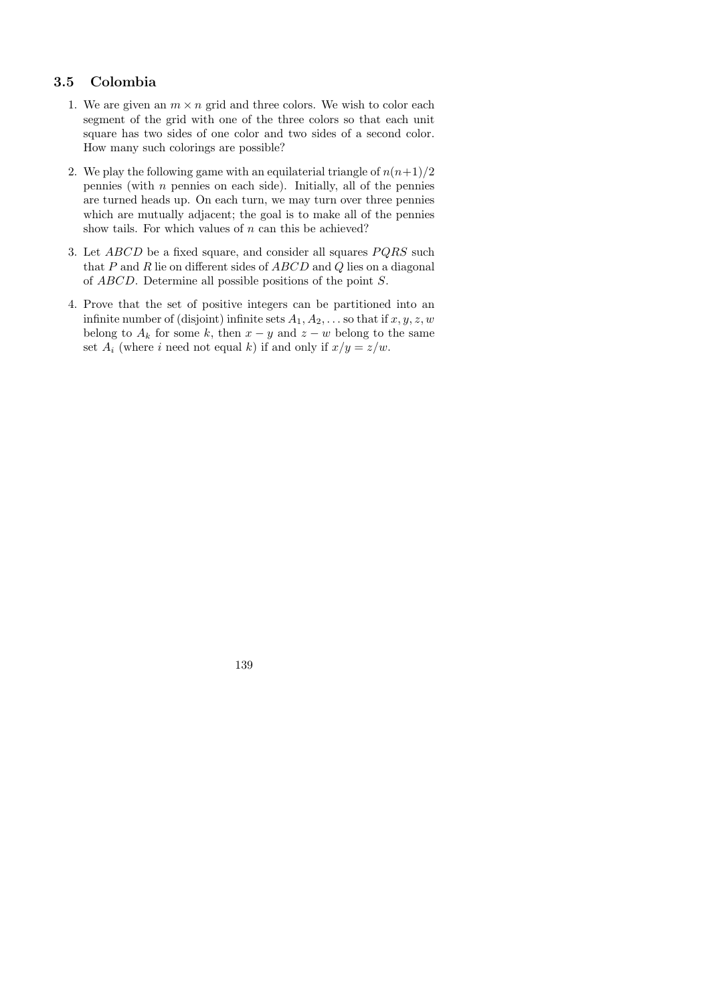## 3.5 Colombia

- 1. We are given an  $m \times n$  grid and three colors. We wish to color each segment of the grid with one of the three colors so that each unit square has two sides of one color and two sides of a second color. How many such colorings are possible?
- 2. We play the following game with an equilaterial triangle of  $n(n+1)/2$ pennies (with  $n$  pennies on each side). Initially, all of the pennies are turned heads up. On each turn, we may turn over three pennies which are mutually adjacent; the goal is to make all of the pennies show tails. For which values of  $n$  can this be achieved?
- 3. Let  $ABCD$  be a fixed square, and consider all squares  $PQRS$  such that  $P$  and  $R$  lie on different sides of  $ABCD$  and  $Q$  lies on a diagonal of ABCD. Determine all possible positions of the point S.
- 4. Prove that the set of positive integers can be partitioned into an infinite number of (disjoint) infinite sets  $A_1, A_2, \ldots$  so that if  $x, y, z, w$ belong to  $A_k$  for some k, then  $x - y$  and  $z - w$  belong to the same set  $A_i$  (where i need not equal k) if and only if  $x/y = z/w$ .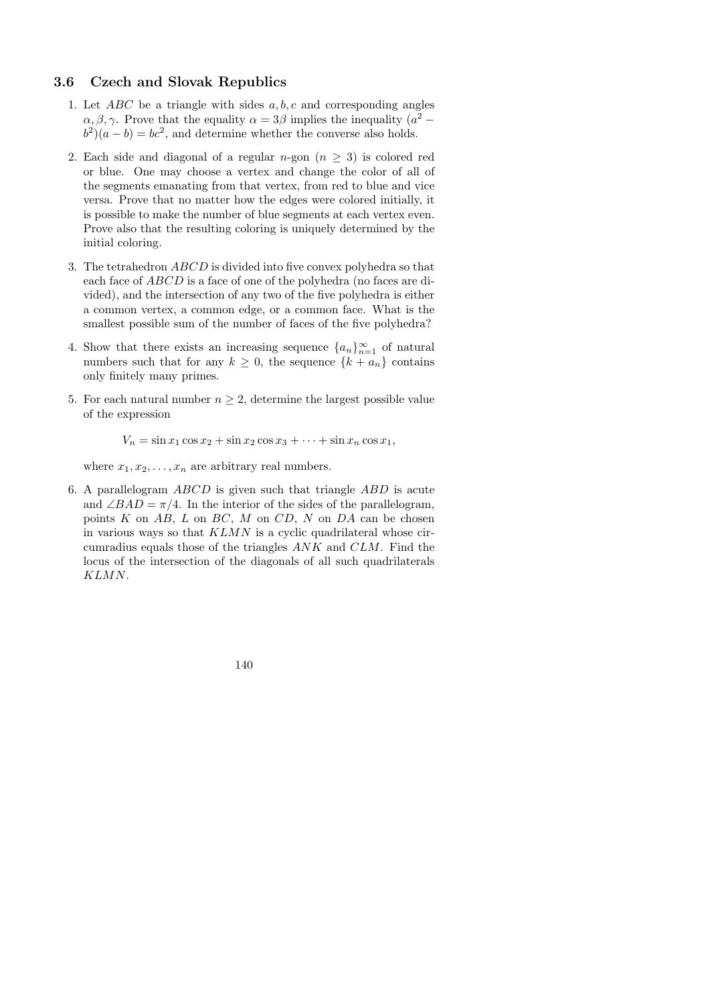#### 3.6 Czech and Slovak Republics

- 1. Let  $ABC$  be a triangle with sides  $a, b, c$  and corresponding angles  $\alpha, \beta, \gamma$ . Prove that the equality  $\alpha = 3\beta$  implies the inequality  $(a^2$  $b^2$ )( $a - b$ ) =  $bc^2$ , and determine whether the converse also holds.
- 2. Each side and diagonal of a regular n-gon  $(n > 3)$  is colored red or blue. One may choose a vertex and change the color of all of the segments emanating from that vertex, from red to blue and vice versa. Prove that no matter how the edges were colored initially, it is possible to make the number of blue segments at each vertex even. Prove also that the resulting coloring is uniquely determined by the initial coloring.
- 3. The tetrahedron  $ABCD$  is divided into five convex polyhedra so that each face of ABCD is a face of one of the polyhedra (no faces are divided), and the intersection of any two of the five polyhedra is either a common vertex, a common edge, or a common face. What is the smallest possible sum of the number of faces of the five polyhedra?
- 4. Show that there exists an increasing sequence  $\{a_n\}_{n=1}^{\infty}$  of natural numbers such that for any  $k \geq 0$ , the sequence  $\{k + a_n\}$  contains only finitely many primes.
- 5. For each natural number  $n > 2$ , determine the largest possible value of the expression

 $V_n = \sin x_1 \cos x_2 + \sin x_2 \cos x_3 + \cdots + \sin x_n \cos x_1$ 

where  $x_1, x_2, \ldots, x_n$  are arbitrary real numbers.

6. A parallelogram ABCD is given such that triangle ABD is acute and  $\angle BAD = \pi/4$ . In the interior of the sides of the parallelogram. points K on AB, L on BC, M on CD, N on DA can be chosen in various ways so that  $KLMN$  is a cyclic quadrilateral whose circumradius equals those of the triangles ANK and CLM. Find the locus of the intersection of the diagonals of all such quadrilaterals KLMN.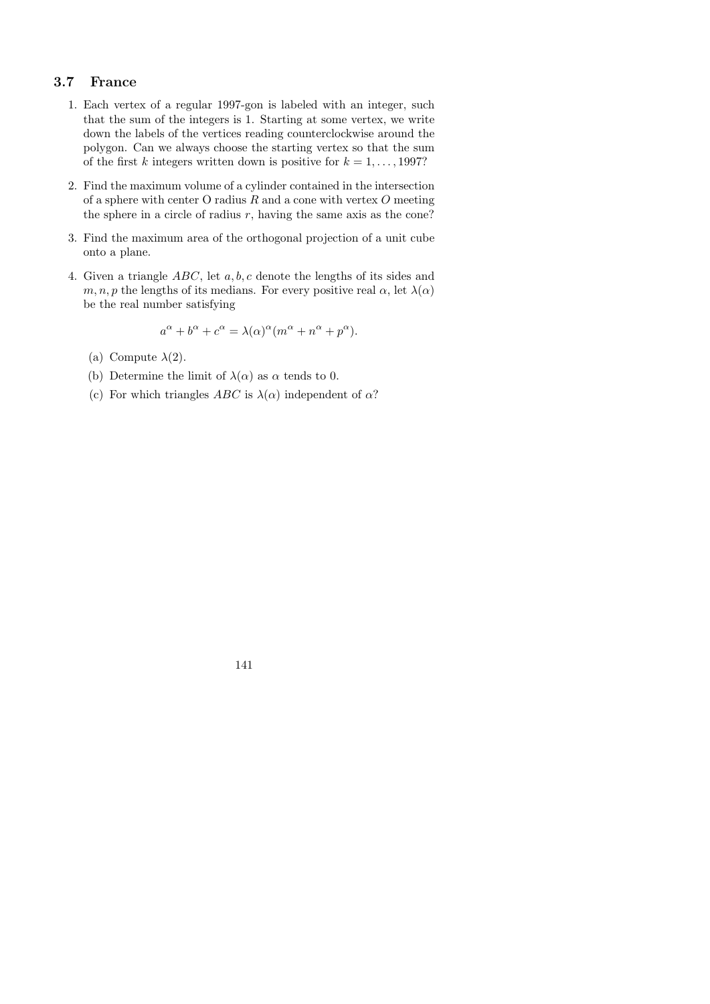## 3.7 France

- 1. Each vertex of a regular 1997-gon is labeled with an integer, such that the sum of the integers is 1. Starting at some vertex, we write down the labels of the vertices reading counterclockwise around the polygon. Can we always choose the starting vertex so that the sum of the first k integers written down is positive for  $k = 1, \ldots, 1997$ ?
- 2. Find the maximum volume of a cylinder contained in the intersection of a sphere with center O radius  $R$  and a cone with vertex  $O$  meeting the sphere in a circle of radius  $r$ , having the same axis as the cone?
- 3. Find the maximum area of the orthogonal projection of a unit cube onto a plane.
- 4. Given a triangle ABC, let a, b, c denote the lengths of its sides and  $m, n, p$  the lengths of its medians. For every positive real  $\alpha$ , let  $\lambda(\alpha)$ be the real number satisfying

$$
a^{\alpha} + b^{\alpha} + c^{\alpha} = \lambda(\alpha)^{\alpha} (m^{\alpha} + n^{\alpha} + p^{\alpha}).
$$

- (a) Compute  $\lambda(2)$ .
- (b) Determine the limit of  $\lambda(\alpha)$  as  $\alpha$  tends to 0.
- (c) For which triangles ABC is  $\lambda(\alpha)$  independent of  $\alpha$ ?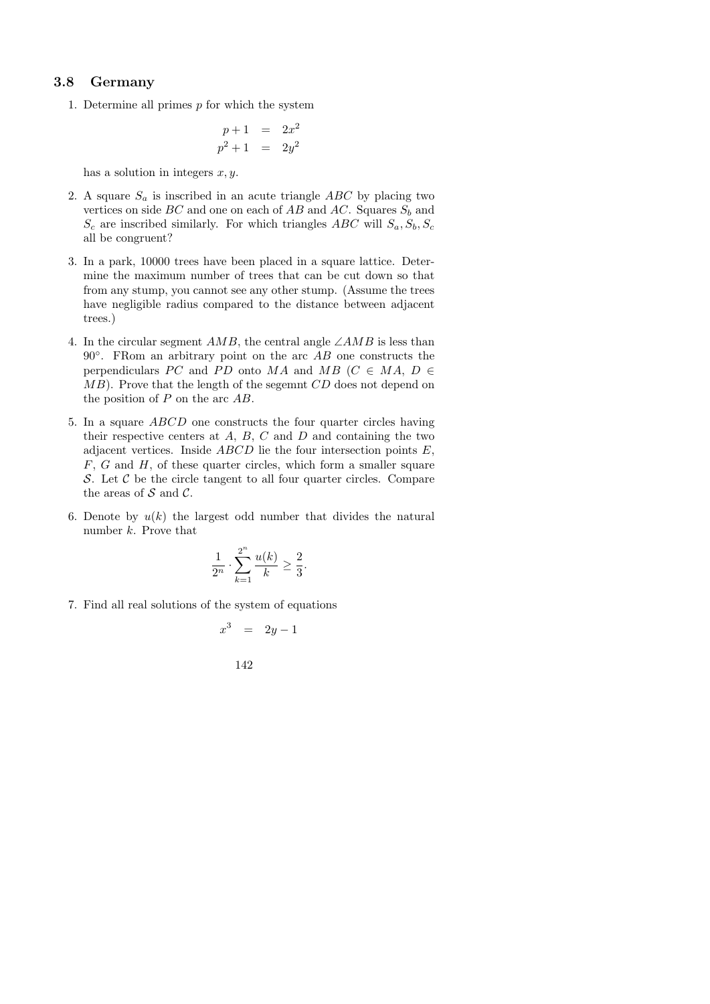### 3.8 Germany

1. Determine all primes  $p$  for which the system

$$
p+1 = 2x^2
$$
  

$$
p^2 + 1 = 2y^2
$$

has a solution in integers  $x, y$ .

- 2. A square  $S_a$  is inscribed in an acute triangle  $ABC$  by placing two vertices on side BC and one on each of AB and AC. Squares  $S_b$  and  $S_c$  are inscribed similarly. For which triangles ABC will  $S_a$ ,  $S_b$ ,  $S_c$ all be congruent?
- 3. In a park, 10000 trees have been placed in a square lattice. Determine the maximum number of trees that can be cut down so that from any stump, you cannot see any other stump. (Assume the trees have negligible radius compared to the distance between adjacent trees.)
- 4. In the circular segment  $AMB$ , the central angle  $\angle AMB$  is less than 90°. FRom an arbitrary point on the arc  $AB$  one constructs the perpendiculars PC and PD onto MA and MB ( $C \in MA$ ,  $D \in$ MB). Prove that the length of the segemnt CD does not depend on the position of P on the arc AB.
- 5. In a square ABCD one constructs the four quarter circles having their respective centers at  $A, B, C$  and  $D$  and containing the two adjacent vertices. Inside  $ABCD$  lie the four intersection points  $E$ ,  $F, G$  and  $H$ , of these quarter circles, which form a smaller square  $S$ . Let  $C$  be the circle tangent to all four quarter circles. Compare the areas of  $S$  and  $C$ .
- 6. Denote by  $u(k)$  the largest odd number that divides the natural number k. Prove that

$$
\frac{1}{2^n} \cdot \sum_{k=1}^{2^n} \frac{u(k)}{k} \ge \frac{2}{3}.
$$

7. Find all real solutions of the system of equations

$$
x^3 = 2y - 1
$$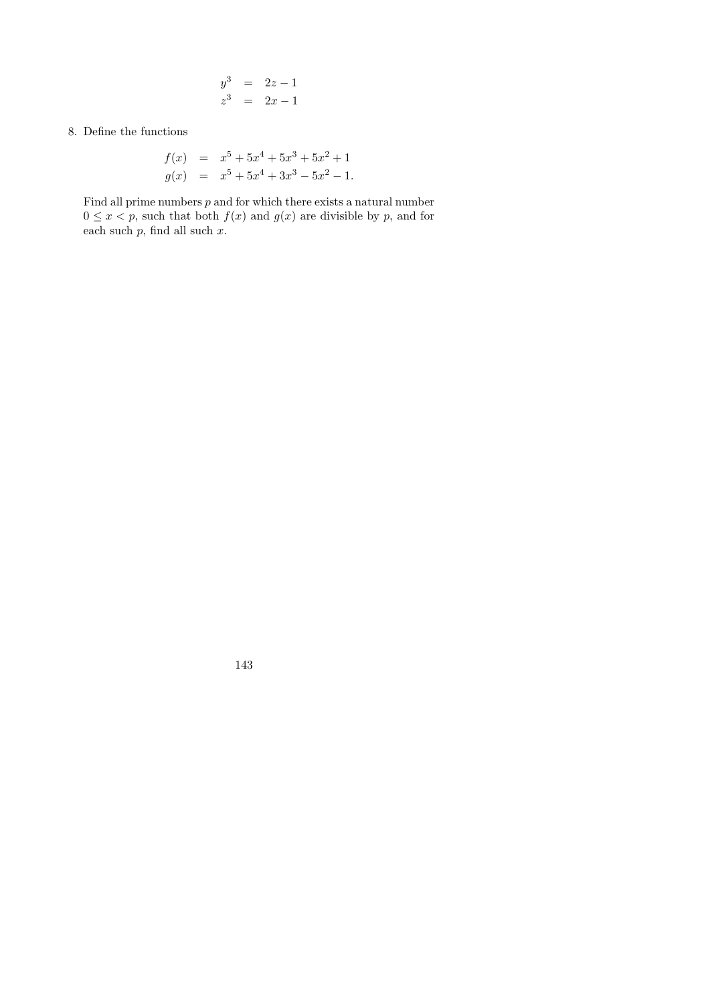$$
y^3 = 2z - 1
$$
  

$$
z^3 = 2x - 1
$$

8. Define the functions

$$
f(x) = x^5 + 5x^4 + 5x^3 + 5x^2 + 1
$$
  
\n
$$
g(x) = x^5 + 5x^4 + 3x^3 - 5x^2 - 1.
$$

Find all prime numbers  $p$  and for which there exists a natural number  $0 \leq x < p$ , such that both  $f(x)$  and  $g(x)$  are divisible by p, and for each such  $p$ , find all such  $x$ .

143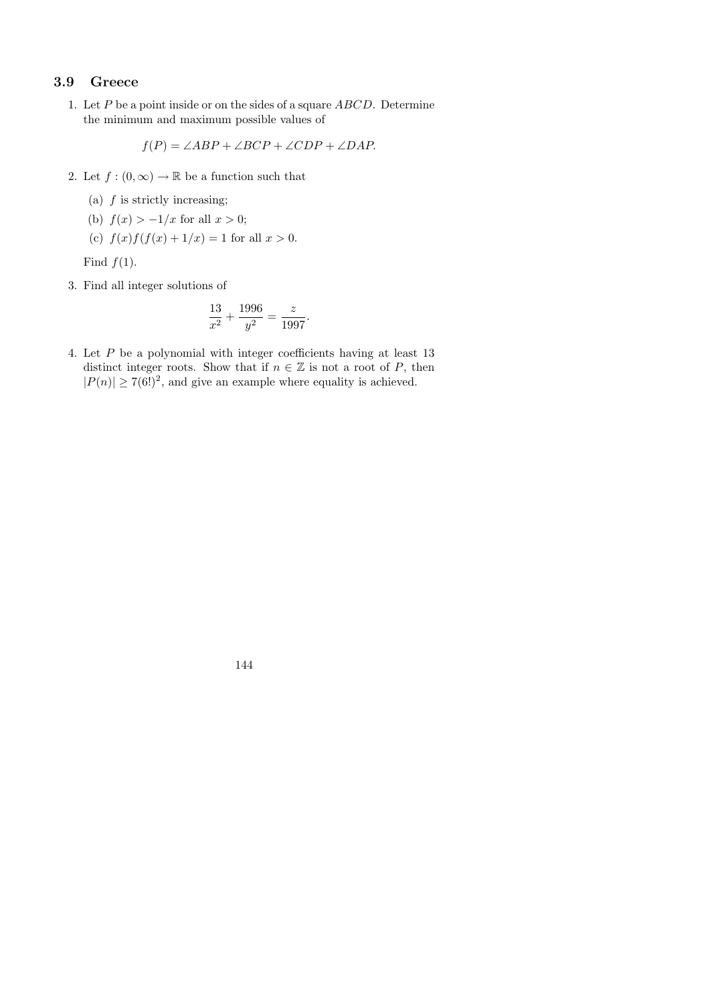# 3.9 Greece

1. Let  $P$  be a point inside or on the sides of a square  $ABCD$ . Determine the minimum and maximum possible values of

$$
f(P) = \angle ABP + \angle BCP + \angle CDP + \angle DAP.
$$

- 2. Let  $f : (0, \infty) \to \mathbb{R}$  be a function such that
	- (a)  $f$  is strictly increasing;
	- (b)  $f(x) > -1/x$  for all  $x > 0$ ;
	- (c)  $f(x)f(f(x) + 1/x) = 1$  for all  $x > 0$ .

Find  $f(1)$ .

3. Find all integer solutions of

$$
\frac{13}{x^2} + \frac{1996}{y^2} = \frac{z}{1997}.
$$

4. Let P be a polynomial with integer coefficients having at least 13 distinct integer roots. Show that if  $n \in \mathbb{Z}$  is not a root of P, then  $|P(n)| \geq 7(6!)^2$ , and give an example where equality is achieved.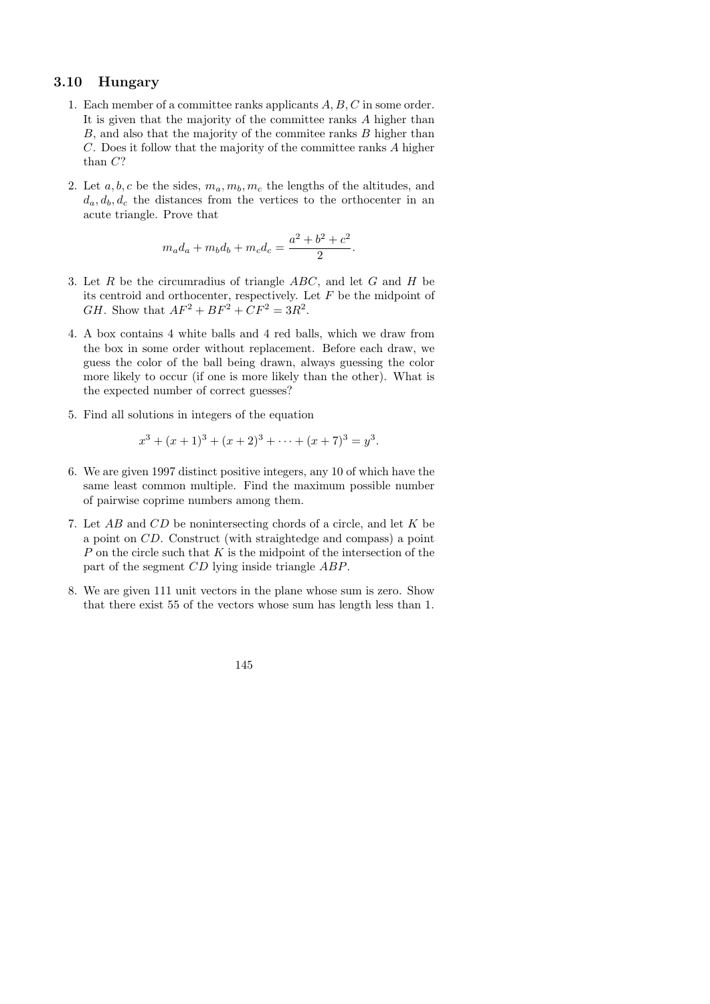#### 3.10 Hungary

- 1. Each member of a committee ranks applicants  $A, B, C$  in some order. It is given that the majority of the committee ranks A higher than B, and also that the majority of the commitee ranks B higher than C. Does it follow that the majority of the committee ranks A higher than C?
- 2. Let  $a, b, c$  be the sides,  $m_a, m_b, m_c$  the lengths of the altitudes, and  $d_a, d_b, d_c$  the distances from the vertices to the orthocenter in an acute triangle. Prove that

$$
m_a d_a + m_b d_b + m_c d_c = \frac{a^2 + b^2 + c^2}{2}.
$$

- 3. Let R be the circumradius of triangle  $ABC$ , and let G and H be its centroid and orthocenter, respectively. Let  $F$  be the midpoint of *GH*. Show that  $AF^2 + BF^2 + CF^2 = 3R^2$ .
- 4. A box contains 4 white balls and 4 red balls, which we draw from the box in some order without replacement. Before each draw, we guess the color of the ball being drawn, always guessing the color more likely to occur (if one is more likely than the other). What is the expected number of correct guesses?
- 5. Find all solutions in integers of the equation

$$
x^{3} + (x+1)^{3} + (x+2)^{3} + \cdots + (x+7)^{3} = y^{3}.
$$

- 6. We are given 1997 distinct positive integers, any 10 of which have the same least common multiple. Find the maximum possible number of pairwise coprime numbers among them.
- 7. Let AB and CD be nonintersecting chords of a circle, and let K be a point on CD. Construct (with straightedge and compass) a point  $P$  on the circle such that  $K$  is the midpoint of the intersection of the part of the segment CD lying inside triangle ABP.
- 8. We are given 111 unit vectors in the plane whose sum is zero. Show that there exist 55 of the vectors whose sum has length less than 1.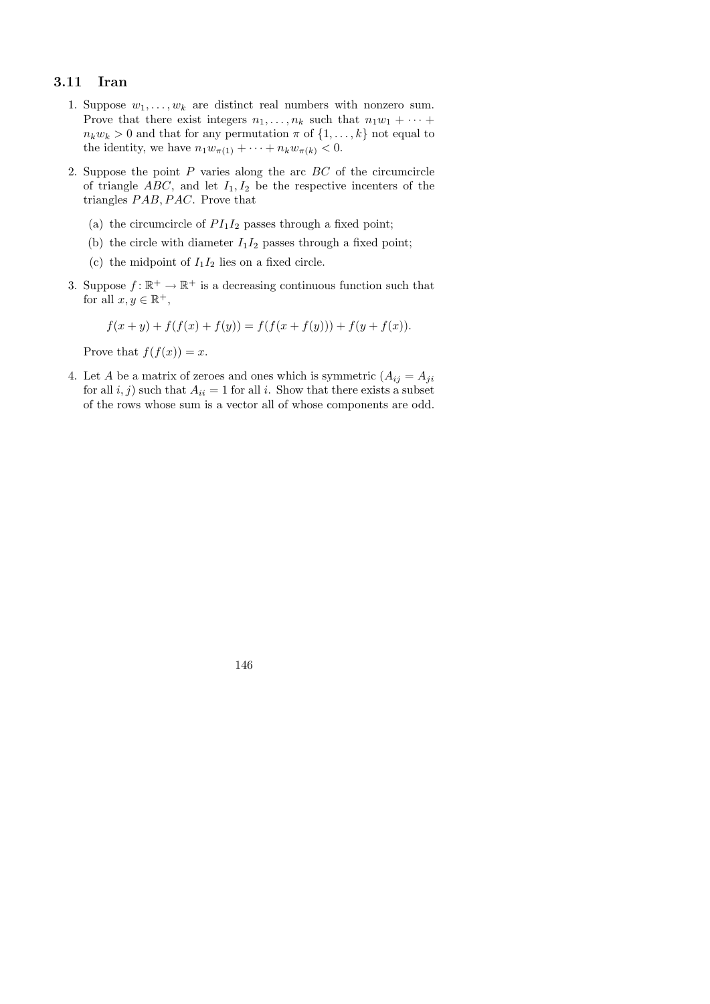#### 3.11 Iran

- 1. Suppose  $w_1, \ldots, w_k$  are distinct real numbers with nonzero sum. Prove that there exist integers  $n_1, \ldots, n_k$  such that  $n_1w_1 + \cdots$  $n_k w_k > 0$  and that for any permutation  $\pi$  of  $\{1, \ldots, k\}$  not equal to the identity, we have  $n_1w_{\pi(1)} + \cdots + n_kw_{\pi(k)} < 0$ .
- 2. Suppose the point  $P$  varies along the arc  $BC$  of the circumcircle of triangle  $\overline{ABC}$ , and let  $I_1, I_2$  be the respective incenters of the triangles  $PAB, PAC.$  Prove that
	- (a) the circumcircle of  $PI_1I_2$  passes through a fixed point;
	- (b) the circle with diameter  $I_1I_2$  passes through a fixed point;
	- (c) the midpoint of  $I_1I_2$  lies on a fixed circle.
- 3. Suppose  $f: \mathbb{R}^+ \to \mathbb{R}^+$  is a decreasing continuous function such that for all  $x, y \in \mathbb{R}^+,$

 $f(x + y) + f(f(x) + f(y)) = f(f(x + f(y))) + f(y + f(x)).$ 

Prove that  $f(f(x)) = x$ .

4. Let A be a matrix of zeroes and ones which is symmetric  $(A_{ij} = A_{ji})$ for all  $i, j$ ) such that  $A_{ii} = 1$  for all  $i$ . Show that there exists a subset of the rows whose sum is a vector all of whose components are odd.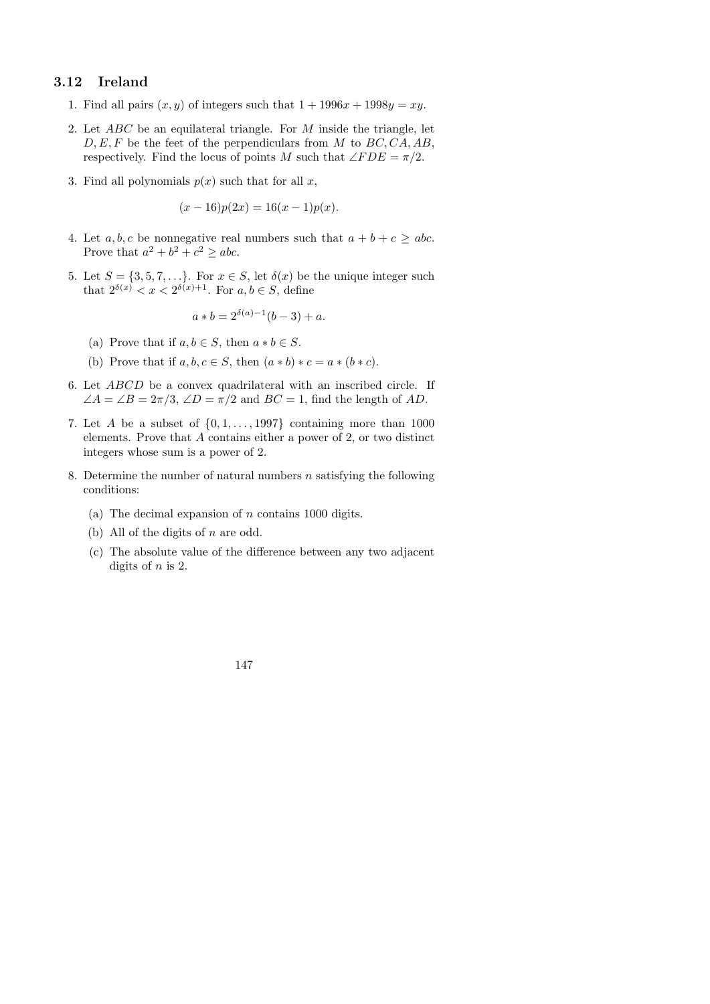#### 3.12 Ireland

- 1. Find all pairs  $(x, y)$  of integers such that  $1 + 1996x + 1998y = xy$ .
- 2. Let  $ABC$  be an equilateral triangle. For M inside the triangle, let  $D, E, F$  be the feet of the perpendiculars from M to  $BC, CA, AB$ , respectively. Find the locus of points M such that  $\angle FDE = \pi/2$ .
- 3. Find all polynomials  $p(x)$  such that for all x,

 $(x-16)p(2x) = 16(x - 1)p(x).$ 

- 4. Let  $a, b, c$  be nonnegative real numbers such that  $a + b + c \ge abc$ . Prove that  $a^2 + b^2 + c^2 \ge abc$ .
- 5. Let  $S = \{3, 5, 7, \ldots\}$ . For  $x \in S$ , let  $\delta(x)$  be the unique integer such that  $2^{\delta(x)} < x < 2^{\delta(x)+1}$ . For  $a, b \in S$ , define

$$
a * b = 2^{\delta(a) - 1}(b - 3) + a.
$$

- (a) Prove that if  $a, b \in S$ , then  $a * b \in S$ .
- (b) Prove that if  $a, b, c \in S$ , then  $(a * b) * c = a * (b * c)$ .
- 6. Let ABCD be a convex quadrilateral with an inscribed circle. If  $\angle A = \angle B = 2\pi/3$ ,  $\angle D = \pi/2$  and  $BC = 1$ , find the length of AD.
- 7. Let A be a subset of  $\{0, 1, \ldots, 1997\}$  containing more than 1000 elements. Prove that A contains either a power of 2, or two distinct integers whose sum is a power of 2.
- 8. Determine the number of natural numbers  $n$  satisfying the following conditions:
	- (a) The decimal expansion of  $n$  contains 1000 digits.
	- (b) All of the digits of  $n$  are odd.
	- (c) The absolute value of the difference between any two adjacent digits of  $n$  is 2.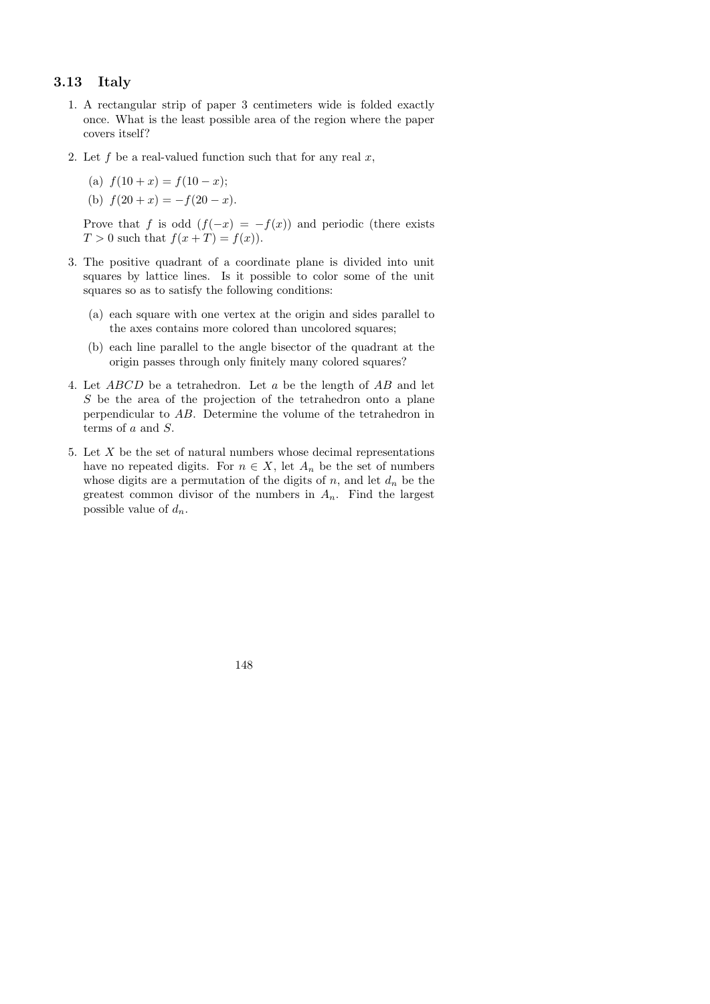#### 3.13 Italy

- 1. A rectangular strip of paper 3 centimeters wide is folded exactly once. What is the least possible area of the region where the paper covers itself?
- 2. Let f be a real-valued function such that for any real  $x$ ,

(a) 
$$
f(10+x) = f(10-x);
$$

(b)  $f(20 + x) = -f(20 - x)$ .

Prove that f is odd  $(f(-x) = -f(x))$  and periodic (there exists  $T > 0$  such that  $f(x+T) = f(x)$ .

- 3. The positive quadrant of a coordinate plane is divided into unit squares by lattice lines. Is it possible to color some of the unit squares so as to satisfy the following conditions:
	- (a) each square with one vertex at the origin and sides parallel to the axes contains more colored than uncolored squares;
	- (b) each line parallel to the angle bisector of the quadrant at the origin passes through only finitely many colored squares?
- 4. Let ABCD be a tetrahedron. Let a be the length of AB and let S be the area of the projection of the tetrahedron onto a plane perpendicular to AB. Determine the volume of the tetrahedron in terms of a and S.
- 5. Let  $X$  be the set of natural numbers whose decimal representations have no repeated digits. For  $n \in X$ , let  $A_n$  be the set of numbers whose digits are a permutation of the digits of n, and let  $d_n$  be the greatest common divisor of the numbers in  $A_n$ . Find the largest possible value of  $d_n$ .

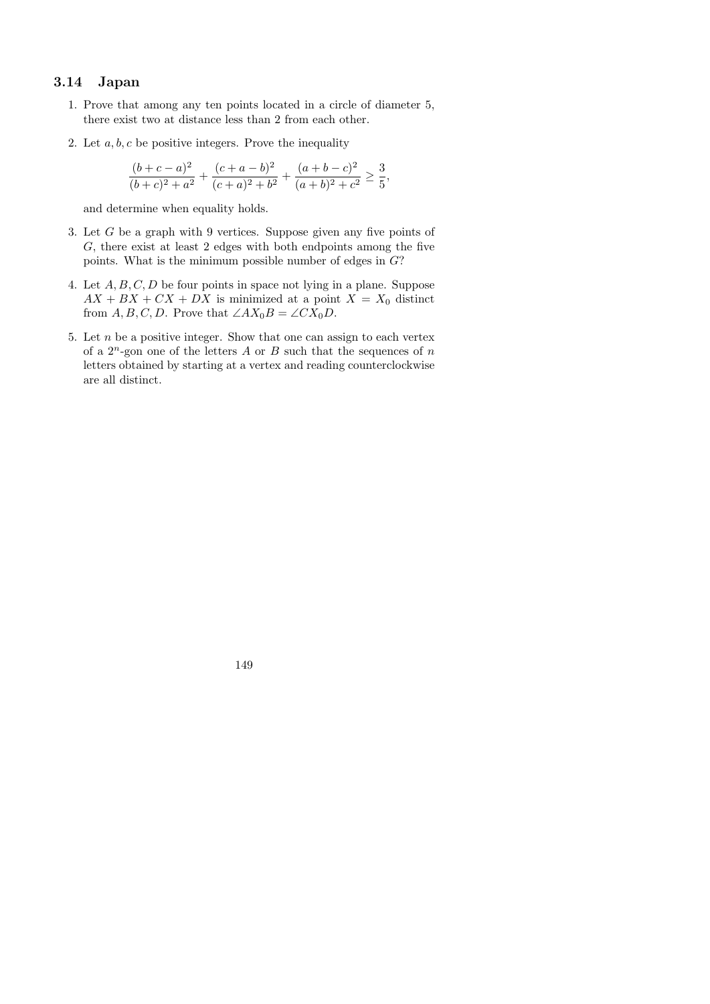#### 3.14 Japan

- 1. Prove that among any ten points located in a circle of diameter 5, there exist two at distance less than 2 from each other.
- 2. Let  $a, b, c$  be positive integers. Prove the inequality

$$
\frac{(b+c-a)^2}{(b+c)^2+a^2} + \frac{(c+a-b)^2}{(c+a)^2+b^2} + \frac{(a+b-c)^2}{(a+b)^2+c^2} \ge \frac{3}{5},
$$

and determine when equality holds.

- 3. Let G be a graph with 9 vertices. Suppose given any five points of G, there exist at least 2 edges with both endpoints among the five points. What is the minimum possible number of edges in  $G$ ?
- 4. Let  $A, B, C, D$  be four points in space not lying in a plane. Suppose  $AX + BX + CX + DX$  is minimized at a point  $X = X_0$  distinct from  $A, B, C, D$ . Prove that  $\angle AX_0B = \angle CX_0D$ .
- 5. Let  $n$  be a positive integer. Show that one can assign to each vertex of a  $2^n$ -gon one of the letters A or B such that the sequences of n letters obtained by starting at a vertex and reading counterclockwise are all distinct.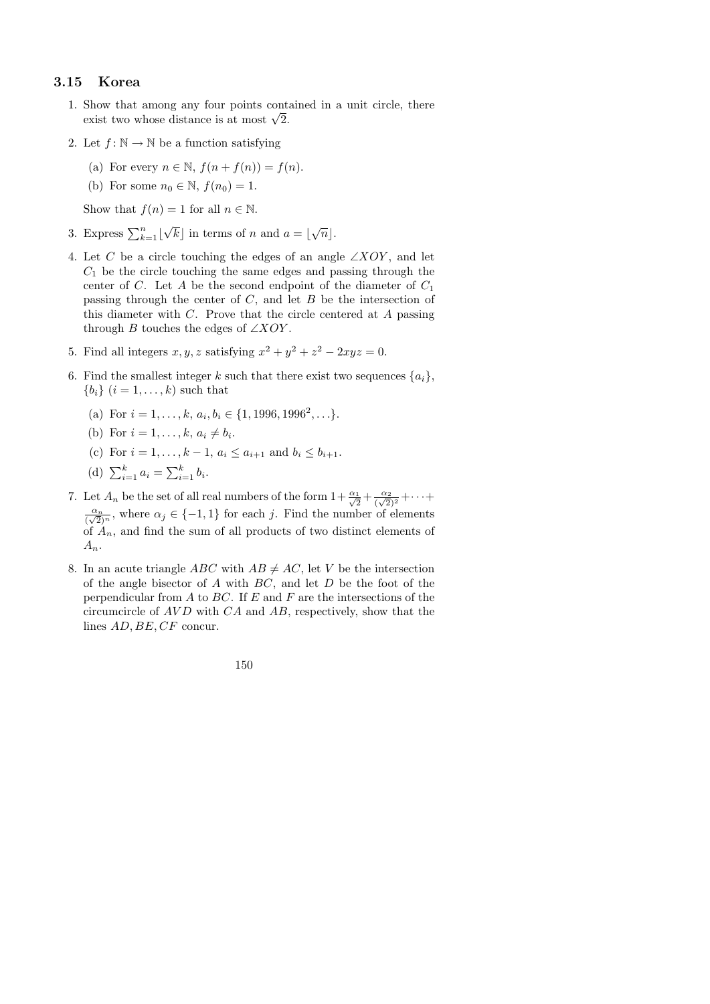# 3.15 Korea

- 1. Show that among any four points contained in a unit circle, there Show that among any four points contexist two whose distance is at most  $\sqrt{2}$ .
- 2. Let  $f: \mathbb{N} \to \mathbb{N}$  be a function satisfying
	- (a) For every  $n \in \mathbb{N}$ ,  $f(n + f(n)) = f(n)$ .
	- (b) For some  $n_0 \in \mathbb{N}$ ,  $f(n_0) = 1$ .

Show that  $f(n) = 1$  for all  $n \in \mathbb{N}$ .

- 3. Express  $\sum_{k=1}^{n}$  $\overline{k}$  in terms of n and  $a = |\sqrt{n}|$ .
- 4. Let C be a circle touching the edges of an angle  $\angle XOY$ , and let  $C_1$  be the circle touching the same edges and passing through the center of C. Let A be the second endpoint of the diameter of  $C_1$ passing through the center of  $C$ , and let  $B$  be the intersection of this diameter with C. Prove that the circle centered at A passing through B touches the edges of  $\angle XOY$ .
- 5. Find all integers  $x, y, z$  satisfying  $x^2 + y^2 + z^2 2xyz = 0$ .
- 6. Find the smallest integer k such that there exist two sequences  $\{a_i\}$ ,  ${b_i}$   $(i = 1, \ldots, k)$  such that
	- (a) For  $i = 1, ..., k, a_i, b_i \in \{1, 1996, 1996^2, ...\}$ .
	- (b) For  $i = 1, \ldots, k, a_i \neq b_i$ .
	- (c) For  $i = 1, ..., k 1, a_i \le a_{i+1}$  and  $b_i \le b_{i+1}$ .
	- (d)  $\sum_{i=1}^{k} a_i = \sum_{i=1}^{k} b_i$ .
- 7. Let  $A_n$  be the set of all real numbers of the form  $1+\frac{\alpha_1}{\sqrt{2}}+\frac{\alpha_2}{(\sqrt{2}}$ et  $A_n$  be the set of all real numbers of the form  $1 + \frac{\alpha_1}{\sqrt{2}} + \frac{\alpha_2}{(\sqrt{2})^2} + \cdots + \frac{\alpha_n}{(\sqrt{n})^n}$  $\frac{\alpha_n}{(\sqrt{2})^n}$ , where  $\alpha_j \in \{-1,1\}$  for each j. Find the number of elements of  $A_n$ , and find the sum of all products of two distinct elements of  $A_n$ .
- 8. In an acute triangle ABC with  $AB \neq AC$ , let V be the intersection of the angle bisector of A with BC, and let D be the foot of the perpendicular from  $A$  to  $BC$ . If  $E$  and  $F$  are the intersections of the circumcircle of  $AVD$  with  $CA$  and  $AB$ , respectively, show that the lines  $AD, BE, CF$  concur.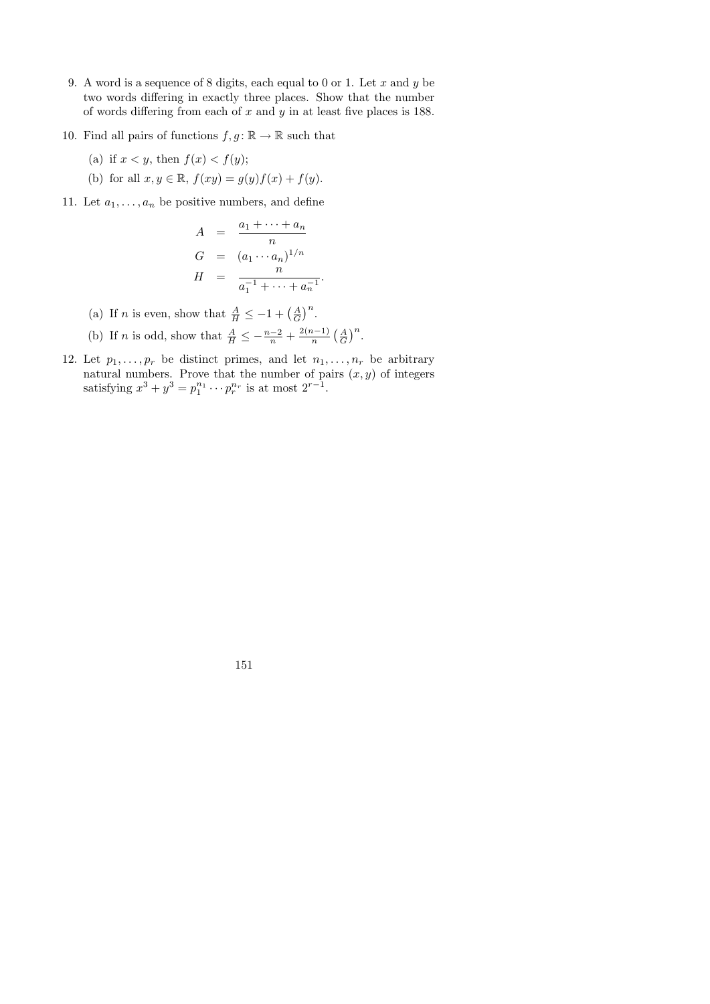- 9. A word is a sequence of 8 digits, each equal to 0 or 1. Let  $x$  and  $y$  be two words differing in exactly three places. Show that the number of words differing from each of  $x$  and  $y$  in at least five places is 188.
- 10. Find all pairs of functions  $f, g : \mathbb{R} \to \mathbb{R}$  such that
	- (a) if  $x < y$ , then  $f(x) < f(y)$ ;
	- (b) for all  $x, y \in \mathbb{R}$ ,  $f(xy) = g(y)f(x) + f(y)$ .
- 11. Let  $a_1, \ldots, a_n$  be positive numbers, and define

$$
A = \frac{a_1 + \dots + a_n}{n}
$$
  
\n
$$
G = (a_1 \cdots a_n)^{1/n}
$$
  
\n
$$
H = \frac{n}{a_1^{-1} + \dots + a_n^{-1}}.
$$

- (a) If *n* is even, show that  $\frac{A}{H} \leq -1 + \left(\frac{A}{G}\right)^n$ .
- (b) If *n* is odd, show that  $\frac{A}{H} \leq -\frac{n-2}{n} + \frac{2(n-1)}{n}$  $\frac{n-1}{n}\left(\frac{A}{G}\right)^n$ .
- 12. Let  $p_1, \ldots, p_r$  be distinct primes, and let  $n_1, \ldots, n_r$  be arbitrary natural numbers. Prove that the number of pairs  $(x, y)$  of integers satisfying  $x^3 + y^3 = p_1^{n_1} \cdots p_r^{n_r}$  is at most  $2^{r-1}$ .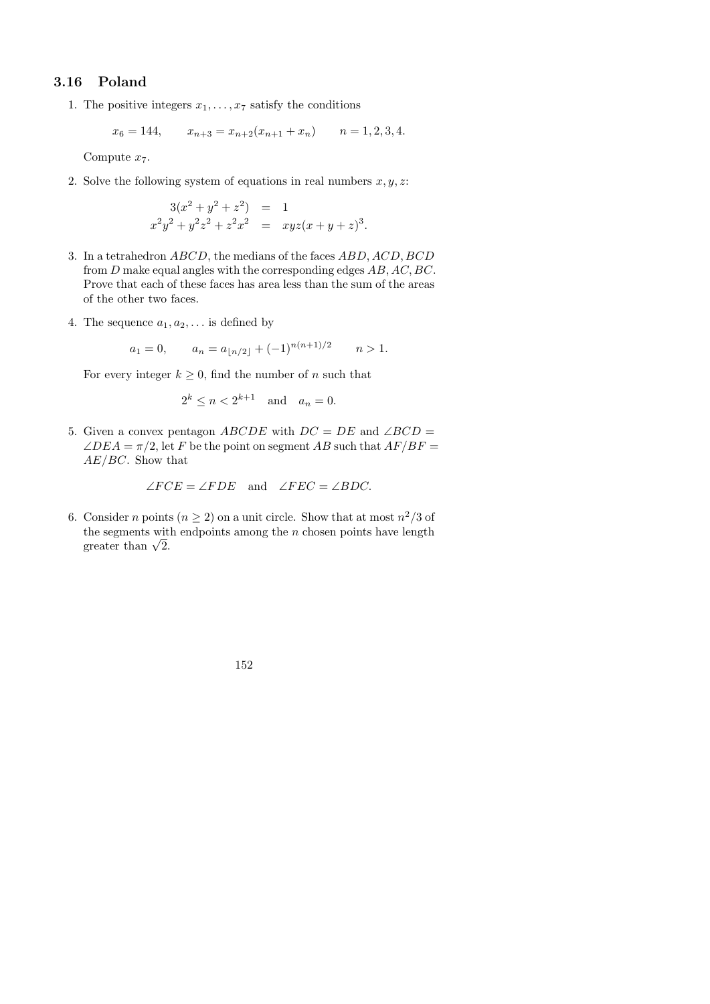# 3.16 Poland

1. The positive integers  $x_1, \ldots, x_7$  satisfy the conditions

$$
x_6 = 144
$$
,  $x_{n+3} = x_{n+2}(x_{n+1} + x_n)$   $n = 1, 2, 3, 4$ .

Compute  $x_7$ .

2. Solve the following system of equations in real numbers  $x, y, z$ :

$$
3(x2 + y2 + z2) = 1
$$
  

$$
x2y2 + y2z2 + z2x2 = xyz(x + y + z)3.
$$

- 3. In a tetrahedron ABCD, the medians of the faces ABD, ACD, BCD from D make equal angles with the corresponding edges AB, AC, BC. Prove that each of these faces has area less than the sum of the areas of the other two faces.
- 4. The sequence  $a_1, a_2, \ldots$  is defined by

$$
a_1 = 0
$$
,  $a_n = a_{\lfloor n/2 \rfloor} + (-1)^{n(n+1)/2}$   $n > 1$ .

For every integer  $k \geq 0$ , find the number of n such that

$$
2^k \le n < 2^{k+1} \quad \text{and} \quad a_n = 0.
$$

5. Given a convex pentagon ABCDE with  $DC = DE$  and  $\angle BCD =$  $\angle DEA = \pi/2$ , let F be the point on segment AB such that  $AF/BF =$ AE/BC. Show that

$$
\angle FCE = \angle FDE
$$
 and  $\angle FEC = \angle BDC$ .

6. Consider *n* points ( $n \ge 2$ ) on a unit circle. Show that at most  $n^2/3$  of the segments with endpoints among the  $n$  chosen points have length the segments wit<br>greater than  $\sqrt{2}$ .

$$
152 \\
$$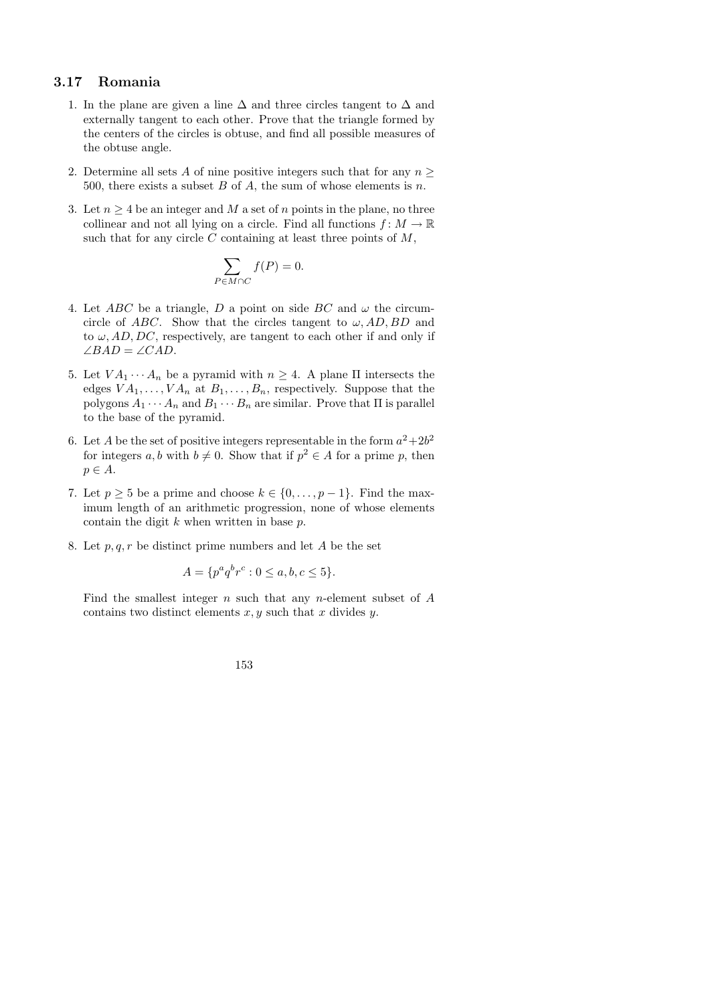#### 3.17 Romania

- 1. In the plane are given a line  $\Delta$  and three circles tangent to  $\Delta$  and externally tangent to each other. Prove that the triangle formed by the centers of the circles is obtuse, and find all possible measures of the obtuse angle.
- 2. Determine all sets A of nine positive integers such that for any  $n \geq$ 500, there exists a subset  $B$  of  $A$ , the sum of whose elements is  $n$ .
- 3. Let  $n \geq 4$  be an integer and M a set of n points in the plane, no three collinear and not all lying on a circle. Find all functions  $f: M \to \mathbb{R}$ such that for any circle  $C$  containing at least three points of  $M$ ,

$$
\sum_{P \in M \cap C} f(P) = 0.
$$

- 4. Let ABC be a triangle, D a point on side BC and  $\omega$  the circumcircle of ABC. Show that the circles tangent to  $\omega$ , AD, BD and to  $\omega$ , AD, DC, respectively, are tangent to each other if and only if  $\angle BAD = \angle CAD$ .
- 5. Let  $VA_1 \cdots A_n$  be a pyramid with  $n \geq 4$ . A plane  $\Pi$  intersects the edges  $VA_1, \ldots, VA_n$  at  $B_1, \ldots, B_n$ , respectively. Suppose that the polygons  $A_1 \cdots A_n$  and  $B_1 \cdots B_n$  are similar. Prove that  $\Pi$  is parallel to the base of the pyramid.
- 6. Let A be the set of positive integers representable in the form  $a^2+2b^2$ for integers a, b with  $b \neq 0$ . Show that if  $p^2 \in A$  for a prime p, then  $p \in A$ .
- 7. Let  $p \geq 5$  be a prime and choose  $k \in \{0, \ldots, p-1\}$ . Find the maximum length of an arithmetic progression, none of whose elements contain the digit  $k$  when written in base  $p$ .
- 8. Let  $p, q, r$  be distinct prime numbers and let A be the set

$$
A = \{ p^a q^b r^c : 0 \le a, b, c \le 5 \}.
$$

Find the smallest integer  $n$  such that any n-element subset of  $A$ contains two distinct elements  $x, y$  such that  $x$  divides  $y$ .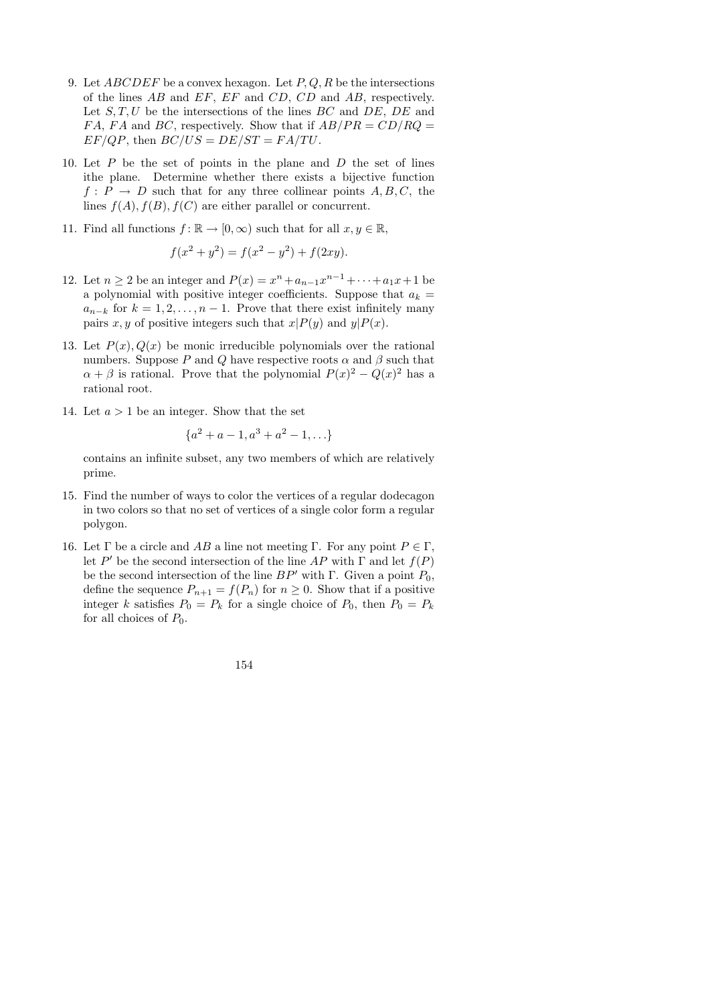- 9. Let  $ABCDEF$  be a convex hexagon. Let  $P, Q, R$  be the intersections of the lines AB and EF, EF and CD, CD and AB, respectively. Let  $S, T, U$  be the intersections of the lines  $BC$  and  $DE$ ,  $DE$  and FA, FA and BC, respectively. Show that if  $AB/PR = CD/RO$  =  $EF/QP$ , then  $BC/US = DE/ST = FA/TU$ .
- 10. Let  $P$  be the set of points in the plane and  $D$  the set of lines ithe plane. Determine whether there exists a bijective function  $f: P \to D$  such that for any three collinear points  $A, B, C$ , the lines  $f(A), f(B), f(C)$  are either parallel or concurrent.
- 11. Find all functions  $f : \mathbb{R} \to [0, \infty)$  such that for all  $x, y \in \mathbb{R}$ ,

$$
f(x^{2} + y^{2}) = f(x^{2} - y^{2}) + f(2xy).
$$

- 12. Let  $n \ge 2$  be an integer and  $P(x) = x^n + a_{n-1}x^{n-1} + \cdots + a_1x + 1$  be a polynomial with positive integer coefficients. Suppose that  $a_k =$  $a_{n-k}$  for  $k = 1, 2, ..., n-1$ . Prove that there exist infinitely many pairs x, y of positive integers such that  $x|P(y)$  and  $y|P(x)$ .
- 13. Let  $P(x)$ ,  $Q(x)$  be monic irreducible polynomials over the rational numbers. Suppose P and Q have respective roots  $\alpha$  and  $\beta$  such that  $\alpha + \beta$  is rational. Prove that the polynomial  $P(x)^2 - Q(x)^2$  has a rational root.
- 14. Let  $a > 1$  be an integer. Show that the set

$$
\{a^2 + a - 1, a^3 + a^2 - 1, \ldots\}
$$

contains an infinite subset, any two members of which are relatively prime.

- 15. Find the number of ways to color the vertices of a regular dodecagon in two colors so that no set of vertices of a single color form a regular polygon.
- 16. Let Γ be a circle and AB a line not meeting Γ. For any point  $P \in \Gamma$ , let P' be the second intersection of the line AP with  $\Gamma$  and let  $f(P)$ be the second intersection of the line  $BP'$  with Γ. Given a point  $P_0$ , define the sequence  $P_{n+1} = f(P_n)$  for  $n \geq 0$ . Show that if a positive integer k satisfies  $P_0 = P_k$  for a single choice of  $P_0$ , then  $P_0 = P_k$ for all choices of  $P_0$ .

$$
154\,
$$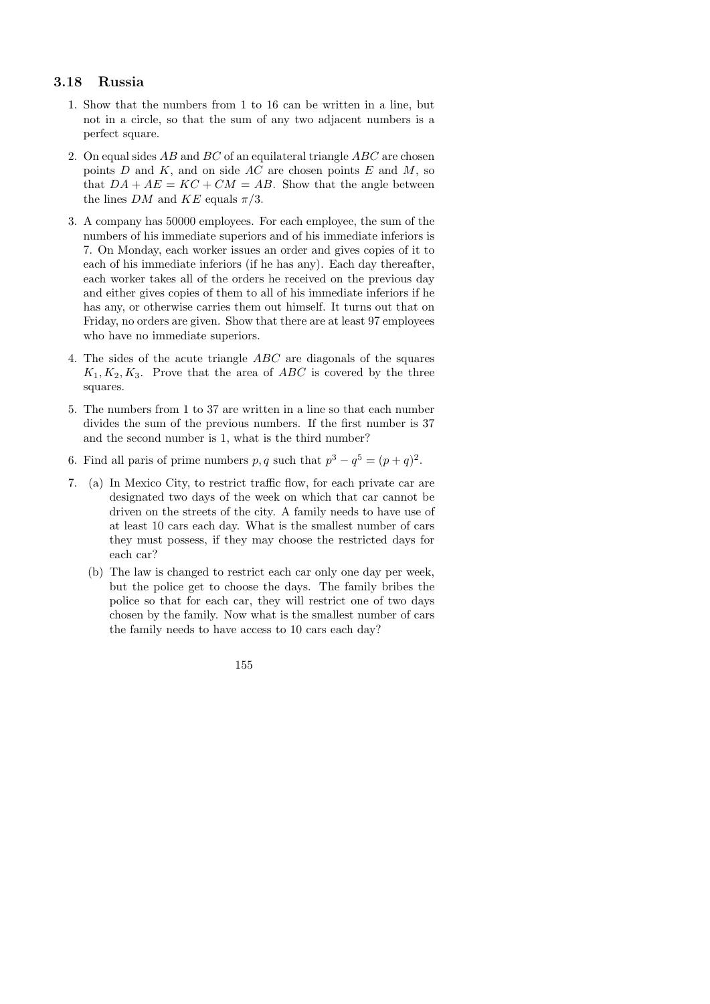#### 3.18 Russia

- 1. Show that the numbers from 1 to 16 can be written in a line, but not in a circle, so that the sum of any two adjacent numbers is a perfect square.
- 2. On equal sides  $AB$  and  $BC$  of an equilateral triangle  $ABC$  are chosen points  $D$  and  $K$ , and on side  $AC$  are chosen points  $E$  and  $M$ , so that  $DA + AE = KC + CM = AB$ . Show that the angle between the lines DM and KE equals  $\pi/3$ .
- 3. A company has 50000 employees. For each employee, the sum of the numbers of his immediate superiors and of his immediate inferiors is 7. On Monday, each worker issues an order and gives copies of it to each of his immediate inferiors (if he has any). Each day thereafter, each worker takes all of the orders he received on the previous day and either gives copies of them to all of his immediate inferiors if he has any, or otherwise carries them out himself. It turns out that on Friday, no orders are given. Show that there are at least 97 employees who have no immediate superiors.
- 4. The sides of the acute triangle ABC are diagonals of the squares  $K_1, K_2, K_3$ . Prove that the area of  $ABC$  is covered by the three squares.
- 5. The numbers from 1 to 37 are written in a line so that each number divides the sum of the previous numbers. If the first number is 37 and the second number is 1, what is the third number?
- 6. Find all paris of prime numbers p, q such that  $p^3 q^5 = (p+q)^2$ .
- 7. (a) In Mexico City, to restrict traffic flow, for each private car are designated two days of the week on which that car cannot be driven on the streets of the city. A family needs to have use of at least 10 cars each day. What is the smallest number of cars they must possess, if they may choose the restricted days for each car?
	- (b) The law is changed to restrict each car only one day per week, but the police get to choose the days. The family bribes the police so that for each car, they will restrict one of two days chosen by the family. Now what is the smallest number of cars the family needs to have access to 10 cars each day?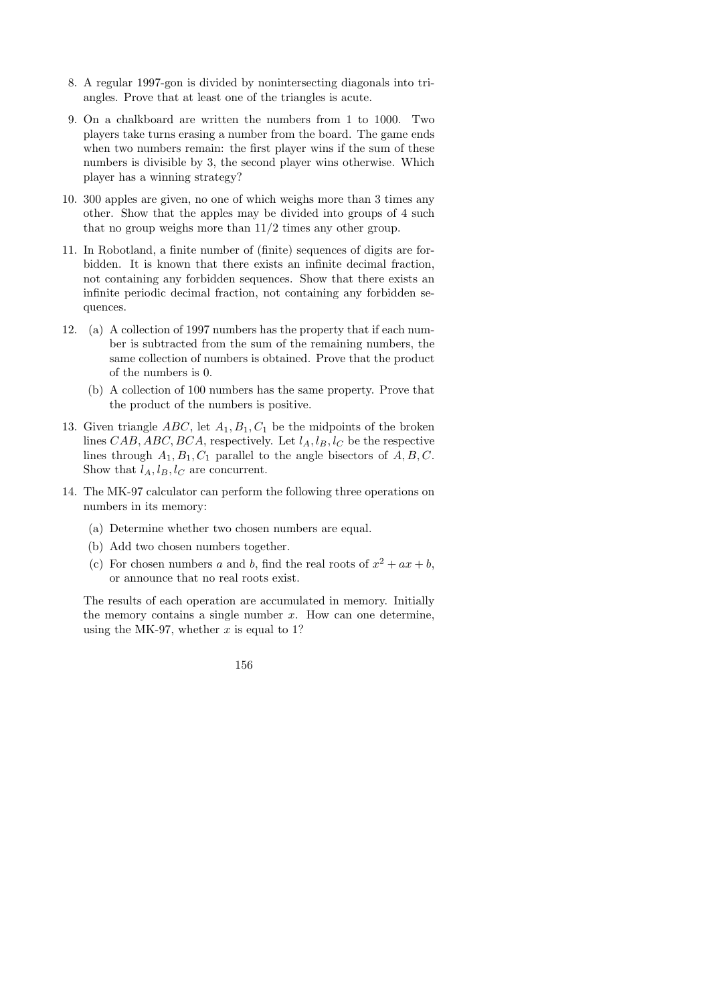- 8. A regular 1997-gon is divided by nonintersecting diagonals into triangles. Prove that at least one of the triangles is acute.
- 9. On a chalkboard are written the numbers from 1 to 1000. Two players take turns erasing a number from the board. The game ends when two numbers remain: the first player wins if the sum of these numbers is divisible by 3, the second player wins otherwise. Which player has a winning strategy?
- 10. 300 apples are given, no one of which weighs more than 3 times any other. Show that the apples may be divided into groups of 4 such that no group weighs more than 11/2 times any other group.
- 11. In Robotland, a finite number of (finite) sequences of digits are forbidden. It is known that there exists an infinite decimal fraction, not containing any forbidden sequences. Show that there exists an infinite periodic decimal fraction, not containing any forbidden sequences.
- 12. (a) A collection of 1997 numbers has the property that if each number is subtracted from the sum of the remaining numbers, the same collection of numbers is obtained. Prove that the product of the numbers is 0.
	- (b) A collection of 100 numbers has the same property. Prove that the product of the numbers is positive.
- 13. Given triangle  $ABC$ , let  $A_1, B_1, C_1$  be the midpoints of the broken lines CAB, ABC, BCA, respectively. Let  $l_A, l_B, l_C$  be the respective lines through  $A_1, B_1, C_1$  parallel to the angle bisectors of  $A, B, C$ . Show that  $l_A, l_B, l_C$  are concurrent.
- 14. The MK-97 calculator can perform the following three operations on numbers in its memory:
	- (a) Determine whether two chosen numbers are equal.
	- (b) Add two chosen numbers together.
	- (c) For chosen numbers a and b, find the real roots of  $x^2 + ax + b$ , or announce that no real roots exist.

The results of each operation are accumulated in memory. Initially the memory contains a single number  $x$ . How can one determine, using the MK-97, whether  $x$  is equal to 1?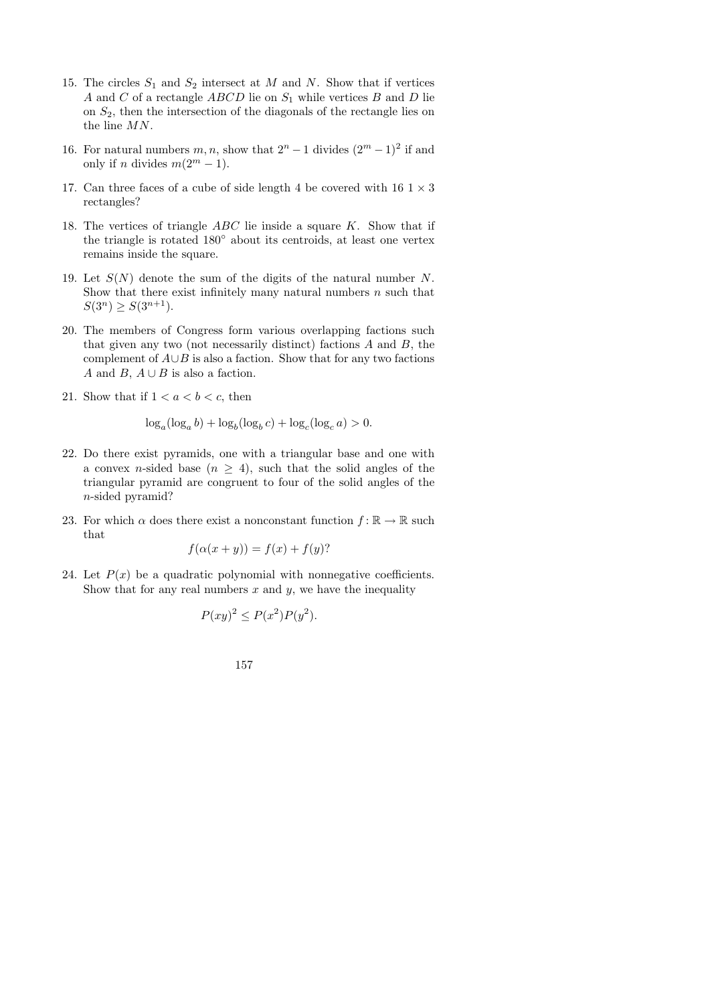- 15. The circles  $S_1$  and  $S_2$  intersect at M and N. Show that if vertices A and C of a rectangle  $ABCD$  lie on  $S_1$  while vertices B and D lie on  $S_2$ , then the intersection of the diagonals of the rectangle lies on the line MN.
- 16. For natural numbers  $m, n$ , show that  $2^n 1$  divides  $(2^m 1)^2$  if and only if n divides  $m(2^m - 1)$ .
- 17. Can three faces of a cube of side length 4 be covered with  $16 \times 3$ rectangles?
- 18. The vertices of triangle  $ABC$  lie inside a square  $K$ . Show that if the triangle is rotated 180◦ about its centroids, at least one vertex remains inside the square.
- 19. Let  $S(N)$  denote the sum of the digits of the natural number N. Show that there exist infinitely many natural numbers  $n$  such that  $S(3^n) \geq S(3^{n+1}).$
- 20. The members of Congress form various overlapping factions such that given any two (not necessarily distinct) factions  $A$  and  $B$ , the complement of  $A\cup B$  is also a faction. Show that for any two factions A and B,  $A \cup B$  is also a faction.
- 21. Show that if  $1 < a < b < c$ , then

$$
\log_a(\log_a b) + \log_b(\log_b c) + \log_c(\log_c a) > 0.
$$

- 22. Do there exist pyramids, one with a triangular base and one with a convex *n*-sided base  $(n \geq 4)$ , such that the solid angles of the triangular pyramid are congruent to four of the solid angles of the n-sided pyramid?
- 23. For which  $\alpha$  does there exist a nonconstant function  $f : \mathbb{R} \to \mathbb{R}$  such that

$$
f(\alpha(x+y)) = f(x) + f(y)?
$$

24. Let  $P(x)$  be a quadratic polynomial with nonnegative coefficients. Show that for any real numbers  $x$  and  $y$ , we have the inequality

$$
P(xy)^2 \le P(x^2)P(y^2).
$$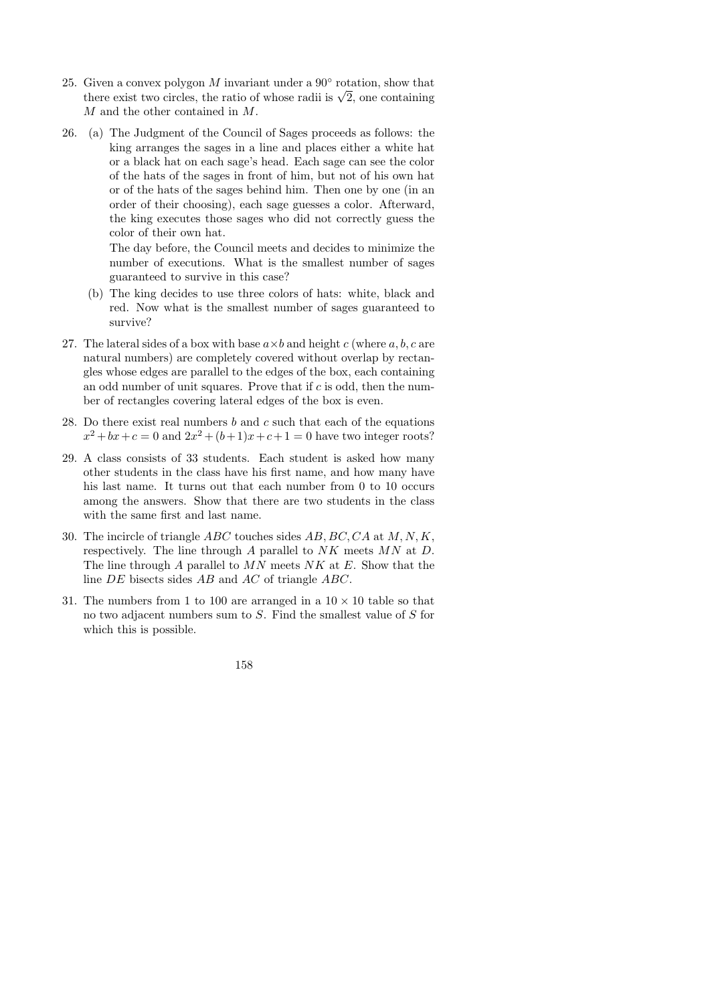- 25. Given a convex polygon  $M$  invariant under a  $90^{\circ}$  rotation, show that Given a convex polygon M invariant under a 90° rotation, show that there exist two circles, the ratio of whose radii is  $\sqrt{2}$ , one containing  $M$  and the other contained in  $M$ .
- 26. (a) The Judgment of the Council of Sages proceeds as follows: the king arranges the sages in a line and places either a white hat or a black hat on each sage's head. Each sage can see the color of the hats of the sages in front of him, but not of his own hat or of the hats of the sages behind him. Then one by one (in an order of their choosing), each sage guesses a color. Afterward, the king executes those sages who did not correctly guess the color of their own hat.

The day before, the Council meets and decides to minimize the number of executions. What is the smallest number of sages guaranteed to survive in this case?

- (b) The king decides to use three colors of hats: white, black and red. Now what is the smallest number of sages guaranteed to survive?
- 27. The lateral sides of a box with base  $a \times b$  and height c (where a, b, c are natural numbers) are completely covered without overlap by rectangles whose edges are parallel to the edges of the box, each containing an odd number of unit squares. Prove that if  $c$  is odd, then the number of rectangles covering lateral edges of the box is even.
- 28. Do there exist real numbers  $b$  and  $c$  such that each of the equations  $x^2 + bx + c = 0$  and  $2x^2 + (b+1)x + c + 1 = 0$  have two integer roots?
- 29. A class consists of 33 students. Each student is asked how many other students in the class have his first name, and how many have his last name. It turns out that each number from 0 to 10 occurs among the answers. Show that there are two students in the class with the same first and last name.
- 30. The incircle of triangle  $ABC$  touches sides  $AB, BC, CA$  at  $M, N, K$ , respectively. The line through A parallel to  $NK$  meets  $MN$  at  $D$ . The line through A parallel to  $MN$  meets  $NK$  at E. Show that the line DE bisects sides AB and AC of triangle ABC.
- 31. The numbers from 1 to 100 are arranged in a  $10 \times 10$  table so that no two adjacent numbers sum to S. Find the smallest value of S for which this is possible.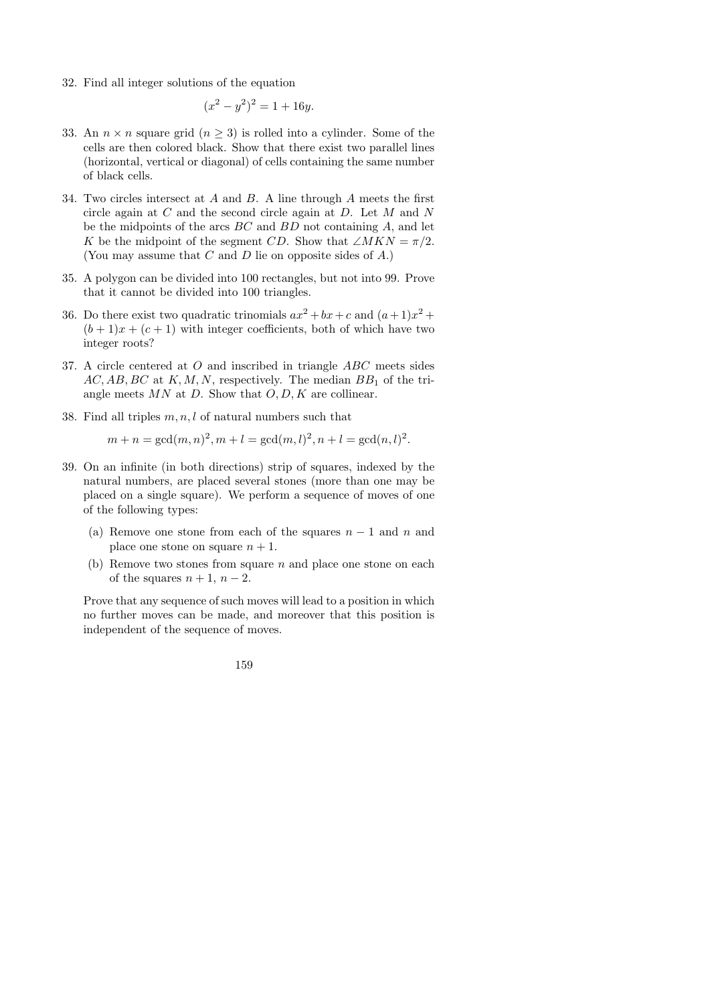32. Find all integer solutions of the equation

$$
(x^2 - y^2)^2 = 1 + 16y.
$$

- 33. An  $n \times n$  square grid  $(n \geq 3)$  is rolled into a cylinder. Some of the cells are then colored black. Show that there exist two parallel lines (horizontal, vertical or diagonal) of cells containing the same number of black cells.
- 34. Two circles intersect at  $A$  and  $B$ . A line through  $A$  meets the first circle again at C and the second circle again at D. Let M and N be the midpoints of the arcs  $BC$  and  $BD$  not containing  $A$ , and let K be the midpoint of the segment CD. Show that  $\angle MKN = \pi/2$ . (You may assume that  $C$  and  $D$  lie on opposite sides of  $A$ .)
- 35. A polygon can be divided into 100 rectangles, but not into 99. Prove that it cannot be divided into 100 triangles.
- 36. Do there exist two quadratic trinomials  $ax^2 + bx + c$  and  $(a+1)x^2 +$  $(b+1)x + (c+1)$  with integer coefficients, both of which have two integer roots?
- 37. A circle centered at O and inscribed in triangle ABC meets sides  $AC, AB, BC$  at  $K, M, N$ , respectively. The median  $BB<sub>1</sub>$  of the triangle meets  $MN$  at D. Show that  $O, D, K$  are collinear.
- 38. Find all triples  $m, n, l$  of natural numbers such that

$$
m + n = \gcd(m, n)^2, m + l = \gcd(m, l)^2, n + l = \gcd(n, l)^2.
$$

- 39. On an infinite (in both directions) strip of squares, indexed by the natural numbers, are placed several stones (more than one may be placed on a single square). We perform a sequence of moves of one of the following types:
	- (a) Remove one stone from each of the squares  $n-1$  and n and place one stone on square  $n + 1$ .
	- (b) Remove two stones from square  $n$  and place one stone on each of the squares  $n + 1$ ,  $n - 2$ .

Prove that any sequence of such moves will lead to a position in which no further moves can be made, and moreover that this position is independent of the sequence of moves.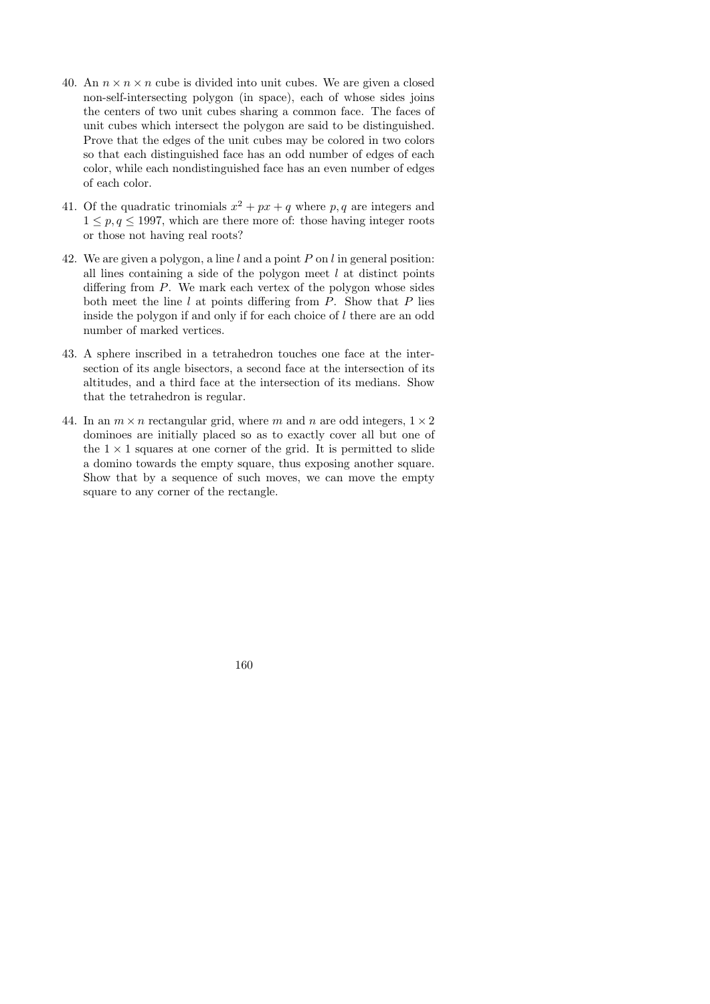- 40. An  $n \times n \times n$  cube is divided into unit cubes. We are given a closed non-self-intersecting polygon (in space), each of whose sides joins the centers of two unit cubes sharing a common face. The faces of unit cubes which intersect the polygon are said to be distinguished. Prove that the edges of the unit cubes may be colored in two colors so that each distinguished face has an odd number of edges of each color, while each nondistinguished face has an even number of edges of each color.
- 41. Of the quadratic trinomials  $x^2 + px + q$  where p, q are integers and  $1 \leq p, q \leq 1997$ , which are there more of: those having integer roots or those not having real roots?
- 42. We are given a polygon, a line  $l$  and a point  $P$  on  $l$  in general position: all lines containing a side of the polygon meet  $l$  at distinct points differing from P. We mark each vertex of the polygon whose sides both meet the line  $l$  at points differing from  $P$ . Show that  $P$  lies inside the polygon if and only if for each choice of  $l$  there are an odd number of marked vertices.
- 43. A sphere inscribed in a tetrahedron touches one face at the intersection of its angle bisectors, a second face at the intersection of its altitudes, and a third face at the intersection of its medians. Show that the tetrahedron is regular.
- 44. In an  $m \times n$  rectangular grid, where m and n are odd integers,  $1 \times 2$ dominoes are initially placed so as to exactly cover all but one of the  $1 \times 1$  squares at one corner of the grid. It is permitted to slide a domino towards the empty square, thus exposing another square. Show that by a sequence of such moves, we can move the empty square to any corner of the rectangle.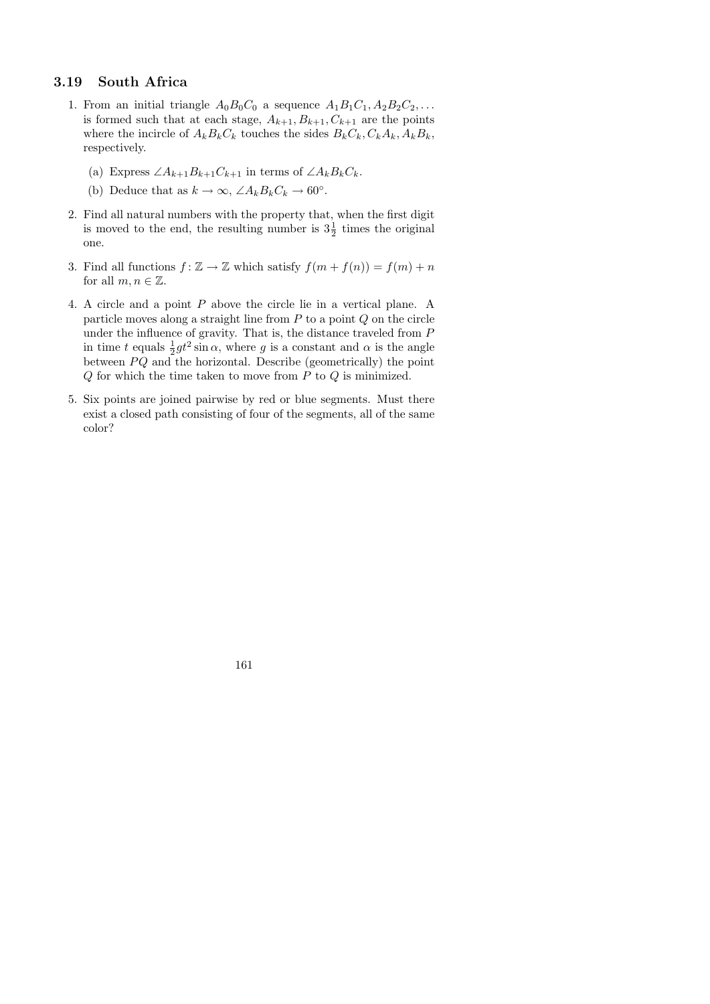### 3.19 South Africa

- 1. From an initial triangle  $A_0B_0C_0$  a sequence  $A_1B_1C_1, A_2B_2C_2, \ldots$ is formed such that at each stage,  $A_{k+1}, B_{k+1}, C_{k+1}$  are the points where the incircle of  $A_k B_k C_k$  touches the sides  $B_k C_k$ ,  $C_k A_k$ ,  $A_k B_k$ , respectively.
	- (a) Express  $\angle A_{k+1}B_{k+1}C_{k+1}$  in terms of  $\angle A_kB_kC_k$ .
	- (b) Deduce that as  $k \to \infty$ ,  $\angle A_k B_k C_k \to 60^\circ$ .
- 2. Find all natural numbers with the property that, when the first digit is moved to the end, the resulting number is  $3\frac{1}{2}$  times the original one.
- 3. Find all functions  $f : \mathbb{Z} \to \mathbb{Z}$  which satisfy  $f(m + f(n)) = f(m) + n$ for all  $m, n \in \mathbb{Z}$ .
- 4. A circle and a point P above the circle lie in a vertical plane. A particle moves along a straight line from  $P$  to a point  $Q$  on the circle under the influence of gravity. That is, the distance traveled from P in time t equals  $\frac{1}{2}gt^2 \sin \alpha$ , where g is a constant and  $\alpha$  is the angle between  $PQ$  and the horizontal. Describe (geometrically) the point  $Q$  for which the time taken to move from  $P$  to  $Q$  is minimized.
- 5. Six points are joined pairwise by red or blue segments. Must there exist a closed path consisting of four of the segments, all of the same color?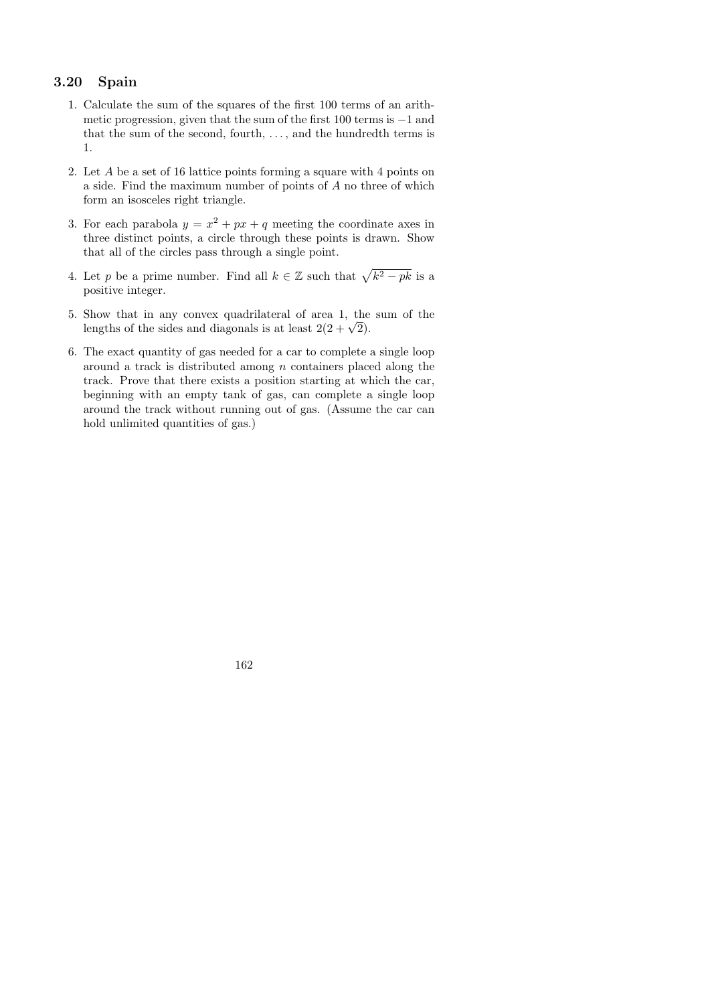# 3.20 Spain

- 1. Calculate the sum of the squares of the first 100 terms of an arithmetic progression, given that the sum of the first 100 terms is −1 and that the sum of the second, fourth,  $\dots$ , and the hundredth terms is 1.
- 2. Let A be a set of 16 lattice points forming a square with 4 points on a side. Find the maximum number of points of A no three of which form an isosceles right triangle.
- 3. For each parabola  $y = x^2 + px + q$  meeting the coordinate axes in three distinct points, a circle through these points is drawn. Show that all of the circles pass through a single point.
- 4. Let p be a prime number. Find all  $k \in \mathbb{Z}$  such that  $\sqrt{k^2 pk}$  is a positive integer.
- 5. Show that in any convex quadrilateral of area 1, the sum of the Show that in any convex quadrilateral of area 1, the lengths of the sides and diagonals is at least  $2(2+\sqrt{2})$ .
- 6. The exact quantity of gas needed for a car to complete a single loop around a track is distributed among  $n$  containers placed along the track. Prove that there exists a position starting at which the car, beginning with an empty tank of gas, can complete a single loop around the track without running out of gas. (Assume the car can hold unlimited quantities of gas.)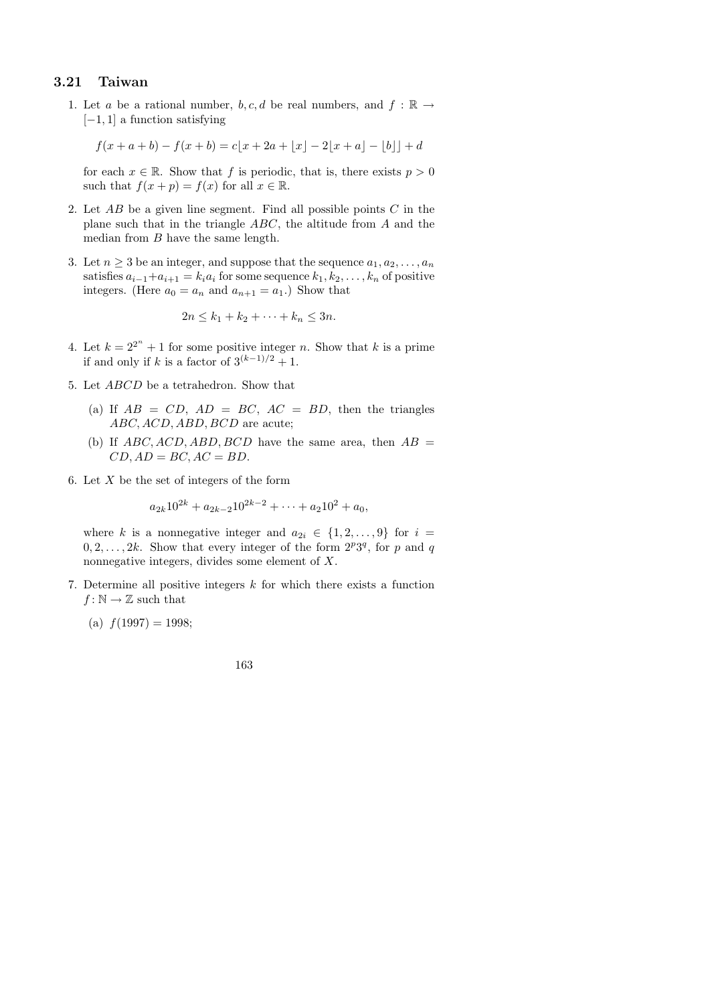#### 3.21 Taiwan

1. Let a be a rational number, b, c, d be real numbers, and  $f : \mathbb{R} \to$  $[-1, 1]$  a function satisfying

$$
f(x + a + b) - f(x + b) = c[x + 2a + [x] - 2[x + a] - [b]] + d
$$

for each  $x \in \mathbb{R}$ . Show that f is periodic, that is, there exists  $p > 0$ such that  $f(x + p) = f(x)$  for all  $x \in \mathbb{R}$ .

- 2. Let  $AB$  be a given line segment. Find all possible points  $C$  in the plane such that in the triangle ABC, the altitude from A and the median from  $B$  have the same length.
- 3. Let  $n \geq 3$  be an integer, and suppose that the sequence  $a_1, a_2, \ldots, a_n$ satisfies  $a_{i-1}+a_{i+1} = k_i a_i$  for some sequence  $k_1, k_2, \ldots, k_n$  of positive integers. (Here  $a_0 = a_n$  and  $a_{n+1} = a_1$ .) Show that

$$
2n \leq k_1 + k_2 + \cdots + k_n \leq 3n.
$$

- 4. Let  $k = 2^{2^n} + 1$  for some positive integer *n*. Show that *k* is a prime if and only if k is a factor of  $3^{(k-1)/2} + 1$ .
- 5. Let ABCD be a tetrahedron. Show that
	- (a) If  $AB = CD$ ,  $AD = BC$ ,  $AC = BD$ , then the triangles ABC, ACD, ABD, BCD are acute;
	- (b) If  $ABC, ACD, ABD, BCD$  have the same area, then  $AB =$  $CD, AD = BC, AC = BD.$
- 6. Let  $X$  be the set of integers of the form

$$
a_{2k}10^{2k} + a_{2k-2}10^{2k-2} + \cdots + a_210^2 + a_0,
$$

where k is a nonnegative integer and  $a_{2i} \in \{1, 2, ..., 9\}$  for  $i =$  $0, 2, \ldots, 2k$ . Show that every integer of the form  $2^p 3^q$ , for p and q nonnegative integers, divides some element of X.

- 7. Determine all positive integers k for which there exists a function  $f: \mathbb{N} \to \mathbb{Z}$  such that
	- (a)  $f(1997) = 1998$ ;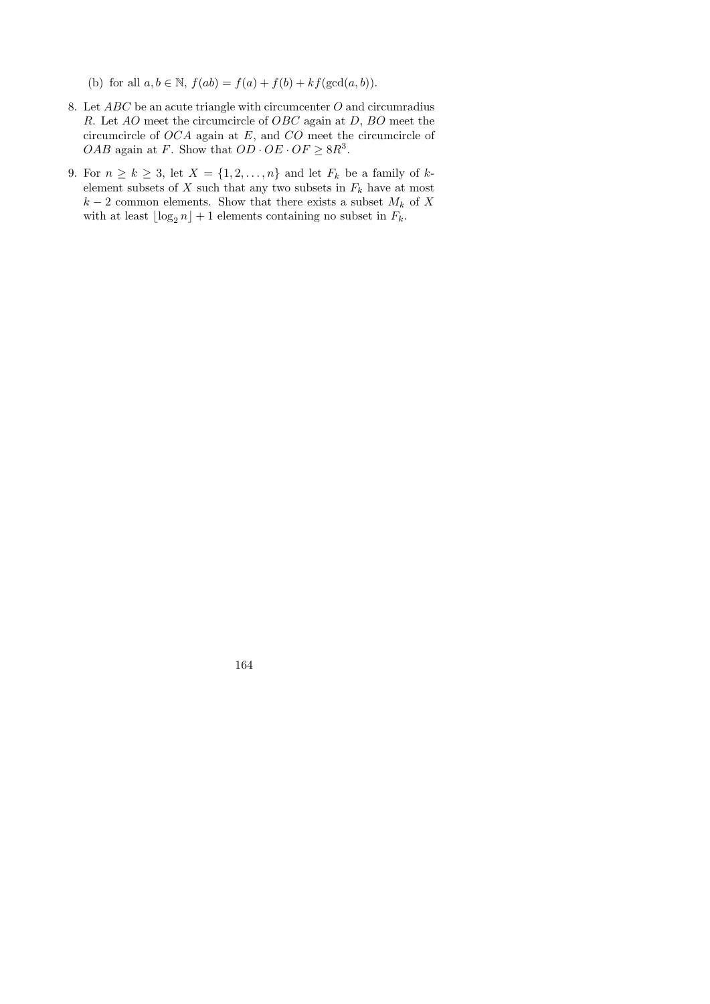(b) for all  $a, b \in \mathbb{N}$ ,  $f(ab) = f(a) + f(b) + kf(\text{gcd}(a, b)).$ 

- 8. Let  $ABC$  be an acute triangle with circumcenter  $O$  and circumradius R. Let AO meet the circumcircle of OBC again at D, BO meet the circumcircle of OCA again at E, and CO meet the circumcircle of *OAB* again at *F*. Show that  $OD \cdot OE \cdot OF \geq 8R^3$ .
- 9. For  $n \geq k \geq 3$ , let  $X = \{1, 2, ..., n\}$  and let  $F_k$  be a family of kelement subsets of  $X$  such that any two subsets in  $F_k$  have at most  $k-2$  common elements. Show that there exists a subset  $M_k$  of X with at least  $\lfloor \log_2 n \rfloor + 1$  elements containing no subset in  $F_k$ .

164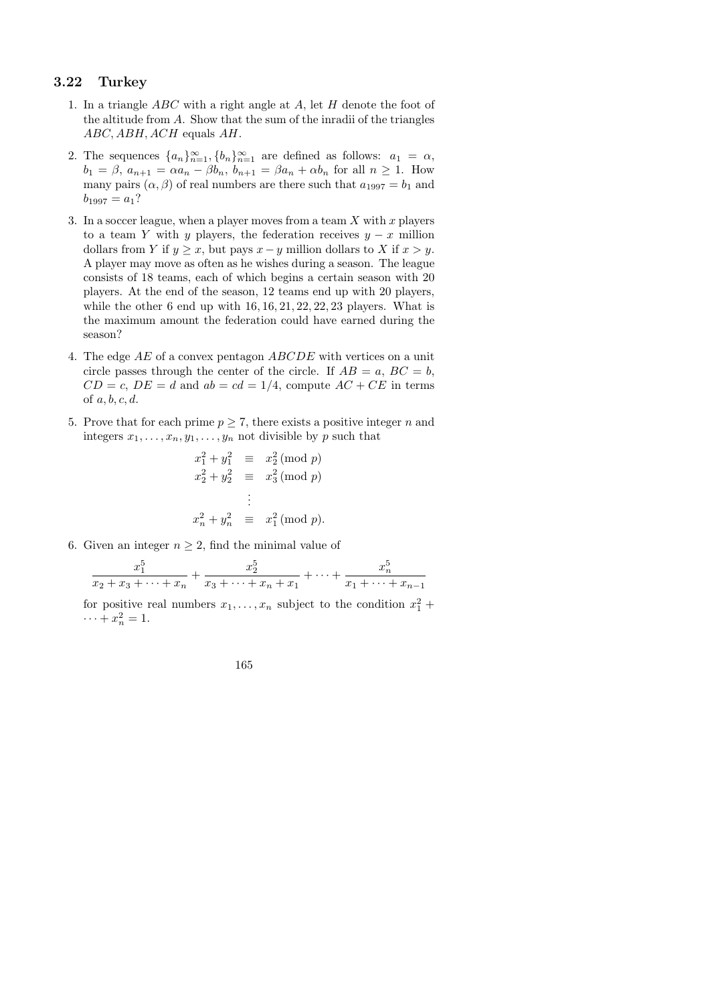#### 3.22 Turkey

- 1. In a triangle  $ABC$  with a right angle at  $A$ , let  $H$  denote the foot of the altitude from A. Show that the sum of the inradii of the triangles ABC, ABH, ACH equals AH.
- 2. The sequences  ${a_n}_{n=1}^{\infty}, {b_n}_{n=1}^{\infty}$  are defined as follows:  $a_1 = \alpha$ ,  $b_1 = \beta$ ,  $a_{n+1} = \alpha a_n - \beta b_n$ ,  $b_{n+1} = \beta a_n + \alpha b_n$  for all  $n \ge 1$ . How many pairs  $(\alpha, \beta)$  of real numbers are there such that  $a_{1997} = b_1$  and  $b_{1997} = a_1?$
- 3. In a soccer league, when a player moves from a team  $X$  with x players to a team Y with y players, the federation receives  $y - x$  million dollars from Y if  $y \ge x$ , but pays  $x - y$  million dollars to X if  $x > y$ . A player may move as often as he wishes during a season. The league consists of 18 teams, each of which begins a certain season with 20 players. At the end of the season, 12 teams end up with 20 players, while the other 6 end up with  $16, 16, 21, 22, 22, 23$  players. What is the maximum amount the federation could have earned during the season?
- 4. The edge AE of a convex pentagon ABCDE with vertices on a unit circle passes through the center of the circle. If  $AB = a$ ,  $BC = b$ ,  $CD = c$ ,  $DE = d$  and  $ab = cd = 1/4$ , compute  $AC + CE$  in terms of  $a, b, c, d$ .
- 5. Prove that for each prime  $p \geq 7$ , there exists a positive integer n and integers  $x_1, \ldots, x_n, y_1, \ldots, y_n$  not divisible by p such that

$$
x_1^2 + y_1^2 \equiv x_2^2 \pmod{p}
$$
  
\n
$$
x_2^2 + y_2^2 \equiv x_3^2 \pmod{p}
$$
  
\n
$$
\vdots
$$
  
\n
$$
x_n^2 + y_n^2 \equiv x_1^2 \pmod{p}.
$$

6. Given an integer  $n \geq 2$ , find the minimal value of

$$
\frac{x_1^5}{x_2 + x_3 + \dots + x_n} + \frac{x_2^5}{x_3 + \dots + x_n + x_1} + \dots + \frac{x_n^5}{x_1 + \dots + x_{n-1}}
$$

for positive real numbers  $x_1, \ldots, x_n$  subject to the condition  $x_1^2 +$  $\cdots \overline{+} x_n^2 = 1.$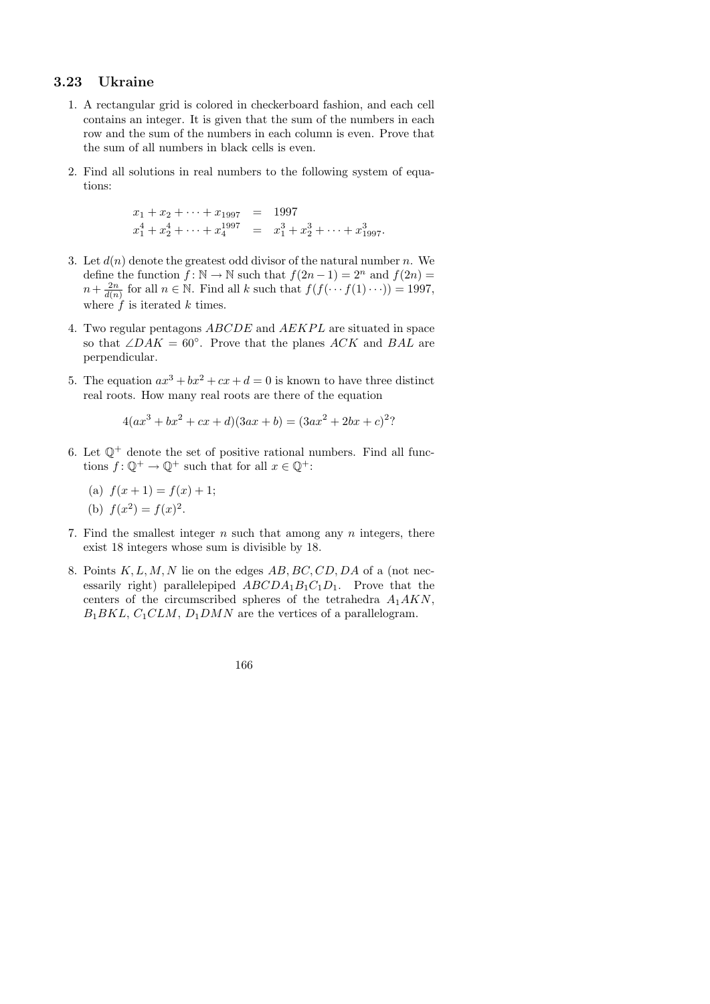# 3.23 Ukraine

- 1. A rectangular grid is colored in checkerboard fashion, and each cell contains an integer. It is given that the sum of the numbers in each row and the sum of the numbers in each column is even. Prove that the sum of all numbers in black cells is even.
- 2. Find all solutions in real numbers to the following system of equations:

$$
x_1 + x_2 + \dots + x_{1997} = 1997
$$
  

$$
x_1^4 + x_2^4 + \dots + x_4^{1997} = x_1^3 + x_2^3 + \dots + x_{1997}^3.
$$

- 3. Let  $d(n)$  denote the greatest odd divisor of the natural number n. We define the function  $f : \mathbb{N} \to \mathbb{N}$  such that  $f(2n-1) = 2^n$  and  $f(2n) =$  $n + \frac{2n}{d(n)}$  for all  $n \in \mathbb{N}$ . Find all k such that  $f(f(\cdots f(1) \cdots)) = 1997$ , where  $f$  is iterated  $k$  times.
- 4. Two regular pentagons ABCDE and AEKPL are situated in space so that  $\angle DAK = 60^\circ$ . Prove that the planes ACK and BAL are perpendicular.
- 5. The equation  $ax^3 + bx^2 + cx + d = 0$  is known to have three distinct real roots. How many real roots are there of the equation

$$
4(ax^3 + bx^2 + cx + d)(3ax + b) = (3ax^2 + 2bx + c)^2?
$$

- 6. Let  $\mathbb{Q}^+$  denote the set of positive rational numbers. Find all functions  $f: \mathbb{Q}^+ \to \mathbb{Q}^+$  such that for all  $x \in \mathbb{Q}^+$ :
	- (a)  $f(x+1) = f(x) + 1;$
	- (b)  $f(x^2) = f(x)^2$ .
- 7. Find the smallest integer  $n$  such that among any  $n$  integers, there exist 18 integers whose sum is divisible by 18.
- 8. Points  $K, L, M, N$  lie on the edges  $AB, BC, CD, DA$  of a (not necessarily right) parallelepiped  $ABCDA_1B_1C_1D_1$ . Prove that the centers of the circumscribed spheres of the tetrahedra  $A_1AKN$ ,  $B_1BKL$ ,  $C_1CLM$ ,  $D_1DMN$  are the vertices of a parallelogram.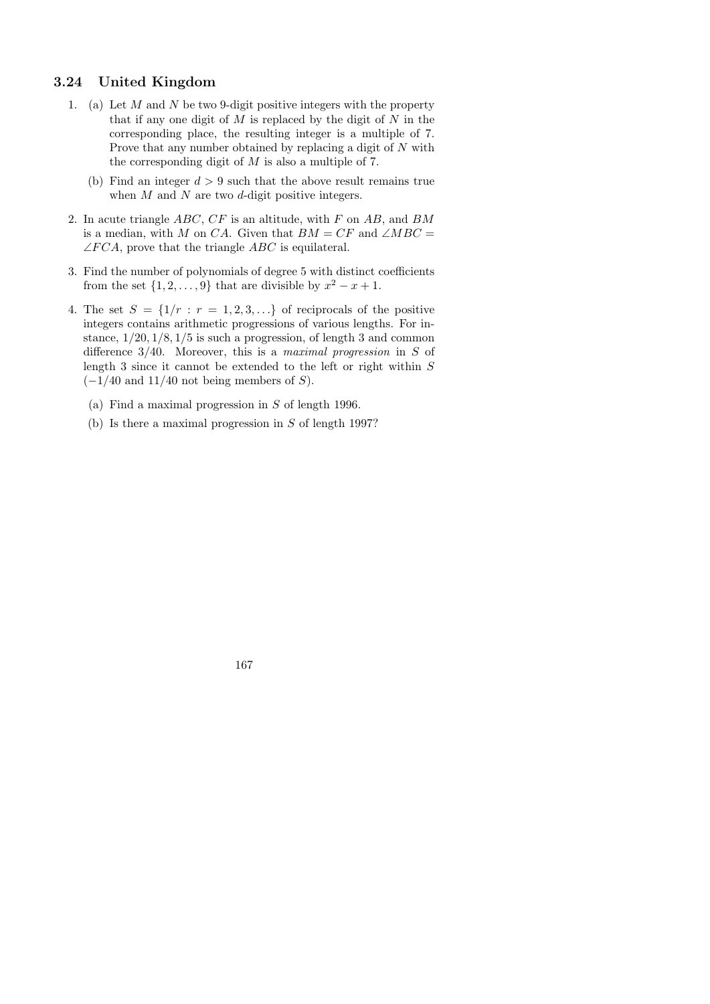#### 3.24 United Kingdom

- 1. (a) Let  $M$  and  $N$  be two 9-digit positive integers with the property that if any one digit of  $M$  is replaced by the digit of  $N$  in the corresponding place, the resulting integer is a multiple of 7. Prove that any number obtained by replacing a digit of N with the corresponding digit of  $M$  is also a multiple of 7.
	- (b) Find an integer  $d > 9$  such that the above result remains true when  $M$  and  $N$  are two  $d$ -digit positive integers.
- 2. In acute triangle ABC, CF is an altitude, with F on AB, and BM is a median, with M on CA. Given that  $BM = CF$  and  $\angle MBC =$  $\angle FCA$ , prove that the triangle ABC is equilateral.
- 3. Find the number of polynomials of degree 5 with distinct coefficients from the set  $\{1, 2, \ldots, 9\}$  that are divisible by  $x^2 - x + 1$ .
- 4. The set  $S = \{1/r : r = 1, 2, 3, \ldots\}$  of reciprocals of the positive integers contains arithmetic progressions of various lengths. For instance, 1/20, 1/8, 1/5 is such a progression, of length 3 and common difference  $3/40$ . Moreover, this is a maximal progression in S of length  $3$  since it cannot be extended to the left or right within  $S$  $(-1/40$  and  $11/40$  not being members of S).
	- (a) Find a maximal progression in S of length 1996.
	- (b) Is there a maximal progression in S of length 1997?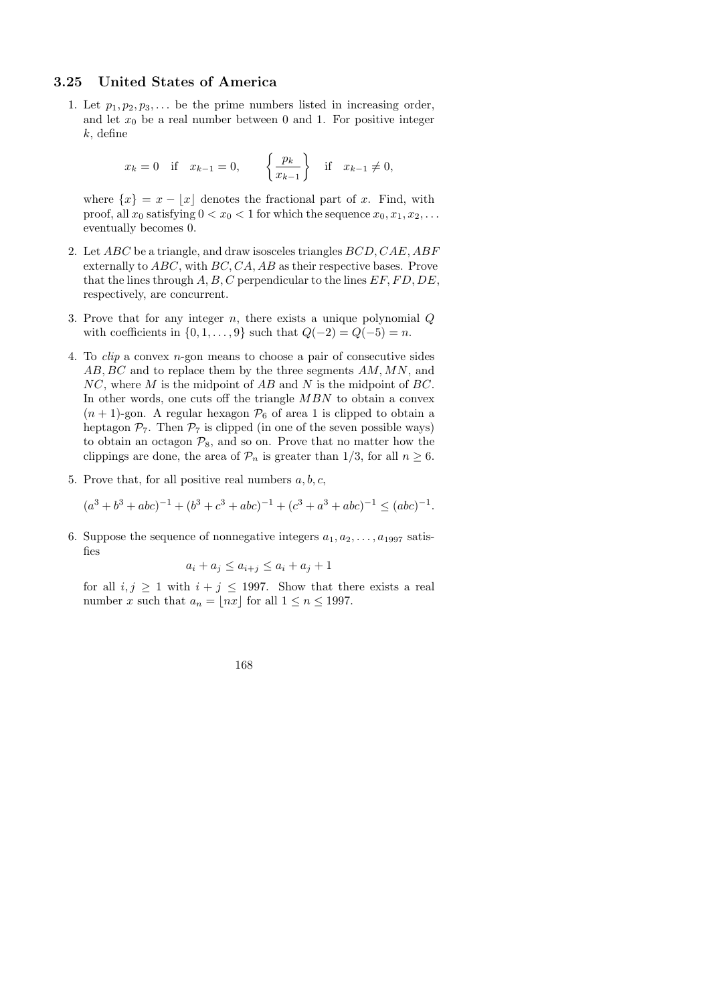#### 3.25 United States of America

1. Let  $p_1, p_2, p_3, \ldots$  be the prime numbers listed in increasing order, and let  $x_0$  be a real number between 0 and 1. For positive integer  $k$ , define

$$
x_k = 0
$$
 if  $x_{k-1} = 0$ ,  $\left\{\frac{p_k}{x_{k-1}}\right\}$  if  $x_{k-1} \neq 0$ ,

where  $\{x\} = x - |x|$  denotes the fractional part of x. Find, with proof, all  $x_0$  satisfying  $0 < x_0 < 1$  for which the sequence  $x_0, x_1, x_2, \ldots$ eventually becomes 0.

- 2. Let ABC be a triangle, and draw isosceles triangles BCD, CAE, ABF externally to ABC, with BC, CA, AB as their respective bases. Prove that the lines through  $A, B, C$  perpendicular to the lines  $EF, FD, DE$ , respectively, are concurrent.
- 3. Prove that for any integer  $n$ , there exists a unique polynomial  $Q$ with coefficients in  $\{0, 1, ..., 9\}$  such that  $Q(-2) = Q(-5) = n$ .
- 4. To clip a convex n-gon means to choose a pair of consecutive sides AB, BC and to replace them by the three segments AM, MN, and  $NC$ , where M is the midpoint of AB and N is the midpoint of BC. In other words, one cuts off the triangle MBN to obtain a convex  $(n + 1)$ -gon. A regular hexagon  $P_6$  of area 1 is clipped to obtain a heptagon  $P_7$ . Then  $P_7$  is clipped (in one of the seven possible ways) to obtain an octagon  $P_8$ , and so on. Prove that no matter how the clippings are done, the area of  $\mathcal{P}_n$  is greater than 1/3, for all  $n \geq 6$ .
- 5. Prove that, for all positive real numbers  $a, b, c$ ,

 $(a^{3} + b^{3} + abc)^{-1} + (b^{3} + c^{3} + abc)^{-1} + (c^{3} + a^{3} + abc)^{-1} \leq (abc)^{-1}.$ 

6. Suppose the sequence of nonnegative integers  $a_1, a_2, \ldots, a_{1997}$  satisfies

$$
a_i + a_j \le a_{i+j} \le a_i + a_j + 1
$$

for all  $i, j \geq 1$  with  $i + j \leq 1997$ . Show that there exists a real number x such that  $a_n = \lfloor nx \rfloor$  for all  $1 \leq n \leq 1997$ .

$$
168 \\
$$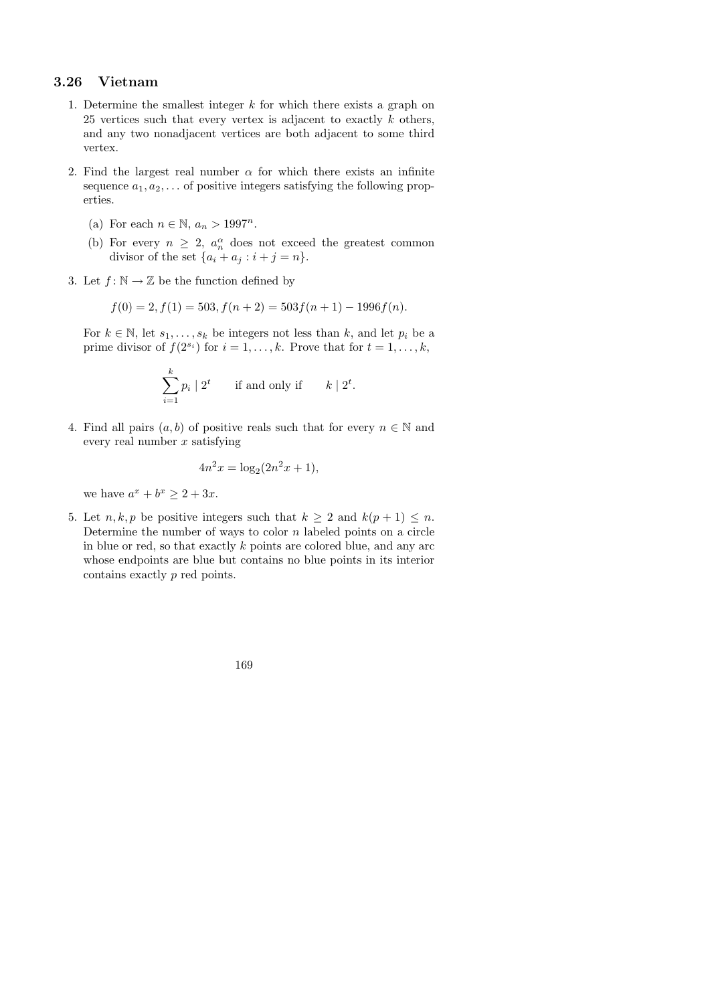### 3.26 Vietnam

- 1. Determine the smallest integer  $k$  for which there exists a graph on 25 vertices such that every vertex is adjacent to exactly  $k$  others, and any two nonadjacent vertices are both adjacent to some third vertex.
- 2. Find the largest real number  $\alpha$  for which there exists an infinite sequence  $a_1, a_2, \ldots$  of positive integers satisfying the following properties.
	- (a) For each  $n \in \mathbb{N}$ ,  $a_n > 1997^n$ .
	- (b) For every  $n \geq 2$ ,  $a_n^{\alpha}$  does not exceed the greatest common divisor of the set  $\{a_i + a_j : i + j = n\}.$
- 3. Let  $f: \mathbb{N} \to \mathbb{Z}$  be the function defined by

$$
f(0) = 2, f(1) = 503, f(n+2) = 503f(n+1) - 1996f(n).
$$

For  $k \in \mathbb{N}$ , let  $s_1, \ldots, s_k$  be integers not less than k, and let  $p_i$  be a prime divisor of  $f(2^{s_i})$  for  $i = 1, ..., k$ . Prove that for  $t = 1, ..., k$ ,

$$
\sum_{i=1}^k p_i \mid 2^t \qquad \text{if and only if} \qquad k \mid 2^t.
$$

4. Find all pairs  $(a, b)$  of positive reals such that for every  $n \in \mathbb{N}$  and every real number  $x$  satisfying

$$
4n^2x = \log_2(2n^2x + 1),
$$

we have  $a^x + b^x \ge 2 + 3x$ .

5. Let  $n, k, p$  be positive integers such that  $k \geq 2$  and  $k(p+1) \leq n$ . Determine the number of ways to color  $n$  labeled points on a circle in blue or red, so that exactly  $k$  points are colored blue, and any arc whose endpoints are blue but contains no blue points in its interior contains exactly p red points.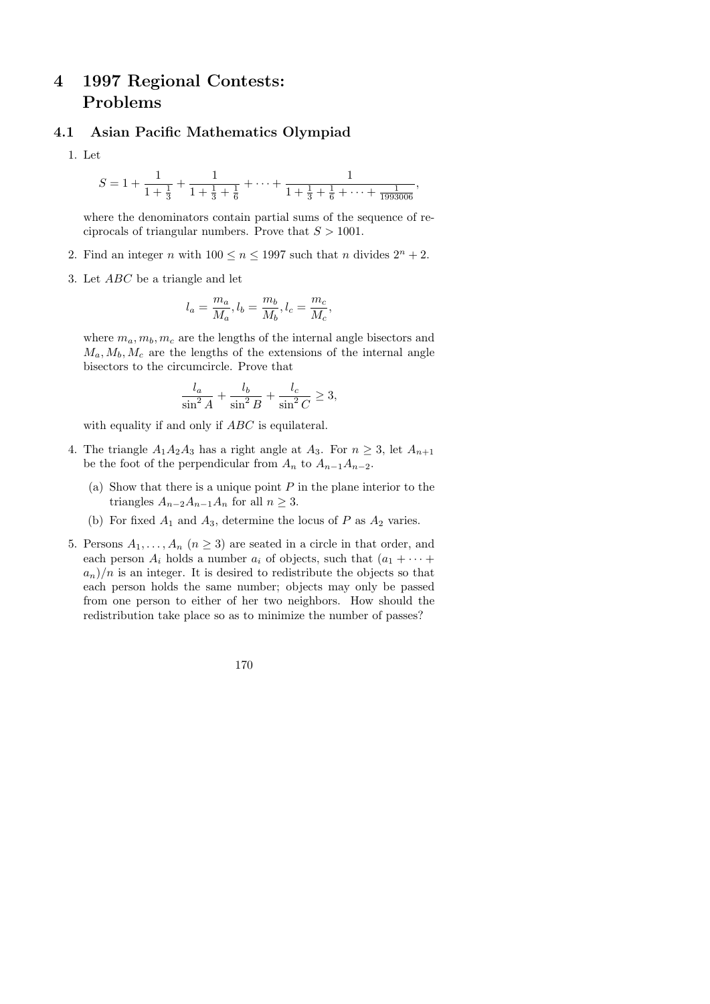# 4 1997 Regional Contests: Problems

# 4.1 Asian Pacific Mathematics Olympiad

1. Let

$$
S = 1 + \frac{1}{1 + \frac{1}{3}} + \frac{1}{1 + \frac{1}{3} + \frac{1}{6}} + \dots + \frac{1}{1 + \frac{1}{3} + \frac{1}{6} + \dots + \frac{1}{1993006}},
$$

where the denominators contain partial sums of the sequence of reciprocals of triangular numbers. Prove that  $S > 1001$ .

- 2. Find an integer n with  $100 \le n \le 1997$  such that n divides  $2^n + 2$ .
- 3. Let ABC be a triangle and let

$$
l_a=\frac{m_a}{M_a}, l_b=\frac{m_b}{M_b}, l_c=\frac{m_c}{M_c},
$$

where  $m_a, m_b, m_c$  are the lengths of the internal angle bisectors and  $M_a, M_b, M_c$  are the lengths of the extensions of the internal angle bisectors to the circumcircle. Prove that

$$
\frac{l_a}{\sin^2 A} + \frac{l_b}{\sin^2 B} + \frac{l_c}{\sin^2 C} \ge 3,
$$

with equality if and only if  $ABC$  is equilateral.

- 4. The triangle  $A_1A_2A_3$  has a right angle at  $A_3$ . For  $n \geq 3$ , let  $A_{n+1}$ be the foot of the perpendicular from  $A_n$  to  $A_{n-1}A_{n-2}$ .
	- (a) Show that there is a unique point  $P$  in the plane interior to the triangles  $A_{n-2}A_{n-1}A_n$  for all  $n \geq 3$ .
	- (b) For fixed  $A_1$  and  $A_3$ , determine the locus of P as  $A_2$  varies.
- 5. Persons  $A_1, \ldots, A_n$   $(n \geq 3)$  are seated in a circle in that order, and each person  $A_i$  holds a number  $a_i$  of objects, such that  $(a_1 + \cdots + a_n)$  $a_n$ / $\ln$  is an integer. It is desired to redistribute the objects so that each person holds the same number; objects may only be passed from one person to either of her two neighbors. How should the redistribution take place so as to minimize the number of passes?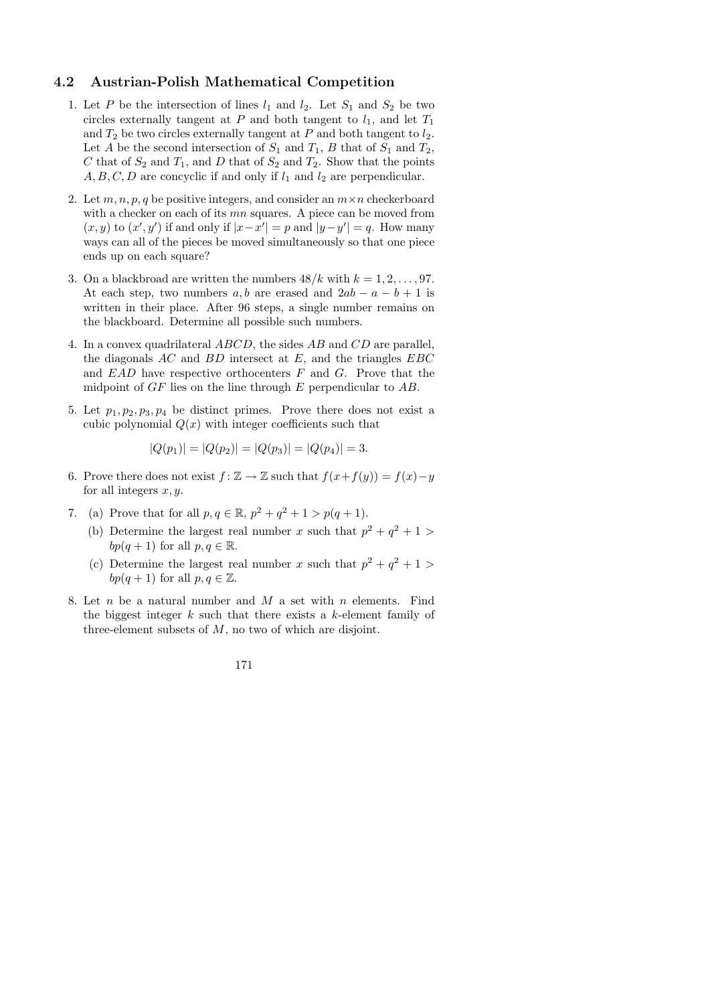#### 4.2 Austrian-Polish Mathematical Competition

- 1. Let P be the intersection of lines  $l_1$  and  $l_2$ . Let  $S_1$  and  $S_2$  be two circles externally tangent at P and both tangent to  $l_1$ , and let  $T_1$ and  $T_2$  be two circles externally tangent at P and both tangent to  $l_2$ . Let A be the second intersection of  $S_1$  and  $T_1$ , B that of  $S_1$  and  $T_2$ , C that of  $S_2$  and  $T_1$ , and D that of  $S_2$  and  $T_2$ . Show that the points  $A, B, C, D$  are concyclic if and only if  $l_1$  and  $l_2$  are perpendicular.
- 2. Let  $m, n, p, q$  be positive integers, and consider an  $m \times n$  checkerboard with a checker on each of its mn squares. A piece can be moved from  $(x, y)$  to  $(x', y')$  if and only if  $|x-x'| = p$  and  $|y-y'| = q$ . How many ways can all of the pieces be moved simultaneously so that one piece ends up on each square?
- 3. On a blackbroad are written the numbers  $48/k$  with  $k = 1, 2, \ldots, 97$ . At each step, two numbers  $a, b$  are erased and  $2ab - a - b + 1$  is written in their place. After 96 steps, a single number remains on the blackboard. Determine all possible such numbers.
- 4. In a convex quadrilateral ABCD, the sides AB and CD are parallel, the diagonals  $AC$  and  $BD$  intersect at  $E$ , and the triangles  $EBC$ and  $EAD$  have respective orthocenters  $F$  and  $G$ . Prove that the midpoint of  $GF$  lies on the line through  $E$  perpendicular to  $AB$ .
- 5. Let  $p_1, p_2, p_3, p_4$  be distinct primes. Prove there does not exist a cubic polynomial  $Q(x)$  with integer coefficients such that

$$
|Q(p_1)| = |Q(p_2)| = |Q(p_3)| = |Q(p_4)| = 3.
$$

- 6. Prove there does not exist  $f: \mathbb{Z} \to \mathbb{Z}$  such that  $f(x+f(y)) = f(x)-y$ for all integers  $x, y$ .
- 7. (a) Prove that for all  $p, q \in \mathbb{R}, p^2 + q^2 + 1 > p(q+1)$ .
	- (b) Determine the largest real number x such that  $p^2 + q^2 + 1$  $bp(q + 1)$  for all  $p, q \in \mathbb{R}$ .
	- (c) Determine the largest real number x such that  $p^2 + q^2 + 1$ bp(q + 1) for all  $p, q \in \mathbb{Z}$ .
- 8. Let  $n$  be a natural number and  $M$  a set with  $n$  elements. Find the biggest integer  $k$  such that there exists a  $k$ -element family of three-element subsets of M, no two of which are disjoint.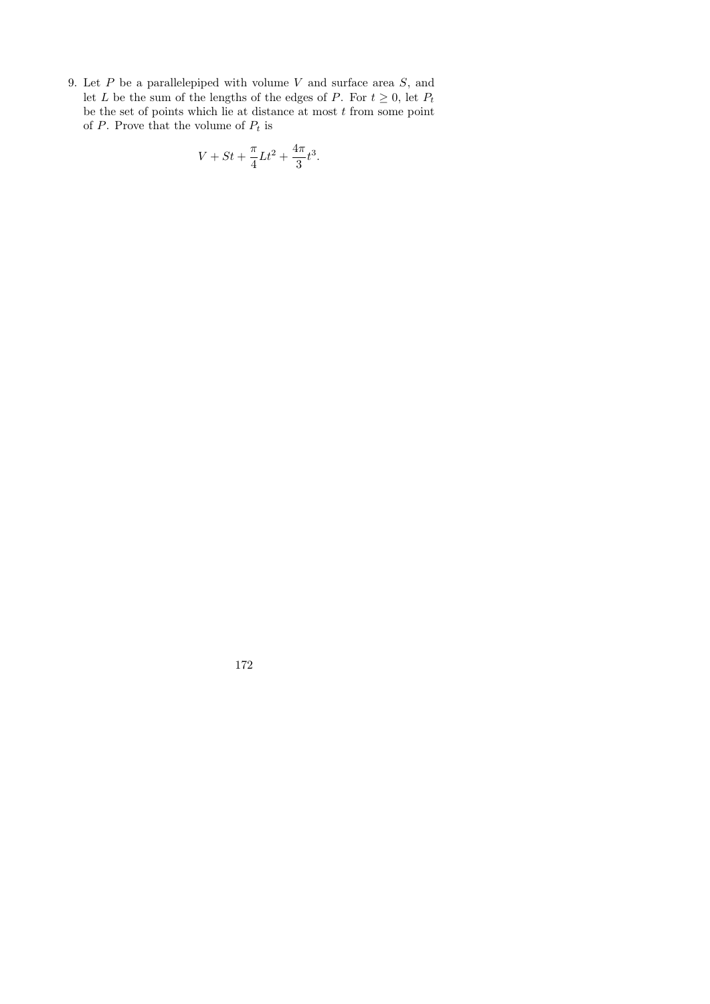9. Let  $P$  be a parallelepiped with volume  $V$  and surface area  $S$ , and let L be the sum of the lengths of the edges of P. For  $t \geq 0$ , let  $P_t$ be the set of points which lie at distance at most  $t$  from some point of  $P$ . Prove that the volume of  $P_t$  is

$$
V + St + \frac{\pi}{4}Lt^2 + \frac{4\pi}{3}t^3.
$$

172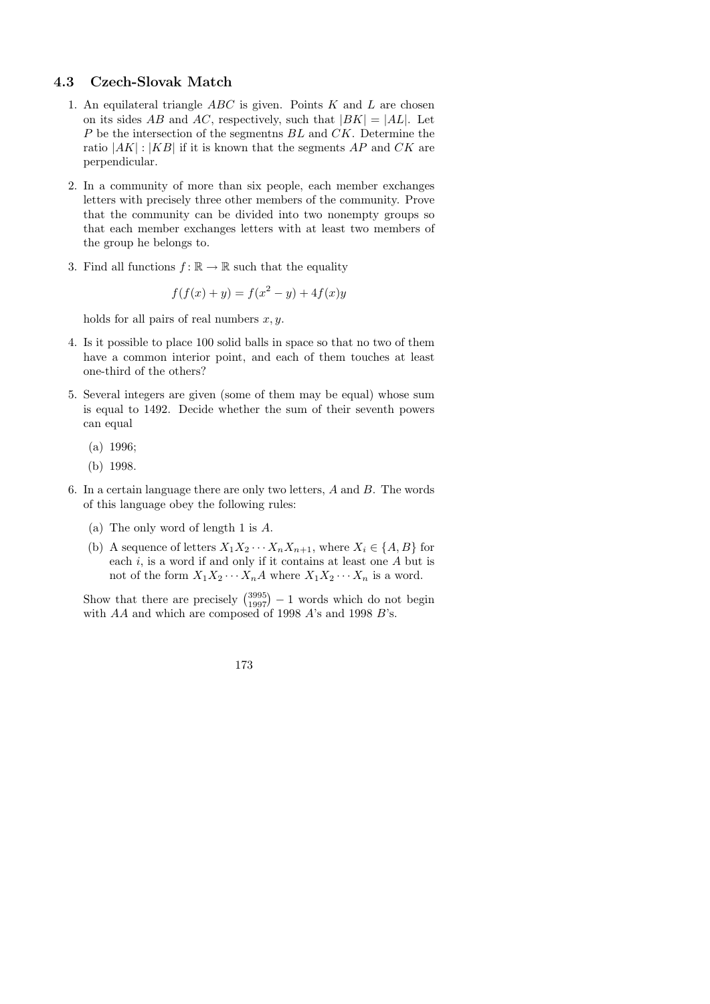#### 4.3 Czech-Slovak Match

- 1. An equilateral triangle  $ABC$  is given. Points  $K$  and  $L$  are chosen on its sides AB and AC, respectively, such that  $|BK| = |AL|$ . Let  $P$  be the intersection of the segmentns  $BL$  and  $CK$ . Determine the ratio  $|AK|: |KB|$  if it is known that the segments AP and CK are perpendicular.
- 2. In a community of more than six people, each member exchanges letters with precisely three other members of the community. Prove that the community can be divided into two nonempty groups so that each member exchanges letters with at least two members of the group he belongs to.
- 3. Find all functions  $f: \mathbb{R} \to \mathbb{R}$  such that the equality

$$
f(f(x) + y) = f(x^{2} - y) + 4f(x)y
$$

holds for all pairs of real numbers  $x, y$ .

- 4. Is it possible to place 100 solid balls in space so that no two of them have a common interior point, and each of them touches at least one-third of the others?
- 5. Several integers are given (some of them may be equal) whose sum is equal to 1492. Decide whether the sum of their seventh powers can equal
	- (a) 1996;
	- (b) 1998.
- 6. In a certain language there are only two letters, A and B. The words of this language obey the following rules:
	- (a) The only word of length 1 is A.
	- (b) A sequence of letters  $X_1X_2\cdots X_nX_{n+1}$ , where  $X_i \in \{A, B\}$  for each  $i$ , is a word if and only if it contains at least one  $A$  but is not of the form  $X_1X_2\cdots X_nA$  where  $X_1X_2\cdots X_n$  is a word.

Show that there are precisely  $\binom{3995}{1997} - 1$  words which do not begin with AA and which are composed of 1998 A's and 1998 B's.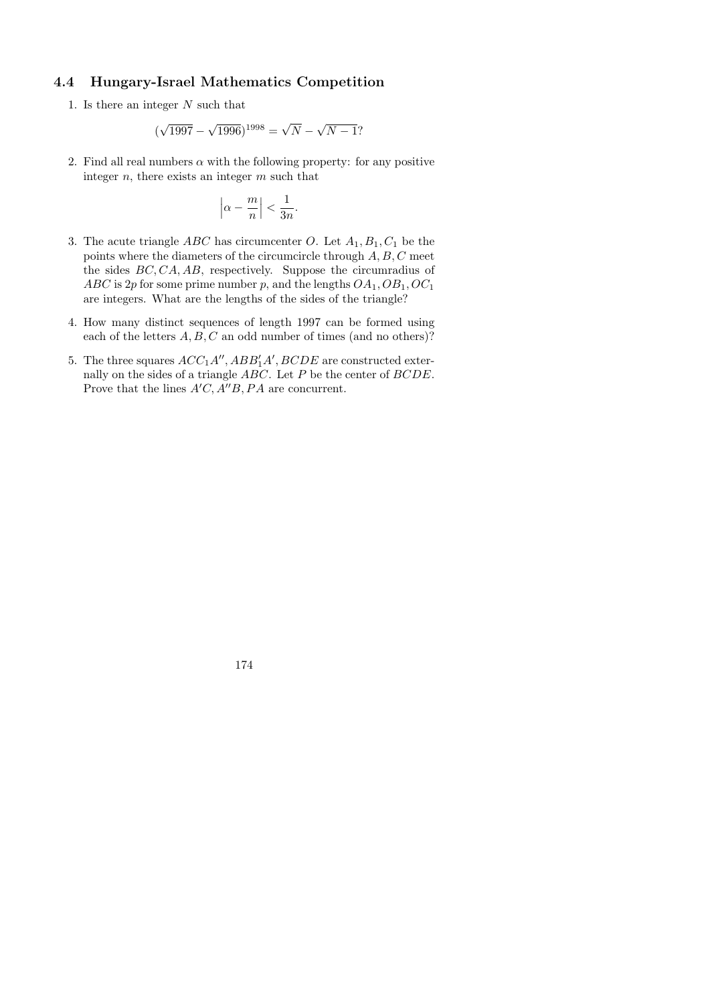# 4.4 Hungary-Israel Mathematics Competition

1. Is there an integer N such that

$$
(\sqrt{1997} - \sqrt{1996})^{1998} = \sqrt{N} - \sqrt{N - 1}
$$
?

2. Find all real numbers  $\alpha$  with the following property: for any positive integer  $n$ , there exists an integer  $m$  such that

$$
\left|\alpha - \frac{m}{n}\right| < \frac{1}{3n}.
$$

- 3. The acute triangle *ABC* has circumcenter *O*. Let  $A_1, B_1, C_1$  be the points where the diameters of the circumcircle through  $A, B, C$  meet the sides BC, CA, AB, respectively. Suppose the circumradius of ABC is 2p for some prime number p, and the lengths  $OA_1, OB_1, OC_1$ are integers. What are the lengths of the sides of the triangle?
- 4. How many distinct sequences of length 1997 can be formed using each of the letters  $A, B, C$  an odd number of times (and no others)?
- 5. The three squares  $ACC_1A''$ ,  $ABB'_1A'$ ,  $BCDE$  are constructed externally on the sides of a triangle  $\overrightarrow{ABC}$ . Let P be the center of  $BCDE$ . Prove that the lines  $A'C, A''B, PA$  are concurrent.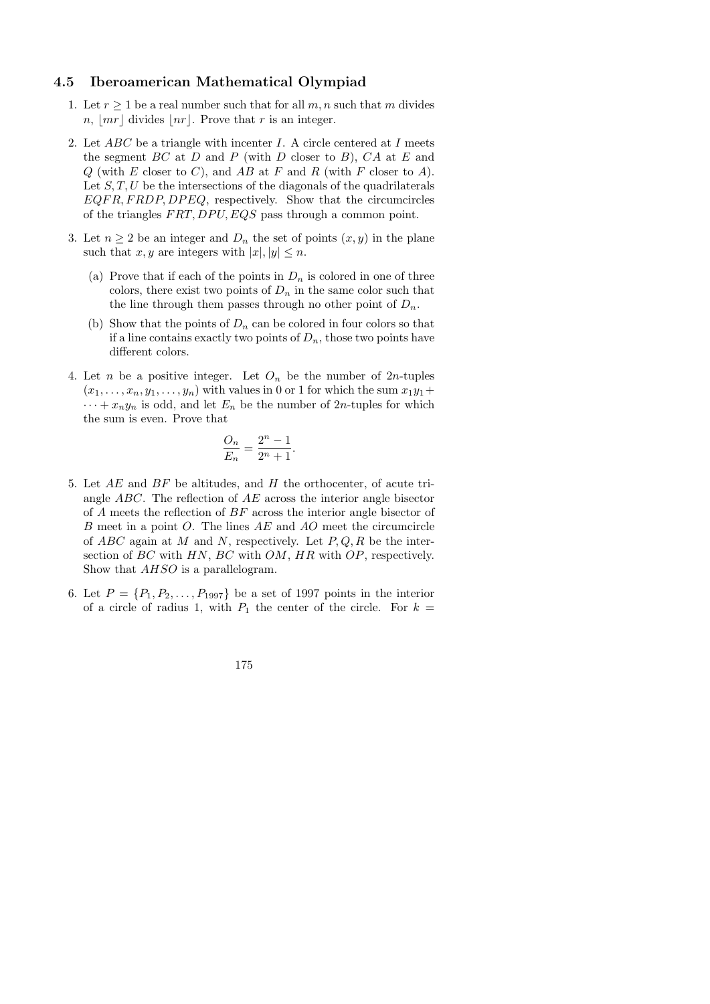#### 4.5 Iberoamerican Mathematical Olympiad

- 1. Let  $r \geq 1$  be a real number such that for all  $m, n$  such that m divides  $n, |mr|$  divides  $|nr|$ . Prove that r is an integer.
- 2. Let  $ABC$  be a triangle with incenter I. A circle centered at I meets the segment  $BC$  at  $D$  and  $P$  (with  $D$  closer to  $B$ ),  $CA$  at  $E$  and  $Q$  (with E closer to C), and AB at F and R (with F closer to A). Let  $S, T, U$  be the intersections of the diagonals of the quadrilaterals  $EQFR, FRDP, DPEQ,$  respectively. Show that the circumcircles of the triangles  $FRT$ ,  $DPU$ ,  $EQS$  pass through a common point.
- 3. Let  $n \geq 2$  be an integer and  $D_n$  the set of points  $(x, y)$  in the plane such that x, y are integers with  $|x|, |y| \leq n$ .
	- (a) Prove that if each of the points in  $D_n$  is colored in one of three colors, there exist two points of  $D_n$  in the same color such that the line through them passes through no other point of  $D_n$ .
	- (b) Show that the points of  $D_n$  can be colored in four colors so that if a line contains exactly two points of  $D_n$ , those two points have different colors.
- 4. Let *n* be a positive integer. Let  $O_n$  be the number of  $2n$ -tuples  $(x_1, \ldots, x_n, y_1, \ldots, y_n)$  with values in 0 or 1 for which the sum  $x_1y_1 +$  $\cdots + x_n y_n$  is odd, and let  $E_n$  be the number of 2*n*-tuples for which the sum is even. Prove that

$$
\frac{O_n}{E_n} = \frac{2^n - 1}{2^n + 1}.
$$

- 5. Let  $AE$  and  $BF$  be altitudes, and  $H$  the orthocenter, of acute triangle ABC. The reflection of AE across the interior angle bisector of A meets the reflection of BF across the interior angle bisector of  $B$  meet in a point  $O$ . The lines  $AE$  and  $AO$  meet the circumcircle of  $ABC$  again at M and N, respectively. Let  $P, Q, R$  be the intersection of  $BC$  with  $HN$ ,  $BC$  with  $OM$ ,  $HR$  with  $OP$ , respectively. Show that *AHSO* is a parallelogram.
- 6. Let  $P = \{P_1, P_2, \ldots, P_{1997}\}\)$  be a set of 1997 points in the interior of a circle of radius 1, with  $P_1$  the center of the circle. For  $k =$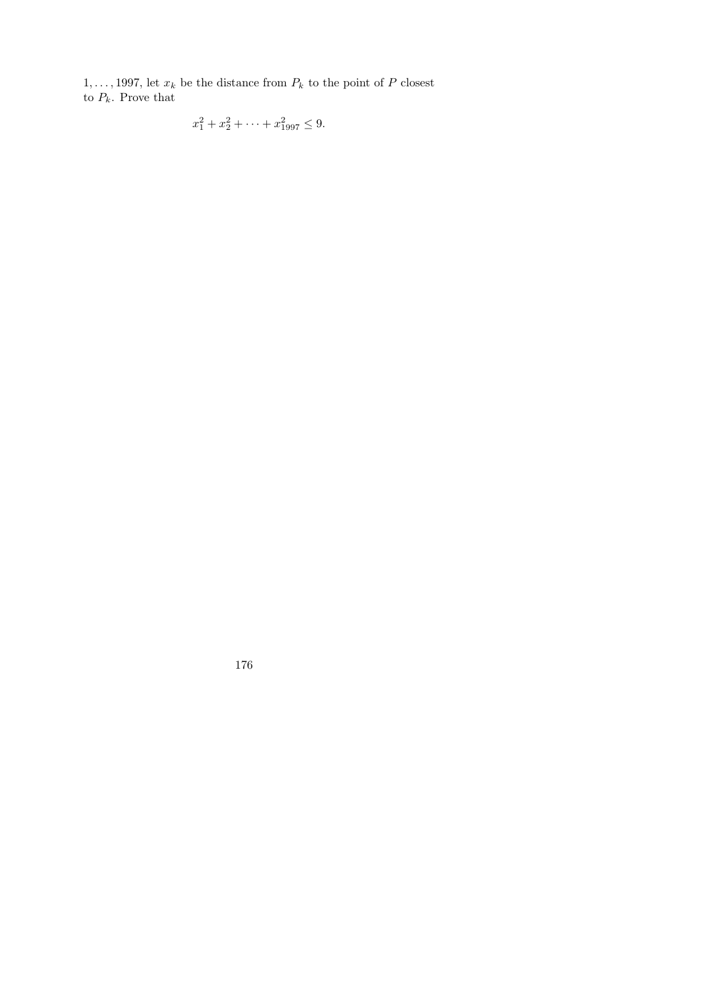$1, \ldots, 1997$ , let  $x_k$  be the distance from  $P_k$  to the point of P closest to  $P_k$ . Prove that

$$
x_1^2 + x_2^2 + \dots + x_{1997}^2 \le 9.
$$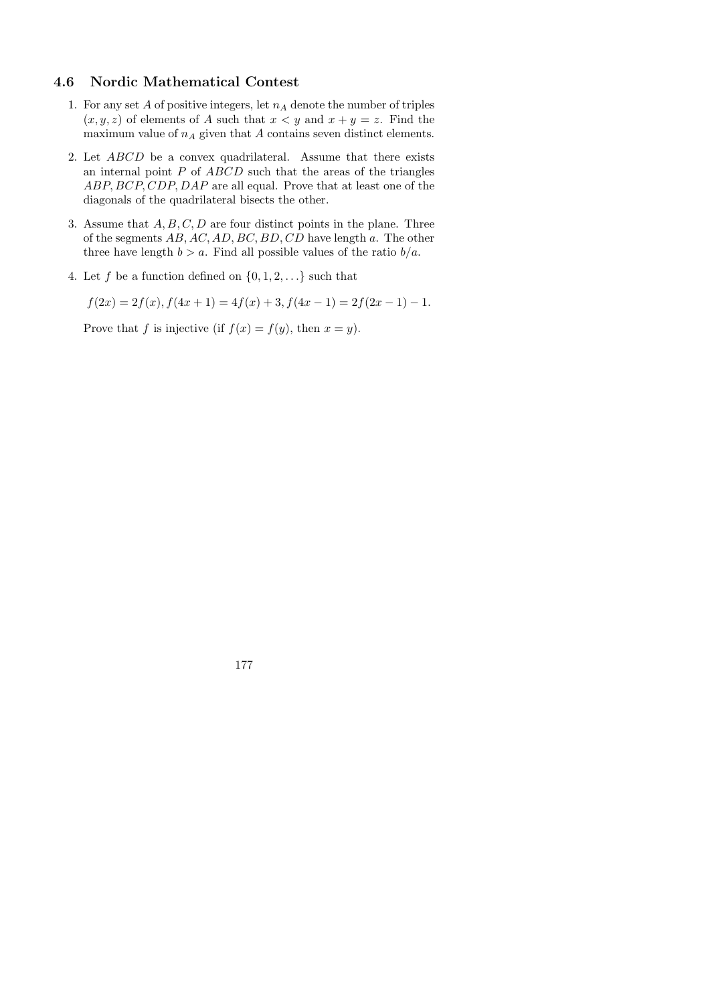### 4.6 Nordic Mathematical Contest

- 1. For any set  $A$  of positive integers, let  $n_A$  denote the number of triples  $(x, y, z)$  of elements of A such that  $x < y$  and  $x + y = z$ . Find the maximum value of  $n_A$  given that A contains seven distinct elements.
- 2. Let ABCD be a convex quadrilateral. Assume that there exists an internal point  $P$  of  $ABCD$  such that the areas of the triangles ABP, BCP, CDP, DAP are all equal. Prove that at least one of the diagonals of the quadrilateral bisects the other.
- 3. Assume that  $A, B, C, D$  are four distinct points in the plane. Three of the segments  $AB, AC, AD, BC, BD, CD$  have length a. The other three have length  $b > a$ . Find all possible values of the ratio  $b/a$ .
- 4. Let f be a function defined on  $\{0, 1, 2, \ldots\}$  such that

$$
f(2x) = 2f(x), f(4x + 1) = 4f(x) + 3, f(4x - 1) = 2f(2x - 1) - 1.
$$

Prove that f is injective (if  $f(x) = f(y)$ , then  $x = y$ ).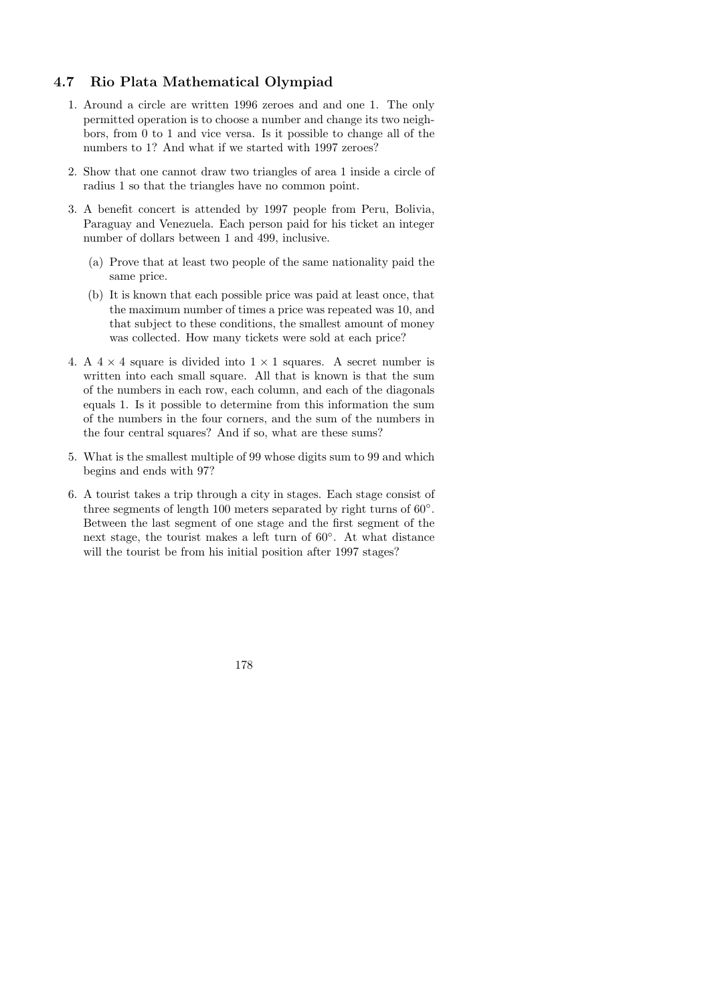# 4.7 Rio Plata Mathematical Olympiad

- 1. Around a circle are written 1996 zeroes and and one 1. The only permitted operation is to choose a number and change its two neighbors, from 0 to 1 and vice versa. Is it possible to change all of the numbers to 1? And what if we started with 1997 zeroes?
- 2. Show that one cannot draw two triangles of area 1 inside a circle of radius 1 so that the triangles have no common point.
- 3. A benefit concert is attended by 1997 people from Peru, Bolivia, Paraguay and Venezuela. Each person paid for his ticket an integer number of dollars between 1 and 499, inclusive.
	- (a) Prove that at least two people of the same nationality paid the same price.
	- (b) It is known that each possible price was paid at least once, that the maximum number of times a price was repeated was 10, and that subject to these conditions, the smallest amount of money was collected. How many tickets were sold at each price?
- 4. A  $4 \times 4$  square is divided into  $1 \times 1$  squares. A secret number is written into each small square. All that is known is that the sum of the numbers in each row, each column, and each of the diagonals equals 1. Is it possible to determine from this information the sum of the numbers in the four corners, and the sum of the numbers in the four central squares? And if so, what are these sums?
- 5. What is the smallest multiple of 99 whose digits sum to 99 and which begins and ends with 97?
- 6. A tourist takes a trip through a city in stages. Each stage consist of three segments of length 100 meters separated by right turns of 60◦ . Between the last segment of one stage and the first segment of the next stage, the tourist makes a left turn of 60◦ . At what distance will the tourist be from his initial position after 1997 stages?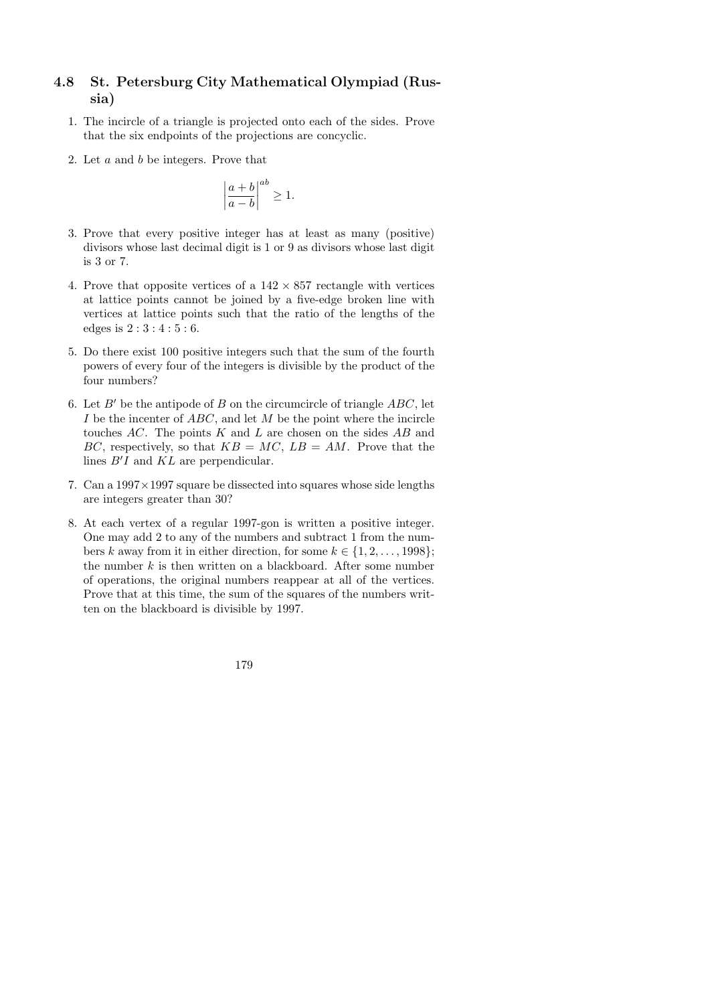# 4.8 St. Petersburg City Mathematical Olympiad (Russia)

- 1. The incircle of a triangle is projected onto each of the sides. Prove that the six endpoints of the projections are concyclic.
- 2. Let a and b be integers. Prove that

$$
\left|\frac{a+b}{a-b}\right|^{ab} \ge 1.
$$

- 3. Prove that every positive integer has at least as many (positive) divisors whose last decimal digit is 1 or 9 as divisors whose last digit is 3 or 7.
- 4. Prove that opposite vertices of a  $142 \times 857$  rectangle with vertices at lattice points cannot be joined by a five-edge broken line with vertices at lattice points such that the ratio of the lengths of the edges is 2 : 3 : 4 : 5 : 6.
- 5. Do there exist 100 positive integers such that the sum of the fourth powers of every four of the integers is divisible by the product of the four numbers?
- 6. Let  $B'$  be the antipode of B on the circumcircle of triangle ABC, let I be the incenter of  $ABC$ , and let M be the point where the incircle touches  $AC$ . The points  $K$  and  $L$  are chosen on the sides  $AB$  and BC, respectively, so that  $KB = MC$ ,  $LB = AM$ . Prove that the lines  $B$ <sup>*I*</sup> and  $KL$  are perpendicular.
- 7. Can a 1997×1997 square be dissected into squares whose side lengths are integers greater than 30?
- 8. At each vertex of a regular 1997-gon is written a positive integer. One may add 2 to any of the numbers and subtract 1 from the numbers k away from it in either direction, for some  $k \in \{1, 2, \ldots, 1998\}$ ; the number  $k$  is then written on a blackboard. After some number of operations, the original numbers reappear at all of the vertices. Prove that at this time, the sum of the squares of the numbers written on the blackboard is divisible by 1997.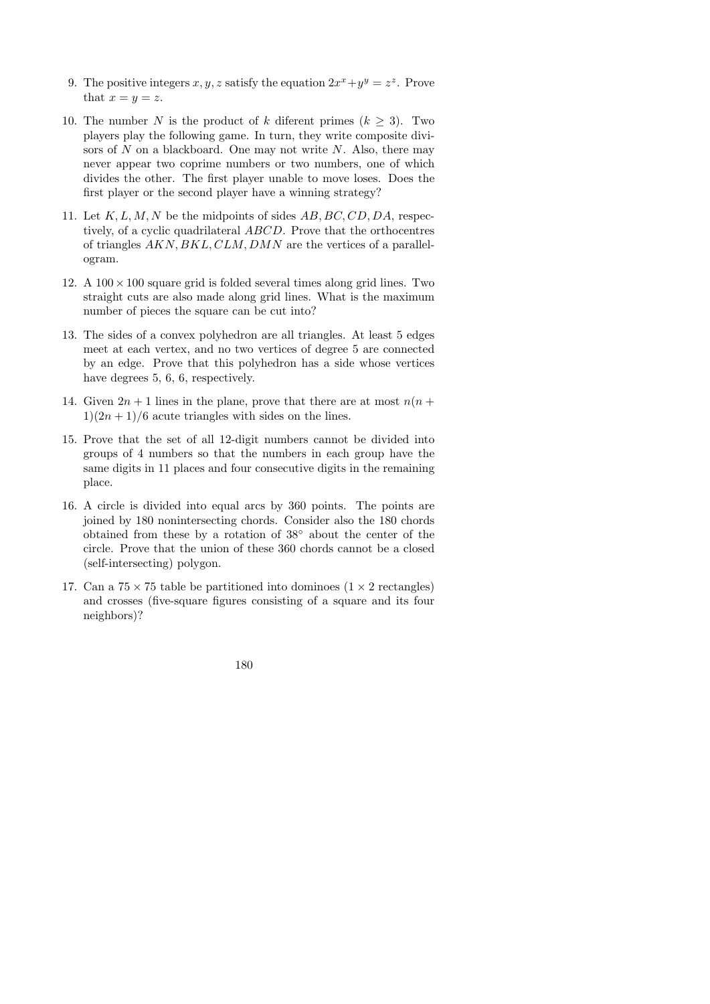- 9. The positive integers  $x, y, z$  satisfy the equation  $2x^x + y^y = z^z$ . Prove that  $x = y = z$ .
- 10. The number N is the product of k diferent primes  $(k \geq 3)$ . Two players play the following game. In turn, they write composite divisors of  $N$  on a blackboard. One may not write  $N$ . Also, there may never appear two coprime numbers or two numbers, one of which divides the other. The first player unable to move loses. Does the first player or the second player have a winning strategy?
- 11. Let  $K, L, M, N$  be the midpoints of sides  $AB, BC, CD, DA$ , respectively, of a cyclic quadrilateral ABCD. Prove that the orthocentres of triangles AKN, BKL, CLM, DMN are the vertices of a parallelogram.
- 12. A  $100 \times 100$  square grid is folded several times along grid lines. Two straight cuts are also made along grid lines. What is the maximum number of pieces the square can be cut into?
- 13. The sides of a convex polyhedron are all triangles. At least 5 edges meet at each vertex, and no two vertices of degree 5 are connected by an edge. Prove that this polyhedron has a side whose vertices have degrees 5, 6, 6, respectively.
- 14. Given  $2n + 1$  lines in the plane, prove that there are at most  $n(n + 1)$  $1(2n+1)/6$  acute triangles with sides on the lines.
- 15. Prove that the set of all 12-digit numbers cannot be divided into groups of 4 numbers so that the numbers in each group have the same digits in 11 places and four consecutive digits in the remaining place.
- 16. A circle is divided into equal arcs by 360 points. The points are joined by 180 nonintersecting chords. Consider also the 180 chords obtained from these by a rotation of 38◦ about the center of the circle. Prove that the union of these 360 chords cannot be a closed (self-intersecting) polygon.
- 17. Can a  $75 \times 75$  table be partitioned into dominoes  $(1 \times 2 \text{ rectangles})$ and crosses (five-square figures consisting of a square and its four neighbors)?

180